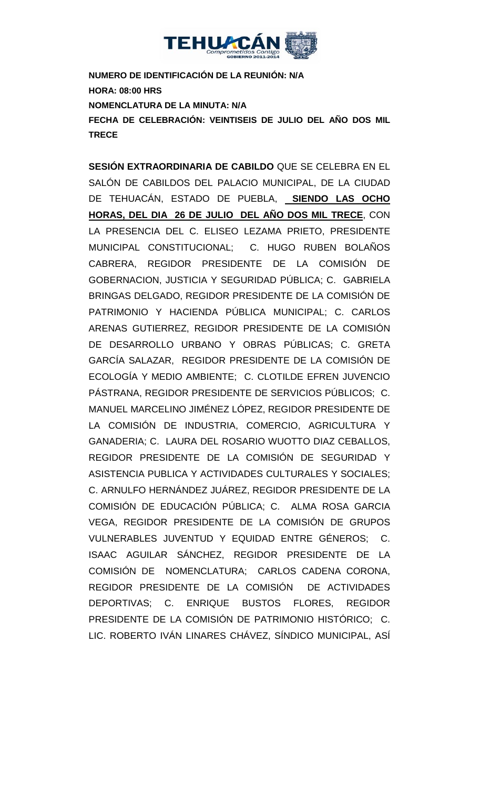

**NUMERO DE IDENTIFICACIÓN DE LA REUNIÓN: N/A HORA: 08:00 HRS NOMENCLATURA DE LA MINUTA: N/A FECHA DE CELEBRACIÓN: VEINTISEIS DE JULIO DEL AÑO DOS MIL TRECE** 

**SESIÓN EXTRAORDINARIA DE CABILDO** QUE SE CELEBRA EN EL SALÓN DE CABILDOS DEL PALACIO MUNICIPAL, DE LA CIUDAD DE TEHUACÁN, ESTADO DE PUEBLA, **SIENDO LAS OCHO HORAS, DEL DIA 26 DE JULIO DEL AÑO DOS MIL TRECE**, CON LA PRESENCIA DEL C. ELISEO LEZAMA PRIETO, PRESIDENTE MUNICIPAL CONSTITUCIONAL; C. HUGO RUBEN BOLAÑOS CABRERA, REGIDOR PRESIDENTE DE LA COMISIÓN DE GOBERNACION, JUSTICIA Y SEGURIDAD PÚBLICA; C. GABRIELA BRINGAS DELGADO, REGIDOR PRESIDENTE DE LA COMISIÓN DE PATRIMONIO Y HACIENDA PÚBLICA MUNICIPAL; C. CARLOS ARENAS GUTIERREZ, REGIDOR PRESIDENTE DE LA COMISIÓN DE DESARROLLO URBANO Y OBRAS PÚBLICAS; C. GRETA GARCÍA SALAZAR, REGIDOR PRESIDENTE DE LA COMISIÓN DE ECOLOGÍA Y MEDIO AMBIENTE; C. CLOTILDE EFREN JUVENCIO PÁSTRANA, REGIDOR PRESIDENTE DE SERVICIOS PÚBLICOS; C. MANUEL MARCELINO JIMÉNEZ LÓPEZ, REGIDOR PRESIDENTE DE LA COMISIÓN DE INDUSTRIA, COMERCIO, AGRICULTURA Y GANADERIA; C. LAURA DEL ROSARIO WUOTTO DIAZ CEBALLOS, REGIDOR PRESIDENTE DE LA COMISIÓN DE SEGURIDAD Y ASISTENCIA PUBLICA Y ACTIVIDADES CULTURALES Y SOCIALES; C. ARNULFO HERNÁNDEZ JUÁREZ, REGIDOR PRESIDENTE DE LA COMISIÓN DE EDUCACIÓN PÚBLICA; C. ALMA ROSA GARCIA VEGA, REGIDOR PRESIDENTE DE LA COMISIÓN DE GRUPOS VULNERABLES JUVENTUD Y EQUIDAD ENTRE GÉNEROS; C. ISAAC AGUILAR SÁNCHEZ, REGIDOR PRESIDENTE DE LA COMISIÓN DE NOMENCLATURA; CARLOS CADENA CORONA, REGIDOR PRESIDENTE DE LA COMISIÓN DE ACTIVIDADES DEPORTIVAS; C. ENRIQUE BUSTOS FLORES, REGIDOR PRESIDENTE DE LA COMISIÓN DE PATRIMONIO HISTÓRICO; C. LIC. ROBERTO IVÁN LINARES CHÁVEZ, SÍNDICO MUNICIPAL, ASÍ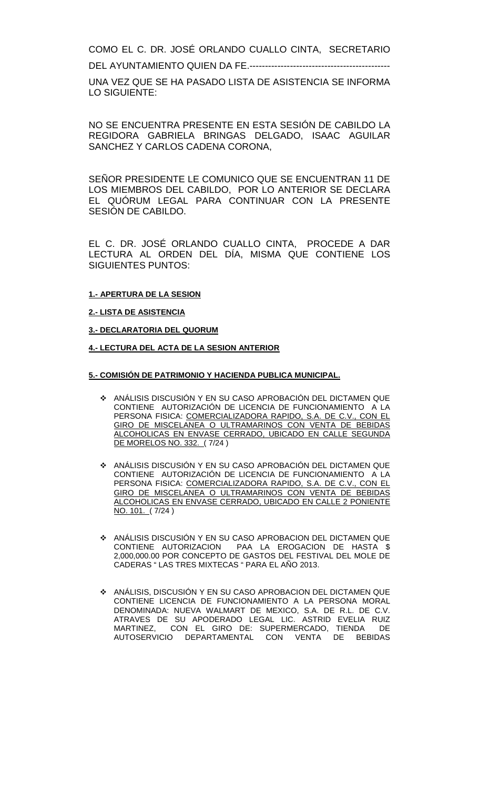COMO EL C. DR. JOSÉ ORLANDO CUALLO CINTA, SECRETARIO

DEL AYUNTAMIENTO QUIEN DA FE.---------------------------------------------

UNA VEZ QUE SE HA PASADO LISTA DE ASISTENCIA SE INFORMA LO SIGUIENTE:

NO SE ENCUENTRA PRESENTE EN ESTA SESIÓN DE CABILDO LA REGIDORA GABRIELA BRINGAS DELGADO, ISAAC AGUILAR SANCHEZ Y CARLOS CADENA CORONA,

SEÑOR PRESIDENTE LE COMUNICO QUE SE ENCUENTRAN 11 DE LOS MIEMBROS DEL CABILDO, POR LO ANTERIOR SE DECLARA EL QUÓRUM LEGAL PARA CONTINUAR CON LA PRESENTE SESIÓN DE CABILDO.

EL C. DR. JOSÉ ORLANDO CUALLO CINTA, PROCEDE A DAR LECTURA AL ORDEN DEL DÍA, MISMA QUE CONTIENE LOS SIGUIENTES PUNTOS:

## $\frac{1}{2}$ **1.- APERTURA DE LA SESION**

#### **2.- LISTA DE ASISTENCIA**

#### **3.- DECLARATORIA DEL QUORUM**

**4.- LECTURA DEL ACTA DE LA SESION ANTERIOR** 

#### **5.- COMISIÓN DE PATRIMONIO Y HACIENDA PUBLICA MUNICIPAL.**

- ANÁLISIS DISCUSIÓN Y EN SU CASO APROBACIÓN DEL DICTAMEN QUE CONTIENE AUTORIZACIÓN DE LICENCIA DE FUNCIONAMIENTO A LA PERSONA FISICA: COMERCIALIZADORA RAPIDO, S.A. DE C.V., CON EL GIRO DE MISCELANEA O ULTRAMARINOS CON VENTA DE BEBIDAS ALCOHOLICAS EN ENVASE CERRADO, UBICADO EN CALLE SEGUNDA DE MORELOS NO. 332. ( 7/24 )
- ANÁLISIS DISCUSIÓN Y EN SU CASO APROBACIÓN DEL DICTAMEN QUE CONTIENE AUTORIZACIÓN DE LICENCIA DE FUNCIONAMIENTO A LA PERSONA FISICA: COMERCIALIZADORA RAPIDO, S.A. DE C.V., CON EL GIRO DE MISCELANEA O ULTRAMARINOS CON VENTA DE BEBIDAS ALCOHOLICAS EN ENVASE CERRADO, UBICADO EN CALLE 2 PONIENTE NO. 101. ( 7/24 )
- ANÁLISIS DISCUSIÓN Y EN SU CASO APROBACION DEL DICTAMEN QUE CONTIENE AUTORIZACION PAA LA EROGACION DE HASTA \$ 2,000,000.00 POR CONCEPTO DE GASTOS DEL FESTIVAL DEL MOLE DE CADERAS " LAS TRES MIXTECAS " PARA EL AÑO 2013.
- ANÁLISIS, DISCUSIÓN Y EN SU CASO APROBACION DEL DICTAMEN QUE CONTIENE LICENCIA DE FUNCIONAMIENTO A LA PERSONA MORAL DENOMINADA: NUEVA WALMART DE MEXICO, S.A. DE R.L. DE C.V. ATRAVES DE SU APODERADO LEGAL LIC. ASTRID EVELIA RUIZ MARTINEZ, CON EL GIRO DE: SUPERMERCADO, TIENDA AUTOSERVICIO DEPARTAMENTAL CON VENTA DE BEBIDAS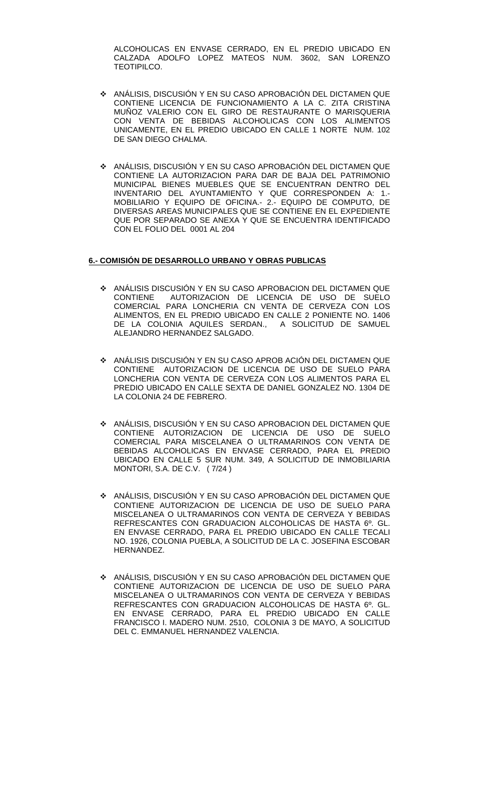ALCOHOLICAS EN ENVASE CERRADO, EN EL PREDIO UBICADO EN CALZADA ADOLFO LOPEZ MATEOS NUM. 3602, SAN LORENZO TEOTIPILCO.

- ANÁLISIS, DISCUSIÓN Y EN SU CASO APROBACIÓN DEL DICTAMEN QUE CONTIENE LICENCIA DE FUNCIONAMIENTO A LA C. ZITA CRISTINA MUÑOZ VALERIO CON EL GIRO DE RESTAURANTE O MARISQUERIA CON VENTA DE BEBIDAS ALCOHOLICAS CON LOS ALIMENTOS UNICAMENTE, EN EL PREDIO UBICADO EN CALLE 1 NORTE NUM. 102 DE SAN DIEGO CHALMA.
- ANÁLISIS, DISCUSIÓN Y EN SU CASO APROBACIÓN DEL DICTAMEN QUE CONTIENE LA AUTORIZACION PARA DAR DE BAJA DEL PATRIMONIO MUNICIPAL BIENES MUEBLES QUE SE ENCUENTRAN DENTRO DEL INVENTARIO DEL AYUNTAMIENTO Y QUE CORRESPONDEN A: 1.- MOBILIARIO Y EQUIPO DE OFICINA.- 2.- EQUIPO DE COMPUTO, DE DIVERSAS AREAS MUNICIPALES QUE SE CONTIENE EN EL EXPEDIENTE QUE POR SEPARADO SE ANEXA Y QUE SE ENCUENTRA IDENTIFICADO CON EL FOLIO DEL 0001 AL 204

#### **6.- COMISIÓN DE DESARROLLO URBANO Y OBRAS PUBLICAS**

- ANÁLISIS DISCUSIÓN Y EN SU CASO APROBACION DEL DICTAMEN QUE AUTORIZACION DE LICENCIA DE USO DE SUELO COMERCIAL PARA LONCHERIA CN VENTA DE CERVEZA CON LOS ALIMENTOS, EN EL PREDIO UBICADO EN CALLE 2 PONIENTE NO. 1406<br>DE LA COLONIA AQUILES SERDAN.. A SOLICITUD DE SAMUEL DE LA COLONIA AQUILES SERDAN., ALEJANDRO HERNANDEZ SALGADO.
- ANÁLISIS DISCUSIÓN Y EN SU CASO APROB ACIÓN DEL DICTAMEN QUE CONTIENE AUTORIZACION DE LICENCIA DE USO DE SUELO PARA LONCHERIA CON VENTA DE CERVEZA CON LOS ALIMENTOS PARA EL PREDIO UBICADO EN CALLE SEXTA DE DANIEL GONZALEZ NO. 1304 DE LA COLONIA 24 DE FEBRERO.
- ANÁLISIS, DISCUSIÓN Y EN SU CASO APROBACION DEL DICTAMEN QUE CONTIENE AUTORIZACION DE LICENCIA DE USO DE SUELO COMERCIAL PARA MISCELANEA O ULTRAMARINOS CON VENTA DE BEBIDAS ALCOHOLICAS EN ENVASE CERRADO, PARA EL PREDIO UBICADO EN CALLE 5 SUR NUM. 349, A SOLICITUD DE INMOBILIARIA MONTORI, S.A. DE C.V. ( 7/24 )
- ANÁLISIS, DISCUSIÓN Y EN SU CASO APROBACIÓN DEL DICTAMEN QUE CONTIENE AUTORIZACION DE LICENCIA DE USO DE SUELO PARA MISCELANEA O ULTRAMARINOS CON VENTA DE CERVEZA Y BEBIDAS REFRESCANTES CON GRADUACION ALCOHOLICAS DE HASTA 6º. GL. EN ENVASE CERRADO, PARA EL PREDIO UBICADO EN CALLE TECALI NO. 1926, COLONIA PUEBLA, A SOLICITUD DE LA C. JOSEFINA ESCOBAR HERNANDEZ.
- ANÁLISIS, DISCUSIÓN Y EN SU CASO APROBACIÓN DEL DICTAMEN QUE CONTIENE AUTORIZACION DE LICENCIA DE USO DE SUELO PARA MISCELANEA O ULTRAMARINOS CON VENTA DE CERVEZA Y BEBIDAS REFRESCANTES CON GRADUACION ALCOHOLICAS DE HASTA 6º. GL. EN ENVASE CERRADO, PARA EL PREDIO UBICADO EN CALLE FRANCISCO I. MADERO NUM. 2510, COLONIA 3 DE MAYO, A SOLICITUD DEL C. EMMANUEL HERNANDEZ VALENCIA.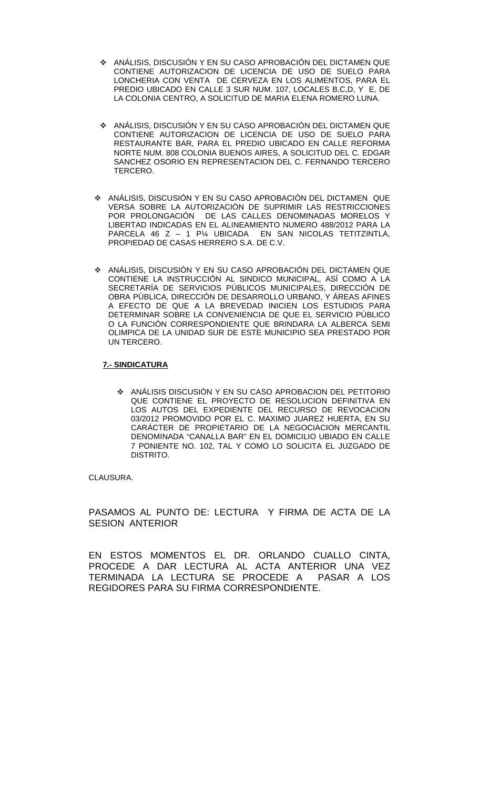- ANÁLISIS, DISCUSIÓN Y EN SU CASO APROBACIÓN DEL DICTAMEN QUE CONTIENE AUTORIZACION DE LICENCIA DE USO DE SUELO PARA LONCHERIA CON VENTA DE CERVEZA EN LOS ALIMENTOS, PARA EL PREDIO UBICADO EN CALLE 3 SUR NUM. 107, LOCALES B,C,D, Y E, DE LA COLONIA CENTRO, A SOLICITUD DE MARIA ELENA ROMERO LUNA.
- ANÁLISIS, DISCUSIÓN Y EN SU CASO APROBACIÓN DEL DICTAMEN QUE CONTIENE AUTORIZACION DE LICENCIA DE USO DE SUELO PARA RESTAURANTE BAR, PARA EL PREDIO UBICADO EN CALLE REFORMA NORTE NUM. 808 COLONIA BUENOS AIRES, A SOLICITUD DEL C. EDGAR SANCHEZ OSORIO EN REPRESENTACION DEL C. FERNANDO TERCERO TERCERO.
- ANÁLISIS, DISCUSIÓN Y EN SU CASO APROBACIÓN DEL DICTAMEN QUE VERSA SOBRE LA AUTORIZACIÓN DE SUPRIMIR LAS RESTRICCIONES POR PROLONGACIÓN DE LAS CALLES DENOMINADAS MORELOS Y LIBERTAD INDICADAS EN EL ALINEAMIENTO NUMERO 488/2012 PARA LA PARCELA 46 Z – 1 P¼ UBICADA EN SAN NICOLAS TETITZINTLA, PROPIEDAD DE CASAS HERRERO S.A. DE C.V.
- ANÁLISIS, DISCUSIÓN Y EN SU CASO APROBACIÓN DEL DICTAMEN QUE CONTIENE LA INSTRUCCIÓN AL SINDICO MUNICIPAL, ASÍ COMO A LA SECRETARÍA DE SERVICIOS PÚBLICOS MUNICIPALES, DIRECCIÓN DE OBRA PÚBLICA, DIRECCIÓN DE DESARROLLO URBANO, Y ÁREAS AFINES A EFECTO DE QUE A LA BREVEDAD INICIEN LOS ESTUDIOS PARA DETERMINAR SOBRE LA CONVENIENCIA DE QUE EL SERVICIO PÚBLICO O LA FUNCIÓN CORRESPONDIENTE QUE BRINDARA LA ALBERCA SEMI OLIMPICA DE LA UNIDAD SUR DE ESTE MUNICIPIO SEA PRESTADO POR UN TERCERO.

## **7.- SINDICATURA**

 ANÁLISIS DISCUSIÓN Y EN SU CASO APROBACION DEL PETITORIO QUE CONTIENE EL PROYECTO DE RESOLUCION DEFINITIVA EN LOS AUTOS DEL EXPEDIENTE DEL RECURSO DE REVOCACION 03/2012 PROMOVIDO POR EL C. MAXIMO JUAREZ HUERTA, EN SU CARÁCTER DE PROPIETARIO DE LA NEGOCIACION MERCANTIL DENOMINADA "CANALLA BAR" EN EL DOMICILIO UBIADO EN CALLE 7 PONIENTE NO. 102, TAL Y COMO LO SOLICITA EL JUZGADO DE DISTRITO.

## CLAUSURA.

PASAMOS AL PUNTO DE: LECTURA Y FIRMA DE ACTA DE LA SESION ANTERIOR

EN ESTOS MOMENTOS EL DR. ORLANDO CUALLO CINTA, PROCEDE A DAR LECTURA AL ACTA ANTERIOR UNA VEZ TERMINADA LA LECTURA SE PROCEDE A PASAR A LOS REGIDORES PARA SU FIRMA CORRESPONDIENTE.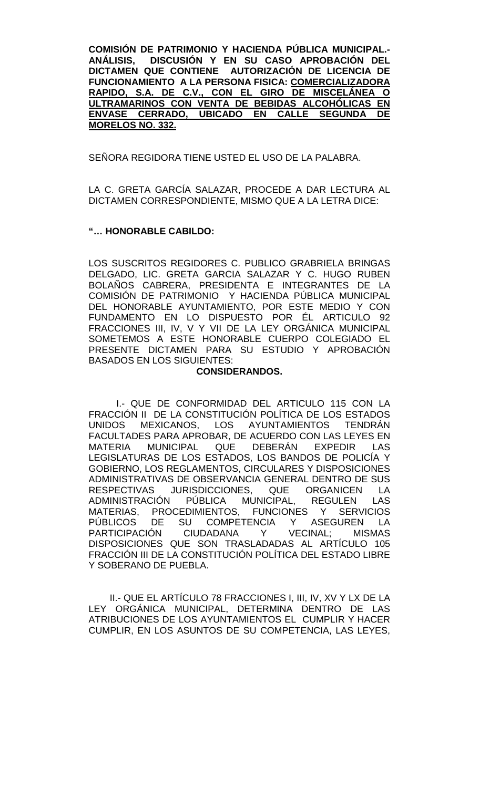**COMISIÓN DE PATRIMONIO Y HACIENDA PÚBLICA MUNICIPAL.- ANÁLISIS, DISCUSIÓN Y EN SU CASO APROBACIÓN DEL DICTAMEN QUE CONTIENE AUTORIZACIÓN DE LICENCIA DE FUNCIONAMIENTO A LA PERSONA FISICA: COMERCIALIZADORA RAPIDO, S.A. DE C.V., CON EL GIRO DE MISCELÁNEA O ULTRAMARINOS CON VENTA DE BEBIDAS ALCOHÓLICAS EN ENVASE CERRADO, UBICADO EN CALLE SEGUNDA DE MORELOS NO. 332.** 

SEÑORA REGIDORA TIENE USTED EL USO DE LA PALABRA.

LA C. GRETA GARCÍA SALAZAR, PROCEDE A DAR LECTURA AL DICTAMEN CORRESPONDIENTE, MISMO QUE A LA LETRA DICE:

# **"… HONORABLE CABILDO:**

LOS SUSCRITOS REGIDORES C. PUBLICO GRABRIELA BRINGAS DELGADO, LIC. GRETA GARCIA SALAZAR Y C. HUGO RUBEN BOLAÑOS CABRERA, PRESIDENTA E INTEGRANTES DE LA COMISIÓN DE PATRIMONIO Y HACIENDA PÚBLICA MUNICIPAL DEL HONORABLE AYUNTAMIENTO, POR ESTE MEDIO Y CON FUNDAMENTO EN LO DISPUESTO POR ÉL ARTICULO 92 FRACCIONES III, IV, V Y VII DE LA LEY ORGÁNICA MUNICIPAL SOMETEMOS A ESTE HONORABLE CUERPO COLEGIADO EL PRESENTE DICTAMEN PARA SU ESTUDIO Y APROBACIÓN BASADOS EN LOS SIGUIENTES:

## **CONSIDERANDOS.**

I.- QUE DE CONFORMIDAD DEL ARTICULO 115 CON LA FRACCIÓN II DE LA CONSTITUCIÓN POLÍTICA DE LOS ESTADOS UNIDOS MEXICANOS, LOS AYUNTAMIENTOS TENDRÁN FACULTADES PARA APROBAR, DE ACUERDO CON LAS LEYES EN<br>MATERIA MUNICIPAL QUE DEBERÁN EXPEDIR LAS MATERIA MUNICIPAL QUE DEBERÁN EXPEDIR LAS LEGISLATURAS DE LOS ESTADOS, LOS BANDOS DE POLICÍA Y GOBIERNO, LOS REGLAMENTOS, CIRCULARES Y DISPOSICIONES ADMINISTRATIVAS DE OBSERVANCIA GENERAL DENTRO DE SUS RESPECTIVAS JURISDICCIONES, QUE ORGANICEN LA ADMINISTRACIÓN PÚBLICA MUNICIPAL, REGULEN LAS MATERIAS, PROCEDIMIENTOS, FUNCIONES Y SERVICIOS PÚBLICOS DE SU COMPETENCIA Y ASEGUREN LA PARTICIPACIÓN CIUDADANA Y VECINAL; MISMAS DISPOSICIONES QUE SON TRASLADADAS AL ARTÍCULO 105 FRACCIÓN III DE LA CONSTITUCIÓN POLÍTICA DEL ESTADO LIBRE Y SOBERANO DE PUEBLA.

II.- QUE EL ARTÍCULO 78 FRACCIONES I, III, IV, XV Y LX DE LA LEY ORGÁNICA MUNICIPAL, DETERMINA DENTRO DE LAS ATRIBUCIONES DE LOS AYUNTAMIENTOS EL CUMPLIR Y HACER CUMPLIR, EN LOS ASUNTOS DE SU COMPETENCIA, LAS LEYES,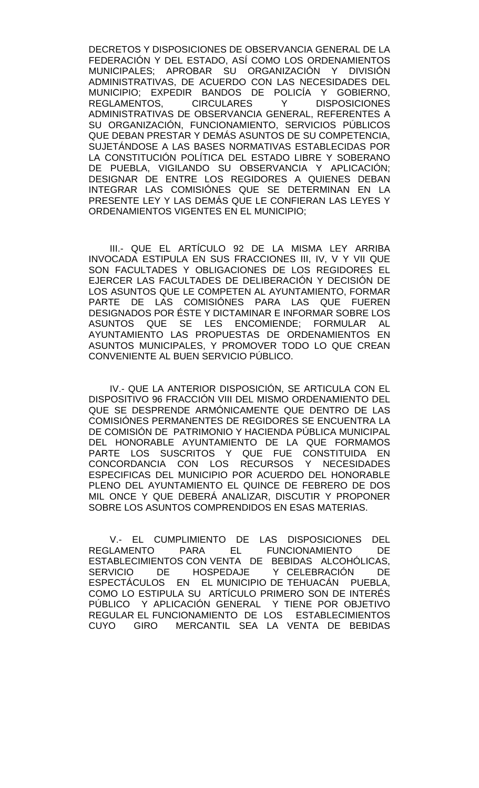DECRETOS Y DISPOSICIONES DE OBSERVANCIA GENERAL DE LA FEDERACIÓN Y DEL ESTADO, ASÍ COMO LOS ORDENAMIENTOS MUNICIPALES; APROBAR SU ORGANIZACIÓN Y DIVISIÓN ADMINISTRATIVAS, DE ACUERDO CON LAS NECESIDADES DEL MUNICIPIO; EXPEDIR BANDOS DE POLICÍA Y GOBIERNO, REGLAMENTOS. ADMINISTRATIVAS DE OBSERVANCIA GENERAL, REFERENTES A SU ORGANIZACIÓN, FUNCIONAMIENTO, SERVICIOS PÚBLICOS QUE DEBAN PRESTAR Y DEMÁS ASUNTOS DE SU COMPETENCIA, SUJETÁNDOSE A LAS BASES NORMATIVAS ESTABLECIDAS POR LA CONSTITUCIÓN POLÍTICA DEL ESTADO LIBRE Y SOBERANO DE PUEBLA, VIGILANDO SU OBSERVANCIA Y APLICACIÓN; DESIGNAR DE ENTRE LOS REGIDORES A QUIENES DEBAN INTEGRAR LAS COMISIÓNES QUE SE DETERMINAN EN LA PRESENTE LEY Y LAS DEMÁS QUE LE CONFIERAN LAS LEYES Y ORDENAMIENTOS VIGENTES EN EL MUNICIPIO;

III.- QUE EL ARTÍCULO 92 DE LA MISMA LEY ARRIBA INVOCADA ESTIPULA EN SUS FRACCIONES III, IV, V Y VII QUE SON FACULTADES Y OBLIGACIONES DE LOS REGIDORES EL EJERCER LAS FACULTADES DE DELIBERACIÓN Y DECISIÓN DE LOS ASUNTOS QUE LE COMPETEN AL AYUNTAMIENTO, FORMAR PARTE DE LAS COMISIÓNES PARA LAS QUE FUEREN DESIGNADOS POR ÉSTE Y DICTAMINAR E INFORMAR SOBRE LOS ASUNTOS QUE SE LES ENCOMIENDE; FORMULAR AL AYUNTAMIENTO LAS PROPUESTAS DE ORDENAMIENTOS EN ASUNTOS MUNICIPALES, Y PROMOVER TODO LO QUE CREAN CONVENIENTE AL BUEN SERVICIO PÚBLICO.

IV.- QUE LA ANTERIOR DISPOSICIÓN, SE ARTICULA CON EL DISPOSITIVO 96 FRACCIÓN VIII DEL MISMO ORDENAMIENTO DEL QUE SE DESPRENDE ARMÓNICAMENTE QUE DENTRO DE LAS COMISIÓNES PERMANENTES DE REGIDORES SE ENCUENTRA LA DE COMISIÓN DE PATRIMONIO Y HACIENDA PÚBLICA MUNICIPAL DEL HONORABLE AYUNTAMIENTO DE LA QUE FORMAMOS PARTE LOS SUSCRITOS Y QUE FUE CONSTITUIDA EN CONCORDANCIA CON LOS RECURSOS Y NECESIDADES ESPECIFICAS DEL MUNICIPIO POR ACUERDO DEL HONORABLE PLENO DEL AYUNTAMIENTO EL QUINCE DE FEBRERO DE DOS MIL ONCE Y QUE DEBERÁ ANALIZAR, DISCUTIR Y PROPONER SOBRE LOS ASUNTOS COMPRENDIDOS EN ESAS MATERIAS.

V.- EL CUMPLIMIENTO DE LAS DISPOSICIONES DEL<br>REGLAMENTO PARA EL FUNCIONAMIENTO DE FUNCIONAMIENTO DE ESTABLECIMIENTOS CON VENTA DE BEBIDAS ALCOHÓLICAS, SERVICIO DE HOSPEDAJE Y CELEBRACIÓN DE ESPECTÁCULOS EN EL MUNICIPIO DE TEHUACÁN PUEBLA, COMO LO ESTIPULA SU ARTÍCULO PRIMERO SON DE INTERÉS PÚBLICO Y APLICACIÓN GENERAL Y TIENE POR OBJETIVO REGULAR EL FUNCIONAMIENTO DE LOS ESTABLECIMIENTOS CUYO GIRO MERCANTIL SEA LA VENTA DE BEBIDAS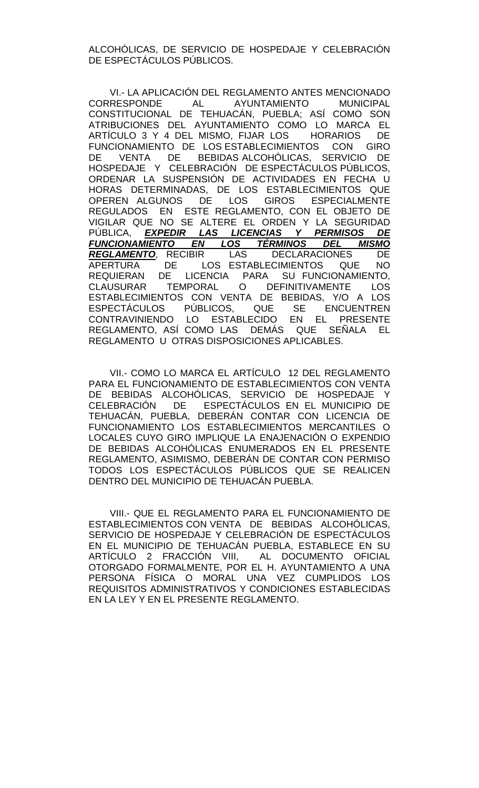ALCOHÓLICAS, DE SERVICIO DE HOSPEDAJE Y CELEBRACIÓN DE ESPECTÁCULOS PÚBLICOS.

VI.- LA APLICACIÓN DEL REGLAMENTO ANTES MENCIONADO CORRESPONDE AL AYUNTAMIENTO MUNICIPAL CONSTITUCIONAL DE TEHUACÁN, PUEBLA; ASÍ COMO SON ATRIBUCIONES DEL AYUNTAMIENTO COMO LO MARCA EL ARTÍCULO 3 Y 4 DEL MISMO, FIJAR LOS HORARIOS DE FUNCIONAMIENTO DE LOS ESTABLECIMIENTOS CON GIRO DE VENTA DE BEBIDAS ALCOHÓLICAS, SERVICIO DE HOSPEDAJE Y CELEBRACIÓN DE ESPECTÁCULOS PÚBLICOS, ORDENAR LA SUSPENSIÓN DE ACTIVIDADES EN FECHA U HORAS DETERMINADAS, DE LOS ESTABLECIMIENTOS QUE OPEREN ALGUNOS DE LOS GIROS ESPECIALMENTE REGULADOS EN ESTE REGLAMENTO, CON EL OBJETO DE VIGILAR QUE NO SE ALTERE EL ORDEN Y LA SEGURIDAD PÚBLICA, *EXPEDIR LAS LICENCIAS Y PERMISOS DE FUNCIONAMIENTO EN LOS TÉRMINOS DEL MISMO REGLAMENTO*, RECIBIR LAS DECLARACIONES DE LOS ESTABLECIMIENTOS QUE NO REQUIERAN DE LICENCIA PARA SU FUNCIONAMIENTO, CLAUSURAR TEMPORAL O DEFINITIVAMENTE LOS ESTABLECIMIENTOS CON VENTA DE BEBIDAS, Y/O A LOS ESPECTÁCULOS PÚBLICOS, QUE SE ENCUENTREN CONTRAVINIENDO LO ESTABLECIDO EN EL PRESENTE REGLAMENTO, ASÍ COMO LAS DEMÁS QUE SEÑALA EL REGLAMENTO U OTRAS DISPOSICIONES APLICABLES.

VII.- COMO LO MARCA EL ARTÍCULO 12 DEL REGLAMENTO PARA EL FUNCIONAMIENTO DE ESTABLECIMIENTOS CON VENTA DE BEBIDAS ALCOHÓLICAS, SERVICIO DE HOSPEDAJE Y CELEBRACIÓN DE ESPECTÁCULOS EN EL MUNICIPIO DE TEHUACÁN, PUEBLA, DEBERÁN CONTAR CON LICENCIA DE FUNCIONAMIENTO LOS ESTABLECIMIENTOS MERCANTILES O LOCALES CUYO GIRO IMPLIQUE LA ENAJENACIÓN O EXPENDIO DE BEBIDAS ALCOHÓLICAS ENUMERADOS EN EL PRESENTE REGLAMENTO, ASIMISMO, DEBERÁN DE CONTAR CON PERMISO TODOS LOS ESPECTÁCULOS PÚBLICOS QUE SE REALICEN DENTRO DEL MUNICIPIO DE TEHUACÁN PUEBLA.

VIII.- QUE EL REGLAMENTO PARA EL FUNCIONAMIENTO DE ESTABLECIMIENTOS CON VENTA DE BEBIDAS ALCOHÓLICAS, SERVICIO DE HOSPEDAJE Y CELEBRACIÓN DE ESPECTÁCULOS EN EL MUNICIPIO DE TEHUACÁN PUEBLA, ESTABLECE EN SU ARTÍCULO 2 FRACCIÓN VIII, AL DOCUMENTO OFICIAL OTORGADO FORMALMENTE, POR EL H. AYUNTAMIENTO A UNA PERSONA FÍSICA O MORAL UNA VEZ CUMPLIDOS LOS REQUISITOS ADMINISTRATIVOS Y CONDICIONES ESTABLECIDAS EN LA LEY Y EN EL PRESENTE REGLAMENTO.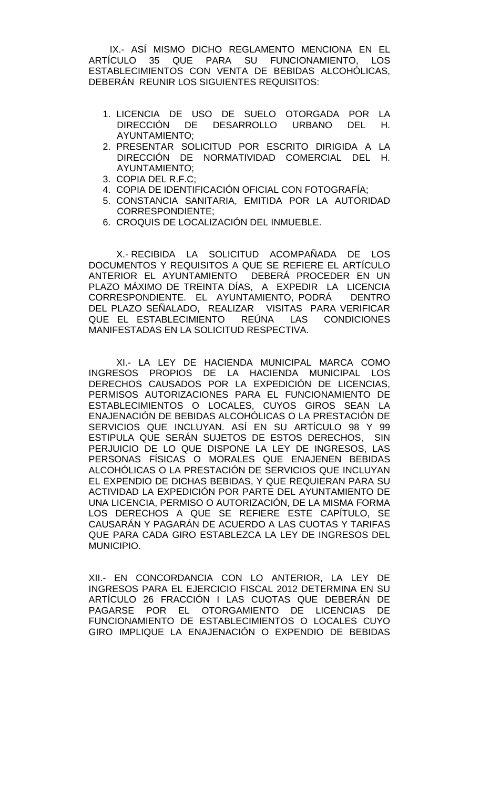IX.- ASÍ MISMO DICHO REGLAMENTO MENCIONA EN EL ARTÍCULO 35 QUE PARA SU FUNCIONAMIENTO, LOS ESTABLECIMIENTOS CON VENTA DE BEBIDAS ALCOHÓLICAS, DEBERÁN REUNIR LOS SIGUIENTES REQUISITOS:

- 1. LICENCIA DE USO DE SUELO OTORGADA POR LA<br>DIRECCIÓN DE DESARROLLO URBANO DEL H. DIRECCIÓN DE DESARROLLO URBANO DEL AYUNTAMIENTO;
- 2. PRESENTAR SOLICITUD POR ESCRITO DIRIGIDA A LA DIRECCIÓN DE NORMATIVIDAD COMERCIAL DEL H. AYUNTAMIENTO;
- 3. COPIA DEL R.F.C;
- 4. COPIA DE IDENTIFICACIÓN OFICIAL CON FOTOGRAFÍA;
- 5. CONSTANCIA SANITARIA, EMITIDA POR LA AUTORIDAD CORRESPONDIENTE;
- 6. CROQUIS DE LOCALIZACIÓN DEL INMUEBLE.

X.- RECIBIDA LA SOLICITUD ACOMPAÑADA DE LOS DOCUMENTOS Y REQUISITOS A QUE SE REFIERE EL ARTÍCULO ANTERIOR EL AYUNTAMIENTO DEBERÁ PROCEDER EN UN PLAZO MÁXIMO DE TREINTA DÍAS, A EXPEDIR LA LICENCIA CORRESPONDIENTE. EL AYUNTAMIENTO, PODRÁ DENTRO DEL PLAZO SEÑALADO, REALIZAR VISITAS PARA VERIFICAR QUE EL ESTABLECIMIENTO REÚNA LAS CONDICIONES MANIFESTADAS EN LA SOLICITUD RESPECTIVA.

XI.- LA LEY DE HACIENDA MUNICIPAL MARCA COMO INGRESOS PROPIOS DE LA HACIENDA MUNICIPAL LOS DERECHOS CAUSADOS POR LA EXPEDICIÓN DE LICENCIAS, PERMISOS AUTORIZACIONES PARA EL FUNCIONAMIENTO DE ESTABLECIMIENTOS O LOCALES, CUYOS GIROS SEAN LA ENAJENACIÓN DE BEBIDAS ALCOHÓLICAS O LA PRESTACIÓN DE SERVICIOS QUE INCLUYAN. ASÍ EN SU ARTÍCULO 98 Y 99 ESTIPULA QUE SERÁN SUJETOS DE ESTOS DERECHOS, SIN PERJUICIO DE LO QUE DISPONE LA LEY DE INGRESOS, LAS PERSONAS FÍSICAS O MORALES QUE ENAJENEN BEBIDAS ALCOHÓLICAS O LA PRESTACIÓN DE SERVICIOS QUE INCLUYAN EL EXPENDIO DE DICHAS BEBIDAS, Y QUE REQUIERAN PARA SU ACTIVIDAD LA EXPEDICIÓN POR PARTE DEL AYUNTAMIENTO DE UNA LICENCIA, PERMISO O AUTORIZACIÓN, DE LA MISMA FORMA LOS DERECHOS A QUE SE REFIERE ESTE CAPÍTULO, SE CAUSARÁN Y PAGARÁN DE ACUERDO A LAS CUOTAS Y TARIFAS QUE PARA CADA GIRO ESTABLEZCA LA LEY DE INGRESOS DEL MUNICIPIO.

XII.- EN CONCORDANCIA CON LO ANTERIOR, LA LEY DE INGRESOS PARA EL EJERCICIO FISCAL 2012 DETERMINA EN SU ARTÍCULO 26 FRACCIÓN I LAS CUOTAS QUE DEBERÁN DE PAGARSE POR EL OTORGAMIENTO DE LICENCIAS DE FUNCIONAMIENTO DE ESTABLECIMIENTOS O LOCALES CUYO GIRO IMPLIQUE LA ENAJENACIÓN O EXPENDIO DE BEBIDAS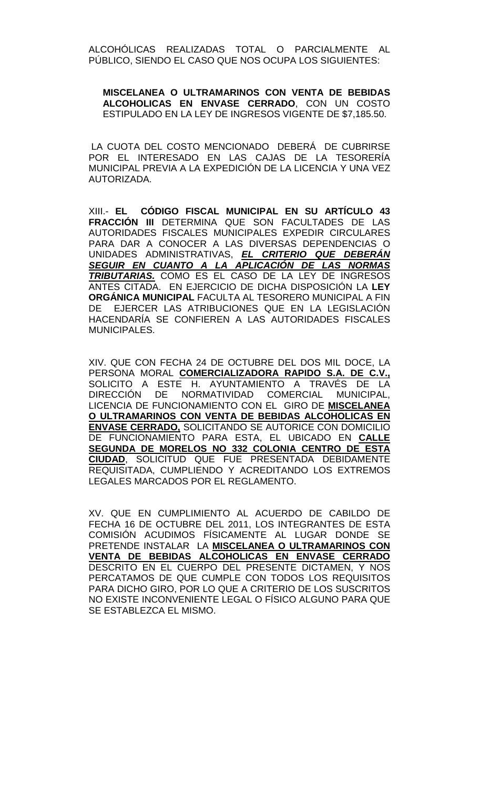ALCOHÓLICAS REALIZADAS TOTAL O PARCIALMENTE AL PÚBLICO, SIENDO EL CASO QUE NOS OCUPA LOS SIGUIENTES:

**MISCELANEA O ULTRAMARINOS CON VENTA DE BEBIDAS ALCOHOLICAS EN ENVASE CERRADO**, CON UN COSTO ESTIPULADO EN LA LEY DE INGRESOS VIGENTE DE \$7,185.50.

LA CUOTA DEL COSTO MENCIONADO DEBERÁ DE CUBRIRSE POR EL INTERESADO EN LAS CAJAS DE LA TESORERÍA MUNICIPAL PREVIA A LA EXPEDICIÓN DE LA LICENCIA Y UNA VEZ AUTORIZADA.

XIII.- **EL CÓDIGO FISCAL MUNICIPAL EN SU ARTÍCULO 43 FRACCIÓN III** DETERMINA QUE SON FACULTADES DE LAS AUTORIDADES FISCALES MUNICIPALES EXPEDIR CIRCULARES PARA DAR A CONOCER A LAS DIVERSAS DEPENDENCIAS O UNIDADES ADMINISTRATIVAS, *EL CRITERIO QUE DEBERÁN SEGUIR EN CUANTO A LA APLICACIÓN DE LAS NORMAS TRIBUTARIAS.* COMO ES EL CASO DE LA LEY DE INGRESOS ANTES CITADA. EN EJERCICIO DE DICHA DISPOSICIÓN LA **LEY ORGÁNICA MUNICIPAL** FACULTA AL TESORERO MUNICIPAL A FIN DE EJERCER LAS ATRIBUCIONES QUE EN LA LEGISLACIÓN HACENDARÍA SE CONFIEREN A LAS AUTORIDADES FISCALES MUNICIPALES.

XIV. QUE CON FECHA 24 DE OCTUBRE DEL DOS MIL DOCE, LA PERSONA MORAL **COMERCIALIZADORA RAPIDO S.A. DE C.V.,** SOLICITO A ESTE H. AYUNTAMIENTO A TRAVÉS DE LA<br>DIRECCIÓN DE NORMATIVIDAD COMERCIAL MUNICIPAL. DIRECCIÓN DE NORMATIVIDAD COMERCIAL LICENCIA DE FUNCIONAMIENTO CON EL GIRO DE **MISCELANEA O ULTRAMARINOS CON VENTA DE BEBIDAS ALCOHOLICAS EN ENVASE CERRADO,** SOLICITANDO SE AUTORICE CON DOMICILIO DE FUNCIONAMIENTO PARA ESTA, EL UBICADO EN **CALLE SEGUNDA DE MORELOS NO 332 COLONIA CENTRO DE ESTA CIUDAD**, SOLICITUD QUE FUE PRESENTADA DEBIDAMENTE REQUISITADA, CUMPLIENDO Y ACREDITANDO LOS EXTREMOS LEGALES MARCADOS POR EL REGLAMENTO.

XV. QUE EN CUMPLIMIENTO AL ACUERDO DE CABILDO DE FECHA 16 DE OCTUBRE DEL 2011, LOS INTEGRANTES DE ESTA COMISIÓN ACUDIMOS FÍSICAMENTE AL LUGAR DONDE SE PRETENDE INSTALAR LA **MISCELANEA O ULTRAMARINOS CON VENTA DE BEBIDAS ALCOHOLICAS EN ENVASE CERRADO** DESCRITO EN EL CUERPO DEL PRESENTE DICTAMEN, Y NOS PERCATAMOS DE QUE CUMPLE CON TODOS LOS REQUISITOS PARA DICHO GIRO, POR LO QUE A CRITERIO DE LOS SUSCRITOS NO EXISTE INCONVENIENTE LEGAL O FÍSICO ALGUNO PARA QUE SE ESTABLEZCA EL MISMO.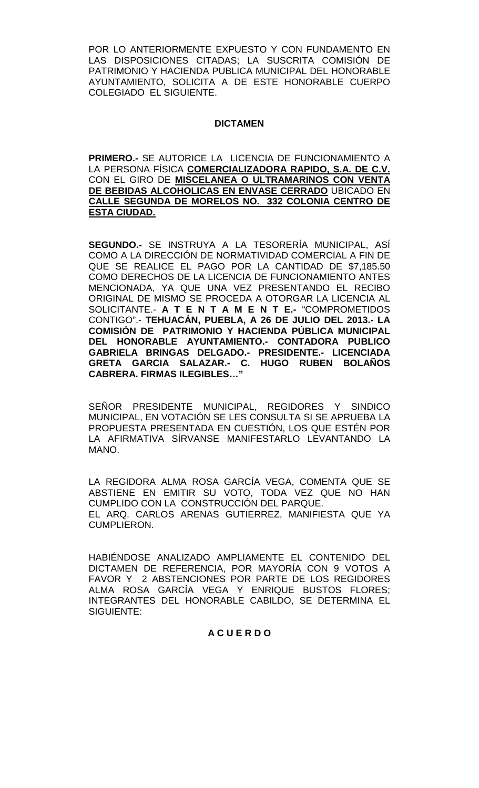POR LO ANTERIORMENTE EXPUESTO Y CON FUNDAMENTO EN LAS DISPOSICIONES CITADAS; LA SUSCRITA COMISIÓN DE PATRIMONIO Y HACIENDA PUBLICA MUNICIPAL DEL HONORABLE AYUNTAMIENTO, SOLICITA A DE ESTE HONORABLE CUERPO COLEGIADO EL SIGUIENTE.

# **DICTAMEN**

**PRIMERO.-** SE AUTORICE LA LICENCIA DE FUNCIONAMIENTO A LA PERSONA FÍSICA **COMERCIALIZADORA RAPIDO, S.A. DE C.V.** CON EL GIRO DE **MISCELANEA O ULTRAMARINOS CON VENTA DE BEBIDAS ALCOHOLICAS EN ENVASE CERRADO** UBICADO EN **CALLE SEGUNDA DE MORELOS NO. 332 COLONIA CENTRO DE ESTA CIUDAD.**

**SEGUNDO.-** SE INSTRUYA A LA TESORERÍA MUNICIPAL, ASÍ COMO A LA DIRECCIÓN DE NORMATIVIDAD COMERCIAL A FIN DE QUE SE REALICE EL PAGO POR LA CANTIDAD DE \$7,185.50 COMO DERECHOS DE LA LICENCIA DE FUNCIONAMIENTO ANTES MENCIONADA, YA QUE UNA VEZ PRESENTANDO EL RECIBO ORIGINAL DE MISMO SE PROCEDA A OTORGAR LA LICENCIA AL SOLICITANTE.- **A T E N T A M E N T E.-** "COMPROMETIDOS CONTIGO".- **TEHUACÁN, PUEBLA, A 26 DE JULIO DEL 2013.- LA COMISIÓN DE PATRIMONIO Y HACIENDA PÚBLICA MUNICIPAL DEL HONORABLE AYUNTAMIENTO.- CONTADORA PUBLICO GABRIELA BRINGAS DELGADO.- PRESIDENTE.- LICENCIADA GRETA GARCIA SALAZAR.- C. HUGO RUBEN BOLAÑOS CABRERA. FIRMAS ILEGIBLES…"**

SEÑOR PRESIDENTE MUNICIPAL, REGIDORES Y SINDICO MUNICIPAL, EN VOTACIÓN SE LES CONSULTA SI SE APRUEBA LA PROPUESTA PRESENTADA EN CUESTIÓN, LOS QUE ESTÉN POR LA AFIRMATIVA SÍRVANSE MANIFESTARLO LEVANTANDO LA MANO.

LA REGIDORA ALMA ROSA GARCÍA VEGA, COMENTA QUE SE ABSTIENE EN EMITIR SU VOTO, TODA VEZ QUE NO HAN CUMPLIDO CON LA CONSTRUCCIÓN DEL PARQUE. EL ARQ. CARLOS ARENAS GUTIERREZ, MANIFIESTA QUE YA CUMPLIERON.

HABIÉNDOSE ANALIZADO AMPLIAMENTE EL CONTENIDO DEL DICTAMEN DE REFERENCIA, POR MAYORÍA CON 9 VOTOS A FAVOR Y 2 ABSTENCIONES POR PARTE DE LOS REGIDORES ALMA ROSA GARCÍA VEGA Y ENRIQUE BUSTOS FLORES; INTEGRANTES DEL HONORABLE CABILDO, SE DETERMINA EL SIGUIENTE:

## **A C U E R D O**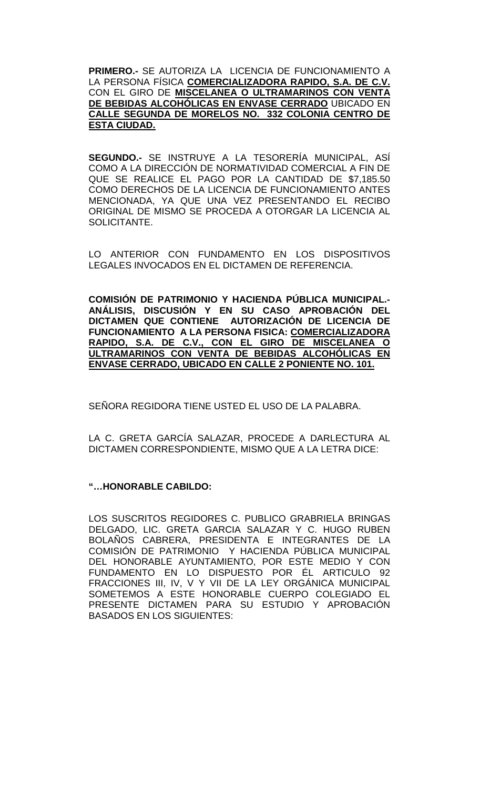**PRIMERO.-** SE AUTORIZA LA LICENCIA DE FUNCIONAMIENTO A LA PERSONA FÍSICA **COMERCIALIZADORA RAPIDO, S.A. DE C.V.** CON EL GIRO DE **MISCELANEA O ULTRAMARINOS CON VENTA DE BEBIDAS ALCOHÓLICAS EN ENVASE CERRADO** UBICADO EN **CALLE SEGUNDA DE MORELOS NO. 332 COLONIA CENTRO DE ESTA CIUDAD.**

**SEGUNDO.-** SE INSTRUYE A LA TESORERÍA MUNICIPAL, ASÍ COMO A LA DIRECCIÓN DE NORMATIVIDAD COMERCIAL A FIN DE QUE SE REALICE EL PAGO POR LA CANTIDAD DE \$7,185.50 COMO DERECHOS DE LA LICENCIA DE FUNCIONAMIENTO ANTES MENCIONADA, YA QUE UNA VEZ PRESENTANDO EL RECIBO ORIGINAL DE MISMO SE PROCEDA A OTORGAR LA LICENCIA AL SOLICITANTE.

LO ANTERIOR CON FUNDAMENTO EN LOS DISPOSITIVOS LEGALES INVOCADOS EN EL DICTAMEN DE REFERENCIA.

**COMISIÓN DE PATRIMONIO Y HACIENDA PÚBLICA MUNICIPAL.- ANÁLISIS, DISCUSIÓN Y EN SU CASO APROBACIÓN DEL DICTAMEN QUE CONTIENE AUTORIZACIÓN DE LICENCIA DE FUNCIONAMIENTO A LA PERSONA FISICA: COMERCIALIZADORA RAPIDO, S.A. DE C.V., CON EL GIRO DE MISCELANEA O ULTRAMARINOS CON VENTA DE BEBIDAS ALCOHÓLICAS EN ENVASE CERRADO, UBICADO EN CALLE 2 PONIENTE NO. 101.** 

SEÑORA REGIDORA TIENE USTED EL USO DE LA PALABRA.

LA C. GRETA GARCÍA SALAZAR, PROCEDE A DARLECTURA AL DICTAMEN CORRESPONDIENTE, MISMO QUE A LA LETRA DICE:

# **"…HONORABLE CABILDO:**

LOS SUSCRITOS REGIDORES C. PUBLICO GRABRIELA BRINGAS DELGADO, LIC. GRETA GARCIA SALAZAR Y C. HUGO RUBEN BOLAÑOS CABRERA, PRESIDENTA E INTEGRANTES DE LA COMISIÓN DE PATRIMONIO Y HACIENDA PÚBLICA MUNICIPAL DEL HONORABLE AYUNTAMIENTO, POR ESTE MEDIO Y CON FUNDAMENTO EN LO DISPUESTO POR ÉL ARTICULO 92 FRACCIONES III, IV, V Y VII DE LA LEY ORGÁNICA MUNICIPAL SOMETEMOS A ESTE HONORABLE CUERPO COLEGIADO EL PRESENTE DICTAMEN PARA SU ESTUDIO Y APROBACIÓN BASADOS EN LOS SIGUIENTES: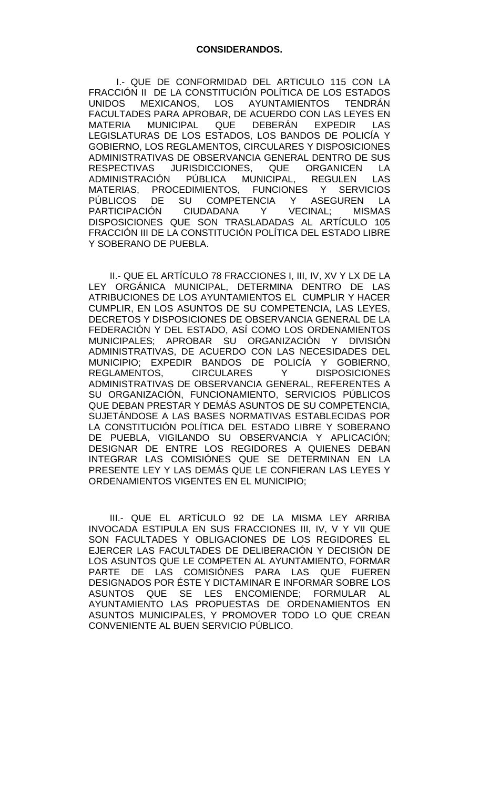I.- QUE DE CONFORMIDAD DEL ARTICULO 115 CON LA FRACCIÓN II DE LA CONSTITUCIÓN POLÍTICA DE LOS ESTADOS<br>UNIDOS MEXICANOS LOS AYUNTAMIENTOS TENDRÁN MEXICANOS. LOS AYUNTAMIENTOS FACULTADES PARA APROBAR, DE ACUERDO CON LAS LEYES EN MATERIA MUNICIPAL QUE DEBERÁN EXPEDIR LAS LEGISLATURAS DE LOS ESTADOS, LOS BANDOS DE POLICÍA Y GOBIERNO, LOS REGLAMENTOS, CIRCULARES Y DISPOSICIONES ADMINISTRATIVAS DE OBSERVANCIA GENERAL DENTRO DE SUS RESPECTIVAS JURISDICCIONES, QUE ORGANICEN LA<br>ADMINISTRACIÓN PÚBLICA MUNICIPAL. REGULEN LAS PÚBLICA MUNICIPAL. REGULEN LAS MATERIAS, PROCEDIMIENTOS, FUNCIONES Y SERVICIOS<br>PÚBLICOS DE SU COMPETENCIA Y ASEGUREN LA DE SU COMPETENCIA Y ASEGUREN LA<br>ÓN CIUDADANA Y VECINAL: MISMAS PARTICIPACIÓN CIUDADANA Y VECINAL; MISMAS DISPOSICIONES QUE SON TRASLADADAS AL ARTÍCULO 105 FRACCIÓN III DE LA CONSTITUCIÓN POLÍTICA DEL ESTADO LIBRE Y SOBERANO DE PUEBLA.

II.- QUE EL ARTÍCULO 78 FRACCIONES I, III, IV, XV Y LX DE LA LEY ORGÁNICA MUNICIPAL, DETERMINA DENTRO DE LAS ATRIBUCIONES DE LOS AYUNTAMIENTOS EL CUMPLIR Y HACER CUMPLIR, EN LOS ASUNTOS DE SU COMPETENCIA, LAS LEYES, DECRETOS Y DISPOSICIONES DE OBSERVANCIA GENERAL DE LA FEDERACIÓN Y DEL ESTADO, ASÍ COMO LOS ORDENAMIENTOS MUNICIPALES; APROBAR SU ORGANIZACIÓN Y DIVISIÓN ADMINISTRATIVAS, DE ACUERDO CON LAS NECESIDADES DEL MUNICIPIO; EXPEDIR BANDOS DE POLICÍA Y GOBIERNO, REGLAMENTOS, CIRCULARES Y DISPOSICIONES ADMINISTRATIVAS DE OBSERVANCIA GENERAL, REFERENTES A SU ORGANIZACIÓN, FUNCIONAMIENTO, SERVICIOS PÚBLICOS QUE DEBAN PRESTAR Y DEMÁS ASUNTOS DE SU COMPETENCIA, SUJETÁNDOSE A LAS BASES NORMATIVAS ESTABLECIDAS POR LA CONSTITUCIÓN POLÍTICA DEL ESTADO LIBRE Y SOBERANO DE PUEBLA, VIGILANDO SU OBSERVANCIA Y APLICACIÓN; DESIGNAR DE ENTRE LOS REGIDORES A QUIENES DEBAN INTEGRAR LAS COMISIÓNES QUE SE DETERMINAN EN LA PRESENTE LEY Y LAS DEMÁS QUE LE CONFIERAN LAS LEYES Y ORDENAMIENTOS VIGENTES EN EL MUNICIPIO;

III.- QUE EL ARTÍCULO 92 DE LA MISMA LEY ARRIBA INVOCADA ESTIPULA EN SUS FRACCIONES III, IV, V Y VII QUE SON FACULTADES Y OBLIGACIONES DE LOS REGIDORES EL EJERCER LAS FACULTADES DE DELIBERACIÓN Y DECISIÓN DE LOS ASUNTOS QUE LE COMPETEN AL AYUNTAMIENTO, FORMAR PARTE DE LAS COMISIÓNES PARA LAS QUE FUEREN DESIGNADOS POR ÉSTE Y DICTAMINAR E INFORMAR SOBRE LOS ASUNTOS QUE SE LES ENCOMIENDE; FORMULAR AL AYUNTAMIENTO LAS PROPUESTAS DE ORDENAMIENTOS EN ASUNTOS MUNICIPALES, Y PROMOVER TODO LO QUE CREAN CONVENIENTE AL BUEN SERVICIO PÚBLICO.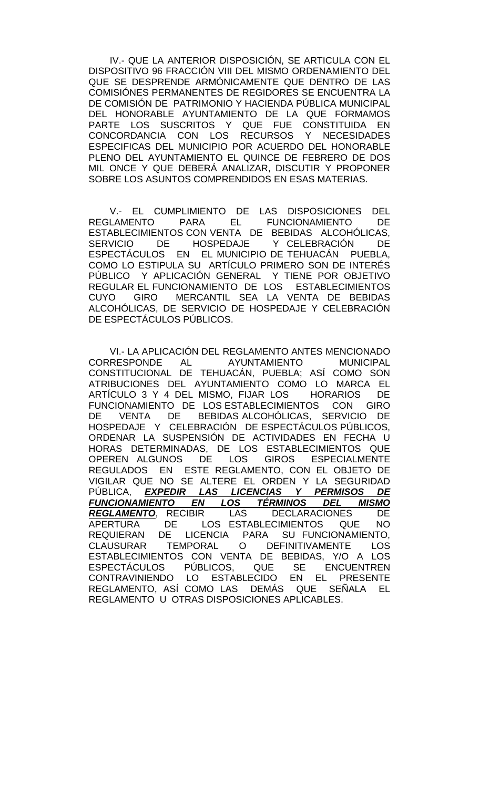IV.- QUE LA ANTERIOR DISPOSICIÓN, SE ARTICULA CON EL DISPOSITIVO 96 FRACCIÓN VIII DEL MISMO ORDENAMIENTO DEL QUE SE DESPRENDE ARMÓNICAMENTE QUE DENTRO DE LAS COMISIÓNES PERMANENTES DE REGIDORES SE ENCUENTRA LA DE COMISIÓN DE PATRIMONIO Y HACIENDA PÚBLICA MUNICIPAL DEL HONORABLE AYUNTAMIENTO DE LA QUE FORMAMOS PARTE LOS SUSCRITOS Y QUE FUE CONSTITUIDA EN CONCORDANCIA CON LOS RECURSOS Y NECESIDADES ESPECIFICAS DEL MUNICIPIO POR ACUERDO DEL HONORABLE PLENO DEL AYUNTAMIENTO EL QUINCE DE FEBRERO DE DOS MIL ONCE Y QUE DEBERÁ ANALIZAR, DISCUTIR Y PROPONER SOBRE LOS ASUNTOS COMPRENDIDOS EN ESAS MATERIAS.

V.- EL CUMPLIMIENTO DE LAS DISPOSICIONES DEL REGLAMENTO PARA EL FUNCIONAMIENTO DE ESTABLECIMIENTOS CON VENTA DE BEBIDAS ALCOHÓLICAS, SERVICIO DE HOSPEDAJE Y CELEBRACIÓN DE ESPECTÁCULOS EN EL MUNICIPIO DE TEHUACÁN PUEBLA, COMO LO ESTIPULA SU ARTÍCULO PRIMERO SON DE INTERÉS PÚBLICO Y APLICACIÓN GENERAL Y TIENE POR OBJETIVO REGULAR EL FUNCIONAMIENTO DE LOS ESTABLECIMIENTOS<br>CUYO GIRO MERCANTIL SEA LA VENTA DE BEBIDAS CUYO GIRO MERCANTIL SEA LA VENTA DE BEBIDAS ALCOHÓLICAS, DE SERVICIO DE HOSPEDAJE Y CELEBRACIÓN DE ESPECTÁCULOS PÚBLICOS.

VI.- LA APLICACIÓN DEL REGLAMENTO ANTES MENCIONADO<br>CORRESPONDE AL AYUNTAMIENTO MUNICIPAL CORRESPONDE AL AYUNTAMIENTO MUNICIPAL CONSTITUCIONAL DE TEHUACÁN, PUEBLA; ASÍ COMO SON ATRIBUCIONES DEL AYUNTAMIENTO COMO LO MARCA EL<br>ARTÍCULO 3 Y 4 DEL MISMO, FIJAR LOS HORARIOS DE ARTÍCULO 3 Y 4 DEL MISMO, FIJAR LOS FUNCIONAMIENTO DE LOS ESTABLECIMIENTOS CON GIRO<br>DE VENTA DE BEBIDAS ALCOHÓLICAS. SERVICIO DE DE VENTA DE BEBIDAS ALCOHÓLICAS, SERVICIO DE HOSPEDAJE Y CELEBRACIÓN DE ESPECTÁCULOS PÚBLICOS, ORDENAR LA SUSPENSIÓN DE ACTIVIDADES EN FECHA U HORAS DETERMINADAS, DE LOS ESTABLECIMIENTOS QUE OPEREN ALGUNOS DE LOS GIROS ESPECIALMENTE REGULADOS EN ESTE REGLAMENTO, CON EL OBJETO DE VIGILAR QUE NO SE ALTERE EL ORDEN Y LA SEGURIDAD<br>PÚBLICA, EXPEDIR LAS LICENCIAS Y PERMISOS DE <u>LAS LICENCIAS Y PERMISOS</u><br>2008 TÉRMINOS DEL M *FUNCIONAMIENTO EN LOS TÉRMINOS DEL MISMO REGLAMENTO*, RECIBIR LAS DECLARACIONES DE DE LOS ESTABLECIMIENTOS REQUIERAN DE LICENCIA PARA SU-FUNCIONAMIENTO,<br>CLAUSURAR TEMPORAL O DEFINITIVAMENTE LOS CLAUSURAR TEMPORAL O DEFINITIVAMENTE LOS ESTABLECIMIENTOS CON VENTA DE BEBIDAS, Y/O A LOS ESPECTÁCULOS PÚBLICOS, QUE SE ENCUENTREN<br>CONTRAVINIENDO LO ESTABLECIDO EN EL PRESENTE LO ESTABLECIDO REGLAMENTO, ASÍ COMO LAS DEMÁS QUE SEÑALA EL REGLAMENTO U OTRAS DISPOSICIONES APLICABLES.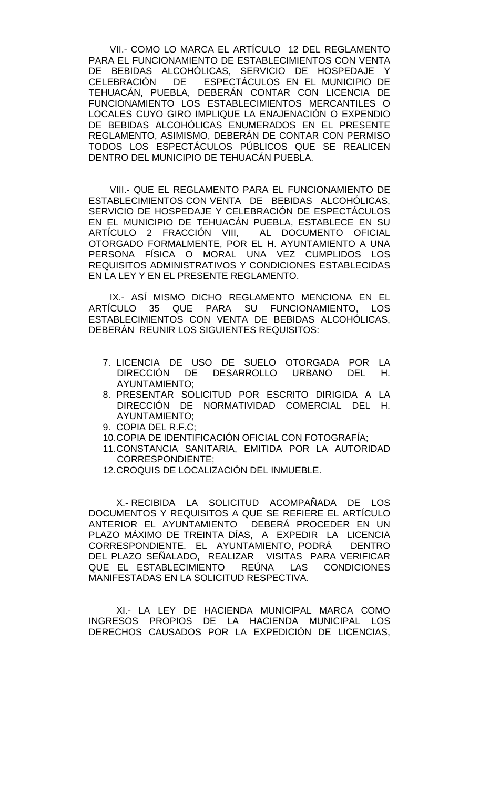VII.- COMO LO MARCA EL ARTÍCULO 12 DEL REGLAMENTO PARA EL FUNCIONAMIENTO DE ESTABLECIMIENTOS CON VENTA DE BEBIDAS ALCOHÓLICAS, SERVICIO DE HOSPEDAJE Y CELEBRACIÓN DE ESPECTÁCULOS EN EL MUNICIPIO DE TEHUACÁN, PUEBLA, DEBERÁN CONTAR CON LICENCIA DE FUNCIONAMIENTO LOS ESTABLECIMIENTOS MERCANTILES O LOCALES CUYO GIRO IMPLIQUE LA ENAJENACIÓN O EXPENDIO DE BEBIDAS ALCOHÓLICAS ENUMERADOS EN EL PRESENTE REGLAMENTO, ASIMISMO, DEBERÁN DE CONTAR CON PERMISO TODOS LOS ESPECTÁCULOS PÚBLICOS QUE SE REALICEN DENTRO DEL MUNICIPIO DE TEHUACÁN PUEBLA.

VIII.- QUE EL REGLAMENTO PARA EL FUNCIONAMIENTO DE ESTABLECIMIENTOS CON VENTA DE BEBIDAS ALCOHÓLICAS, SERVICIO DE HOSPEDAJE Y CELEBRACIÓN DE ESPECTÁCULOS EN EL MUNICIPIO DE TEHUACÁN PUEBLA, ESTABLECE EN SU<br>ARTÍCULO 2 FRACCIÓN VIII, AL DOCUMENTO OFICIAL ARTÍCULO 2 FRACCIÓN VIII, OTORGADO FORMALMENTE, POR EL H. AYUNTAMIENTO A UNA PERSONA FÍSICA O MORAL UNA VEZ CUMPLIDOS LOS REQUISITOS ADMINISTRATIVOS Y CONDICIONES ESTABLECIDAS EN LA LEY Y EN EL PRESENTE REGLAMENTO.

IX.- ASÍ MISMO DICHO REGLAMENTO MENCIONA EN EL ARTÍCULO 35 QUE PARA SU FUNCIONAMIENTO, LOS ESTABLECIMIENTOS CON VENTA DE BEBIDAS ALCOHÓLICAS, DEBERÁN REUNIR LOS SIGUIENTES REQUISITOS:

- 7. LICENCIA DE USO DE SUELO OTORGADA POR LA DIRECCIÓN DE DESARROLLO URBANO DEL H. AYUNTAMIENTO;
- 8. PRESENTAR SOLICITUD POR ESCRITO DIRIGIDA A LA DIRECCIÓN DE NORMATIVIDAD COMERCIAL DEL H. AYUNTAMIENTO;
- 9. COPIA DEL R.F.C;
- 10.COPIA DE IDENTIFICACIÓN OFICIAL CON FOTOGRAFÍA;
- 11.CONSTANCIA SANITARIA, EMITIDA POR LA AUTORIDAD CORRESPONDIENTE;
- 12.CROQUIS DE LOCALIZACIÓN DEL INMUEBLE.

X.- RECIBIDA LA SOLICITUD ACOMPAÑADA DE LOS DOCUMENTOS Y REQUISITOS A QUE SE REFIERE EL ARTÍCULO ANTERIOR EL AYUNTAMIENTO DEBERÁ PROCEDER EN UN PLAZO MÁXIMO DE TREINTA DÍAS, A EXPEDIR LA LICENCIA CORRESPONDIENTE. EL AYUNTAMIENTO, PODRÁ DENTRO DEL PLAZO SEÑALADO, REALIZAR VISITAS PARA VERIFICAR<br>QUE EL ESTABLECIMIENTO REÚNA LAS CONDICIONES QUE EL ESTABLECIMIENTO REÚNA LAS CONDICIONES MANIFESTADAS EN LA SOLICITUD RESPECTIVA.

XI.- LA LEY DE HACIENDA MUNICIPAL MARCA COMO INGRESOS PROPIOS DE LA HACIENDA MUNICIPAL LOS DERECHOS CAUSADOS POR LA EXPEDICIÓN DE LICENCIAS,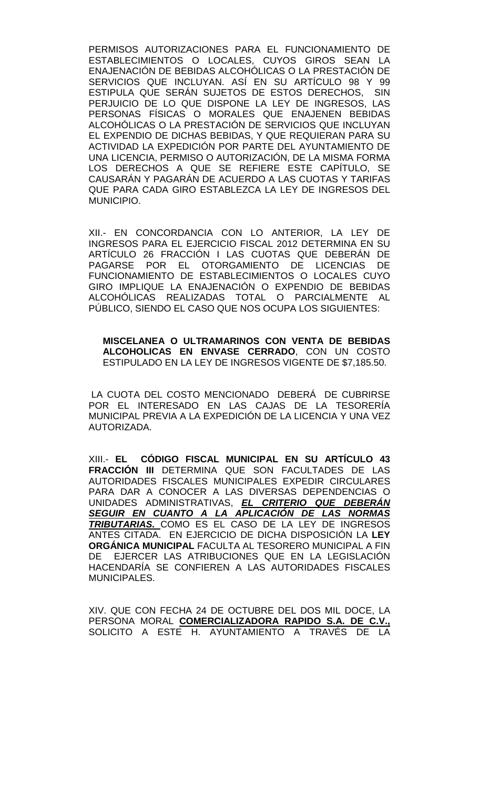PERMISOS AUTORIZACIONES PARA EL FUNCIONAMIENTO DE ESTABLECIMIENTOS O LOCALES, CUYOS GIROS SEAN LA ENAJENACIÓN DE BEBIDAS ALCOHÓLICAS O LA PRESTACIÓN DE SERVICIOS QUE INCLUYAN. ASÍ EN SU ARTÍCULO 98 Y 99 ESTIPULA QUE SERÁN SUJETOS DE ESTOS DERECHOS, SIN PERJUICIO DE LO QUE DISPONE LA LEY DE INGRESOS, LAS PERSONAS FÍSICAS O MORALES QUE ENAJENEN BEBIDAS ALCOHÓLICAS O LA PRESTACIÓN DE SERVICIOS QUE INCLUYAN EL EXPENDIO DE DICHAS BEBIDAS, Y QUE REQUIERAN PARA SU ACTIVIDAD LA EXPEDICIÓN POR PARTE DEL AYUNTAMIENTO DE UNA LICENCIA, PERMISO O AUTORIZACIÓN, DE LA MISMA FORMA LOS DERECHOS A QUE SE REFIERE ESTE CAPÍTULO, SE CAUSARÁN Y PAGARÁN DE ACUERDO A LAS CUOTAS Y TARIFAS QUE PARA CADA GIRO ESTABLEZCA LA LEY DE INGRESOS DEL MUNICIPIO.

XII.- EN CONCORDANCIA CON LO ANTERIOR, LA LEY DE INGRESOS PARA EL EJERCICIO FISCAL 2012 DETERMINA EN SU ARTÍCULO 26 FRACCIÓN I LAS CUOTAS QUE DEBERÁN DE PAGARSE POR EL OTORGAMIENTO DE LICENCIAS DE FUNCIONAMIENTO DE ESTABLECIMIENTOS O LOCALES CUYO GIRO IMPLIQUE LA ENAJENACIÓN O EXPENDIO DE BEBIDAS ALCOHÓLICAS REALIZADAS TOTAL O PARCIALMENTE AL PÚBLICO, SIENDO EL CASO QUE NOS OCUPA LOS SIGUIENTES:

**MISCELANEA O ULTRAMARINOS CON VENTA DE BEBIDAS ALCOHOLICAS EN ENVASE CERRADO**, CON UN COSTO ESTIPULADO EN LA LEY DE INGRESOS VIGENTE DE \$7,185.50.

LA CUOTA DEL COSTO MENCIONADO DEBERÁ DE CUBRIRSE POR EL INTERESADO EN LAS CAJAS DE LA TESORERÍA MUNICIPAL PREVIA A LA EXPEDICIÓN DE LA LICENCIA Y UNA VEZ AUTORIZADA.

XIII.- **EL CÓDIGO FISCAL MUNICIPAL EN SU ARTÍCULO 43 FRACCIÓN III** DETERMINA QUE SON FACULTADES DE LAS AUTORIDADES FISCALES MUNICIPALES EXPEDIR CIRCULARES PARA DAR A CONOCER A LAS DIVERSAS DEPENDENCIAS O UNIDADES ADMINISTRATIVAS, *EL CRITERIO QUE DEBERÁN SEGUIR EN CUANTO A LA APLICACIÓN DE LAS NORMAS TRIBUTARIAS.* COMO ES EL CASO DE LA LEY DE INGRESOS ANTES CITADA. EN EJERCICIO DE DICHA DISPOSICIÓN LA **LEY ORGÁNICA MUNICIPAL** FACULTA AL TESORERO MUNICIPAL A FIN DE EJERCER LAS ATRIBUCIONES QUE EN LA LEGISLACIÓN HACENDARÍA SE CONFIEREN A LAS AUTORIDADES FISCALES MUNICIPALES.

XIV. QUE CON FECHA 24 DE OCTUBRE DEL DOS MIL DOCE, LA PERSONA MORAL **COMERCIALIZADORA RAPIDO S.A. DE C.V.,** SOLICITO A ESTE H. AYUNTAMIENTO A TRAVÉS DE LA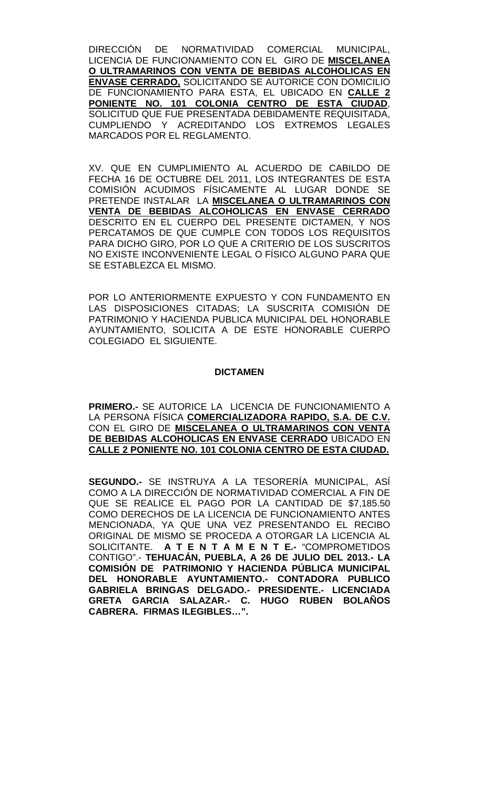DIRECCIÓN DE NORMATIVIDAD COMERCIAL MUNICIPAL, LICENCIA DE FUNCIONAMIENTO CON EL GIRO DE **MISCELANEA O ULTRAMARINOS CON VENTA DE BEBIDAS ALCOHOLICAS EN ENVASE CERRADO,** SOLICITANDO SE AUTORICE CON DOMICILIO DE FUNCIONAMIENTO PARA ESTA, EL UBICADO EN **CALLE 2 PONIENTE NO. 101 COLONIA CENTRO DE ESTA CIUDAD**, SOLICITUD QUE FUE PRESENTADA DEBIDAMENTE REQUISITADA, CUMPLIENDO Y ACREDITANDO LOS EXTREMOS LEGALES MARCADOS POR EL REGLAMENTO.

XV. QUE EN CUMPLIMIENTO AL ACUERDO DE CABILDO DE FECHA 16 DE OCTUBRE DEL 2011, LOS INTEGRANTES DE ESTA COMISIÓN ACUDIMOS FÍSICAMENTE AL LUGAR DONDE SE PRETENDE INSTALAR LA **MISCELANEA O ULTRAMARINOS CON VENTA DE BEBIDAS ALCOHOLICAS EN ENVASE CERRADO** DESCRITO EN EL CUERPO DEL PRESENTE DICTAMEN, Y NOS PERCATAMOS DE QUE CUMPLE CON TODOS LOS REQUISITOS PARA DICHO GIRO, POR LO QUE A CRITERIO DE LOS SUSCRITOS NO EXISTE INCONVENIENTE LEGAL O FÍSICO ALGUNO PARA QUE SE ESTABLEZCA EL MISMO.

POR LO ANTERIORMENTE EXPUESTO Y CON FUNDAMENTO EN LAS DISPOSICIONES CITADAS; LA SUSCRITA COMISIÓN DE PATRIMONIO Y HACIENDA PUBLICA MUNICIPAL DEL HONORABLE AYUNTAMIENTO, SOLICITA A DE ESTE HONORABLE CUERPO COLEGIADO EL SIGUIENTE.

#### **DICTAMEN**

**PRIMERO.-** SE AUTORICE LA LICENCIA DE FUNCIONAMIENTO A LA PERSONA FÍSICA **COMERCIALIZADORA RAPIDO, S.A. DE C.V.** CON EL GIRO DE **MISCELANEA O ULTRAMARINOS CON VENTA DE BEBIDAS ALCOHOLICAS EN ENVASE CERRADO** UBICADO EN **CALLE 2 PONIENTE NO. 101 COLONIA CENTRO DE ESTA CIUDAD.**

**SEGUNDO.-** SE INSTRUYA A LA TESORERÍA MUNICIPAL, ASÍ COMO A LA DIRECCIÓN DE NORMATIVIDAD COMERCIAL A FIN DE QUE SE REALICE EL PAGO POR LA CANTIDAD DE \$7,185.50 COMO DERECHOS DE LA LICENCIA DE FUNCIONAMIENTO ANTES MENCIONADA, YA QUE UNA VEZ PRESENTANDO EL RECIBO ORIGINAL DE MISMO SE PROCEDA A OTORGAR LA LICENCIA AL SOLICITANTE. **A T E N T A M E N T E.-** "COMPROMETIDOS CONTIGO".- **TEHUACÁN, PUEBLA, A 26 DE JULIO DEL 2013.- LA COMISIÓN DE PATRIMONIO Y HACIENDA PÚBLICA MUNICIPAL DEL HONORABLE AYUNTAMIENTO.- CONTADORA PUBLICO GABRIELA BRINGAS DELGADO.- PRESIDENTE.- LICENCIADA GRETA GARCIA SALAZAR.- C. HUGO RUBEN BOLAÑOS CABRERA. FIRMAS ILEGIBLES…".**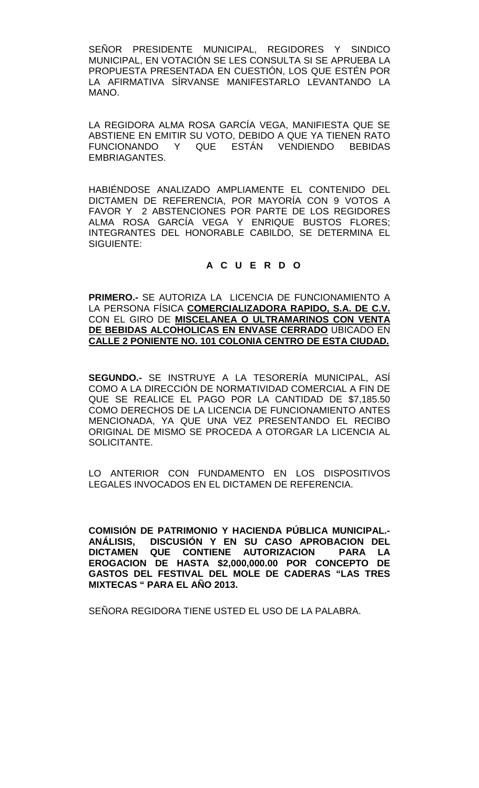SEÑOR PRESIDENTE MUNICIPAL, REGIDORES Y SINDICO MUNICIPAL, EN VOTACIÓN SE LES CONSULTA SI SE APRUEBA LA PROPUESTA PRESENTADA EN CUESTIÓN, LOS QUE ESTÉN POR LA AFIRMATIVA SÍRVANSE MANIFESTARLO LEVANTANDO LA MANO.

LA REGIDORA ALMA ROSA GARCÍA VEGA, MANIFIESTA QUE SE ABSTIENE EN EMITIR SU VOTO, DEBIDO A QUE YA TIENEN RATO FUNCIONANDO Y QUE ESTÁN VENDIENDO BEBIDAS EMBRIAGANTES.

HABIÉNDOSE ANALIZADO AMPLIAMENTE EL CONTENIDO DEL DICTAMEN DE REFERENCIA, POR MAYORÍA CON 9 VOTOS A FAVOR Y 2 ABSTENCIONES POR PARTE DE LOS REGIDORES ALMA ROSA GARCÍA VEGA Y ENRIQUE BUSTOS FLORES; INTEGRANTES DEL HONORABLE CABILDO, SE DETERMINA EL SIGUIENTE:

# **A C U E R D O**

**PRIMERO.-** SE AUTORIZA LA LICENCIA DE FUNCIONAMIENTO A LA PERSONA FÍSICA **COMERCIALIZADORA RAPIDO, S.A. DE C.V.** CON EL GIRO DE **MISCELANEA O ULTRAMARINOS CON VENTA DE BEBIDAS ALCOHOLICAS EN ENVASE CERRADO** UBICADO EN **CALLE 2 PONIENTE NO. 101 COLONIA CENTRO DE ESTA CIUDAD.**

**SEGUNDO.-** SE INSTRUYE A LA TESORERÍA MUNICIPAL, ASÍ COMO A LA DIRECCIÓN DE NORMATIVIDAD COMERCIAL A FIN DE QUE SE REALICE EL PAGO POR LA CANTIDAD DE \$7,185.50 COMO DERECHOS DE LA LICENCIA DE FUNCIONAMIENTO ANTES MENCIONADA, YA QUE UNA VEZ PRESENTANDO EL RECIBO ORIGINAL DE MISMO SE PROCEDA A OTORGAR LA LICENCIA AL SOLICITANTE.

LO ANTERIOR CON FUNDAMENTO EN LOS DISPOSITIVOS LEGALES INVOCADOS EN EL DICTAMEN DE REFERENCIA.

**COMISIÓN DE PATRIMONIO Y HACIENDA PÚBLICA MUNICIPAL.- ANÁLISIS, DISCUSIÓN Y EN SU CASO APROBACION DEL QUE CONTIENE AUTORIZACION PARA LA EROGACION DE HASTA \$2,000,000.00 POR CONCEPTO DE GASTOS DEL FESTIVAL DEL MOLE DE CADERAS "LAS TRES MIXTECAS " PARA EL AÑO 2013.**

SEÑORA REGIDORA TIENE USTED EL USO DE LA PALABRA.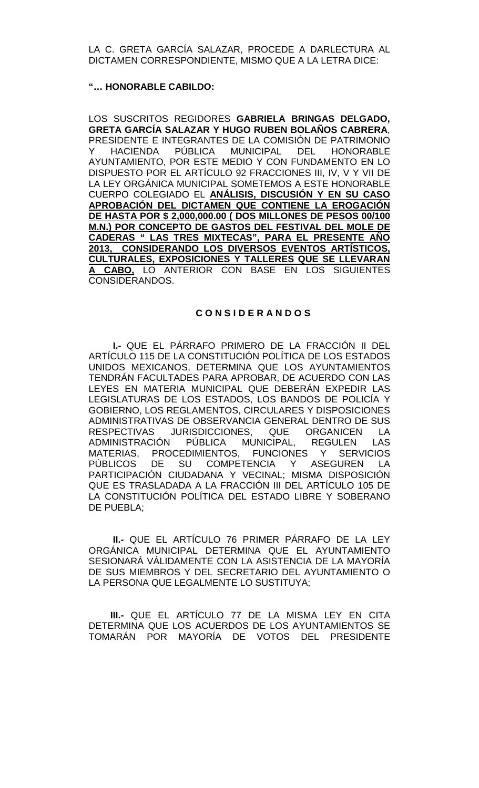LA C. GRETA GARCÍA SALAZAR, PROCEDE A DARLECTURA AL DICTAMEN CORRESPONDIENTE, MISMO QUE A LA LETRA DICE:

#### **"… HONORABLE CABILDO:**

LOS SUSCRITOS REGIDORES **GABRIELA BRINGAS DELGADO, GRETA GARCÍA SALAZAR Y HUGO RUBEN BOLAÑOS CABRERA**, PRESIDENTE E INTEGRANTES DE LA COMISIÓN DE PATRIMONIO Y HACIENDA PÚBLICA MUNICIPAL DEL HONORABLE AYUNTAMIENTO, POR ESTE MEDIO Y CON FUNDAMENTO EN LO DISPUESTO POR EL ARTÍCULO 92 FRACCIONES III, IV, V Y VII DE LA LEY ORGÁNICA MUNICIPAL SOMETEMOS A ESTE HONORABLE CUERPO COLEGIADO EL **ANÁLISIS, DISCUSIÓN Y EN SU CASO APROBACIÓN DEL DICTAMEN QUE CONTIENE LA EROGACIÓN DE HASTA POR \$ 2,000,000.00 ( DOS MILLONES DE PESOS 00/100 M.N.) POR CONCEPTO DE GASTOS DEL FESTIVAL DEL MOLE DE CADERAS " LAS TRES MIXTECAS", PARA EL PRESENTE AÑO 2013, CONSIDERANDO LOS DIVERSOS EVENTOS ARTÍSTICOS, CULTURALES, EXPOSICIONES Y TALLERES QUE SE LLEVARAN A CABO,** LO ANTERIOR CON BASE EN LOS SIGUIENTES CONSIDERANDOS.

## **C O N S I D E R A N D O S**

 **I.-** QUE EL PÁRRAFO PRIMERO DE LA FRACCIÓN II DEL ARTÍCULO 115 DE LA CONSTITUCIÓN POLÍTICA DE LOS ESTADOS UNIDOS MEXICANOS, DETERMINA QUE LOS AYUNTAMIENTOS TENDRÁN FACULTADES PARA APROBAR, DE ACUERDO CON LAS LEYES EN MATERIA MUNICIPAL QUE DEBERÁN EXPEDIR LAS LEGISLATURAS DE LOS ESTADOS, LOS BANDOS DE POLICÍA Y GOBIERNO, LOS REGLAMENTOS, CIRCULARES Y DISPOSICIONES ADMINISTRATIVAS DE OBSERVANCIA GENERAL DENTRO DE SUS RESPECTIVAS JURISDICCIONES, QUE ORGANICEN LA<br>ADMINISTRACIÓN PÚBLICA MUNICIPAL, REGULEN LAS PÚBLICA MUNICIPAL, MATERIAS, PROCEDIMIENTOS, FUNCIONES Y SERVICIOS PÚBLICOS DE SU COMPETENCIA Y ASEGUREN LA PARTICIPACIÓN CIUDADANA Y VECINAL; MISMA DISPOSICIÓN QUE ES TRASLADADA A LA FRACCIÓN III DEL ARTÍCULO 105 DE LA CONSTITUCIÓN POLÍTICA DEL ESTADO LIBRE Y SOBERANO DE PUEBLA;

 **II.-** QUE EL ARTÍCULO 76 PRIMER PÁRRAFO DE LA LEY ORGÁNICA MUNICIPAL DETERMINA QUE EL AYUNTAMIENTO SESIONARÁ VÁLIDAMENTE CON LA ASISTENCIA DE LA MAYORÍA DE SUS MIEMBROS Y DEL SECRETARIO DEL AYUNTAMIENTO O LA PERSONA QUE LEGALMENTE LO SUSTITUYA;

 **III.-** QUE EL ARTÍCULO 77 DE LA MISMA LEY EN CITA DETERMINA QUE LOS ACUERDOS DE LOS AYUNTAMIENTOS SE TOMARÁN POR MAYORÍA DE VOTOS DEL PRESIDENTE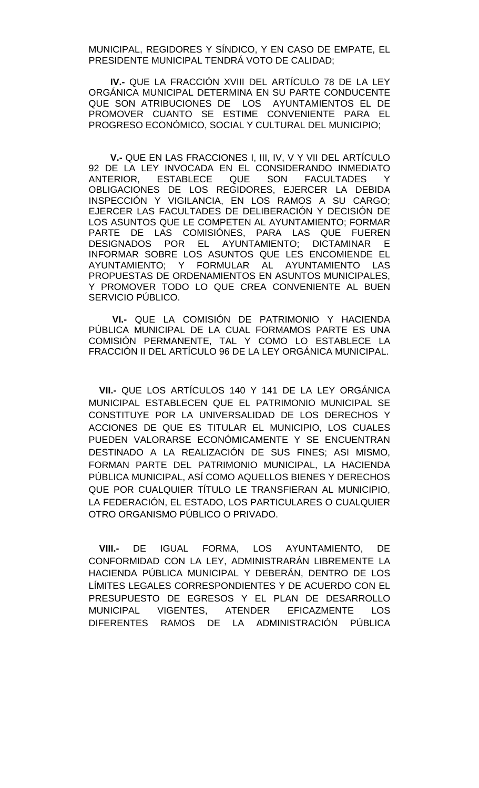MUNICIPAL, REGIDORES Y SÍNDICO, Y EN CASO DE EMPATE, EL PRESIDENTE MUNICIPAL TENDRÁ VOTO DE CALIDAD;

 **IV.-** QUE LA FRACCIÓN XVIII DEL ARTÍCULO 78 DE LA LEY ORGÁNICA MUNICIPAL DETERMINA EN SU PARTE CONDUCENTE QUE SON ATRIBUCIONES DE LOS AYUNTAMIENTOS EL DE PROMOVER CUANTO SE ESTIME CONVENIENTE PARA EL PROGRESO ECONÓMICO, SOCIAL Y CULTURAL DEL MUNICIPIO;

 **V.-** QUE EN LAS FRACCIONES I, III, IV, V Y VII DEL ARTÍCULO 92 DE LA LEY INVOCADA EN EL CONSIDERANDO INMEDIATO<br>ANTERIOR, ESTABLECE QUE SON FACULTADES Y ANTERIOR, ESTABLECE QUE SON FACULTADES Y OBLIGACIONES DE LOS REGIDORES, EJERCER LA DEBIDA INSPECCIÓN Y VIGILANCIA, EN LOS RAMOS A SU CARGO; EJERCER LAS FACULTADES DE DELIBERACIÓN Y DECISIÓN DE LOS ASUNTOS QUE LE COMPETEN AL AYUNTAMIENTO; FORMAR PARTE DE LAS COMISIÓNES, PARA LAS QUE FUEREN<br>DESIGNADOS POR EL AYUNTAMIENTO: DICTAMINAR E AYUNTAMIENTO; DICTAMINAR E INFORMAR SOBRE LOS ASUNTOS QUE LES ENCOMIENDE EL AYUNTAMIENTO; Y FORMULAR AL AYUNTAMIENTO LAS PROPUESTAS DE ORDENAMIENTOS EN ASUNTOS MUNICIPALES, Y PROMOVER TODO LO QUE CREA CONVENIENTE AL BUEN SERVICIO PÚBLICO.

 **VI.-** QUE LA COMISIÓN DE PATRIMONIO Y HACIENDA PÚBLICA MUNICIPAL DE LA CUAL FORMAMOS PARTE ES UNA COMISIÓN PERMANENTE, TAL Y COMO LO ESTABLECE LA FRACCIÓN II DEL ARTÍCULO 96 DE LA LEY ORGÁNICA MUNICIPAL.

 **VII.-** QUE LOS ARTÍCULOS 140 Y 141 DE LA LEY ORGÁNICA MUNICIPAL ESTABLECEN QUE EL PATRIMONIO MUNICIPAL SE CONSTITUYE POR LA UNIVERSALIDAD DE LOS DERECHOS Y ACCIONES DE QUE ES TITULAR EL MUNICIPIO, LOS CUALES PUEDEN VALORARSE ECONÓMICAMENTE Y SE ENCUENTRAN DESTINADO A LA REALIZACIÓN DE SUS FINES; ASI MISMO, FORMAN PARTE DEL PATRIMONIO MUNICIPAL, LA HACIENDA PÚBLICA MUNICIPAL, ASÍ COMO AQUELLOS BIENES Y DERECHOS QUE POR CUALQUIER TÍTULO LE TRANSFIERAN AL MUNICIPIO, LA FEDERACIÓN, EL ESTADO, LOS PARTICULARES O CUALQUIER OTRO ORGANISMO PÚBLICO O PRIVADO.

 **VIII.-** DE IGUAL FORMA, LOS AYUNTAMIENTO, DE CONFORMIDAD CON LA LEY, ADMINISTRARÁN LIBREMENTE LA HACIENDA PÚBLICA MUNICIPAL Y DEBERÁN, DENTRO DE LOS LÍMITES LEGALES CORRESPONDIENTES Y DE ACUERDO CON EL PRESUPUESTO DE EGRESOS Y EL PLAN DE DESARROLLO MUNICIPAL VIGENTES, ATENDER EFICAZMENTE LOS DIFERENTES RAMOS DE LA ADMINISTRACIÓN PÚBLICA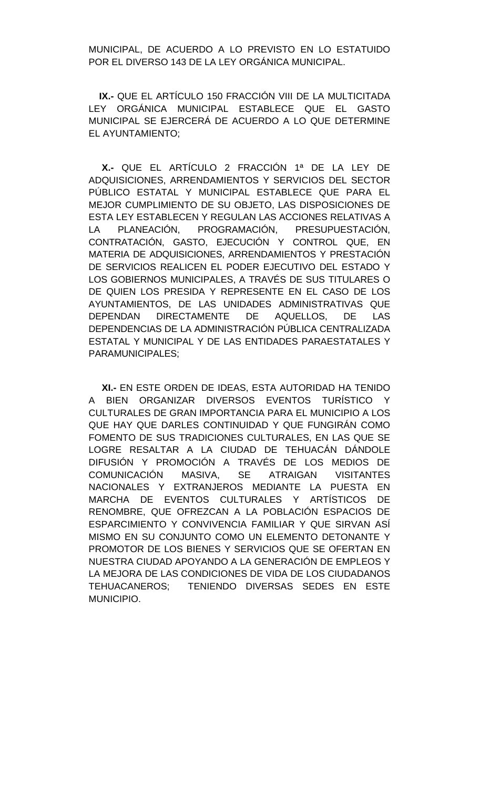MUNICIPAL, DE ACUERDO A LO PREVISTO EN LO ESTATUIDO POR EL DIVERSO 143 DE LA LEY ORGÁNICA MUNICIPAL.

 **IX.-** QUE EL ARTÍCULO 150 FRACCIÓN VIII DE LA MULTICITADA LEY ORGÁNICA MUNICIPAL ESTABLECE QUE EL GASTO MUNICIPAL SE EJERCERÁ DE ACUERDO A LO QUE DETERMINE EL AYUNTAMIENTO;

 **X.-** QUE EL ARTÍCULO 2 FRACCIÓN 1ª DE LA LEY DE ADQUISICIONES, ARRENDAMIENTOS Y SERVICIOS DEL SECTOR PÚBLICO ESTATAL Y MUNICIPAL ESTABLECE QUE PARA EL MEJOR CUMPLIMIENTO DE SU OBJETO, LAS DISPOSICIONES DE ESTA LEY ESTABLECEN Y REGULAN LAS ACCIONES RELATIVAS A LA PLANEACIÓN, PROGRAMACIÓN, PRESUPUESTACIÓN, CONTRATACIÓN, GASTO, EJECUCIÓN Y CONTROL QUE, EN MATERIA DE ADQUISICIONES, ARRENDAMIENTOS Y PRESTACIÓN DE SERVICIOS REALICEN EL PODER EJECUTIVO DEL ESTADO Y LOS GOBIERNOS MUNICIPALES, A TRAVÉS DE SUS TITULARES O DE QUIEN LOS PRESIDA Y REPRESENTE EN EL CASO DE LOS AYUNTAMIENTOS, DE LAS UNIDADES ADMINISTRATIVAS QUE DEPENDAN DIRECTAMENTE DE AQUELLOS, DE LAS DEPENDENCIAS DE LA ADMINISTRACIÓN PÚBLICA CENTRALIZADA ESTATAL Y MUNICIPAL Y DE LAS ENTIDADES PARAESTATALES Y PARAMUNICIPALES;

 **XI.-** EN ESTE ORDEN DE IDEAS, ESTA AUTORIDAD HA TENIDO A BIEN ORGANIZAR DIVERSOS EVENTOS TURÍSTICO Y CULTURALES DE GRAN IMPORTANCIA PARA EL MUNICIPIO A LOS QUE HAY QUE DARLES CONTINUIDAD Y QUE FUNGIRÁN COMO FOMENTO DE SUS TRADICIONES CULTURALES, EN LAS QUE SE LOGRE RESALTAR A LA CIUDAD DE TEHUACÁN DÁNDOLE DIFUSIÓN Y PROMOCIÓN A TRAVÉS DE LOS MEDIOS DE COMUNICACIÓN MASIVA, SE ATRAIGAN VISITANTES NACIONALES Y EXTRANJEROS MEDIANTE LA PUESTA EN MARCHA DE EVENTOS CULTURALES Y ARTÍSTICOS DE RENOMBRE, QUE OFREZCAN A LA POBLACIÓN ESPACIOS DE ESPARCIMIENTO Y CONVIVENCIA FAMILIAR Y QUE SIRVAN ASÍ MISMO EN SU CONJUNTO COMO UN ELEMENTO DETONANTE Y PROMOTOR DE LOS BIENES Y SERVICIOS QUE SE OFERTAN EN NUESTRA CIUDAD APOYANDO A LA GENERACIÓN DE EMPLEOS Y LA MEJORA DE LAS CONDICIONES DE VIDA DE LOS CIUDADANOS TEHUACANEROS; TENIENDO DIVERSAS SEDES EN ESTE MUNICIPIO.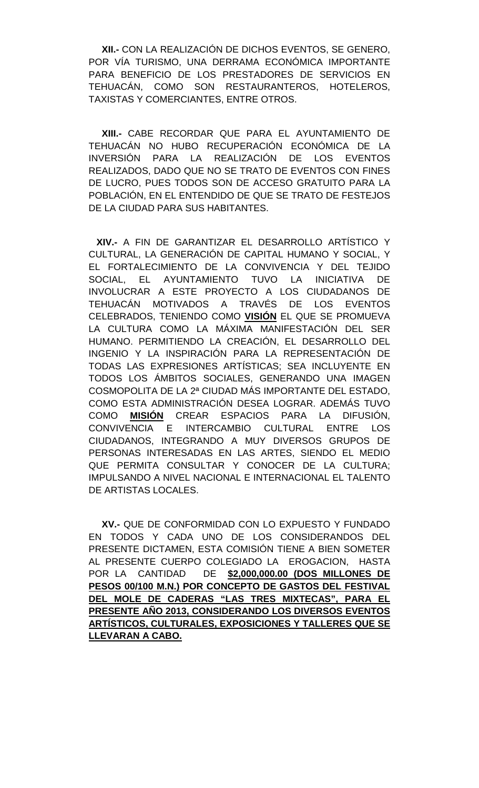**XII.-** CON LA REALIZACIÓN DE DICHOS EVENTOS, SE GENERO, POR VÍA TURISMO, UNA DERRAMA ECONÓMICA IMPORTANTE PARA BENEFICIO DE LOS PRESTADORES DE SERVICIOS EN TEHUACÁN, COMO SON RESTAURANTEROS, HOTELEROS, TAXISTAS Y COMERCIANTES, ENTRE OTROS.

 **XIII.-** CABE RECORDAR QUE PARA EL AYUNTAMIENTO DE TEHUACÁN NO HUBO RECUPERACIÓN ECONÓMICA DE LA INVERSIÓN PARA LA REALIZACIÓN DE LOS EVENTOS REALIZADOS, DADO QUE NO SE TRATO DE EVENTOS CON FINES DE LUCRO, PUES TODOS SON DE ACCESO GRATUITO PARA LA POBLACIÓN, EN EL ENTENDIDO DE QUE SE TRATO DE FESTEJOS DE LA CIUDAD PARA SUS HABITANTES.

 **XIV.-** A FIN DE GARANTIZAR EL DESARROLLO ARTÍSTICO Y CULTURAL, LA GENERACIÓN DE CAPITAL HUMANO Y SOCIAL, Y EL FORTALECIMIENTO DE LA CONVIVENCIA Y DEL TEJIDO SOCIAL, EL AYUNTAMIENTO TUVO LA INICIATIVA DE INVOLUCRAR A ESTE PROYECTO A LOS CIUDADANOS DE TEHUACÁN MOTIVADOS A TRAVÉS DE LOS EVENTOS CELEBRADOS, TENIENDO COMO **VISIÓN** EL QUE SE PROMUEVA LA CULTURA COMO LA MÁXIMA MANIFESTACIÓN DEL SER HUMANO. PERMITIENDO LA CREACIÓN, EL DESARROLLO DEL INGENIO Y LA INSPIRACIÓN PARA LA REPRESENTACIÓN DE TODAS LAS EXPRESIONES ARTÍSTICAS; SEA INCLUYENTE EN TODOS LOS ÁMBITOS SOCIALES, GENERANDO UNA IMAGEN COSMOPOLITA DE LA 2ª CIUDAD MÁS IMPORTANTE DEL ESTADO, COMO ESTA ADMINISTRACIÓN DESEA LOGRAR. ADEMÁS TUVO COMO **MISIÓN** CREAR ESPACIOS PARA LA DIFUSIÓN, CONVIVENCIA E INTERCAMBIO CULTURAL ENTRE LOS CIUDADANOS, INTEGRANDO A MUY DIVERSOS GRUPOS DE PERSONAS INTERESADAS EN LAS ARTES, SIENDO EL MEDIO QUE PERMITA CONSULTAR Y CONOCER DE LA CULTURA; IMPULSANDO A NIVEL NACIONAL E INTERNACIONAL EL TALENTO DE ARTISTAS LOCALES.

 **XV.-** QUE DE CONFORMIDAD CON LO EXPUESTO Y FUNDADO EN TODOS Y CADA UNO DE LOS CONSIDERANDOS DEL PRESENTE DICTAMEN, ESTA COMISIÓN TIENE A BIEN SOMETER AL PRESENTE CUERPO COLEGIADO LA EROGACION, HASTA POR LA CANTIDAD DE **\$2,000,000.00 (DOS MILLONES DE PESOS 00/100 M.N.) POR CONCEPTO DE GASTOS DEL FESTIVAL DEL MOLE DE CADERAS "LAS TRES MIXTECAS", PARA EL PRESENTE AÑO 2013, CONSIDERANDO LOS DIVERSOS EVENTOS ARTÍSTICOS, CULTURALES, EXPOSICIONES Y TALLERES QUE SE LLEVARAN A CABO.**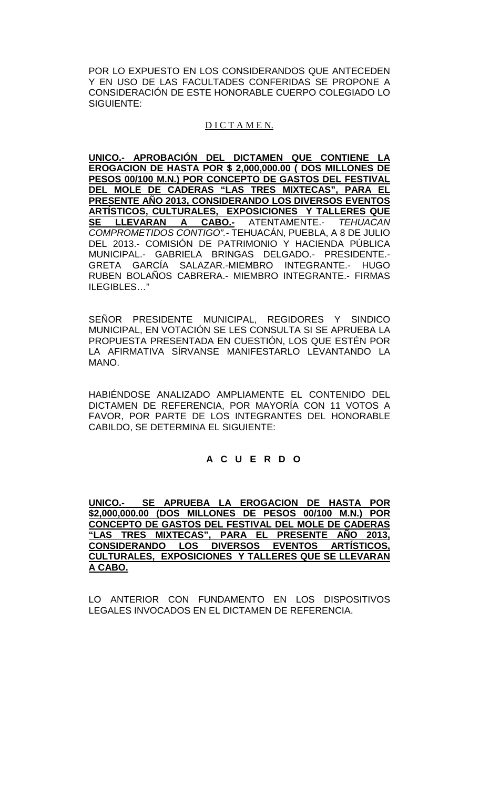POR LO EXPUESTO EN LOS CONSIDERANDOS QUE ANTECEDEN Y EN USO DE LAS FACULTADES CONFERIDAS SE PROPONE A CONSIDERACIÓN DE ESTE HONORABLE CUERPO COLEGIADO LO SIGUIENTE:

# D I C T A M E N.

**UNICO.- APROBACIÓN DEL DICTAMEN QUE CONTIENE LA EROGACION DE HASTA POR \$ 2,000,000.00 ( DOS MILLONES DE PESOS 00/100 M.N.) POR CONCEPTO DE GASTOS DEL FESTIVAL DEL MOLE DE CADERAS "LAS TRES MIXTECAS", PARA EL PRESENTE AÑO 2013, CONSIDERANDO LOS DIVERSOS EVENTOS ARTÍSTICOS, CULTURALES, EXPOSICIONES Y TALLERES QUE SE LLEVARAN A CABO.-** ATENTAMENTE.- *TEHUACAN COMPROMETIDOS CONTIGO".-* TEHUACÁN, PUEBLA, A 8 DE JULIO DEL 2013.- COMISIÓN DE PATRIMONIO Y HACIENDA PÚBLICA MUNICIPAL.- GABRIELA BRINGAS DELGADO.- PRESIDENTE.- GRETA GARCÍA SALAZAR.-MIEMBRO INTEGRANTE.- HUGO RUBEN BOLAÑOS CABRERA.- MIEMBRO INTEGRANTE.- FIRMAS ILEGIBLES…"

SEÑOR PRESIDENTE MUNICIPAL, REGIDORES Y SINDICO MUNICIPAL, EN VOTACIÓN SE LES CONSULTA SI SE APRUEBA LA PROPUESTA PRESENTADA EN CUESTIÓN, LOS QUE ESTÉN POR LA AFIRMATIVA SÍRVANSE MANIFESTARLO LEVANTANDO LA MANO.

HABIÉNDOSE ANALIZADO AMPLIAMENTE EL CONTENIDO DEL DICTAMEN DE REFERENCIA, POR MAYORÍA CON 11 VOTOS A FAVOR, POR PARTE DE LOS INTEGRANTES DEL HONORABLE CABILDO, SE DETERMINA EL SIGUIENTE:

# **A C U E R D O**

**UNICO.- SE APRUEBA LA EROGACION DE HASTA POR \$2,000,000.00 (DOS MILLONES DE PESOS 00/100 M.N.) POR CONCEPTO DE GASTOS DEL FESTIVAL DEL MOLE DE CADERAS "LAS TRES MIXTECAS", PARA EL PRESENTE AÑO 2013, CONSIDERANDO LOS DIVERSOS EVENTOS ARTÍSTICOS, CULTURALES, EXPOSICIONES Y TALLERES QUE SE LLEVARAN A CABO.**

LO ANTERIOR CON FUNDAMENTO EN LOS DISPOSITIVOS LEGALES INVOCADOS EN EL DICTAMEN DE REFERENCIA.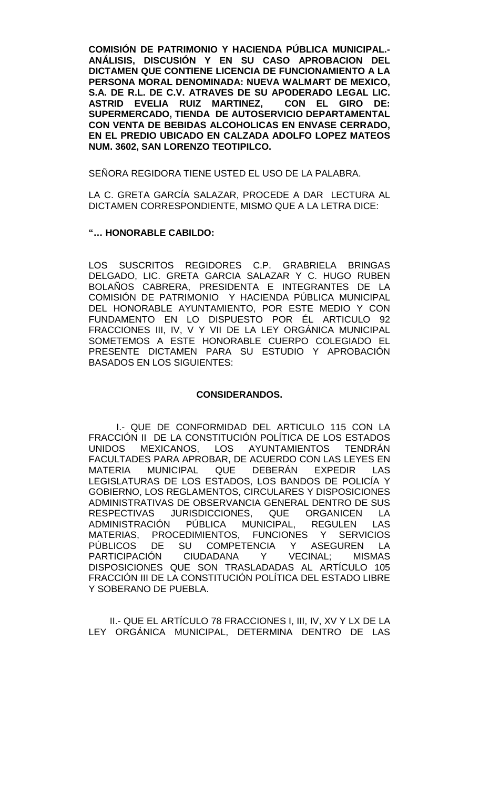**COMISIÓN DE PATRIMONIO Y HACIENDA PÚBLICA MUNICIPAL.- ANÁLISIS, DISCUSIÓN Y EN SU CASO APROBACION DEL DICTAMEN QUE CONTIENE LICENCIA DE FUNCIONAMIENTO A LA PERSONA MORAL DENOMINADA: NUEVA WALMART DE MEXICO, S.A. DE R.L. DE C.V. ATRAVES DE SU APODERADO LEGAL LIC. ASTRID EVELIA RUIZ MARTINEZ. SUPERMERCADO, TIENDA DE AUTOSERVICIO DEPARTAMENTAL CON VENTA DE BEBIDAS ALCOHOLICAS EN ENVASE CERRADO, EN EL PREDIO UBICADO EN CALZADA ADOLFO LOPEZ MATEOS NUM. 3602, SAN LORENZO TEOTIPILCO.**

SEÑORA REGIDORA TIENE USTED EL USO DE LA PALABRA.

LA C. GRETA GARCÍA SALAZAR, PROCEDE A DAR LECTURA AL DICTAMEN CORRESPONDIENTE, MISMO QUE A LA LETRA DICE:

#### **"… HONORABLE CABILDO:**

LOS SUSCRITOS REGIDORES C.P. GRABRIELA BRINGAS DELGADO, LIC. GRETA GARCIA SALAZAR Y C. HUGO RUBEN BOLAÑOS CABRERA, PRESIDENTA E INTEGRANTES DE LA COMISIÓN DE PATRIMONIO Y HACIENDA PÚBLICA MUNICIPAL DEL HONORABLE AYUNTAMIENTO, POR ESTE MEDIO Y CON FUNDAMENTO EN LO DISPUESTO POR ÉL ARTICULO 92 FRACCIONES III, IV, V Y VII DE LA LEY ORGÁNICA MUNICIPAL SOMETEMOS A ESTE HONORABLE CUERPO COLEGIADO EL PRESENTE DICTAMEN PARA SU ESTUDIO Y APROBACIÓN BASADOS EN LOS SIGUIENTES:

#### **CONSIDERANDOS.**

I.- QUE DE CONFORMIDAD DEL ARTICULO 115 CON LA FRACCIÓN II DE LA CONSTITUCIÓN POLÍTICA DE LOS ESTADOS UNIDOS MEXICANOS, LOS AYUNTAMIENTOS TENDRÁN FACULTADES PARA APROBAR, DE ACUERDO CON LAS LEYES EN<br>MATERIA MUNICIPAL QUE DEBERÁN EXPEDIR LAS MATERIA MUNICIPAL QUE DEBERÁN EXPEDIR LAS LEGISLATURAS DE LOS ESTADOS, LOS BANDOS DE POLICÍA Y GOBIERNO, LOS REGLAMENTOS, CIRCULARES Y DISPOSICIONES ADMINISTRATIVAS DE OBSERVANCIA GENERAL DENTRO DE SUS RESPECTIVAS JURISDICCIONES, QUE ORGANICEN LA<br>ADMINISTRACIÓN PÚBLICA MUNICIPAL, REGULEN LAS ADMINISTRACIÓN PÚBLICA MUNICIPAL, MATERIAS, PROCEDIMIENTOS, FUNCIONES Y SERVICIOS PÚBLICOS DE SU COMPETENCIA Y ASEGUREN LA<br>PARTICIPACIÓN CIUDADANA Y VECINAL; MISMAS PARTICIPACIÓN CIUDADANA Y VECINAL; MISMAS DISPOSICIONES QUE SON TRASLADADAS AL ARTÍCULO 105 FRACCIÓN III DE LA CONSTITUCIÓN POLÍTICA DEL ESTADO LIBRE Y SOBERANO DE PUEBLA.

II.- QUE EL ARTÍCULO 78 FRACCIONES I, III, IV, XV Y LX DE LA LEY ORGÁNICA MUNICIPAL, DETERMINA DENTRO DE LAS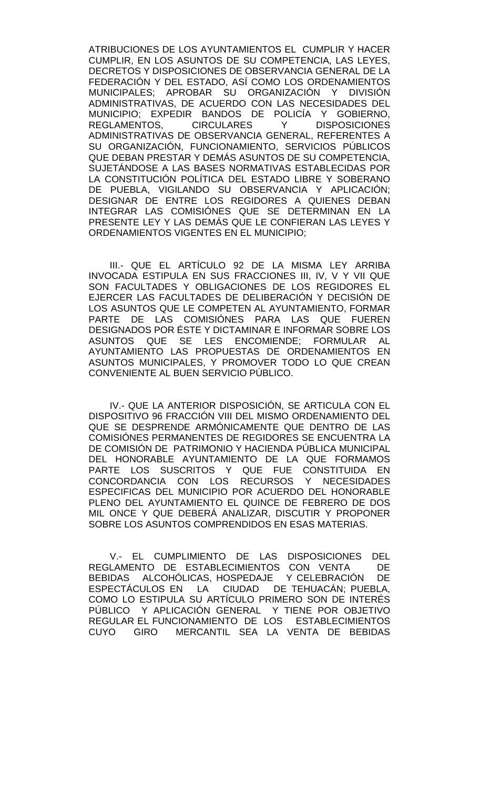ATRIBUCIONES DE LOS AYUNTAMIENTOS EL CUMPLIR Y HACER CUMPLIR, EN LOS ASUNTOS DE SU COMPETENCIA, LAS LEYES, DECRETOS Y DISPOSICIONES DE OBSERVANCIA GENERAL DE LA FEDERACIÓN Y DEL ESTADO, ASÍ COMO LOS ORDENAMIENTOS MUNICIPALES; APROBAR SU ORGANIZACIÓN Y DIVISIÓN ADMINISTRATIVAS, DE ACUERDO CON LAS NECESIDADES DEL MUNICIPIO; EXPEDIR BANDOS DE POLICÍA Y GOBIERNO, REGLAMENTOS, CIRCULARES Y DISPOSICIONES ADMINISTRATIVAS DE OBSERVANCIA GENERAL, REFERENTES A SU ORGANIZACIÓN, FUNCIONAMIENTO, SERVICIOS PÚBLICOS QUE DEBAN PRESTAR Y DEMÁS ASUNTOS DE SU COMPETENCIA, SUJETÁNDOSE A LAS BASES NORMATIVAS ESTABLECIDAS POR LA CONSTITUCIÓN POLÍTICA DEL ESTADO LIBRE Y SOBERANO DE PUEBLA, VIGILANDO SU OBSERVANCIA Y APLICACIÓN; DESIGNAR DE ENTRE LOS REGIDORES A QUIENES DEBAN INTEGRAR LAS COMISIÓNES QUE SE DETERMINAN EN LA PRESENTE LEY Y LAS DEMÁS QUE LE CONFIERAN LAS LEYES Y ORDENAMIENTOS VIGENTES EN EL MUNICIPIO;

III.- QUE EL ARTÍCULO 92 DE LA MISMA LEY ARRIBA INVOCADA ESTIPULA EN SUS FRACCIONES III, IV, V Y VII QUE SON FACULTADES Y OBLIGACIONES DE LOS REGIDORES EL EJERCER LAS FACULTADES DE DELIBERACIÓN Y DECISIÓN DE LOS ASUNTOS QUE LE COMPETEN AL AYUNTAMIENTO, FORMAR PARTE DE LAS COMISIÓNES PARA LAS QUE FUEREN DESIGNADOS POR ÉSTE Y DICTAMINAR E INFORMAR SOBRE LOS ASUNTOS QUE SE LES ENCOMIENDE; FORMULAR AL AYUNTAMIENTO LAS PROPUESTAS DE ORDENAMIENTOS EN ASUNTOS MUNICIPALES, Y PROMOVER TODO LO QUE CREAN CONVENIENTE AL BUEN SERVICIO PÚBLICO.

IV.- QUE LA ANTERIOR DISPOSICIÓN, SE ARTICULA CON EL DISPOSITIVO 96 FRACCIÓN VIII DEL MISMO ORDENAMIENTO DEL QUE SE DESPRENDE ARMÓNICAMENTE QUE DENTRO DE LAS COMISIÓNES PERMANENTES DE REGIDORES SE ENCUENTRA LA DE COMISIÓN DE PATRIMONIO Y HACIENDA PÚBLICA MUNICIPAL DEL HONORABLE AYUNTAMIENTO DE LA QUE FORMAMOS PARTE LOS SUSCRITOS Y QUE FUE CONSTITUIDA EN CONCORDANCIA CON LOS RECURSOS Y NECESIDADES ESPECIFICAS DEL MUNICIPIO POR ACUERDO DEL HONORABLE PLENO DEL AYUNTAMIENTO EL QUINCE DE FEBRERO DE DOS MIL ONCE Y QUE DEBERÁ ANALIZAR, DISCUTIR Y PROPONER SOBRE LOS ASUNTOS COMPRENDIDOS EN ESAS MATERIAS.

V.- EL CUMPLIMIENTO DE LAS DISPOSICIONES DEL REGLAMENTO DE ESTABLECIMIENTOS CON VENTA DE BEBIDAS ALCOHOLICAS, HOSPEDAJE Y CELEBRACIÓN DE ESPECTÁCULOS EN LA CIUDAD DE TEHUACÁN; PUEBLA, COMO LO ESTIPULA SU ARTÍCULO PRIMERO SON DE INTERÉS PÚBLICO Y APLICACIÓN GENERAL Y TIENE POR OBJETIVO REGULAR EL FUNCIONAMIENTO DE LOS ESTABLECIMIENTOS CUYO GIRO MERCANTIL SEA LA VENTA DE BEBIDAS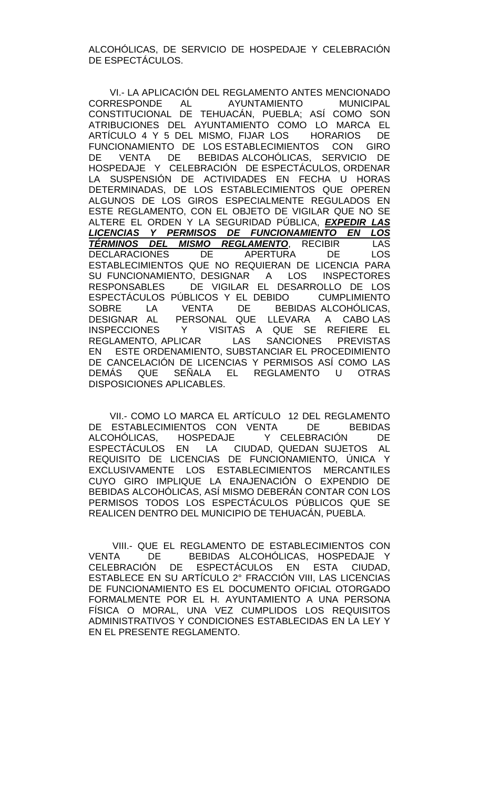ALCOHÓLICAS, DE SERVICIO DE HOSPEDAJE Y CELEBRACIÓN DE ESPECTÁCULOS.

VI.- LA APLICACIÓN DEL REGLAMENTO ANTES MENCIONADO<br>CORRESPONDE AL AYUNTAMIENTO MUNICIPAL AYUNTAMIENTO MUNICIPAL CONSTITUCIONAL DE TEHUACÁN, PUEBLA; ASÍ COMO SON ATRIBUCIONES DEL AYUNTAMIENTO COMO LO MARCA EL ARTÍCULO 4 Y 5 DEL MISMO, FIJAR LOS HORARIOS DE FUNCIONAMIENTO DE LOS ESTABLECIMIENTOS CON GIRO DE VENTA DE BEBIDAS ALCOHÓLICAS, SERVICIO DE HOSPEDAJE Y CELEBRACIÓN DE ESPECTÁCULOS, ORDENAR LA SUSPENSIÓN DE ACTIVIDADES EN FECHA U HORAS DETERMINADAS, DE LOS ESTABLECIMIENTOS QUE OPEREN ALGUNOS DE LOS GIROS ESPECIALMENTE REGULADOS EN ESTE REGLAMENTO, CON EL OBJETO DE VIGILAR QUE NO SE ALTERE EL ORDEN Y LA SEGURIDAD PÚBLICA, *EXPEDIR LAS LICENCIAS Y PERMISOS DE FUNCIONAMIENTO EN LOS TÉRMINOS DEL MISMO REGLAMENTO*, RECIBIR LAS DECLARACIONES DE APERTURA DE LOS ESTABLECIMIENTOS QUE NO REQUIERAN DE LICENCIA PARA SU FUNCIONAMIENTO, DESIGNAR A LOS INSPECTORES RESPONSABLES DE VIGILAR EL DESARROLLO DE LOS ESPECTÁCULOS PÚBLICOS Y EL DEBIDO CUMPLIMIENTO SOBRE LA VENTA DE BEBIDAS ALCOHÓLICAS, DESIGNAR AL PERSONAL QUE LLEVARA A CABO LAS INSPECCIONES Y VISITAS A QUE SE REFIERE EL REGLAMENTO, APLICAR LAS SANCIONES PREVISTAS EN ESTE ORDENAMIENTO, SUBSTANCIAR EL PROCEDIMIENTO DE CANCELACIÓN DE LICENCIAS Y PERMISOS ASÍ COMO LAS DEMÁS QUE SEÑALA EL REGLAMENTO U OTRAS DISPOSICIONES APLICABLES.

VII.- COMO LO MARCA EL ARTÍCULO 12 DEL REGLAMENTO DE ESTABLECIMIENTOS CON VENTA DE BEBIDAS<br>ALCOHÓLICAS, HOSPEDAJE Y CELEBRACIÓN DE ALCOHÓLICAS, HOSPEDAJE Y CELEBRACIÓN DE ESPECTÁCULOS EN LA CIUDAD, QUEDAN SUJETOS AL REQUISITO DE LICENCIAS DE FUNCIONAMIENTO, ÚNICA Y EXCLUSIVAMENTE LOS ESTABLECIMIENTOS MERCANTILES CUYO GIRO IMPLIQUE LA ENAJENACIÓN O EXPENDIO DE BEBIDAS ALCOHÓLICAS, ASÍ MISMO DEBERÁN CONTAR CON LOS PERMISOS TODOS LOS ESPECTÁCULOS PÚBLICOS QUE SE REALICEN DENTRO DEL MUNICIPIO DE TEHUACÁN, PUEBLA.

VIII.- QUE EL REGLAMENTO DE ESTABLECIMIENTOS CON VENTA DE BEBIDAS ALCOHÓLICAS, HOSPEDAJE Y CELEBRACIÓN DE ESPECTÁCULOS EN ESTA CIUDAD, ESTABLECE EN SU ARTÍCULO 2° FRACCIÓN VIII, LAS LICENCIAS DE FUNCIONAMIENTO ES EL DOCUMENTO OFICIAL OTORGADO FORMALMENTE POR EL H. AYUNTAMIENTO A UNA PERSONA FÍSICA O MORAL, UNA VEZ CUMPLIDOS LOS REQUISITOS ADMINISTRATIVOS Y CONDICIONES ESTABLECIDAS EN LA LEY Y EN EL PRESENTE REGLAMENTO.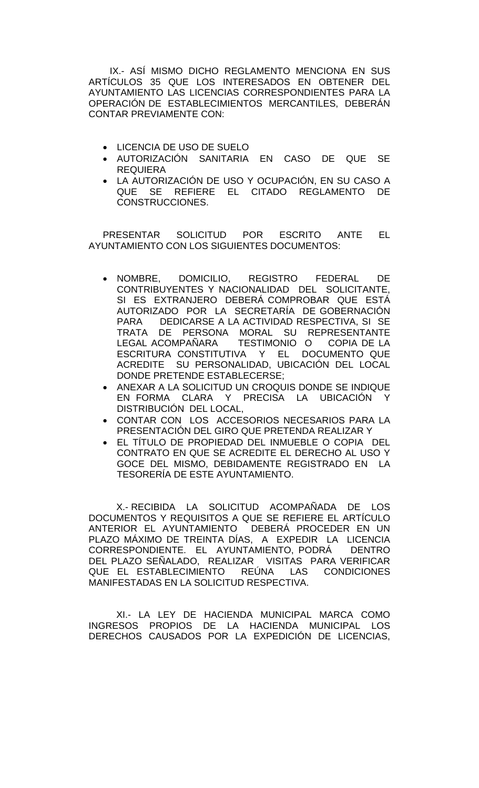IX.- ASÍ MISMO DICHO REGLAMENTO MENCIONA EN SUS ARTÍCULOS 35 QUE LOS INTERESADOS EN OBTENER DEL AYUNTAMIENTO LAS LICENCIAS CORRESPONDIENTES PARA LA OPERACIÓN DE ESTABLECIMIENTOS MERCANTILES, DEBERÁN CONTAR PREVIAMENTE CON:

- LICENCIA DE USO DE SUELO
- AUTORIZACIÓN SANITARIA EN CASO DE QUE SE REQUIERA
- LA AUTORIZACIÓN DE USO Y OCUPACIÓN, EN SU CASO A QUE SE REFIERE EL CITADO REGLAMENTO DE CONSTRUCCIONES.

PRESENTAR SOLICITUD POR ESCRITO ANTE EL AYUNTAMIENTO CON LOS SIGUIENTES DOCUMENTOS:

- NOMBRE, DOMICILIO, REGISTRO FEDERAL DE CONTRIBUYENTES Y NACIONALIDAD DEL SOLICITANTE, SI ES EXTRANJERO DEBERÁ COMPROBAR QUE ESTÁ AUTORIZADO POR LA SECRETARÍA DE GOBERNACIÓN<br>PARA DEDICARSE A LA ACTIVIDAD RESPECTIVA. SI SE DEDICARSE A LA ACTIVIDAD RESPECTIVA, SI SE TRATA DE PERSONA MORAL SU REPRESENTANTE LEGAL ACOMPAÑARA TESTIMONIO O COPIA DE LA ESCRITURA CONSTITUTIVA Y EL DOCUMENTO QUE ACREDITE SU PERSONALIDAD, UBICACIÓN DEL LOCAL DONDE PRETENDE ESTABLECERSE;
- ANEXAR A LA SOLICITUD UN CROQUIS DONDE SE INDIQUE EN FORMA CLARA Y PRECISA LA UBICACIÓN Y DISTRIBUCIÓN DEL LOCAL,
- CONTAR CON LOS ACCESORIOS NECESARIOS PARA LA PRESENTACIÓN DEL GIRO QUE PRETENDA REALIZAR Y
- EL TÍTULO DE PROPIEDAD DEL INMUEBLE O COPIA DEL CONTRATO EN QUE SE ACREDITE EL DERECHO AL USO Y GOCE DEL MISMO, DEBIDAMENTE REGISTRADO EN LA TESORERÍA DE ESTE AYUNTAMIENTO.

X.- RECIBIDA LA SOLICITUD ACOMPAÑADA DE LOS DOCUMENTOS Y REQUISITOS A QUE SE REFIERE EL ARTÍCULO ANTERIOR EL AYUNTAMIENTO DEBERÁ PROCEDER EN UN PLAZO MÁXIMO DE TREINTA DÍAS, A EXPEDIR LA LICENCIA CORRESPONDIENTE. EL AYUNTAMIENTO, PODRÁ DENTRO DEL PLAZO SEÑALADO, REALIZAR VISITAS PARA VERIFICAR QUE EL ESTABLECIMIENTO REÚNA LAS CONDICIONES MANIFESTADAS EN LA SOLICITUD RESPECTIVA.

XI.- LA LEY DE HACIENDA MUNICIPAL MARCA COMO INGRESOS PROPIOS DE LA HACIENDA MUNICIPAL LOS DERECHOS CAUSADOS POR LA EXPEDICIÓN DE LICENCIAS,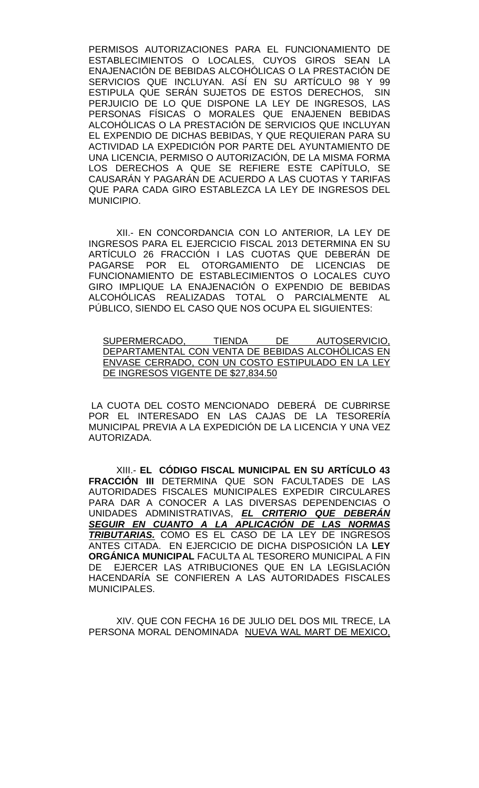PERMISOS AUTORIZACIONES PARA EL FUNCIONAMIENTO DE ESTABLECIMIENTOS O LOCALES, CUYOS GIROS SEAN LA ENAJENACIÓN DE BEBIDAS ALCOHÓLICAS O LA PRESTACIÓN DE SERVICIOS QUE INCLUYAN. ASÍ EN SU ARTÍCULO 98 Y 99 ESTIPULA QUE SERÁN SUJETOS DE ESTOS DERECHOS, SIN PERJUICIO DE LO QUE DISPONE LA LEY DE INGRESOS, LAS PERSONAS FÍSICAS O MORALES QUE ENAJENEN BEBIDAS ALCOHÓLICAS O LA PRESTACIÓN DE SERVICIOS QUE INCLUYAN EL EXPENDIO DE DICHAS BEBIDAS, Y QUE REQUIERAN PARA SU ACTIVIDAD LA EXPEDICIÓN POR PARTE DEL AYUNTAMIENTO DE UNA LICENCIA, PERMISO O AUTORIZACIÓN, DE LA MISMA FORMA LOS DERECHOS A QUE SE REFIERE ESTE CAPÍTULO, SE CAUSARÁN Y PAGARÁN DE ACUERDO A LAS CUOTAS Y TARIFAS QUE PARA CADA GIRO ESTABLEZCA LA LEY DE INGRESOS DEL MUNICIPIO.

XII.- EN CONCORDANCIA CON LO ANTERIOR, LA LEY DE INGRESOS PARA EL EJERCICIO FISCAL 2013 DETERMINA EN SU ARTÍCULO 26 FRACCIÓN I LAS CUOTAS QUE DEBERÁN DE PAGARSE POR EL OTORGAMIENTO DE LICENCIAS DE FUNCIONAMIENTO DE ESTABLECIMIENTOS O LOCALES CUYO GIRO IMPLIQUE LA ENAJENACIÓN O EXPENDIO DE BEBIDAS ALCOHÓLICAS REALIZADAS TOTAL O PARCIALMENTE AL PÚBLICO, SIENDO EL CASO QUE NOS OCUPA EL SIGUIENTES:

SUPERMERCADO, TIENDA DE AUTOSERVICIO, <u>DEPARTAMENTAL CON VENTA DE BEBIDAS ALCOHOLICAS EN</u> ENVASE CERRADO, CON UN COSTO ESTIPULADO EN LA LEY DE INGRESOS VIGENTE DE \$27,834.50

LA CUOTA DEL COSTO MENCIONADO DEBERÁ DE CUBRIRSE POR EL INTERESADO EN LAS CAJAS DE LA TESORERÍA MUNICIPAL PREVIA A LA EXPEDICIÓN DE LA LICENCIA Y UNA VEZ AUTORIZADA.

XIII.- **EL CÓDIGO FISCAL MUNICIPAL EN SU ARTÍCULO 43 FRACCIÓN III** DETERMINA QUE SON FACULTADES DE LAS AUTORIDADES FISCALES MUNICIPALES EXPEDIR CIRCULARES PARA DAR A CONOCER A LAS DIVERSAS DEPENDENCIAS O UNIDADES ADMINISTRATIVAS, *EL CRITERIO QUE DEBERÁN SEGUIR EN CUANTO A LA APLICACIÓN DE LAS NORMAS TRIBUTARIAS.* COMO ES EL CASO DE LA LEY DE INGRESOS ANTES CITADA. EN EJERCICIO DE DICHA DISPOSICIÓN LA **LEY ORGÁNICA MUNICIPAL** FACULTA AL TESORERO MUNICIPAL A FIN DE EJERCER LAS ATRIBUCIONES QUE EN LA LEGISLACIÓN HACENDARÍA SE CONFIEREN A LAS AUTORIDADES FISCALES MUNICIPALES.

XIV. QUE CON FECHA 16 DE JULIO DEL DOS MIL TRECE, LA PERSONA MORAL DENOMINADA NUEVA WAL MART DE MEXICO,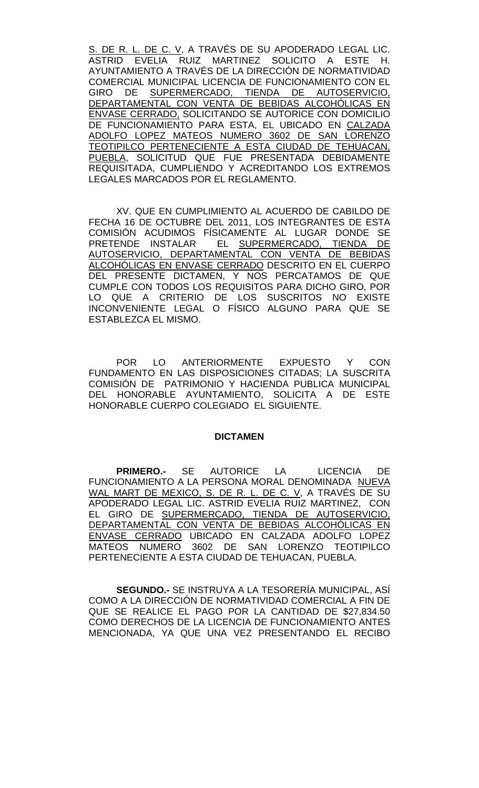S. DE R. L. DE C. V, A TRAVÉS DE SU APODERADO LEGAL LIC. ASTRID EVELIA RUIZ MARTINEZ SOLICITO A ESTE H. AYUNTAMIENTO A TRAVÉS DE LA DIRECCIÓN DE NORMATIVIDAD COMERCIAL MUNICIPAL LICENCIA DE FUNCIONAMIENTO CON EL GIRO DE SUPERMERCADO, TIENDA DE AUTOSERVICIO, DEPARTAMENTAL CON VENTA DE BEBIDAS ALCOHÓLICAS EN ENVASE CERRADO, SOLICITANDO SE AUTORICE CON DOMICILIO DE FUNCIONAMIENTO PARA ESTA, EL UBICADO EN CALZADA ADOLFO LOPEZ MATEOS NUMERO 3602 DE SAN LORENZO TEOTIPILCO PERTENECIENTE A ESTA CIUDAD DE TEHUACAN, PUEBLA, SOLICITUD QUE FUE PRESENTADA DEBIDAMENTE REQUISITADA, CUMPLIENDO Y ACREDITANDO LOS EXTREMOS LEGALES MARCADOS POR EL REGLAMENTO.

XV. QUE EN CUMPLIMIENTO AL ACUERDO DE CABILDO DE FECHA 16 DE OCTUBRE DEL 2011, LOS INTEGRANTES DE ESTA COMISIÓN ACUDIMOS FÍSICAMENTE AL LUGAR DONDE SE PRETENDE INSTALAR EL SUPERMERCADO, TIENDA DE AUTOSERVICIO, DEPARTAMENTAL CON VENTA DE BEBIDAS ALCOHÓLICAS EN ENVASE CERRADO DESCRITO EN EL CUERPO DEL PRESENTE DICTAMEN, Y NOS PERCATAMOS DE QUE CUMPLE CON TODOS LOS REQUISITOS PARA DICHO GIRO, POR LO QUE A CRITERIO DE LOS SUSCRITOS NO EXISTE INCONVENIENTE LEGAL O FÍSICO ALGUNO PARA QUE SE ESTABLEZCA EL MISMO.

POR LO ANTERIORMENTE EXPUESTO Y CON FUNDAMENTO EN LAS DISPOSICIONES CITADAS; LA SUSCRITA COMISIÓN DE PATRIMONIO Y HACIENDA PUBLICA MUNICIPAL DEL HONORABLE AYUNTAMIENTO, SOLICITA A DE ESTE HONORABLE CUERPO COLEGIADO EL SIGUIENTE.

#### **DICTAMEN**

**PRIMERO.-** SE AUTORICE LA LICENCIA DE FUNCIONAMIENTO A LA PERSONA MORAL DENOMINADA NUEVA WAL MART DE MEXICO, S. DE R. L. DE C. V, A TRAVÉS DE SU APODERADO LEGAL LIC. ASTRID EVELIA RUIZ MARTINEZ, CON EL GIRO DE SUPERMERCADO, TIENDA DE AUTOSERVICIO, DEPARTAMENTAL CON VENTA DE BEBIDAS ALCOHÓLICAS EN ENVASE CERRADO UBICADO EN CALZADA ADOLFO LOPEZ MATEOS NUMERO 3602 DE SAN LORENZO TEOTIPILCO PERTENECIENTE A ESTA CIUDAD DE TEHUACAN, PUEBLA.

**SEGUNDO.-** SE INSTRUYA A LA TESORERÍA MUNICIPAL, ASÍ COMO A LA DIRECCIÓN DE NORMATIVIDAD COMERCIAL A FIN DE QUE SE REALICE EL PAGO POR LA CANTIDAD DE \$27,834.50 COMO DERECHOS DE LA LICENCIA DE FUNCIONAMIENTO ANTES MENCIONADA, YA QUE UNA VEZ PRESENTANDO EL RECIBO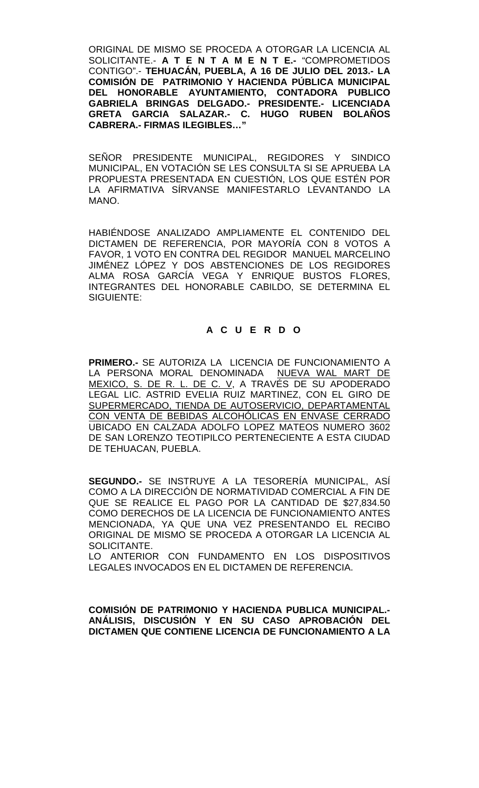ORIGINAL DE MISMO SE PROCEDA A OTORGAR LA LICENCIA AL SOLICITANTE.- **A T E N T A M E N T E.-** "COMPROMETIDOS CONTIGO".- **TEHUACÁN, PUEBLA, A 16 DE JULIO DEL 2013.- LA COMISIÓN DE PATRIMONIO Y HACIENDA PÚBLICA MUNICIPAL DEL HONORABLE AYUNTAMIENTO, CONTADORA PUBLICO GABRIELA BRINGAS DELGADO.- PRESIDENTE.- LICENCIADA GRETA GARCIA SALAZAR.- C. HUGO RUBEN BOLAÑOS CABRERA.- FIRMAS ILEGIBLES…"**

SEÑOR PRESIDENTE MUNICIPAL, REGIDORES Y SINDICO MUNICIPAL, EN VOTACIÓN SE LES CONSULTA SI SE APRUEBA LA PROPUESTA PRESENTADA EN CUESTIÓN, LOS QUE ESTÉN POR LA AFIRMATIVA SÍRVANSE MANIFESTARLO LEVANTANDO LA MANO.

HABIÉNDOSE ANALIZADO AMPLIAMENTE EL CONTENIDO DEL DICTAMEN DE REFERENCIA, POR MAYORÍA CON 8 VOTOS A FAVOR, 1 VOTO EN CONTRA DEL REGIDOR MANUEL MARCELINO JIMÉNEZ LÓPEZ Y DOS ABSTENCIONES DE LOS REGIDORES ALMA ROSA GARCÍA VEGA Y ENRIQUE BUSTOS FLORES, INTEGRANTES DEL HONORABLE CABILDO, SE DETERMINA EL SIGUIENTE:

# **A C U E R D O**

**PRIMERO.-** SE AUTORIZA LA LICENCIA DE FUNCIONAMIENTO A LA PERSONA MORAL DENOMINADA NUEVA WAL MART DE MEXICO, S. DE R. L. DE C. V, A TRAVÉS DE SU APODERADO LEGAL LIC. ASTRID EVELIA RUIZ MARTINEZ, CON EL GIRO DE SUPERMERCADO, TIENDA DE AUTOSERVICIO, DEPARTAMENTAL CON VENTA DE BEBIDAS ALCOHÓLICAS EN ENVASE CERRADO UBICADO EN CALZADA ADOLFO LOPEZ MATEOS NUMERO 3602 DE SAN LORENZO TEOTIPILCO PERTENECIENTE A ESTA CIUDAD DE TEHUACAN, PUEBLA.

**SEGUNDO.-** SE INSTRUYE A LA TESORERÍA MUNICIPAL, ASÍ COMO A LA DIRECCIÓN DE NORMATIVIDAD COMERCIAL A FIN DE QUE SE REALICE EL PAGO POR LA CANTIDAD DE \$27,834.50 COMO DERECHOS DE LA LICENCIA DE FUNCIONAMIENTO ANTES MENCIONADA, YA QUE UNA VEZ PRESENTANDO EL RECIBO ORIGINAL DE MISMO SE PROCEDA A OTORGAR LA LICENCIA AL SOLICITANTE.

LO ANTERIOR CON FUNDAMENTO EN LOS DISPOSITIVOS LEGALES INVOCADOS EN EL DICTAMEN DE REFERENCIA.

**COMISIÓN DE PATRIMONIO Y HACIENDA PUBLICA MUNICIPAL.- ANÁLISIS, DISCUSIÓN Y EN SU CASO APROBACIÓN DEL DICTAMEN QUE CONTIENE LICENCIA DE FUNCIONAMIENTO A LA**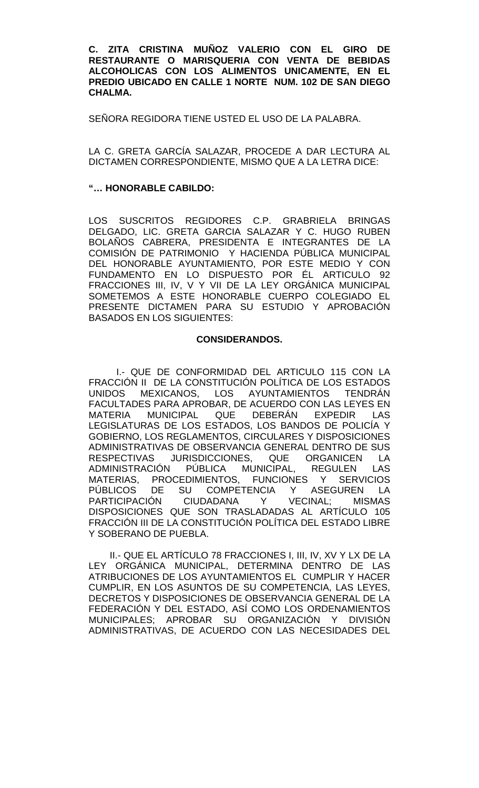**C. ZITA CRISTINA MUÑOZ VALERIO CON EL GIRO DE RESTAURANTE O MARISQUERIA CON VENTA DE BEBIDAS ALCOHOLICAS CON LOS ALIMENTOS UNICAMENTE, EN EL PREDIO UBICADO EN CALLE 1 NORTE NUM. 102 DE SAN DIEGO CHALMA.** 

SEÑORA REGIDORA TIENE USTED EL USO DE LA PALABRA.

LA C. GRETA GARCÍA SALAZAR, PROCEDE A DAR LECTURA AL DICTAMEN CORRESPONDIENTE, MISMO QUE A LA LETRA DICE:

## **"… HONORABLE CABILDO:**

LOS SUSCRITOS REGIDORES C.P. GRABRIELA BRINGAS DELGADO, LIC. GRETA GARCIA SALAZAR Y C. HUGO RUBEN BOLAÑOS CABRERA, PRESIDENTA E INTEGRANTES DE LA COMISIÓN DE PATRIMONIO Y HACIENDA PÚBLICA MUNICIPAL DEL HONORABLE AYUNTAMIENTO, POR ESTE MEDIO Y CON FUNDAMENTO EN LO DISPUESTO POR ÉL ARTICULO 92 FRACCIONES III, IV, V Y VII DE LA LEY ORGÁNICA MUNICIPAL SOMETEMOS A ESTE HONORABLE CUERPO COLEGIADO EL PRESENTE DICTAMEN PARA SU ESTUDIO Y APROBACIÓN BASADOS EN LOS SIGUIENTES:

## **CONSIDERANDOS.**

I.- QUE DE CONFORMIDAD DEL ARTICULO 115 CON LA FRACCIÓN II DE LA CONSTITUCIÓN POLÍTICA DE LOS ESTADOS UNIDOS MEXICANOS, LOS AYUNTAMIENTOS TENDRÁN FACULTADES PARA APROBAR, DE ACUERDO CON LAS LEYES EN<br>MATERIA MUNICIPAL QUE DEBERÁN EXPEDIR LAS MUNICIPAL QUE DEBERÁN EXPEDIR LAS LEGISLATURAS DE LOS ESTADOS, LOS BANDOS DE POLICÍA Y GOBIERNO, LOS REGLAMENTOS, CIRCULARES Y DISPOSICIONES ADMINISTRATIVAS DE OBSERVANCIA GENERAL DENTRO DE SUS<br>RESPECTIVAS JURISDICCIONES, QUE ORGANICEN LA RESPECTIVAS JURISDICCIONES, QUE ORGANICEN LA<br>ADMINISTRACIÓN PÚBLICA MUNICIPAL, REGULEN LAS ADMINISTRACIÓN PÚBLICA MUNICIPAL, REGULEN LAS MATERIAS, PROCEDIMIENTOS, FUNCIONES Y SERVICIOS PÚBLICOS DE SU COMPETENCIA Y ASEGUREN LA<br>PARTICIPACIÓN CIUDADANA Y VECINAL: MISMAS CIUDADANA Y VECINAL: MISMAS DISPOSICIONES QUE SON TRASLADADAS AL ARTÍCULO 105 FRACCIÓN III DE LA CONSTITUCIÓN POLÍTICA DEL ESTADO LIBRE Y SOBERANO DE PUEBLA.

II.- QUE EL ARTÍCULO 78 FRACCIONES I, III, IV, XV Y LX DE LA LEY ORGÁNICA MUNICIPAL, DETERMINA DENTRO DE LAS ATRIBUCIONES DE LOS AYUNTAMIENTOS EL CUMPLIR Y HACER CUMPLIR, EN LOS ASUNTOS DE SU COMPETENCIA, LAS LEYES, DECRETOS Y DISPOSICIONES DE OBSERVANCIA GENERAL DE LA FEDERACIÓN Y DEL ESTADO, ASÍ COMO LOS ORDENAMIENTOS MUNICIPALES; APROBAR SU ORGANIZACIÓN Y DIVISIÓN ADMINISTRATIVAS, DE ACUERDO CON LAS NECESIDADES DEL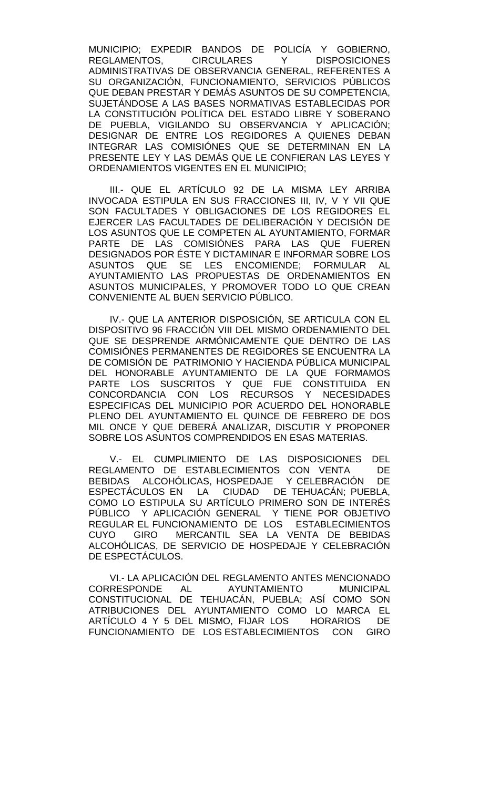MUNICIPIO; EXPEDIR BANDOS DE POLICÍA Y GOBIERNO, REGLAMENTOS. ADMINISTRATIVAS DE OBSERVANCIA GENERAL, REFERENTES A SU ORGANIZACIÓN, FUNCIONAMIENTO, SERVICIOS PÚBLICOS QUE DEBAN PRESTAR Y DEMÁS ASUNTOS DE SU COMPETENCIA, SUJETÁNDOSE A LAS BASES NORMATIVAS ESTABLECIDAS POR LA CONSTITUCIÓN POLÍTICA DEL ESTADO LIBRE Y SOBERANO DE PUEBLA, VIGILANDO SU OBSERVANCIA Y APLICACIÓN; DESIGNAR DE ENTRE LOS REGIDORES A QUIENES DEBAN INTEGRAR LAS COMISIONES QUE SE DETERMINAN EN LA PRESENTE LEY Y LAS DEMÁS QUE LE CONFIERAN LAS LEYES Y ORDENAMIENTOS VIGENTES EN EL MUNICIPIO;

III.- QUE EL ARTÍCULO 92 DE LA MISMA LEY ARRIBA INVOCADA ESTIPULA EN SUS FRACCIONES III, IV, V Y VII QUE SON FACULTADES Y OBLIGACIONES DE LOS REGIDORES EL EJERCER LAS FACULTADES DE DELIBERACIÓN Y DECISIÓN DE LOS ASUNTOS QUE LE COMPETEN AL AYUNTAMIENTO, FORMAR PARTE DE LAS COMISIÓNES PARA LAS QUE FUEREN DESIGNADOS POR ÉSTE Y DICTAMINAR E INFORMAR SOBRE LOS ASUNTOS QUE SE LES ENCOMIENDE; FORMULAR AL AYUNTAMIENTO LAS PROPUESTAS DE ORDENAMIENTOS EN ASUNTOS MUNICIPALES, Y PROMOVER TODO LO QUE CREAN CONVENIENTE AL BUEN SERVICIO PÚBLICO.

IV.- QUE LA ANTERIOR DISPOSICIÓN, SE ARTICULA CON EL DISPOSITIVO 96 FRACCIÓN VIII DEL MISMO ORDENAMIENTO DEL QUE SE DESPRENDE ARMÓNICAMENTE QUE DENTRO DE LAS COMISIÓNES PERMANENTES DE REGIDORES SE ENCUENTRA LA DE COMISIÓN DE PATRIMONIO Y HACIENDA PÚBLICA MUNICIPAL DEL HONORABLE AYUNTAMIENTO DE LA QUE FORMAMOS PARTE LOS SUSCRITOS Y QUE FUE CONSTITUIDA EN CONCORDANCIA CON LOS RECURSOS Y NECESIDADES ESPECIFICAS DEL MUNICIPIO POR ACUERDO DEL HONORABLE PLENO DEL AYUNTAMIENTO EL QUINCE DE FEBRERO DE DOS MIL ONCE Y QUE DEBERÁ ANALIZAR, DISCUTIR Y PROPONER SOBRE LOS ASUNTOS COMPRENDIDOS EN ESAS MATERIAS.

V.- EL CUMPLIMIENTO DE LAS DISPOSICIONES DEL REGLAMENTO DE ESTABLECIMIENTOS CON VENTA DE BEBIDAS ALCOHÓLICAS, HOSPEDAJE Y CELEBRACIÓN DE ESPECTÁCULOS EN LA CIUDAD DE TEHUACÁN; PUEBLA, COMO LO ESTIPULA SU ARTÍCULO PRIMERO SON DE INTERÉS PÚBLICO Y APLICACIÓN GENERAL Y TIENE POR OBJETIVO REGULAR EL FUNCIONAMIENTO DE LOS ESTABLECIMIENTOS CUYO GIRO MERCANTIL SEA LA VENTA DE BEBIDAS ALCOHÓLICAS, DE SERVICIO DE HOSPEDAJE Y CELEBRACIÓN DE ESPECTÁCULOS.

VI.- LA APLICACIÓN DEL REGLAMENTO ANTES MENCIONADO CORRESPONDE AL AYUNTAMIENTO MUNICIPAL CONSTITUCIONAL DE TEHUACÁN, PUEBLA; ASÍ COMO SON ATRIBUCIONES DEL AYUNTAMIENTO COMO LO MARCA EL ARTÍCULO 4 Y 5 DEL MISMO, FIJAR LOS HORARIOS DE FUNCIONAMIENTO DE LOS ESTABLECIMIENTOS CON GIRO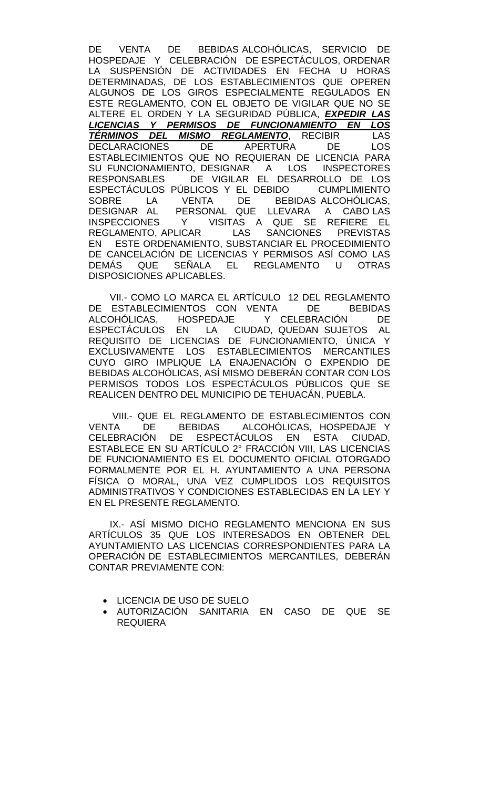DE VENTA DE BEBIDAS ALCOHÓLICAS, SERVICIO DE HOSPEDAJE Y CELEBRACIÓN DE ESPECTÁCULOS, ORDENAR LA SUSPENSIÓN DE ACTIVIDADES EN FECHA U HORAS DETERMINADAS, DE LOS ESTABLECIMIENTOS QUE OPEREN ALGUNOS DE LOS GIROS ESPECIALMENTE REGULADOS EN ESTE REGLAMENTO, CON EL OBJETO DE VIGILAR QUE NO SE ALTERE EL ORDEN Y LA SEGURIDAD PÚBLICA, *EXPEDIR LAS LICENCIAS Y PERMISOS DE FUNCIONAMIENTO EN LOS TÉRMINOS DEL MISMO REGLAMENTO*, RECIBIR LAS DECLARACIONES DE APERTURA DE LOS ESTABLECIMIENTOS QUE NO REQUIERAN DE LICENCIA PARA<br>SU FUNCIONAMIENTO. DESIGNAR A LOS INSPECTORES SU FUNCIONAMIENTO, DESIGNAR A LOS RESPONSABLES DE VIGILAR EL DESARROLLO DE LOS ESPECTÁCULOS PÚBLICOS Y EL DEBIDO CUMPLIMIENTO<br>SOBRE LA VENTA DE BEBIDAS ALCOHÓLICAS. SOBRE LA VENTA DE BEBIDAS ALCOHÓLICAS, DESIGNAR AL PERSONAL QUE LLEVARA A CABO LAS INSPECCIONES Y VISITAS A QUE SE REFIERE EL<br>REGLAMENTO APLICAR LAS SANCIONES PREVISTAS REGLAMENTO, APLICAR LAS SANCIONES PREVISTAS EN ESTE ORDENAMIENTO, SUBSTANCIAR EL PROCEDIMIENTO DE CANCELACIÓN DE LICENCIAS Y PERMISOS ASÍ COMO LAS DEMÁS QUE SEÑALA EL REGLAMENTO U OTRAS DISPOSICIONES APLICABLES.

VII.- COMO LO MARCA EL ARTÍCULO 12 DEL REGLAMENTO<br>ESTABLECIMIENTOS CON VENTA DE BEBIDAS DE ESTABLECIMIENTOS CON VENTA DE ALCOHÓLICAS, HOSPEDAJE Y CELEBRACIÓN DE ESPECTÁCULOS EN LA CIUDAD, QUEDAN SUJETOS AL REQUISITO DE LICENCIAS DE FUNCIONAMIENTO, ÚNICA Y EXCLUSIVAMENTE LOS ESTABLECIMIENTOS MERCANTILES CUYO GIRO IMPLIQUE LA ENAJENACIÓN O EXPENDIO DE BEBIDAS ALCOHÓLICAS, ASÍ MISMO DEBERÁN CONTAR CON LOS PERMISOS TODOS LOS ESPECTÁCULOS PÚBLICOS QUE SE REALICEN DENTRO DEL MUNICIPIO DE TEHUACÁN, PUEBLA.

VIII.- QUE EL REGLAMENTO DE ESTABLECIMIENTOS CON<br>FA DE BEBIDAS ALCOHÓLICAS, HOSPEDAJE Y VENTA DE BEBIDAS ALCOHÓLICAS, HOSPEDAJE Y<br>CELEBRACIÓN DE ESPECTÁCULOS EN ESTA CIUDAD. DE ESPECTÁCULOS EN ESTA CIUDAD, ESTABLECE EN SU ARTÍCULO 2° FRACCIÓN VIII, LAS LICENCIAS DE FUNCIONAMIENTO ES EL DOCUMENTO OFICIAL OTORGADO FORMALMENTE POR EL H. AYUNTAMIENTO A UNA PERSONA FÍSICA O MORAL, UNA VEZ CUMPLIDOS LOS REQUISITOS ADMINISTRATIVOS Y CONDICIONES ESTABLECIDAS EN LA LEY Y EN EL PRESENTE REGLAMENTO.

IX.- ASÍ MISMO DICHO REGLAMENTO MENCIONA EN SUS ARTÍCULOS 35 QUE LOS INTERESADOS EN OBTENER DEL AYUNTAMIENTO LAS LICENCIAS CORRESPONDIENTES PARA LA OPERACIÓN DE ESTABLECIMIENTOS MERCANTILES, DEBERÁN CONTAR PREVIAMENTE CON:

- LICENCIA DE USO DE SUELO
- AUTORIZACIÓN SANITARIA EN CASO DE QUE SE REQUIERA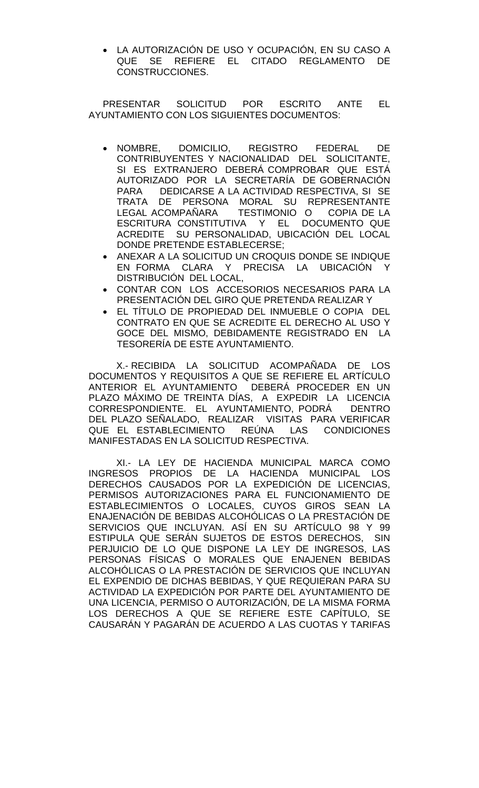• LA AUTORIZACIÓN DE USO Y OCUPACIÓN, EN SU CASO A QUE SE REFIERE EL CITADO REGLAMENTO DE CONSTRUCCIONES.

PRESENTAR SOLICITUD POR ESCRITO ANTE EL AYUNTAMIENTO CON LOS SIGUIENTES DOCUMENTOS:

- NOMBRE, DOMICILIO, REGISTRO FEDERAL DE CONTRIBUYENTES Y NACIONALIDAD DEL SOLICITANTE, SI ES EXTRANJERO DEBERÁ COMPROBAR QUE ESTÁ AUTORIZADO POR LA SECRETARÍA DE GOBERNACIÓN PARA DEDICARSE A LA ACTIVIDAD RESPECTIVA, SI SE TRATA DE PERSONA MORAL SU REPRESENTANTE<br>LEGAL-ACOMPAÑARA - TESTIMONIO O - COPIA-DE-LA LEGAL ACOMPAÑARA TESTIMONIO O ESCRITURA CONSTITUTIVA Y EL DOCUMENTO QUE ACREDITE SU PERSONALIDAD, UBICACIÓN DEL LOCAL DONDE PRETENDE ESTABLECERSE;
- ANEXAR A LA SOLICITUD UN CROQUIS DONDE SE INDIQUE EN FORMA CLARA Y PRECISA LA UBICACIÓN Y DISTRIBUCIÓN DEL LOCAL,
- CONTAR CON LOS ACCESORIOS NECESARIOS PARA LA PRESENTACIÓN DEL GIRO QUE PRETENDA REALIZAR Y
- EL TÍTULO DE PROPIEDAD DEL INMUEBLE O COPIA DEL CONTRATO EN QUE SE ACREDITE EL DERECHO AL USO Y GOCE DEL MISMO, DEBIDAMENTE REGISTRADO EN LA TESORERÍA DE ESTE AYUNTAMIENTO.

X.- RECIBIDA LA SOLICITUD ACOMPAÑADA DE LOS DOCUMENTOS Y REQUISITOS A QUE SE REFIERE EL ARTÍCULO ANTERIOR EL AYUNTAMIENTO DEBERÁ PROCEDER EN UN PLAZO MÁXIMO DE TREINTA DÍAS, A EXPEDIR LA LICENCIA CORRESPONDIENTE. EL AYUNTAMIENTO, PODRÁ DENTRO DEL PLAZO SEÑALADO, REALIZAR VISITAS PARA VERIFICAR QUE EL ESTABLECIMIENTO REÚNA LAS CONDICIONES MANIFESTADAS EN LA SOLICITUD RESPECTIVA.

XI.- LA LEY DE HACIENDA MUNICIPAL MARCA COMO INGRESOS PROPIOS DE LA HACIENDA MUNICIPAL LOS DERECHOS CAUSADOS POR LA EXPEDICIÓN DE LICENCIAS, PERMISOS AUTORIZACIONES PARA EL FUNCIONAMIENTO DE ESTABLECIMIENTOS O LOCALES, CUYOS GIROS SEAN LA ENAJENACIÓN DE BEBIDAS ALCOHÓLICAS O LA PRESTACIÓN DE SERVICIOS QUE INCLUYAN. ASÍ EN SU ARTÍCULO 98 Y 99 ESTIPULA QUE SERÁN SUJETOS DE ESTOS DERECHOS, SIN PERJUICIO DE LO QUE DISPONE LA LEY DE INGRESOS, LAS PERSONAS FÍSICAS O MORALES QUE ENAJENEN BEBIDAS ALCOHÓLICAS O LA PRESTACIÓN DE SERVICIOS QUE INCLUYAN EL EXPENDIO DE DICHAS BEBIDAS, Y QUE REQUIERAN PARA SU ACTIVIDAD LA EXPEDICIÓN POR PARTE DEL AYUNTAMIENTO DE UNA LICENCIA, PERMISO O AUTORIZACIÓN, DE LA MISMA FORMA LOS DERECHOS A QUE SE REFIERE ESTE CAPÍTULO, SE CAUSARÁN Y PAGARÁN DE ACUERDO A LAS CUOTAS Y TARIFAS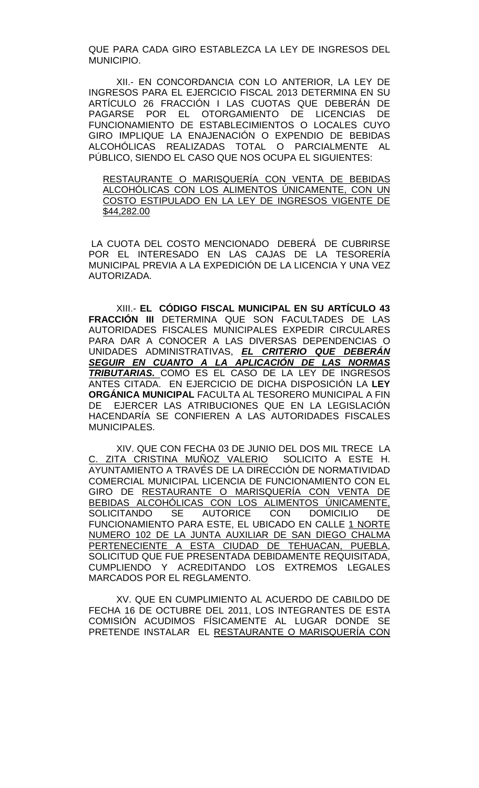QUE PARA CADA GIRO ESTABLEZCA LA LEY DE INGRESOS DEL MUNICIPIO.

XII.- EN CONCORDANCIA CON LO ANTERIOR, LA LEY DE INGRESOS PARA EL EJERCICIO FISCAL 2013 DETERMINA EN SU ARTÍCULO 26 FRACCIÓN I LAS CUOTAS QUE DEBERÁN DE PAGARSE POR EL OTORGAMIENTO DE LICENCIAS DE FUNCIONAMIENTO DE ESTABLECIMIENTOS O LOCALES CUYO GIRO IMPLIQUE LA ENAJENACIÓN O EXPENDIO DE BEBIDAS ALCOHÓLICAS REALIZADAS TOTAL O PARCIALMENTE AL PÚBLICO, SIENDO EL CASO QUE NOS OCUPA EL SIGUIENTES:

RESTAURANTE O MARISQUERÍA CON VENTA DE BEBIDAS ALCOHÓLICAS CON LOS ALIMENTOS ÚNICAMENTE, CON UN COSTO ESTIPULADO EN LA LEY DE INGRESOS VIGENTE DE \$44,282.00

LA CUOTA DEL COSTO MENCIONADO DEBERÁ DE CUBRIRSE POR EL INTERESADO EN LAS CAJAS DE LA TESORERÍA MUNICIPAL PREVIA A LA EXPEDICIÓN DE LA LICENCIA Y UNA VEZ AUTORIZADA.

XIII.- **EL CÓDIGO FISCAL MUNICIPAL EN SU ARTÍCULO 43 FRACCIÓN III** DETERMINA QUE SON FACULTADES DE LAS AUTORIDADES FISCALES MUNICIPALES EXPEDIR CIRCULARES PARA DAR A CONOCER A LAS DIVERSAS DEPENDENCIAS O UNIDADES ADMINISTRATIVAS, *EL CRITERIO QUE DEBERÁN SEGUIR EN CUANTO A LA APLICACIÓN DE LAS NORMAS TRIBUTARIAS.* COMO ES EL CASO DE LA LEY DE INGRESOS ANTES CITADA. EN EJERCICIO DE DICHA DISPOSICIÓN LA **LEY ORGÁNICA MUNICIPAL** FACULTA AL TESORERO MUNICIPAL A FIN<br>DE LEJERCER LAS ATRIBUCIONES QUE EN LA LEGISLACIÓN EJERCER LAS ATRIBUCIONES QUE EN LA LEGISLACIÓN HACENDARÍA SE CONFIEREN A LAS AUTORIDADES FISCALES MUNICIPALES.

XIV. QUE CON FECHA 03 DE JUNIO DEL DOS MIL TRECE LA C. ZITA CRISTINA MUÑOZ VALERIO SOLICITO A ESTE H. AYUNTAMIENTO A TRAVÉS DE LA DIRECCIÓN DE NORMATIVIDAD COMERCIAL MUNICIPAL LICENCIA DE FUNCIONAMIENTO CON EL GIRO DE RESTAURANTE O MARISQUERÍA CON VENTA DE BEBIDAS ALCOHÓLICAS CON LOS ALIMENTOS ÚNICAMENTE, SOLICITANDO SE AUTORICE CON DOMICILIO DE FUNCIONAMIENTO PARA ESTE, EL UBICADO EN CALLE 1 NORTE NUMERO 102 DE LA JUNTA AUXILIAR DE SAN DIEGO CHALMA PERTENECIENTE A ESTA CIUDAD DE TEHUACAN, PUEBLA, SOLICITUD QUE FUE PRESENTADA DEBIDAMENTE REQUISITADA, CUMPLIENDO Y ACREDITANDO LOS EXTREMOS LEGALES MARCADOS POR EL REGLAMENTO.

XV. QUE EN CUMPLIMIENTO AL ACUERDO DE CABILDO DE FECHA 16 DE OCTUBRE DEL 2011, LOS INTEGRANTES DE ESTA COMISIÓN ACUDIMOS FÍSICAMENTE AL LUGAR DONDE SE PRETENDE INSTALAR EL RESTAURANTE O MARISQUERÍA CON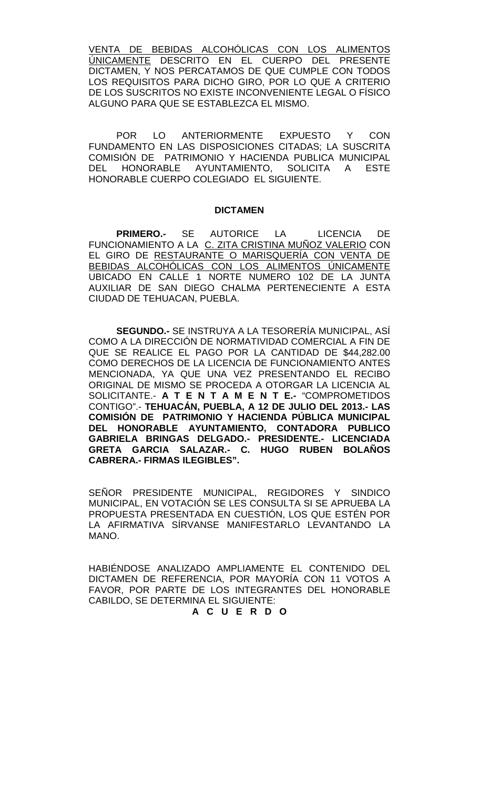VENTA DE BEBIDAS ALCOHÓLICAS CON LOS ALIMENTOS ÚNICAMENTE DESCRITO EN EL CUERPO DEL PRESENTE DICTAMEN, Y NOS PERCATAMOS DE QUE CUMPLE CON TODOS LOS REQUISITOS PARA DICHO GIRO, POR LO QUE A CRITERIO DE LOS SUSCRITOS NO EXISTE INCONVENIENTE LEGAL O FÍSICO ALGUNO PARA QUE SE ESTABLEZCA EL MISMO.

POR LO ANTERIORMENTE EXPUESTO Y CON FUNDAMENTO EN LAS DISPOSICIONES CITADAS; LA SUSCRITA COMISIÓN DE PATRIMONIO Y HACIENDA PUBLICA MUNICIPAL DEL HONORABLE AYUNTAMIENTO, SOLICITA A ESTE HONORABLE CUERPO COLEGIADO EL SIGUIENTE.

#### **DICTAMEN**

**PRIMERO.-** SE AUTORICE LA LICENCIA DE FUNCIONAMIENTO A LA C. ZITA CRISTINA MUÑOZ VALERIO CON EL GIRO DE RESTAURANTE O MARISQUERÍA CON VENTA DE BEBIDAS ALCOHÓLICAS CON LOS ALIMENTOS ÚNICAMENTE UBICADO EN CALLE 1 NORTE NUMERO 102 DE LA JUNTA AUXILIAR DE SAN DIEGO CHALMA PERTENECIENTE A ESTA CIUDAD DE TEHUACAN, PUEBLA.

**SEGUNDO.-** SE INSTRUYA A LA TESORERÍA MUNICIPAL, ASÍ COMO A LA DIRECCIÓN DE NORMATIVIDAD COMERCIAL A FIN DE QUE SE REALICE EL PAGO POR LA CANTIDAD DE \$44,282.00 COMO DERECHOS DE LA LICENCIA DE FUNCIONAMIENTO ANTES MENCIONADA, YA QUE UNA VEZ PRESENTANDO EL RECIBO ORIGINAL DE MISMO SE PROCEDA A OTORGAR LA LICENCIA AL SOLICITANTE.- **A T E N T A M E N T E.-** "COMPROMETIDOS CONTIGO".- **TEHUACÁN, PUEBLA, A 12 DE JULIO DEL 2013.- LAS COMISIÓN DE PATRIMONIO Y HACIENDA PÚBLICA MUNICIPAL DEL HONORABLE AYUNTAMIENTO, CONTADORA PUBLICO GABRIELA BRINGAS DELGADO.- PRESIDENTE.- LICENCIADA GRETA GARCIA SALAZAR.- C. HUGO RUBEN BOLAÑOS CABRERA.- FIRMAS ILEGIBLES".**

SEÑOR PRESIDENTE MUNICIPAL, REGIDORES Y SINDICO MUNICIPAL, EN VOTACIÓN SE LES CONSULTA SI SE APRUEBA LA PROPUESTA PRESENTADA EN CUESTIÓN, LOS QUE ESTÉN POR LA AFIRMATIVA SÍRVANSE MANIFESTARLO LEVANTANDO LA MANO.

HABIÉNDOSE ANALIZADO AMPLIAMENTE EL CONTENIDO DEL DICTAMEN DE REFERENCIA, POR MAYORÍA CON 11 VOTOS A FAVOR, POR PARTE DE LOS INTEGRANTES DEL HONORABLE CABILDO, SE DETERMINA EL SIGUIENTE:

**A C U E R D O**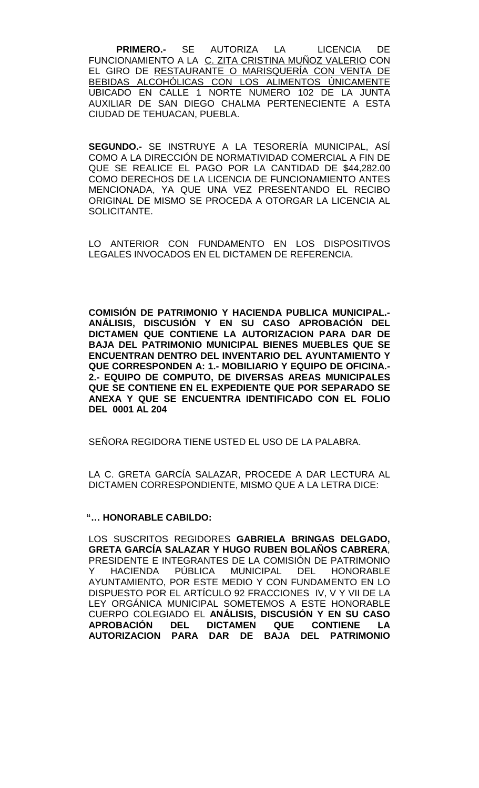**PRIMERO.-** SE AUTORIZA LA LICENCIA DE FUNCIONAMIENTO A LA C. ZITA CRISTINA MUÑOZ VALERIO CON EL GIRO DE RESTAURANTE O MARISQUERÍA CON VENTA DE BEBIDAS ALCOHÓLICAS CON LOS ALIMENTOS ÚNICAMENTE UBICADO EN CALLE 1 NORTE NUMERO 102 DE LA JUNTA AUXILIAR DE SAN DIEGO CHALMA PERTENECIENTE A ESTA CIUDAD DE TEHUACAN, PUEBLA.

**SEGUNDO.-** SE INSTRUYE A LA TESORERÍA MUNICIPAL, ASÍ COMO A LA DIRECCIÓN DE NORMATIVIDAD COMERCIAL A FIN DE QUE SE REALICE EL PAGO POR LA CANTIDAD DE \$44,282.00 COMO DERECHOS DE LA LICENCIA DE FUNCIONAMIENTO ANTES MENCIONADA, YA QUE UNA VEZ PRESENTANDO EL RECIBO ORIGINAL DE MISMO SE PROCEDA A OTORGAR LA LICENCIA AL SOLICITANTE.

LO ANTERIOR CON FUNDAMENTO EN LOS DISPOSITIVOS LEGALES INVOCADOS EN EL DICTAMEN DE REFERENCIA.

**COMISIÓN DE PATRIMONIO Y HACIENDA PUBLICA MUNICIPAL.- ANÁLISIS, DISCUSIÓN Y EN SU CASO APROBACIÓN DEL DICTAMEN QUE CONTIENE LA AUTORIZACION PARA DAR DE BAJA DEL PATRIMONIO MUNICIPAL BIENES MUEBLES QUE SE ENCUENTRAN DENTRO DEL INVENTARIO DEL AYUNTAMIENTO Y QUE CORRESPONDEN A: 1.- MOBILIARIO Y EQUIPO DE OFICINA.- 2.- EQUIPO DE COMPUTO, DE DIVERSAS AREAS MUNICIPALES QUE SE CONTIENE EN EL EXPEDIENTE QUE POR SEPARADO SE ANEXA Y QUE SE ENCUENTRA IDENTIFICADO CON EL FOLIO DEL 0001 AL 204**

SEÑORA REGIDORA TIENE USTED EL USO DE LA PALABRA.

LA C. GRETA GARCÍA SALAZAR, PROCEDE A DAR LECTURA AL DICTAMEN CORRESPONDIENTE, MISMO QUE A LA LETRA DICE:

## **"… HONORABLE CABILDO:**

LOS SUSCRITOS REGIDORES **GABRIELA BRINGAS DELGADO, GRETA GARCÍA SALAZAR Y HUGO RUBEN BOLAÑOS CABRERA**, PRESIDENTE E INTEGRANTES DE LA COMISIÓN DE PATRIMONIO Y HACIENDA PÚBLICA MUNICIPAL DEL HONORABLE AYUNTAMIENTO, POR ESTE MEDIO Y CON FUNDAMENTO EN LO DISPUESTO POR EL ARTÍCULO 92 FRACCIONES IV, V Y VII DE LA LEY ORGÁNICA MUNICIPAL SOMETEMOS A ESTE HONORABLE CUERPO COLEGIADO EL **ANÁLISIS, DISCUSIÓN Y EN SU CASO APROBACIÓN DEL DICTAMEN QUE CONTIENE LA AUTORIZACION PARA DAR DE BAJA DEL PATRIMONIO**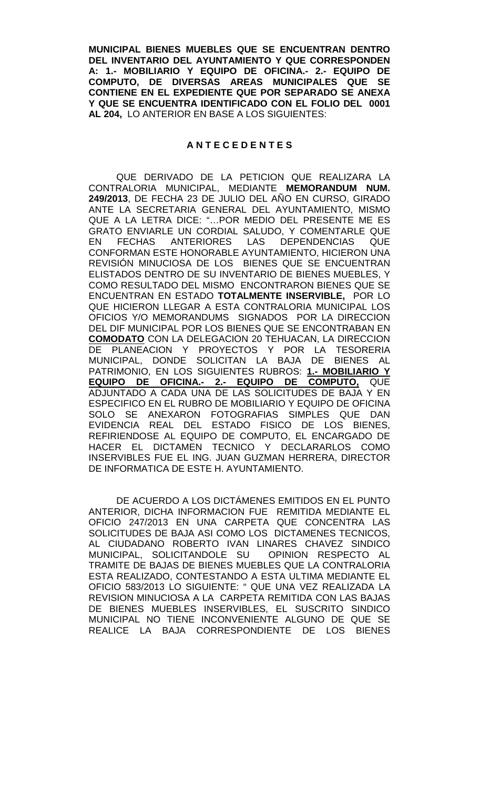**MUNICIPAL BIENES MUEBLES QUE SE ENCUENTRAN DENTRO DEL INVENTARIO DEL AYUNTAMIENTO Y QUE CORRESPONDEN A: 1.- MOBILIARIO Y EQUIPO DE OFICINA.- 2.- EQUIPO DE COMPUTO, DE DIVERSAS AREAS MUNICIPALES QUE SE CONTIENE EN EL EXPEDIENTE QUE POR SEPARADO SE ANEXA Y QUE SE ENCUENTRA IDENTIFICADO CON EL FOLIO DEL 0001 AL 204,** LO ANTERIOR EN BASE A LOS SIGUIENTES:

## **A N T E C E D E N T E S**

QUE DERIVADO DE LA PETICION QUE REALIZARA LA CONTRALORIA MUNICIPAL, MEDIANTE **MEMORANDUM NUM. 249/2013**, DE FECHA 23 DE JULIO DEL AÑO EN CURSO, GIRADO ANTE LA SECRETARIA GENERAL DEL AYUNTAMIENTO, MISMO QUE A LA LETRA DICE: "…POR MEDIO DEL PRESENTE ME ES GRATO ENVIARLE UN CORDIAL SALUDO, Y COMENTARLE QUE<br>EN FECHAS ANTERIORES LAS DEPENDENCIAS QUE EN FECHAS ANTERIORES LAS DEPENDENCIAS QUE CONFORMAN ESTE HONORABLE AYUNTAMIENTO, HICIERON UNA REVISIÓN MINUCIOSA DE LOS BIENES QUE SE ENCUENTRAN ELISTADOS DENTRO DE SU INVENTARIO DE BIENES MUEBLES, Y COMO RESULTADO DEL MISMO ENCONTRARON BIENES QUE SE ENCUENTRAN EN ESTADO **TOTALMENTE INSERVIBLE,** POR LO QUE HICIERON LLEGAR A ESTA CONTRALORIA MUNICIPAL LOS OFICIOS Y/O MEMORANDUMS SIGNADOS POR LA DIRECCION DEL DIF MUNICIPAL POR LOS BIENES QUE SE ENCONTRABAN EN **COMODATO** CON LA DELEGACION 20 TEHUACAN, LA DIRECCION DE PLANEACION Y PROYECTOS Y POR LA TESORERIA MUNICIPAL, DONDE SOLICITAN LA BAJA DE BIENES AL PATRIMONIO, EN LOS SIGUIENTES RUBROS: **1.- MOBILIARIO Y EQUIPO DE OFICINA.- 2.- EQUIPO DE COMPUTO,** QUE ADJUNTADO A CADA UNA DE LAS SOLICITUDES DE BAJA Y EN ESPECIFICO EN EL RUBRO DE MOBILIARIO Y EQUIPO DE OFICINA SOLO SE ANEXARON FOTOGRAFIAS SIMPLES QUE DAN EVIDENCIA REAL DEL ESTADO FISICO DE LOS BIENES, REFIRIENDOSE AL EQUIPO DE COMPUTO, EL ENCARGADO DE HACER EL DICTAMEN TECNICO Y DECLARARLOS COMO INSERVIBLES FUE EL ING. JUAN GUZMAN HERRERA, DIRECTOR DE INFORMATICA DE ESTE H. AYUNTAMIENTO.

DE ACUERDO A LOS DICTÁMENES EMITIDOS EN EL PUNTO ANTERIOR, DICHA INFORMACION FUE REMITIDA MEDIANTE EL OFICIO 247/2013 EN UNA CARPETA QUE CONCENTRA LAS SOLICITUDES DE BAJA ASI COMO LOS DICTAMENES TECNICOS, AL CIUDADANO ROBERTO IVAN LINARES CHAVEZ SINDICO MUNICIPAL, SOLICITANDOLE SU OPINION RESPECTO AL TRAMITE DE BAJAS DE BIENES MUEBLES QUE LA CONTRALORIA ESTA REALIZADO, CONTESTANDO A ESTA ULTIMA MEDIANTE EL OFICIO 583/2013 LO SIGUIENTE: " QUE UNA VEZ REALIZADA LA REVISION MINUCIOSA A LA CARPETA REMITIDA CON LAS BAJAS DE BIENES MUEBLES INSERVIBLES, EL SUSCRITO SINDICO MUNICIPAL NO TIENE INCONVENIENTE ALGUNO DE QUE SE REALICE LA BAJA CORRESPONDIENTE DE LOS BIENES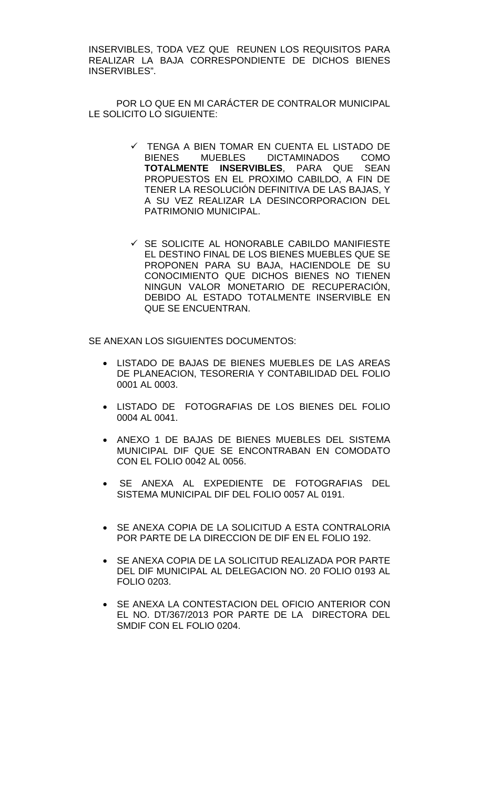INSERVIBLES, TODA VEZ QUE REUNEN LOS REQUISITOS PARA REALIZAR LA BAJA CORRESPONDIENTE DE DICHOS BIENES INSERVIBLES".

POR LO QUE EN MI CARÁCTER DE CONTRALOR MUNICIPAL LE SOLICITO LO SIGUIENTE:

- TENGA A BIEN TOMAR EN CUENTA EL LISTADO DE<br>BIENES MUEBLES DICTAMINADOS COMO BIENES MUEBLES DICTAMINADOS **TOTALMENTE INSERVIBLES**, PARA QUE SEAN PROPUESTOS EN EL PROXIMO CABILDO, A FIN DE TENER LA RESOLUCIÓN DEFINITIVA DE LAS BAJAS, Y A SU VEZ REALIZAR LA DESINCORPORACION DEL PATRIMONIO MUNICIPAL.
- $\checkmark$  SE SOLICITE AL HONORABLE CABILDO MANIFIESTE EL DESTINO FINAL DE LOS BIENES MUEBLES QUE SE PROPONEN PARA SU BAJA, HACIENDOLE DE SU CONOCIMIENTO QUE DICHOS BIENES NO TIENEN NINGUN VALOR MONETARIO DE RECUPERACIÓN, DEBIDO AL ESTADO TOTALMENTE INSERVIBLE EN QUE SE ENCUENTRAN.

SE ANEXAN LOS SIGUIENTES DOCUMENTOS:

- LISTADO DE BAJAS DE BIENES MUEBLES DE LAS AREAS DE PLANEACION, TESORERIA Y CONTABILIDAD DEL FOLIO 0001 AL 0003.
- LISTADO DE FOTOGRAFIAS DE LOS BIENES DEL FOLIO 0004 AL 0041.
- ANEXO 1 DE BAJAS DE BIENES MUEBLES DEL SISTEMA MUNICIPAL DIF QUE SE ENCONTRABAN EN COMODATO CON EL FOLIO 0042 AL 0056.
- SE ANEXA AL EXPEDIENTE DE FOTOGRAFIAS DEL SISTEMA MUNICIPAL DIF DEL FOLIO 0057 AL 0191.
- SE ANEXA COPIA DE LA SOLICITUD A ESTA CONTRALORIA POR PARTE DE LA DIRECCION DE DIF EN EL FOLIO 192.
- SE ANEXA COPIA DE LA SOLICITUD REALIZADA POR PARTE DEL DIF MUNICIPAL AL DELEGACION NO. 20 FOLIO 0193 AL FOLIO 0203.
- SE ANEXA LA CONTESTACION DEL OFICIO ANTERIOR CON EL NO. DT/367/2013 POR PARTE DE LA DIRECTORA DEL SMDIF CON EL FOLIO 0204.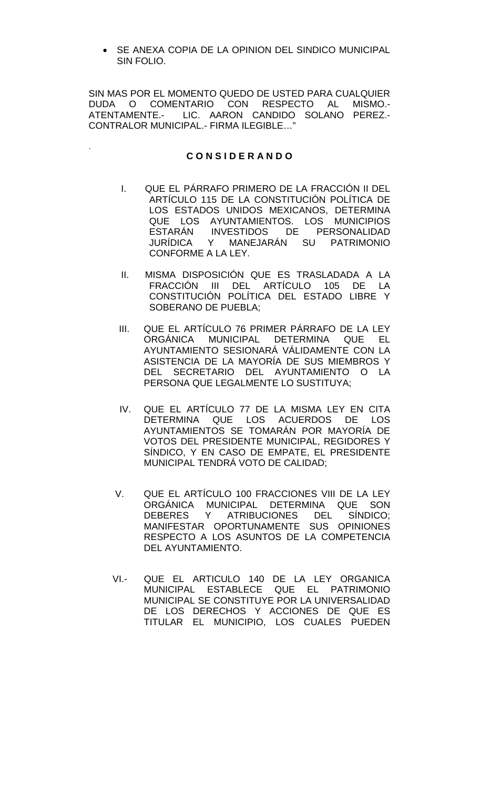• SE ANEXA COPIA DE LA OPINION DEL SINDICO MUNICIPAL SIN FOLIO.

SIN MAS POR EL MOMENTO QUEDO DE USTED PARA CUALQUIER DUDA O COMENTARIO CON RESPECTO AL MISMO.- ATENTAMENTE.- LIC. AARON CANDIDO SOLANO PEREZ.- CONTRALOR MUNICIPAL.- FIRMA ILEGIBLE…"

## **C O N S I D E R A N D O**

.

- I. QUE EL PÁRRAFO PRIMERO DE LA FRACCIÓN II DEL ARTÍCULO 115 DE LA CONSTITUCIÓN POLÍTICA DE LOS ESTADOS UNIDOS MEXICANOS, DETERMINA QUE LOS AYUNTAMIENTOS. LOS MUNICIPIOS ESTARÁN INVESTIDOS DE PERSONALIDAD JURÍDICA Y MANEJARÁN SU PATRIMONIO CONFORME A LA LEY.
- II. MISMA DISPOSICIÓN QUE ES TRASLADADA A LA FRACCIÓN III DEL ARTÍCULO 105 DE LA CONSTITUCIÓN POLÍTICA DEL ESTADO LIBRE Y SOBERANO DE PUEBLA;
- III. QUE EL ARTÍCULO 76 PRIMER PÁRRAFO DE LA LEY ORGÁNICA MUNICIPAL DETERMINA QUE EL AYUNTAMIENTO SESIONARÁ VÁLIDAMENTE CON LA ASISTENCIA DE LA MAYORÍA DE SUS MIEMBROS Y DEL SECRETARIO DEL AYUNTAMIENTO O LA PERSONA QUE LEGALMENTE LO SUSTITUYA;
- IV. QUE EL ARTÍCULO 77 DE LA MISMA LEY EN CITA DETERMINA QUE LOS ACUERDOS DE LOS AYUNTAMIENTOS SE TOMARÁN POR MAYORÍA DE VOTOS DEL PRESIDENTE MUNICIPAL, REGIDORES Y SÍNDICO, Y EN CASO DE EMPATE, EL PRESIDENTE MUNICIPAL TENDRÁ VOTO DE CALIDAD;
- V. QUE EL ARTÍCULO 100 FRACCIONES VIII DE LA LEY ORGÁNICA MUNICIPAL DETERMINA QUE SON DEBERES Y ATRIBUCIONES DEL SÍNDICO; MANIFESTAR OPORTUNAMENTE SUS OPINIONES RESPECTO A LOS ASUNTOS DE LA COMPETENCIA DEL AYUNTAMIENTO.
- VI.- QUE EL ARTICULO 140 DE LA LEY ORGANICA MUNICIPAL ESTABLECE QUE EL PATRIMONIO MUNICIPAL SE CONSTITUYE POR LA UNIVERSALIDAD DE LOS DERECHOS Y ACCIONES DE QUE ES TITULAR EL MUNICIPIO, LOS CUALES PUEDEN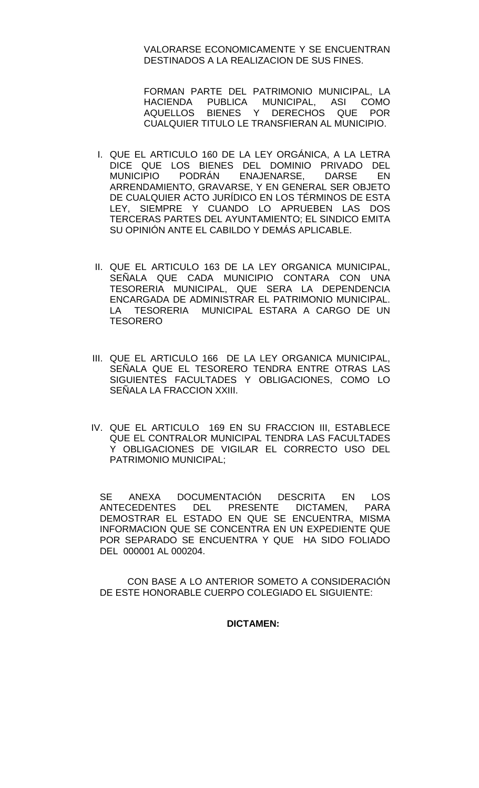VALORARSE ECONOMICAMENTE Y SE ENCUENTRAN DESTINADOS A LA REALIZACION DE SUS FINES.

 FORMAN PARTE DEL PATRIMONIO MUNICIPAL, LA HACIENDA PUBLICA MUNICIPAL, ASI COMO AQUELLOS BIENES Y DERECHOS QUE POR CUALQUIER TITULO LE TRANSFIERAN AL MUNICIPIO.

- I. QUE EL ARTICULO 160 DE LA LEY ORGÁNICA, A LA LETRA DICE QUE LOS BIENES DEL DOMINIO PRIVADO DEL<br>MUNICIPIO PODRÁN ENAJENARSE. DARSE EN ENAJENARSE. DARSE EN ARRENDAMIENTO, GRAVARSE, Y EN GENERAL SER OBJETO DE CUALQUIER ACTO JURÍDICO EN LOS TÉRMINOS DE ESTA LEY, SIEMPRE Y CUANDO LO APRUEBEN LAS DOS TERCERAS PARTES DEL AYUNTAMIENTO; EL SINDICO EMITA SU OPINIÓN ANTE EL CABILDO Y DEMÁS APLICABLE.
- II. QUE EL ARTICULO 163 DE LA LEY ORGANICA MUNICIPAL, SEÑALA QUE CADA MUNICIPIO CONTARA CON UNA TESORERIA MUNICIPAL, QUE SERA LA DEPENDENCIA ENCARGADA DE ADMINISTRAR EL PATRIMONIO MUNICIPAL. LA TESORERIA MUNICIPAL ESTARA A CARGO DE UN **TESORERO**
- III. QUE EL ARTICULO 166 DE LA LEY ORGANICA MUNICIPAL, SEÑALA QUE EL TESORERO TENDRA ENTRE OTRAS LAS SIGUIENTES FACULTADES Y OBLIGACIONES, COMO LO SEÑALA LA FRACCION XXIII.
- IV. QUE EL ARTICULO 169 EN SU FRACCION III, ESTABLECE QUE EL CONTRALOR MUNICIPAL TENDRA LAS FACULTADES Y OBLIGACIONES DE VIGILAR EL CORRECTO USO DEL PATRIMONIO MUNICIPAL;

SE ANEXA DOCUMENTACIÓN DESCRITA EN LOS<br>ANTECEDENTES DEL PRESENTE DICTAMEN. PARA ANTECEDENTES DEL PRESENTE DICTAMEN, DEMOSTRAR EL ESTADO EN QUE SE ENCUENTRA, MISMA INFORMACION QUE SE CONCENTRA EN UN EXPEDIENTE QUE POR SEPARADO SE ENCUENTRA Y QUE HA SIDO FOLIADO DEL 000001 AL 000204.

CON BASE A LO ANTERIOR SOMETO A CONSIDERACIÓN DE ESTE HONORABLE CUERPO COLEGIADO EL SIGUIENTE:

## **DICTAMEN:**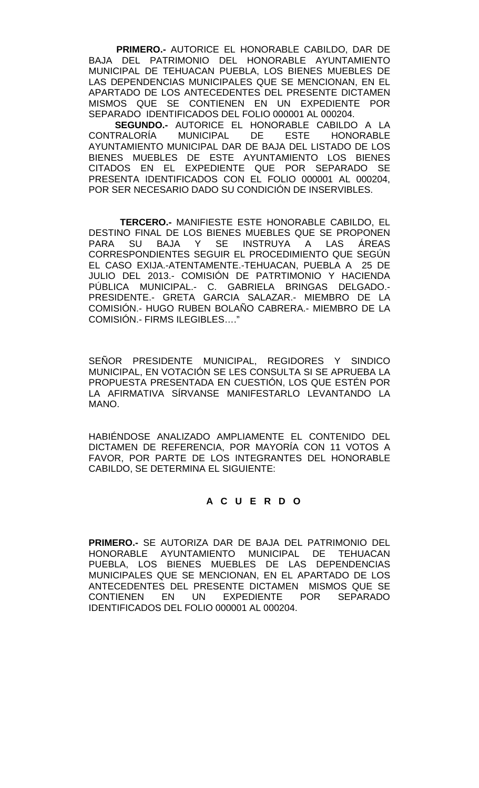**PRIMERO.-** AUTORICE EL HONORABLE CABILDO, DAR DE BAJA DEL PATRIMONIO DEL HONORABLE AYUNTAMIENTO MUNICIPAL DE TEHUACAN PUEBLA, LOS BIENES MUEBLES DE LAS DEPENDENCIAS MUNICIPALES QUE SE MENCIONAN, EN EL APARTADO DE LOS ANTECEDENTES DEL PRESENTE DICTAMEN MISMOS QUE SE CONTIENEN EN UN EXPEDIENTE POR SEPARADO IDENTIFICADOS DEL FOLIO 000001 AL 000204.

**SEGUNDO.-** AUTORICE EL HONORABLE CABILDO A LA<br>CONTRALORÍA MUNICIPAL DE ESTE HONORABLE MUNICIPAL DE ESTE HONORABLE AYUNTAMIENTO MUNICIPAL DAR DE BAJA DEL LISTADO DE LOS BIENES MUEBLES DE ESTE AYUNTAMIENTO LOS BIENES CITADOS EN EL EXPEDIENTE QUE POR SEPARADO SE PRESENTA IDENTIFICADOS CON EL FOLIO 000001 AL 000204, POR SER NECESARIO DADO SU CONDICIÓN DE INSERVIBLES.

 **TERCERO.-** MANIFIESTE ESTE HONORABLE CABILDO, EL DESTINO FINAL DE LOS BIENES MUEBLES QUE SE PROPONEN PARA SU BAJA Y SE INSTRUYA A LAS ÁREAS CORRESPONDIENTES SEGUIR EL PROCEDIMIENTO QUE SEGÚN EL CASO EXIJA.-ATENTAMENTE.-TEHUACAN, PUEBLA A 25 DE JULIO DEL 2013.- COMISIÓN DE PATRTIMONIO Y HACIENDA PÚBLICA MUNICIPAL.- C. GABRIELA BRINGAS DELGADO.- PRESIDENTE.- GRETA GARCIA SALAZAR.- MIEMBRO DE LA COMISIÓN.- HUGO RUBEN BOLAÑO CABRERA.- MIEMBRO DE LA COMISIÓN.- FIRMS ILEGIBLES…."

SEÑOR PRESIDENTE MUNICIPAL, REGIDORES Y SINDICO MUNICIPAL, EN VOTACIÓN SE LES CONSULTA SI SE APRUEBA LA PROPUESTA PRESENTADA EN CUESTIÓN, LOS QUE ESTÉN POR LA AFIRMATIVA SÍRVANSE MANIFESTARLO LEVANTANDO LA MANO.

HABIÉNDOSE ANALIZADO AMPLIAMENTE EL CONTENIDO DEL DICTAMEN DE REFERENCIA, POR MAYORÍA CON 11 VOTOS A FAVOR, POR PARTE DE LOS INTEGRANTES DEL HONORABLE CABILDO, SE DETERMINA EL SIGUIENTE:

# **A C U E R D O**

**PRIMERO.-** SE AUTORIZA DAR DE BAJA DEL PATRIMONIO DEL HONORABLE AYUNTAMIENTO MUNICIPAL DE TEHUACAN PUEBLA, LOS BIENES MUEBLES DE LAS DEPENDENCIAS MUNICIPALES QUE SE MENCIONAN, EN EL APARTADO DE LOS ANTECEDENTES DEL PRESENTE DICTAMEN MISMOS QUE SE CONTIENEN EN UN EXPEDIENTE POR SEPARADO IDENTIFICADOS DEL FOLIO 000001 AL 000204.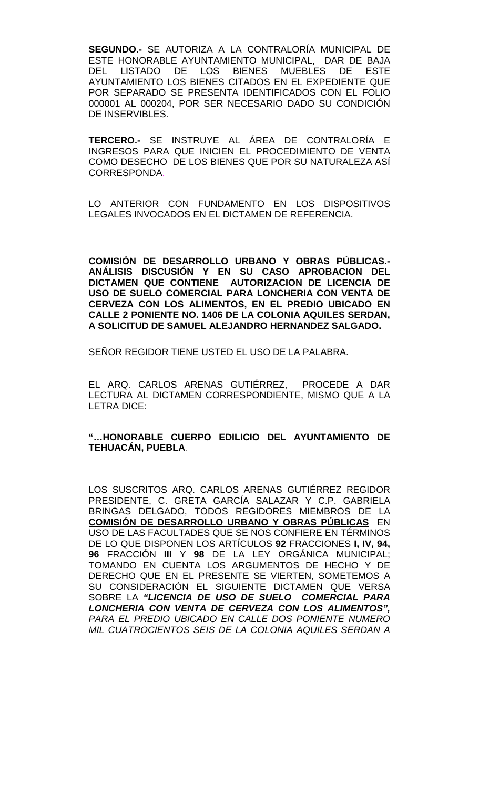**SEGUNDO.-** SE AUTORIZA A LA CONTRALORÍA MUNICIPAL DE ESTE HONORABLE AYUNTAMIENTO MUNICIPAL, DAR DE BAJA<br>DEL LISTADO DE LOS BIENES MUEBLES DE ESTE DEL LISTADO DE LOS BIENES MUEBLES DE ESTE AYUNTAMIENTO LOS BIENES CITADOS EN EL EXPEDIENTE QUE POR SEPARADO SE PRESENTA IDENTIFICADOS CON EL FOLIO 000001 AL 000204, POR SER NECESARIO DADO SU CONDICIÓN DE INSERVIBLES.

**TERCERO.-** SE INSTRUYE AL ÁREA DE CONTRALORÍA E INGRESOS PARA QUE INICIEN EL PROCEDIMIENTO DE VENTA COMO DESECHO DE LOS BIENES QUE POR SU NATURALEZA ASÍ CORRESPONDA.

LO ANTERIOR CON FUNDAMENTO EN LOS DISPOSITIVOS LEGALES INVOCADOS EN EL DICTAMEN DE REFERENCIA.

**COMISIÓN DE DESARROLLO URBANO Y OBRAS PÚBLICAS.- ANÁLISIS DISCUSIÓN Y EN SU CASO APROBACION DEL DICTAMEN QUE CONTIENE AUTORIZACION DE LICENCIA DE USO DE SUELO COMERCIAL PARA LONCHERIA CON VENTA DE CERVEZA CON LOS ALIMENTOS, EN EL PREDIO UBICADO EN CALLE 2 PONIENTE NO. 1406 DE LA COLONIA AQUILES SERDAN, A SOLICITUD DE SAMUEL ALEJANDRO HERNANDEZ SALGADO.**

SEÑOR REGIDOR TIENE USTED EL USO DE LA PALABRA.

EL ARQ. CARLOS ARENAS GUTIÉRREZ, PROCEDE A DAR LECTURA AL DICTAMEN CORRESPONDIENTE, MISMO QUE A LA LETRA DICE:

## **"…HONORABLE CUERPO EDILICIO DEL AYUNTAMIENTO DE TEHUACÁN, PUEBLA**.

LOS SUSCRITOS ARQ. CARLOS ARENAS GUTIÉRREZ REGIDOR PRESIDENTE, C. GRETA GARCÍA SALAZAR Y C.P. GABRIELA BRINGAS DELGADO, TODOS REGIDORES MIEMBROS DE LA **COMISIÓN DE DESARROLLO URBANO Y OBRAS PÚBLICAS** EN USO DE LAS FACULTADES QUE SE NOS CONFIERE EN TÉRMINOS DE LO QUE DISPONEN LOS ARTÍCULOS **92** FRACCIONES **I, IV, 94, 96** FRACCIÓN **III** Y **98** DE LA LEY ORGÁNICA MUNICIPAL; TOMANDO EN CUENTA LOS ARGUMENTOS DE HECHO Y DE DERECHO QUE EN EL PRESENTE SE VIERTEN, SOMETEMOS A SU CONSIDERACIÓN EL SIGUIENTE DICTAMEN QUE VERSA SOBRE LA *"LICENCIA DE USO DE SUELO COMERCIAL PARA LONCHERIA CON VENTA DE CERVEZA CON LOS ALIMENTOS", PARA EL PREDIO UBICADO EN CALLE DOS PONIENTE NUMERO MIL CUATROCIENTOS SEIS DE LA COLONIA AQUILES SERDAN A*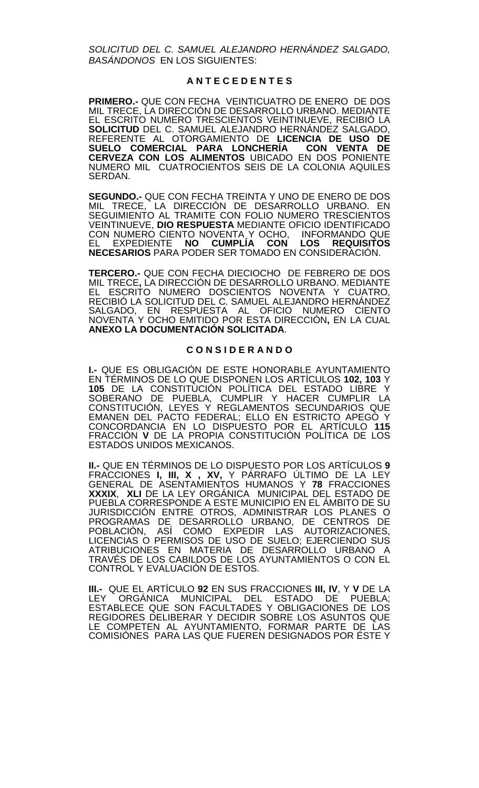*SOLICITUD DEL C. SAMUEL ALEJANDRO HERNÁNDEZ SALGADO, BASÁNDONOS* EN LOS SIGUIENTES:

### **A N T E C E D E N T E S**

**PRIMERO.-** QUE CON FECHA VEINTICUATRO DE ENERO DE DOS MIL TRECE, LA DIRECCIÓN DE DESARROLLO URBANO. MEDIANTE EL ESCRITO NUMERO TRESCIENTOS VEINTINUEVE, RECIBIÓ LA **SOLICITUD** DEL C. SAMUEL ALEJANDRO HERNÁNDEZ SALGADO, REFERENTE AL OTORGAMIENTO DE **LICENCIA DE USO DE**  SUELO COMERCIAL PARA LONCHERÍA **CERVEZA CON LOS ALIMENTOS** UBICADO EN DOS PONIENTE NUMERO MIL CUATROCIENTOS SEIS DE LA COLONIA AQUILES SERDAN.

**SEGUNDO.-** QUE CON FECHA TREINTA Y UNO DE ENERO DE DOS MIL TRECE, LA DIRECCIÓN DE DESARROLLO URBANO. EN SEGUIMIENTO AL TRAMITE CON FOLIO NUMERO TRESCIENTOS VEINTINUEVE, **DIO RESPUESTA** MEDIANTE OFICIO IDENTIFICADO CON NUMERO CIENTO NOVENTA Y OCHO, INFORMANDO QUE EL EXPEDIENTE **NO CUMPLÍA CON LOS REQUISITOS NECESARIOS** PARA PODER SER TOMADO EN CONSIDERACIÓN.

**TERCERO.-** QUE CON FECHA DIECIOCHO DE FEBRERO DE DOS MIL TRECE**,** LA DIRECCIÓN DE DESARROLLO URBANO. MEDIANTE EL ESCRITO NUMERO DOSCIENTOS NOVENTA Y CUATRO, RECIBIÓ LA SOLICITUD DEL C. SAMUEL ALEJANDRO HERNÁNDEZ SALGADO, EN RESPUESTA AL OFICIO NUMERO CIENTO NOVENTA Y OCHO EMITIDO POR ESTA DIRECCIÓN**,** EN LA CUAL **ANEXO LA DOCUMENTACIÓN SOLICITADA**.

### **C O N S I D E R A N D O**

**I.-** QUE ES OBLIGACIÓN DE ESTE HONORABLE AYUNTAMIENTO EN TÉRMINOS DE LO QUE DISPONEN LOS ARTÍCULOS **102, 103** Y **105** DE LA CONSTITUCIÓN POLÍTICA DEL ESTADO LIBRE Y SOBERANO DE PUEBLA, CUMPLIR Y HACER CUMPLIR LA CONSTITUCIÓN, LEYES Y REGLAMENTOS SECUNDARIOS QUE EMANEN DEL PACTO FEDERAL; ELLO EN ESTRICTO APEGO Y CONCORDANCIA EN LO DISPUESTO POR EL ARTÍCULO **115**  FRACCIÓN **V** DE LA PROPIA CONSTITUCIÓN POLÍTICA DE LOS ESTADOS UNIDOS MEXICANOS.

**II.-** QUE EN TÉRMINOS DE LO DISPUESTO POR LOS ARTÍCULOS **9**  FRACCIONES **I, III, X , XV,** Y PÁRRAFO ÚLTIMO DE LA LEY GENERAL DE ASENTAMIENTOS HUMANOS Y **78** FRACCIONES **XXXIX**, **XLI** DE LA LEY ORGÁNICA MUNICIPAL DEL ESTADO DE PUEBLA CORRESPONDE A ESTE MUNICIPIO EN EL ÁMBITO DE SU JURISDICCIÓN ENTRE OTROS, ADMINISTRAR LOS PLANES O PROGRAMAS DE DESARROLLO URBANO, DE CENTROS DE POBLACIÓN, ASÍ COMO EXPEDIR LAS AUTORIZACIONES, LICENCIAS O PERMISOS DE USO DE SUELO; EJERCIENDO SUS ATRIBUCIONES EN MATERIA DE DESARROLLO URBANO A TRAVÉS DE LOS CABILDOS DE LOS AYUNTAMIENTOS O CON EL CONTROL Y EVALUACIÓN DE ESTOS.

**III.-** QUE EL ARTÍCULO **92** EN SUS FRACCIONES **III, IV**, Y **V** DE LA LEY ORGÁNICA MUNICIPAL DEL ESTADO DE PUEBLA; ESTABLECE QUE SON FACULTADES Y OBLIGACIONES DE LOS REGIDORES DELIBERAR Y DECIDIR SOBRE LOS ASUNTOS QUE LE COMPETEN AL AYUNTAMIENTO, FORMAR PARTE DE LAS COMISIÓNES PARA LAS QUE FUEREN DESIGNADOS POR ÉSTE Y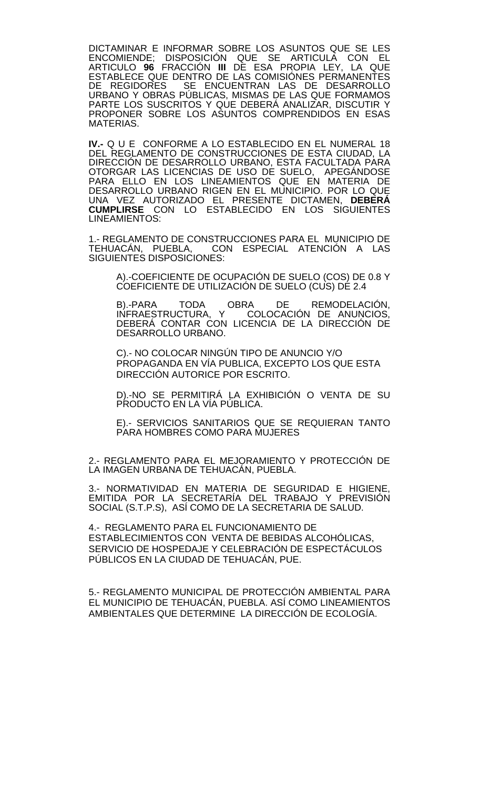DICTAMINAR E INFORMAR SOBRE LOS ASUNTOS QUE SE LES ENCOMIENDE; DISPOSICIÓN QUE SE ARTICULA CON EL ARTICULO **96** FRACCIÓN **III** DE ESA PROPIA LEY, LA QUE ESTABLECE QUE DENTRO DE LAS COMISIÓNES PERMANENTES DE REGIDORES SE ENCUENTRAN LAS DE DESARROLLO URBANO Y OBRAS PÚBLICAS, MISMAS DE LAS QUE FORMAMOS PARTE LOS SUSCRITOS Y QUE DEBERÁ ANALIZAR, DISCUTIR Y PROPONER SOBRE LOS ASUNTOS COMPRENDIDOS EN ESAS MATERIAS.

**IV.-** Q U E CONFORME A LO ESTABLECIDO EN EL NUMERAL 18 DEL REGLAMENTO DE CONSTRUCCIONES DE ESTA CIUDAD, LA DIRECCIÓN DE DESARROLLO URBANO, ESTA FACULTADA PARA OTORGAR LAS LICENCIAS DE USO DE SUELO, APEGÁNDOSE PARA ELLO EN LOS LINEAMIENTOS QUE EN MATERIA DE DESARROLLO URBANO RIGEN EN EL MUNICIPIO. POR LO QUE UNA VEZ AUTORIZADO EL PRESENTE DICTAMEN, **DEBERÁ CUMPLIRSE** CON LO ESTABLECIDO EN LOS SIGUIENTES LINEAMIENTOS:

1.- REGLAMENTO DE CONSTRUCCIONES PARA EL MUNICIPIO DE CON ESPECIAL ATENCIÓN A LAS TEHUACÁN, PUEBLA, CO<br>SIGUIENTES DISPOSICIONES:

A).-COEFICIENTE DE OCUPACIÓN DE SUELO (COS) DE 0.8 Y COEFICIENTE DE UTILIZACIÓN DE SUELO (CUS) DE 2.4

B).-PARA TODA OBRA DE REMODELACIÓN, INFRAESTRUCTURA, Y COLOCACIÓN DE ANUNCIOS, DEBERÁ CONTAR CON LICENCIA DE LA DIRECCIÓN DE DESARROLLO URBANO.

C).- NO COLOCAR NINGÚN TIPO DE ANUNCIO Y/O PROPAGANDA EN VÍA PUBLICA, EXCEPTO LOS QUE ESTA DIRECCIÓN AUTORICE POR ESCRITO.

D).-NO SE PERMITIRÁ LA EXHIBICIÓN O VENTA DE SU PRODUCTO EN LA VÍA PÚBLICA.

E).- SERVICIOS SANITARIOS QUE SE REQUIERAN TANTO PARA HOMBRES COMO PARA MUJERES

2.- REGLAMENTO PARA EL MEJORAMIENTO Y PROTECCIÓN DE LA IMAGEN URBANA DE TEHUACÁN, PUEBLA.

3.- NORMATIVIDAD EN MATERIA DE SEGURIDAD E HIGIENE,<br>EMITIDA POR LA SECRETARÍA DEL TRABAJO Y PREVISIÓN SOCIAL (S.T.P.S), ASÍ COMO DE LA SECRETARIA DE SALUD.

4.- REGLAMENTO PARA EL FUNCIONAMIENTO DE ESTABLECIMIENTOS CON VENTA DE BEBIDAS ALCOHÓLICAS, SERVICIO DE HOSPEDAJE Y CELEBRACIÓN DE ESPECTÁCULOS PÚBLICOS EN LA CIUDAD DE TEHUACÁN, PUE.

5.- REGLAMENTO MUNICIPAL DE PROTECCIÓN AMBIENTAL PARA EL MUNICIPIO DE TEHUACÁN, PUEBLA. ASÍ COMO LINEAMIENTOS AMBIENTALES QUE DETERMINE LA DIRECCIÓN DE ECOLOGÍA.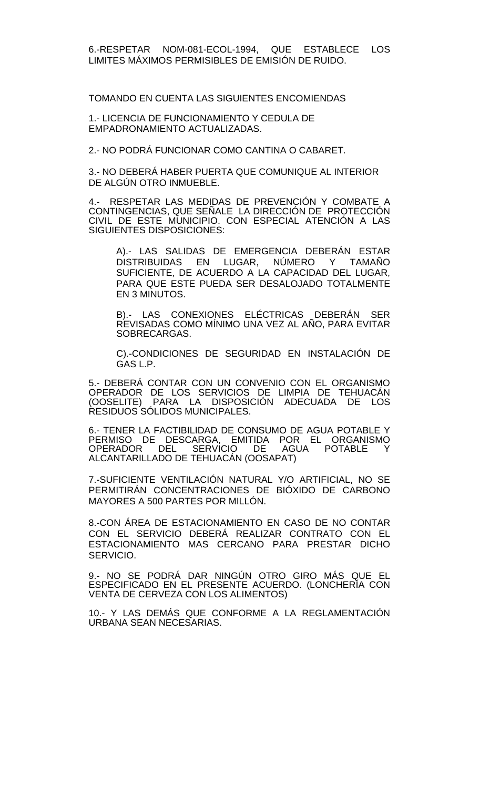TOMANDO EN CUENTA LAS SIGUIENTES ENCOMIENDAS

1.- LICENCIA DE FUNCIONAMIENTO Y CEDULA DE EMPADRONAMIENTO ACTUALIZADAS.

2.- NO PODRÁ FUNCIONAR COMO CANTINA O CABARET.

3.- NO DEBERÁ HABER PUERTA QUE COMUNIQUE AL INTERIOR DE ALGÚN OTRO INMUEBLE.

4.- RESPETAR LAS MEDIDAS DE PREVENÇION Y COMBATE A CONTINGENCIAS, QUE SENALE\_LA DIRECCIÓN DE PROTECCIÓN CIVIL DE ESTE MUNICIPIO. CON ESPECIAL ATENCIÓN A LAS SIGUIENTES DISPOSICIONES:

A).- LAS SALIDAS DE EMERGENCIA DEBERÁN ESTAR DISTRIBUIDAS EN LUGAR, NÚMERO Y TAMAÑO SUFICIENTE, DE ACUERDO A LA CAPACIDAD DEL LUGAR, PARA QUE ESTE PUEDA SER DESALOJADO TOTALMENTE EN 3 MINUTOS.

B).- LAS CONEXIONES ELÉCTRICAS DEBERÁN SER REVISADAS COMO MÍNIMO UNA VEZ AL AÑO, PARA EVITAR SOBRECARGAS.

C).-CONDICIONES DE SEGURIDAD EN INSTALACIÓN DE GAS L.P.

5.- DEBERÁ CONTAR CON UN CONVENIO CON EL ORGANISMO OPERADOR DE LOS SERVICIOS DE LIMPIA DE TEHUACÁN (OOSELITE) PARA LA DISPOSICIÓN ADECUADA DE LOS RESIDUOS SÓLIDOS MUNICIPALES.

6.- TENER LA FACTIBILIDAD DE CONSUMO DE AGUA POTABLE Y PERMISO DE DESCARGA, EMITIDA POR EL ORGANISMO<br>OPERADOR DEL SERVICIO DE AGUA POTABLE Y OPERADOR DEL SERVICIO DE ALCANTARILLADO DE TEHUACÁN (OOSAPAT)

7.-SUFICIENTE VENTILACIÓN NATURAL Y/O ARTIFICIAL, NO SE PERMITIRÁN CONCENTRACIONES DE BIÓXIDO DE CARBONO MAYORES A 500 PARTES POR MILLÓN.

8.-CON ÁREA DE ESTACIONAMIENTO EN CASO DE NO CONTAR CON EL SERVICIO DEBERÁ REALIZAR CONTRATO CON EL ESTACIONAMIENTO MAS CERCANO PARA PRESTAR DICHO SERVICIO.

9.- NO SE PODRÁ DAR NINGÚN OTRO GIRO MÁS QUE EL ESPECIFICADO EN EL PRESENTE ACUERDO. (LONCHERÍA CON VENTA DE CERVEZA CON LOS ALIMENTOS)

10.- Y LAS DEMÁS QUE CONFORME A LA REGLAMENTACIÓN URBANA SEAN NECESARIAS.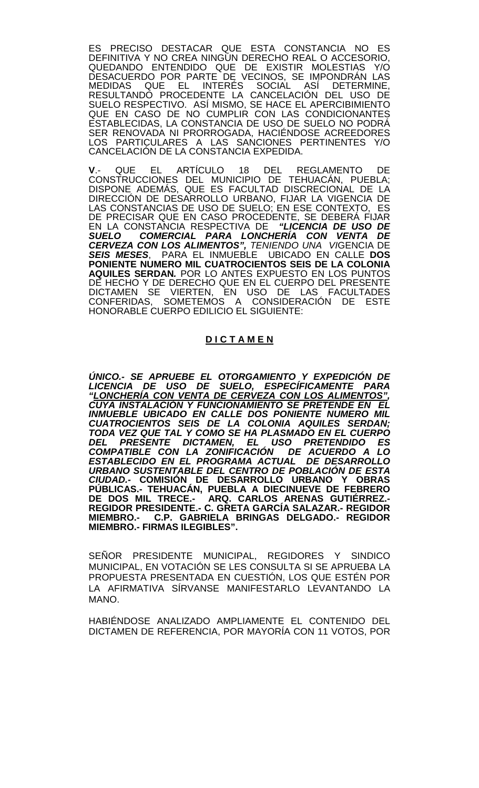ES PRECISO DESTACAR QUE ESTA CONSTANCIA NO ES DEFINITIVA Y NO CREA NINGÚN DERECHO REAL O ACCESORIO, QUEDANDO ENTENDIDO QUE DE EXISTIR MOLESTIAS Y/O DESACUERDO POR PARTE DE VECINOS, SE IMPONDRÁN LAS MEDIDAS QUE EL INTERÉS SOCIAL ASÍ DETERMINE, RESULTANDO PROCEDENTE LA CANCELACIÓN DEL USO DE SUELO RESPECTIVO. ASÍ MISMO, SE HACE EL APERCIBIMIENTO QUE EN CASO DE NO CUMPLIR CON LAS CONDICIONANTES ESTABLECIDAS, LA CONSTANCIA DE USO DE SUELO NO PODRÁ SER RENOVADA NI PRORROGADA, HACIÉNDOSE ACREEDORES LOS PARTICULARES A LAS SANCIONES PERTINENTES Y/O CANCELACIÓN DE LA CONSTANCIA EXPEDIDA.

**V**.- QUE EL ARTÍCULO 18 DEL REGLAMENTO DE CONSTRUCCIONES DEL MUNICIPIO DE TEHUACÁN, PUEBLA; DISPONE ADEMÁS, QUE ES FACULTAD DISCRECIONAL DE LA DIRECCIÓN DE DESARROLLO URBANO, FIJAR LA VIGENCIA DE LAS CONSTANCIAS DE USO DE SUELO; EN ESE CONTEXTO, ES DE PRECISAR QUE EN CASO PROCEDENTE, SE DEBERÁ FIJAR<br>EN LA CONSTANCIA RESPECTIVA DE *"LICENCIA DE USO DE* EN LA CONSTANCIA RESPECTIVA DE *"LICENCIA DE USO DE SUELO COMERCIAL PARA LONCHERÍA CON VENTA DE CERVEZA CON LOS ALIMENTOS", TENIENDO UNA VI*GENCIA DE *SEIS MESES*, PARA EL INMUEBLE UBICADO EN CALLE **DOS PONIENTE NUMERO MIL CUATROCIENTOS SEIS DE LA COLONIA AQUILES SERDAN***.* POR LO ANTES EXPUESTO EN LOS PUNTOS DE HECHO Y DE DERECHO QUE EN EL CUERPO DEL PRESENTE DICTAMEN SE VIERTEN, EN USO DE LAS FACULTADES CONFERIDAS, SOMETEMOS A CONSIDERACIÓN DE ESTE HONORABLE CUERPO EDILICIO EL SIGUIENTE:

## **D I C T A M E N**

*ÚNICO.- SE APRUEBE EL OTORGAMIENTO Y EXPEDICIÓN DE LICENCIA DE USO DE SUELO, ESPECÍFICAMENTE PARA "LONCHERÍA CON VENTA DE CERVEZA CON LOS ALIMENTOS", CUYA INSTALACIÓN Y FUNCIONAMIENTO SE PRETENDE EN EL INMUEBLE UBICADO EN CALLE DOS PONIENTE NUMERO MIL CUATROCIENTOS SEIS DE LA COLONIA AQUILES SERDAN; TODA VEZ QUE TAL Y COMO SE HA PLASMADO EN EL CUERPO DEL PRESENTE DICTAMEN, EL USO PRETENDIDO ES COMPATIBLE CON LA ZONIFICACIÓN DE ACUERDO A LO ESTABLECIDO EN EL PROGRAMA ACTUAL DE DESARROLLO URBANO SUSTENTABLE DEL CENTRO DE POBLACIÓN DE ESTA CIUDAD.-* **COMISIÓN DE DESARROLLO URBANO Y OBRAS PÚBLICAS.- TEHUACÁN, PUEBLA A DIECINUEVE DE FEBRERO DE DOS MIL TRECE.- ARQ. CARLOS ARENAS GUTIÉRREZ.- REGIDOR PRESIDENTE.- C. GRETA GARCÍA SALAZAR.- REGIDOR MIEMBRO.- C.P. GABRIELA BRINGAS DELGADO.- REGIDOR MIEMBRO.- FIRMAS ILEGIBLES".**

SEÑOR PRESIDENTE MUNICIPAL, REGIDORES Y SINDICO MUNICIPAL, EN VOTACIÓN SE LES CONSULTA SI SE APRUEBA LA PROPUESTA PRESENTADA EN CUESTIÓN, LOS QUE ESTÉN POR LA AFIRMATIVA SÍRVANSE MANIFESTARLO LEVANTANDO LA MANO.

HABIÉNDOSE ANALIZADO AMPLIAMENTE EL CONTENIDO DEL DICTAMEN DE REFERENCIA, POR MAYORÍA CON 11 VOTOS, POR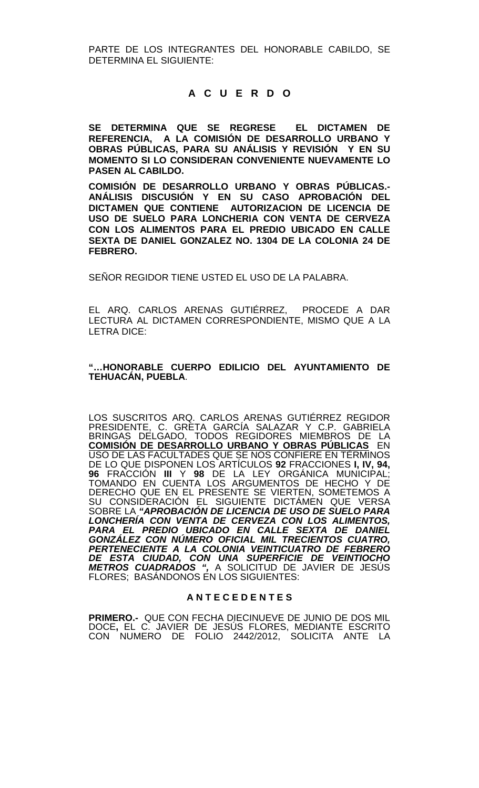PARTE DE LOS INTEGRANTES DEL HONORABLE CABILDO, SE DETERMINA EL SIGUIENTE:

## **A C U E R D O**

**SE DETERMINA QUE SE REGRESE EL DICTAMEN DE REFERENCIA, A LA COMISIÓN DE DESARROLLO URBANO Y OBRAS PÚBLICAS, PARA SU ANÁLISIS Y REVISIÓN Y EN SU MOMENTO SI LO CONSIDERAN CONVENIENTE NUEVAMENTE LO PASEN AL CABILDO.**

**COMISIÓN DE DESARROLLO URBANO Y OBRAS PÚBLICAS.- ANÁLISIS DISCUSIÓN Y EN SU CASO APROBACIÓN DEL DICTAMEN QUE CONTIENE AUTORIZACION DE LICENCIA DE USO DE SUELO PARA LONCHERIA CON VENTA DE CERVEZA CON LOS ALIMENTOS PARA EL PREDIO UBICADO EN CALLE SEXTA DE DANIEL GONZALEZ NO. 1304 DE LA COLONIA 24 DE FEBRERO.**

SEÑOR REGIDOR TIENE USTED EL USO DE LA PALABRA.

EL ARQ. CARLOS ARENAS GUTIÉRREZ, PROCEDE A DAR LECTURA AL DICTAMEN CORRESPONDIENTE, MISMO QUE A LA LETRA DICE:

### **"…HONORABLE CUERPO EDILICIO DEL AYUNTAMIENTO DE TEHUACÁN, PUEBLA**.

LOS SUSCRITOS ARQ. CARLOS ARENAS GUTIÉRREZ REGIDOR PRESIDENTE, C. GRETA GARCÍA SALAZAR Y C.P. GABRIELA BRINGAS DELGADO, TODOS REGIDORES MIEMBROS DE LA **COMISIÓN DE DESARROLLO URBANO Y OBRAS PÚBLICAS** EN USO DE LAS FACULTADES QUE SE NOS CONFIERE EN TÉRMINOS DE LO QUE DISPONEN LOS ARTÍCULOS **92** FRACCIONES **I, IV, 94, 96** FRACCIÓN **III** Y **98** DE LA LEY ORGÁNICA MUNICIPAL; TOMANDO EN CUENTA LOS ARGUMENTOS DE HECHO Y DE DERECHO QUE EN EL PRESENTE SE VIERTEN, SOMETEMOS A SU CONSIDERACIÓN EL SIGUIENTE DICTÁMEN QUE VERSA SOBRE LA *"APROBACIÓN DE LICENCIA DE USO DE SUELO PARA LONCHERÍA CON VENTA DE CERVEZA CON LOS ALIMENTOS, PARA EL PREDIO UBICADO EN CALLE SEXTA DE DANIEL GONZÁLEZ CON NÚMERO OFICIAL MIL TRECIENTOS CUATRO, PERTENECIENTE A LA COLONIA VEINTICUATRO DE FEBRERO DE ESTA CIUDAD, CON UNA SUPERFICIE DE VEINTIOCHO METROS CUADRADOS ",* A SOLICITUD DE JAVIER DE JESÚS FLORES; BASÁNDONOS EN LOS SIGUIENTES:

### **A N T E C E D E N T E S**

**PRIMERO.-** QUE CON FECHA DIECINUEVE DE JUNIO DE DOS MIL DOCE**,** EL C. JAVIER DE JESÚS FLORES, MEDIANTE ESCRITO CON NUMERO DE FOLIO 2442/2012, SOLICITA ANTE LA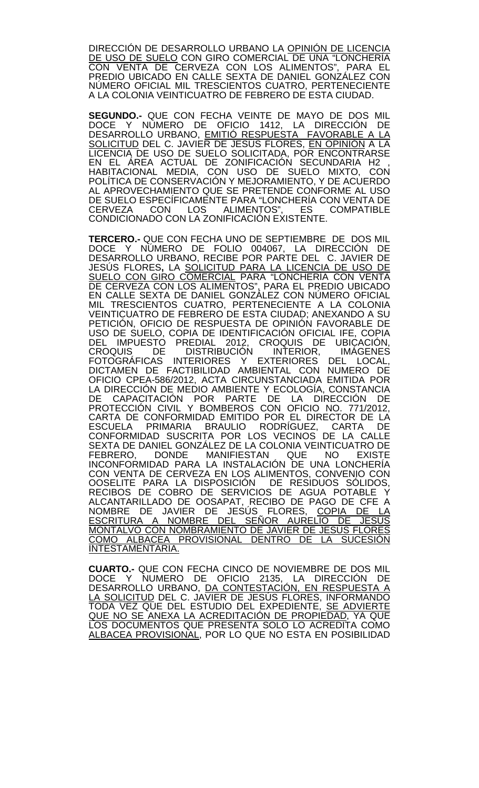DIRECCIÓN DE DESARROLLO URBANO LA OPINIÓN DE LICENCIA <u>DE USO DE SUELO</u> CON GIRO COMERCIAL DE UNA "LONCHERIA CON VENTA DE CERVEZA CON LOS ALIMENTOS", PARA EL PREDIO UBICADO EN CALLE SEXTA DE DANIEL GONZÁLEZ CON NÚMERO OFICIAL MIL TRESCIENTOS CUATRO, PERTENECIENTE A LA COLONIA VEINTICUATRO DE FEBRERO DE ESTA CIUDAD.

**SEGUNDO.-** QUE CON FECHA VEINTE DE MAYO DE DOS MIL DOCE Y NUMERO DE OFICIO 1412, LA DIRECCIÓN DE DESARROLLO URBANO, EMITIÓ RESPUESTA FAVORABLE A LA <u>SOLICITUD</u> DEL C. JAVIER DE JESUS FLORES, <u>EN OPINION</u> A LA LICENCIA DE USO DE SUELO SOLICITADA, POR ENCONTRARSE EN EL ÁREA ACTUAL DE ZONIFICACIÓN SECUNDARIA H2 , HABITACIONAL MEDIA, CON USO DE SUELO MIXTO, CON POLÍTICA DE CONSERVACIÓN Y MEJORAMIENTO, Y DE ACUERDO AL APROVECHAMIENTO QUE SE PRETENDE CONFORME AL USO DE SUELO ESPECÍFICAMENTE PARA "LONCHERÍA CON VENTA DE CERVEZA CON LOS ALIMENTOS", ES COMPATIBLE CONDICIONADO CON LA ZONIFICACIÓN EXISTENTE.

**TERCERO.-** QUE CON FECHA UNO DE SEPTIEMBRE DE DOS MIL DOCE Y NÚMERO DE FOLIO 004067, LA DIRECCIÓN DE DESARROLLO URBANO, RECIBE POR PARTE DEL C. JAVIER DE JESÚS FLORES**,** LA SOLICITUD PARA LA LICENCIA DE USO DE <u>SUELO CON GIRO COMERCIAL</u> PARA "LONCHERIA CON VENTA DE CERVEZA CON LOS ALIMENTOS", PARA EL PREDIO UBICADO EN CALLE SEXTA DE DANIEL GONZÁLEZ CON NÚMERO OFICIAL MIL TRESCIENTOS CUATRO, PERTENECIENTE A LA COLONIA VEINTICUATRO DE FEBRERO DE ESTA CIUDAD; ANEXANDO A SU PETICION, OFICIO DE RESPUESTA DE OPINION FAVORABLE DE USO DE SUELO, COPIA DE IDENTIFICACIÓN OFICIAL IFE, COPIA DEL IMPUESTO PREDIAL 2012, CROQUIS DE UBICACIÓN,<br>CROQUIS, DE DISTRIBUCIÓN INTERIOR, IMÁGENES FOTOGRÁFICAS INTERIORES Y EXTERIORES DEL LOCAL, DICTAMEN DE FACTIBILIDAD AMBIENTAL CON NUMERO DE<br>OFICIO CPEA-586/2012, ACTA CIRCUNSTANCIADA EMITIDA POR OFICIO CPEA-586/2012, ACTA CIRCUNSTANCIADA EMITIDA POR<br>LA DIRECCIÓN DE MEDIO AMBIENTE Y ECOLOGÍA, CONSTANCIA DE CAPACITACIÓN POR PARTE DE LA DIRECCIÓN DE PROTECCIÓN CIVIL Y BOMBEROS CON OFICIO NO. 771/2012, CARTA DE CONFORMIDAD EMITIDO POR EL DIRECTOR DE LA ESCUELA PRIMARIA BRAULIO RODRÍGUEZ, CARTA DE CONFORMIDAD SUSCRITA POR LOS VECINOS DE LA CALLE SEXTA DE DANIEL GONZÁLEZ DE LA COLONIA VEINTICUATRO DE FEBRERO, DONDE MANIFIESTAN QUE NO EXISTE INCONFORMIDAD PARA LA INSTALACIÓN DE UNA LONCHERÍA CON VENTA DE CERVEZA EN LOS ALIMENTOS, CONVENIO CON OOSELITE PARA LA DISPOSICIÓN DE RESIDUOS SÓLIDOS, RECIBOS DE COBRO DE SERVICIOS DE AGUA POTABLE Y ALCANTARILLADO DE OOSAPAT, RECIBO DE PAGO DE CFE A NOMBRE DE JAVIER DE JESÚS FLORES, COPIA DE LA <u>ESCRITURA A NOMBRE DEL SENOR AURELIO DE JESUS</u> <u>MONTALVO CON NOMBRAMIENTO DE JAVIER DE JESUS FLORES</u> <u>COMO ALBACEA PROVISIONAL DENTRO DE LA SUCESION</u> INTESTAMENTARIA.

**CUARTO.-** QUE CON FECHA CINCO DE NOVIEMBRE DE DOS MIL DOCE Y NUMERO DE OFICIO 2135, LA DIRECCIÓN DE DESARROLLO URBANO, <u>DA CONTESTACIÓN, EN RESPUESTA A</u> LA SOLICITUD DEL C. JAVIER DE JESÚS FLORES, INFORMANDO TODA VEZ QUE DEL ESTUDIO DEL EXPEDIENTE, SE ADVIERTE <u>QUE NO SE ANEXA LA ACREDITACIÓN DE PROPIEDAD,</u> YA QUE LOS DOCUMENTOS QUE PRESENTA SOLO LO ACREDITA COMO ALBACEA PROVISIONAL, POR LO QUE NO ESTA EN POSIBILIDAD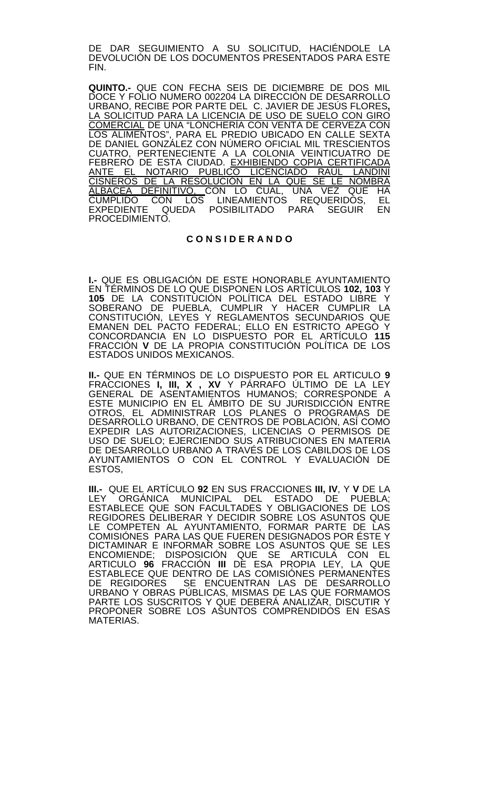DE DAR SEGUIMIENTO A SU SOLICITUD, HACIÉNDOLE LA DEVOLUCIÓN DE LOS DOCUMENTOS PRESENTADOS PARA ESTE FIN.

**QUINTO.-** QUE CON FECHA SEIS DE DICIEMBRE DE DOS MIL DOCE Y FOLIO NUMERO 002204 LA DIRECCIÓN DE DESARROLLO URBANO, RECIBE POR PARTE DEL C. JAVIER DE JESÚS FLORES**,** LA SOLICITUD PARA LA LICENCIA DE USO DE SUELO CON GIRO <u>COMERCIAL</u> DE UNA "LONCHERIA CON VENTA DE CERVEZA CON LOS ALIMENTOS", PARA EL PREDIO UBICADO EN CALLE SEXTA DE DANIEL GONZÁLEZ CON NÚMERO OFICIAL MIL TRESCIENTOS CUATRO, PERTENECIENTE A LA COLONIA VEINTICUATRO DE FEBRERO DE ESTA CIUDAD. <u>EXHIBIENDO COPIA CERTIFICADA</u> <u>ANTE EL NOTARIO PUBLICO LICENCIADO RAUL LANDINI</u> CISNEROS DE LA RESOLUCIÓN EN LA QUE SE LE NOMBRA <u>ALBACEA DEFINITIVO, </u>CON LO CUAL, UNA VEZ QUE HA CUMPLIDO CON LOS LINEAMIENTOS REQUERIDOS, EL EXPEDIENTE QUEDA POSIBILITADO PARA SEGUIR EN PROCEDIMIENTO.

### **C O N S I D E R A N D O**

**I.-** QUE ES OBLIGACIÓN DE ESTE HONORABLE AYUNTAMIENTO EN TÉRMINOS DE LO QUE DISPONEN LOS ARTÍCULOS **102, 103** Y **105** DE LA CONSTITUCIÓN POLÍTICA DEL ESTADO LIBRE Y SOBERANO DE PUEBLA, CUMPLIR Y HACER CUMPLIR LA CONSTITUCIÓN, LEYES Y REGLAMENTOS SECUNDARIOS QUE EMANEN DEL PACTO FEDERAL; ELLO EN ESTRICTO APEGO Y CONCORDANCIA EN LO DISPUESTO POR EL ARTÍCULO **115**  FRACCIÓN **V** DE LA PROPIA CONSTITUCIÓN POLÍTICA DE LOS ESTADOS UNIDOS MEXICANOS.

**II.-** QUE EN TÉRMINOS DE LO DISPUESTO POR EL ARTICULO **9**  FRACCIONES **I, III, X , XV** Y PÁRRAFO ÚLTIMO DE LA LEY GENERAL DE ASENTAMIENTOS HUMANOS; CORRESPONDE A ESTE MUNICIPIO EN EL ÁMBITO DE SU JURISDICCIÓN ENTRE OTROS, EL ADMINISTRAR LOS PLANES O PROGRAMAS DE DESARROLLO URBANO, DE CENTROS DE POBLACIÓN, ASÍ COMO EXPEDIR LAS AUTORIZACIONES, LICENCIAS O PERMISOS DE USO DE SUELO; EJERCIENDO SUS ATRIBUCIONES EN MATERIA DE DESARROLLO URBANO A TRAVÉS DE LOS CABILDOS DE LOS AYUNTAMIENTOS O CON EL CONTROL Y EVALUACIÓN DE ESTOS,

**III.-** QUE EL ARTÍCULO **92** EN SUS FRACCIONES **III, IV**, Y **V** DE LA LEY ORGÁNICA MUNICIPAL DEL ESTADO DE PUEBLA; ESTABLECE QUE SON FACULTADES Y OBLIGACIONES DE LOS REGIDORES DELIBERAR Y DECIDIR SOBRE LOS ASUNTOS QUE LE COMPETEN AL AYUNTAMIENTO, FORMAR PARTE DE LAS COMISIÓNES PARA LAS QUE FUEREN DESIGNADOS POR ÉSTE Y DICTAMINAR E INFORMAR SOBRE LOS ASUNTOS QUE SE LES ENCOMIENDE; DISPOSICIÓN QUE SE ARTICULA CON EL ARTICULO **96** FRACCIÓN **III** DE ESA PROPIA LEY, LA QUE ESTABLECE QUE DENTRO DE LAS COMISIÓNES PERMANENTES<br>DE REGIDORES SE ENCUENTRAN LAS DE DESARROLLO SE ENCUENTRAN LAS DE DESARROLLO URBANO Y OBRAS PÚBLICAS, MISMAS DE LAS QUE FORMAMOS PARTE LOS SUSCRITOS Y QUE DEBERÁ ANALIZAR, DISCUTIR Y PROPONER SOBRE LOS ASUNTOS COMPRENDIDOS EN ESAS MATERIAS.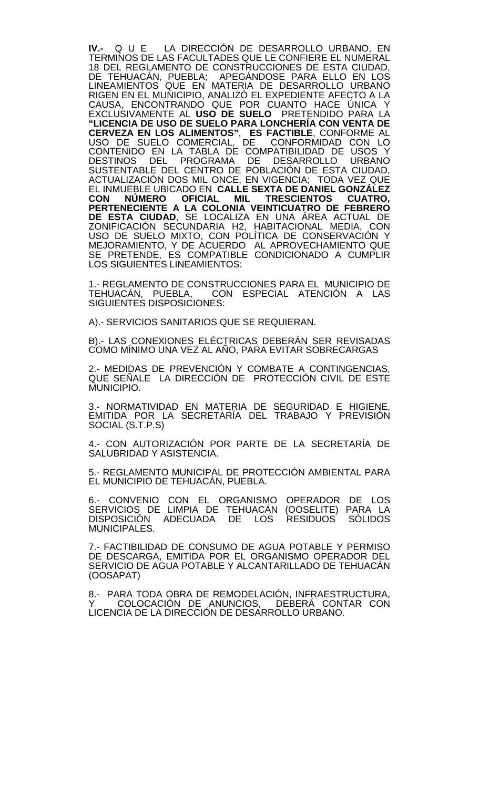**IV.-** Q U E LA DIRECCIÓN DE DESARROLLO URBANO, EN TERMINOS DE LAS FACULTADES QUE LE CONFIERE EL NUMERAL 18 DEL REGLAMENTO DE CONSTRUCCIONES DE ESTA CIUDAD, DE TEHUACÁN, PUEBLA; APEGÁNDOSE PARA ELLO EN LOS LINEAMIENTOS QUE EN MATERIA DE DESARROLLO URBANO RIGEN EN EL MUNICIPIO, ANALIZÓ EL EXPEDIENTE AFECTO A LA CAUSA, ENCONTRANDO QUE POR CUANTO HACE ÚNICA Y EXCLUSIVAMENTE AL **USO DE SUELO** PRETENDIDO PARA LA **"LICENCIA DE USO DE SUELO PARA LONCHERÍA CON VENTA DE CERVEZA EN LOS ALIMENTOS"**, **ES FACTIBLE**, CONFORME AL USO DE SUELO COMERCIAL, DE CONFORMIDAD CON LO CONTENIDO EN LA TABLA DE COMPATIBILIDAD DE USOS Y DESTINOS DEL PROGRAMA DE DESARROLLO URBANO SUSTENTABLE DEL CENTRO DE POBLACIÓN DE ESTA CIUDAD, ACTUALIZACIÓN DOS MIL ONCE, EN VIGENCIA; TODA VEZ QUE EL INMUEBLE UBICADO EN **CALLE SEXTA DE DANIEL GONZÁLEZ CON NÚMERO OFICIAL MIL TRESCIENTOS CUATRO, PERTENECIENTE A LA COLONIA VEINTICUATRO DE FEBRERO DE ESTA CIUDAD**, SE LOCALIZA EN UNA ÁREA ACTUAL DE ZONIFICACIÓN SECUNDARIA H2, HABITACIONAL MEDIA, CON USO DE SUELO MIXTO, CON POLÍTICA DE CONSERVACIÓN Y MEJORAMIENTO, Y DE ACUERDO AL APROVECHAMIENTO QUE SE PRETENDE, ES COMPATIBLE CONDICIONADO A CUMPLIR LOS SIGUIENTES LINEAMIENTOS:

1.- REGLAMENTO DE CONSTRUCCIONES PARA EL MUNICIPIO DE<br>TEHUACÁN, PUEBLA, CON ESPECIAL ATENCIÓN A LAS CON ESPECIAL ATENCIÓN A LAS SIGUIENTES DISPOSICIONES:

A).- SERVICIOS SANITARIOS QUE SE REQUIERAN.

B).- LAS CONEXIONES ELÉCTRICAS DEBERÁN SER REVISADAS COMO MÍNIMO UNA VEZ AL AÑO, PARA EVITAR SOBRECARGAS

2.- MEDIDAS DE PREVENCIÓN Y COMBATE A CONTINGENCIAS, QUE SEÑALE LA DIRECCIÓN DE PROTECCIÓN CIVIL DE ESTE MUNICIPIO.

3.- NORMATIVIDAD EN MATERIA DE SEGURIDAD E HIGIENE, EMITIDA POR LA SECRETARÍA DEL TRABAJO Y PREVISIÓN SOCIAL (S.T.P.S)

4.- CON AUTORIZACIÓN POR PARTE DE LA SECRETARÍA DE SALUBRIDAD Y ASISTENCIA.

5.- REGLAMENTO MUNICIPAL DE PROTECCIÓN AMBIENTAL PARA EL MUNICIPIO DE TEHUACÁN, PUEBLA.

6.- CONVENIO CON EL ORGANISMO OPERADOR DE LOS SERVICIOS, DE LIMPIA DE TEHUACAN (OOSELITE) PARA LA DISPOSICIÓN ADECUADA DE LOS RESIDUOS SÓLIDOS MUNICIPALES.

7.- FACTIBILIDAD DE CONSUMO DE AGUA POTABLE Y PERMISO DE DESCARGA, EMITIDA POR EL ORGANISMO OPERADOR DEL SERVICIO DE AGUA POTABLE Y ALCANTARILLADO DE TEHUACÁN (OOSAPAT)

8.- PARA TODA OBRA DE REMODELACION, INFRAESTRUCTURA,<br>Y COLOCACIÓN DE <sub>,</sub>ANUNCIOS, DEBERÁ CONTAR CON LICENCIA DE LA DIRECCIÓN DE DESARROLLO URBANO.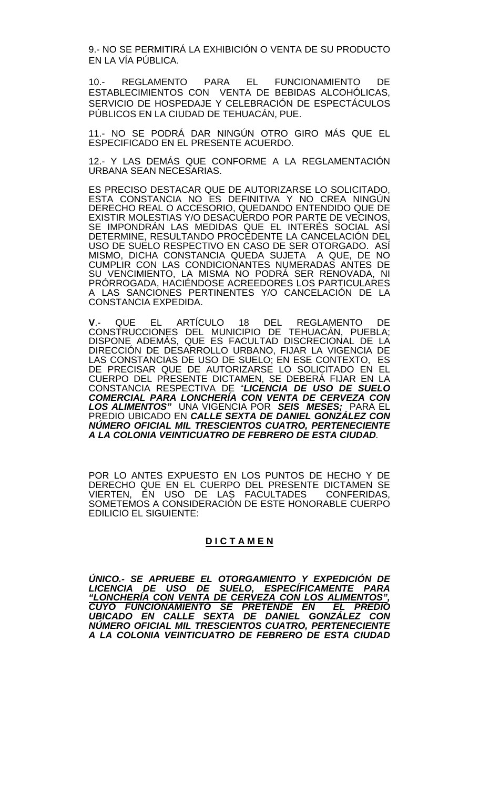9.- NO SE PERMITIRÁ LA EXHIBICIÓN O VENTA DE SU PRODUCTO EN LA VÍA PÚBLICA.

10.- REGLAMENTO PARA EL FUNCIONAMIENTO DE ESTABLECIMIENTOS CON VENTA DE BEBIDAS ALCOHÓLICAS, SERVICIO DE HOSPEDAJE Y CELEBRACIÓN DE ESPECTÁCULOS PÚBLICOS EN LA CIUDAD DE TEHUACÁN, PUE.

11.- NO SE PODRÁ DAR NINGÚN OTRO GIRO MÁS QUE EL ESPECIFICADO EN EL PRESENTE ACUERDO.

12.- Y LAS DEMÁS QUE CONFORME A LA REGLAMENTACIÓN URBANA SEAN NECESARIAS.

ES PRECISO DESTACAR QUE DE AUTORIZARSE LO SOLICITADO, ESTA CONSTANCIA NO ES DEFINITIVA Y NO CREA NINGÚN DERECHO REAL O ACCESORIO, QUEDANDO ENTENDIDO QUE DE EXISTIR MOLESTIAS Y/O DESACUERDO POR PARTE DE VECINOS, SE IMPONDRAN LAS MEDIDAS QUE EL INTERES SOCIAL ASÍ DETERMINE, RESULTANDO PROCEDENTE LA CANCELACIÓN DEL USO DE SUELO RESPECTIVO EN CASO DE SER OTORGADO. ASÍ MISMO, DICHA CONSTANCIA QUEDA SUJETA A QUE, DE NO CUMPLIR CON LAS CONDICIONANTES NUMERADAS ANTES DE SU VENCIMIENTO, LA MISMA NO PODRÁ SER RENOVADA, NI PRÓRROGADA, HACIÉNDOSE ACREEDORES LOS PARTICULARES A LAS SANCIONES PERTINENTES Y/O CANCELACIÓN DE LA CONSTANCIA EXPEDIDA.

**V**.- QUE EL ARTÍCULO 18 DEL REGLAMENTO DE CONSTRUCCIONES DEL MUNICIPIO DE TEHUACÁN, PUEBLA; DISPONE ADEMÁS, QUE ES FACULTAD DISCRECIONAL DE LA DIRECCIÓN DE DESARROLLO URBANO, FIJAR LA VIGENCIA DE LAS CONSTANCIAS DE USO DE SUELO; EN ESE CONTEXTO, ES DE PRECISAR QUE DE AUTORIZARSE LO SOLICITADO EN EL CUERPO DEL PRESENTE DICTAMEN, SE DEBERÁ FIJAR EN LA CONSTANCIA RESPECTIVA DE "*LICENCIA DE USO DE SUELO COMERCIAL PARA LONCHERÍA CON VENTA DE CERVEZA CON LOS ALIMENTOS"* UNA VIGENCIA POR *SEIS MESES;* PARA EL PREDIO UBICADO EN *CALLE SEXTA DE DANIEL GONZÁLEZ CON NÚMERO OFICIAL MIL TRESCIENTOS CUATRO, PERTENECIENTE A LA COLONIA VEINTICUATRO DE FEBRERO DE ESTA CIUDAD.*

POR LO ANTES EXPUESTO EN LOS PUNTOS DE HECHO Y DE DERECHO QUE EN EL CUERPO DEL PRESENTE DICTAMEN SE VIERTEN, EN USO DE LAS FACULTADES CONFERIDAS, SOMETEMOS A CONSIDERACIÓN DE ESTE HONORABLE CUERPO EDILICIO EL SIGUIENTE:

## **D I C T A M E N**

*ÚNICO.- SE APRUEBE EL OTORGAMIENTO Y EXPEDICIÓN DE LICENCIA DE USO DE SUELO, ESPECÍFICAMENTE PARA "LONCHERÍA CON VENTA DE CERVEZA CON LOS ALIMENTOS", CUYO FUNCIONAMIENTO SE PRETENDE EN EL PREDIO UBICADO EN CALLE SEXTA DE DANIEL GONZÁLEZ CON NÚMERO OFICIAL MIL TRESCIENTOS CUATRO, PERTENECIENTE A LA COLONIA VEINTICUATRO DE FEBRERO DE ESTA CIUDAD*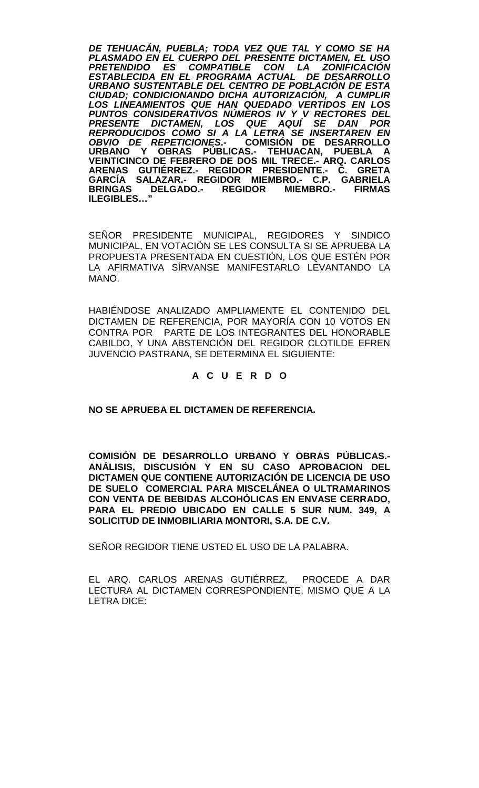*DE TEHUACÁN, PUEBLA; TODA VEZ QUE TAL Y COMO SE HA PLASMADO EN EL CUERPO DEL PRESENTE DICTAMEN, EL USO COMPATIBLE CON LA ESTABLECIDA EN EL PROGRAMA ACTUAL DE DESARROLLO URBANO SUSTENTABLE DEL CENTRO DE POBLACIÓN DE ESTA CIUDAD; CONDICIONANDO DICHA AUTORIZACIÓN, A CUMPLIR LOS LINEAMIENTOS QUE HAN QUEDADO VERTIDOS EN LOS PUNTOS CONSIDERATIVOS NÚMEROS IV Y V RECTORES DEL PRESENTE DICTAMEN, LOS QUE AQUÍ SE DAN POR REPRODUCIDOS COMO SI A LA LETRA SE INSERTAREN EN OBVIO DE REPETICIONES***.- COMISIÓN DE DESARROLLO URBANO Y OBRAS PÚBLICAS.- TEHUACAN, PUEBLA A VEINTICINCO DE FEBRERO DE DOS MIL TRECE.- ARQ. CARLOS ARENAS GUTIÉRREZ.- REGIDOR PRESIDENTE.- C. GRETA GARCÍA SALAZAR.- REGIDOR MIEMBRO.- C.P. GABRIELA BRIGADO.- REGIDOR MIEMBRO.-ILEGIBLES…"**

SEÑOR PRESIDENTE MUNICIPAL, REGIDORES Y SINDICO MUNICIPAL, EN VOTACIÓN SE LES CONSULTA SI SE APRUEBA LA PROPUESTA PRESENTADA EN CUESTIÓN, LOS QUE ESTÉN POR LA AFIRMATIVA SÍRVANSE MANIFESTARLO LEVANTANDO LA MANO.

HABIÉNDOSE ANALIZADO AMPLIAMENTE EL CONTENIDO DEL DICTAMEN DE REFERENCIA, POR MAYORÍA CON 10 VOTOS EN CONTRA POR PARTE DE LOS INTEGRANTES DEL HONORABLE CABILDO, Y UNA ABSTENCIÓN DEL REGIDOR CLOTILDE EFREN JUVENCIO PASTRANA, SE DETERMINA EL SIGUIENTE:

## **A C U E R D O**

**NO SE APRUEBA EL DICTAMEN DE REFERENCIA.**

**COMISIÓN DE DESARROLLO URBANO Y OBRAS PÚBLICAS.- ANÁLISIS, DISCUSIÓN Y EN SU CASO APROBACION DEL DICTAMEN QUE CONTIENE AUTORIZACIÓN DE LICENCIA DE USO DE SUELO COMERCIAL PARA MISCELÁNEA O ULTRAMARINOS CON VENTA DE BEBIDAS ALCOHÓLICAS EN ENVASE CERRADO, PARA EL PREDIO UBICADO EN CALLE 5 SUR NUM. 349, A SOLICITUD DE INMOBILIARIA MONTORI, S.A. DE C.V.** 

SEÑOR REGIDOR TIENE USTED EL USO DE LA PALABRA.

EL ARQ. CARLOS ARENAS GUTIÉRREZ, PROCEDE A DAR LECTURA AL DICTAMEN CORRESPONDIENTE, MISMO QUE A LA LETRA DICE: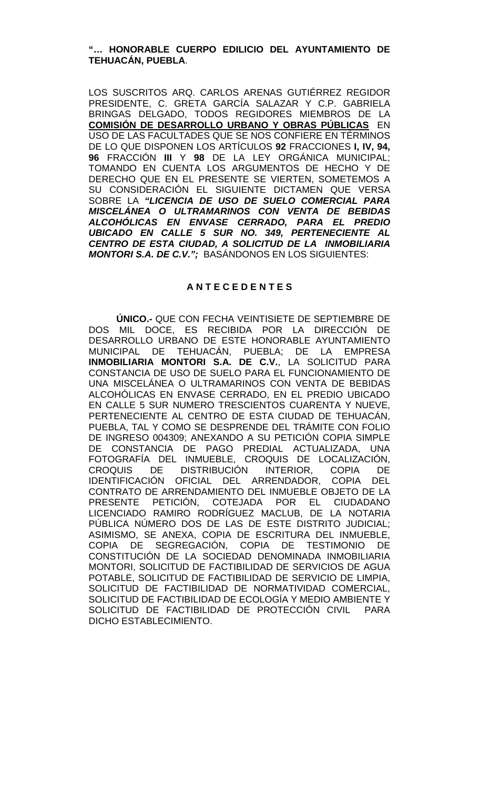## **"… HONORABLE CUERPO EDILICIO DEL AYUNTAMIENTO DE TEHUACÁN, PUEBLA**.

LOS SUSCRITOS ARQ. CARLOS ARENAS GUTIÉRREZ REGIDOR PRESIDENTE, C. GRETA GARCÍA SALAZAR Y C.P. GABRIELA BRINGAS DELGADO, TODOS REGIDORES MIEMBROS DE LA **COMISIÓN DE DESARROLLO URBANO Y OBRAS PÚBLICAS** EN USO DE LAS FACULTADES QUE SE NOS CONFIERE EN TÉRMINOS DE LO QUE DISPONEN LOS ARTÍCULOS **92** FRACCIONES **I, IV, 94, 96** FRACCIÓN **III** Y **98** DE LA LEY ORGÁNICA MUNICIPAL; TOMANDO EN CUENTA LOS ARGUMENTOS DE HECHO Y DE DERECHO QUE EN EL PRESENTE SE VIERTEN, SOMETEMOS A SU CONSIDERACIÓN EL SIGUIENTE DICTAMEN QUE VERSA SOBRE LA *"LICENCIA DE USO DE SUELO COMERCIAL PARA MISCELÁNEA O ULTRAMARINOS CON VENTA DE BEBIDAS ALCOHÓLICAS EN ENVASE CERRADO, PARA EL PREDIO UBICADO EN CALLE 5 SUR NO. 349, PERTENECIENTE AL CENTRO DE ESTA CIUDAD, A SOLICITUD DE LA INMOBILIARIA MONTORI S.A. DE C.V.";* BASÁNDONOS EN LOS SIGUIENTES:

## **A N T E C E D E N T E S**

**ÚNICO.-** QUE CON FECHA VEINTISIETE DE SEPTIEMBRE DE DOS MIL DOCE, ES RECIBIDA POR LA DIRECCIÓN DE DESARROLLO URBANO DE ESTE HONORABLE AYUNTAMIENTO MUNICIPAL DE TEHUACÁN, PUEBLA; DE LA EMPRESA **INMOBILIARIA MONTORI S.A. DE C.V.**, LA SOLICITUD PARA CONSTANCIA DE USO DE SUELO PARA EL FUNCIONAMIENTO DE UNA MISCELÁNEA O ULTRAMARINOS CON VENTA DE BEBIDAS ALCOHÓLICAS EN ENVASE CERRADO, EN EL PREDIO UBICADO EN CALLE 5 SUR NUMERO TRESCIENTOS CUARENTA Y NUEVE, PERTENECIENTE AL CENTRO DE ESTA CIUDAD DE TEHUACÁN, PUEBLA, TAL Y COMO SE DESPRENDE DEL TRÁMITE CON FOLIO DE INGRESO 004309; ANEXANDO A SU PETICIÓN COPIA SIMPLE DE CONSTANCIA DE PAGO PREDIAL ACTUALIZADA, UNA FOTOGRAFÍA DEL INMUEBLE, CROQUIS DE LOCALIZACIÓN,<br>CROQUIS DE DISTRIBUCIÓN INTERIOR, COPIA DE DISTRIBUCIÓN IDENTIFICACIÓN OFICIAL DEL ARRENDADOR, COPIA DEL CONTRATO DE ARRENDAMIENTO DEL INMUEBLE OBJETO DE LA PRESENTE PETICIÓN, COTEJADA POR EL CIUDADANO LICENCIADO RAMIRO RODRÍGUEZ MACLUB, DE LA NOTARIA PÚBLICA NÚMERO DOS DE LAS DE ESTE DISTRITO JUDICIAL; ASIMISMO, SE ANEXA, COPIA DE ESCRITURA DEL INMUEBLE, COPIA DE SEGREGACIÓN, COPIA DE TESTIMONIO DE CONSTITUCIÓN DE LA SOCIEDAD DENOMINADA INMOBILIARIA MONTORI, SOLICITUD DE FACTIBILIDAD DE SERVICIOS DE AGUA POTABLE, SOLICITUD DE FACTIBILIDAD DE SERVICIO DE LIMPIA, SOLICITUD DE FACTIBILIDAD DE NORMATIVIDAD COMERCIAL, SOLICITUD DE FACTIBILIDAD DE ECOLOGÍA Y MEDIO AMBIENTE Y SOLICITUD DE FACTIBILIDAD DE PROTECCIÓN CIVIL PARA DICHO ESTABLECIMIENTO.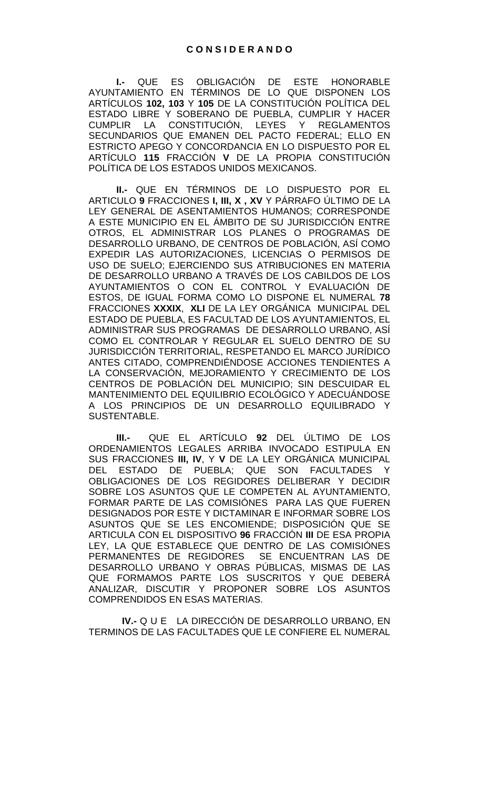**I.-** QUE ES OBLIGACIÓN DE ESTE HONORABLE AYUNTAMIENTO EN TÉRMINOS DE LO QUE DISPONEN LOS ARTÍCULOS **102, 103** Y **105** DE LA CONSTITUCIÓN POLÍTICA DEL ESTADO LIBRE Y SOBERANO DE PUEBLA, CUMPLIR Y HACER<br>CUMPLIR LA CONSTITUCIÓN. LEYES Y REGLAMENTOS CONSTITUCIÓN, LEYES Y REGLAMENTOS SECUNDARIOS QUE EMANEN DEL PACTO FEDERAL; ELLO EN ESTRICTO APEGO Y CONCORDANCIA EN LO DISPUESTO POR EL ARTÍCULO **115** FRACCIÓN **V** DE LA PROPIA CONSTITUCIÓN POLÍTICA DE LOS ESTADOS UNIDOS MEXICANOS.

**II.-** QUE EN TÉRMINOS DE LO DISPUESTO POR EL ARTICULO **9** FRACCIONES **I, III, X , XV** Y PÁRRAFO ÚLTIMO DE LA LEY GENERAL DE ASENTAMIENTOS HUMANOS; CORRESPONDE A ESTE MUNICIPIO EN EL ÁMBITO DE SU JURISDICCIÓN ENTRE OTROS, EL ADMINISTRAR LOS PLANES O PROGRAMAS DE DESARROLLO URBANO, DE CENTROS DE POBLACIÓN, ASÍ COMO EXPEDIR LAS AUTORIZACIONES, LICENCIAS O PERMISOS DE USO DE SUELO; EJERCIENDO SUS ATRIBUCIONES EN MATERIA DE DESARROLLO URBANO A TRAVÉS DE LOS CABILDOS DE LOS AYUNTAMIENTOS O CON EL CONTROL Y EVALUACIÓN DE ESTOS, DE IGUAL FORMA COMO LO DISPONE EL NUMERAL **78** FRACCIONES **XXXIX**, **XLI** DE LA LEY ORGÁNICA MUNICIPAL DEL ESTADO DE PUEBLA, ES FACULTAD DE LOS AYUNTAMIENTOS, EL ADMINISTRAR SUS PROGRAMAS DE DESARROLLO URBANO, ASÍ COMO EL CONTROLAR Y REGULAR EL SUELO DENTRO DE SU JURISDICCIÓN TERRITORIAL, RESPETANDO EL MARCO JURÍDICO ANTES CITADO, COMPRENDIÉNDOSE ACCIONES TENDIENTES A LA CONSERVACIÓN, MEJORAMIENTO Y CRECIMIENTO DE LOS CENTROS DE POBLACIÓN DEL MUNICIPIO; SIN DESCUIDAR EL MANTENIMIENTO DEL EQUILIBRIO ECOLÓGICO Y ADECUÁNDOSE A LOS PRINCIPIOS DE UN DESARROLLO EQUILIBRADO Y SUSTENTABLE.

**III.-** QUE EL ARTÍCULO **92** DEL ÚLTIMO DE LOS ORDENAMIENTOS LEGALES ARRIBA INVOCADO ESTIPULA EN SUS FRACCIONES **III, IV**, Y **V** DE LA LEY ORGÁNICA MUNICIPAL ESTADO DE PUEBLA; QUE SON FACULTADES Y OBLIGACIONES DE LOS REGIDORES DELIBERAR Y DECIDIR SOBRE LOS ASUNTOS QUE LE COMPETEN AL AYUNTAMIENTO, FORMAR PARTE DE LAS COMISIÓNES PARA LAS QUE FUEREN DESIGNADOS POR ESTE Y DICTAMINAR E INFORMAR SOBRE LOS ASUNTOS QUE SE LES ENCOMIENDE; DISPOSICIÓN QUE SE ARTICULA CON EL DISPOSITIVO **96** FRACCIÓN **III** DE ESA PROPIA LEY, LA QUE ESTABLECE QUE DENTRO DE LAS COMISIÓNES PERMANENTES DE REGIDORES SE ENCUENTRAN LAS DE DESARROLLO URBANO Y OBRAS PÚBLICAS, MISMAS DE LAS QUE FORMAMOS PARTE LOS SUSCRITOS Y QUE DEBERÁ ANALIZAR, DISCUTIR Y PROPONER SOBRE LOS ASUNTOS COMPRENDIDOS EN ESAS MATERIAS.

**IV.-** Q U E LA DIRECCIÓN DE DESARROLLO URBANO, EN TERMINOS DE LAS FACULTADES QUE LE CONFIERE EL NUMERAL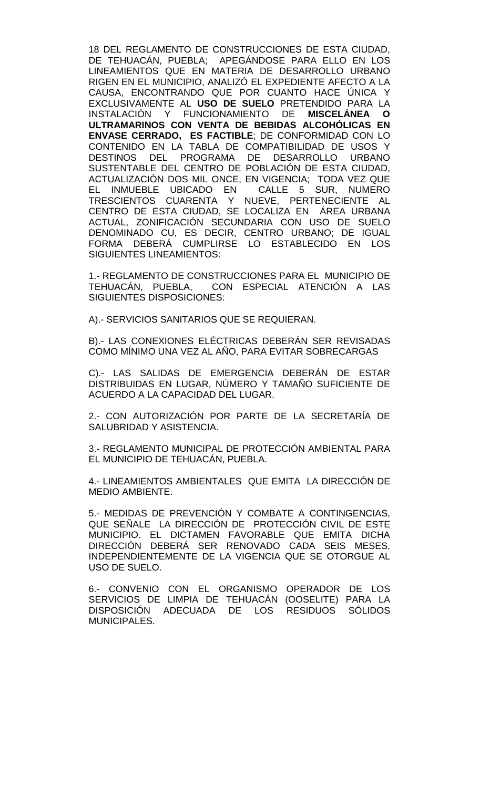18 DEL REGLAMENTO DE CONSTRUCCIONES DE ESTA CIUDAD, DE TEHUACÁN, PUEBLA; APEGÁNDOSE PARA ELLO EN LOS LINEAMIENTOS QUE EN MATERIA DE DESARROLLO URBANO RIGEN EN EL MUNICIPIO, ANALIZÓ EL EXPEDIENTE AFECTO A LA CAUSA, ENCONTRANDO QUE POR CUANTO HACE ÚNICA Y EXCLUSIVAMENTE AL **USO DE SUELO** PRETENDIDO PARA LA INSTALACIÓN Y FUNCIONAMIENTO DE **MISCELÁNEA O ULTRAMARINOS CON VENTA DE BEBIDAS ALCOHÓLICAS EN ENVASE CERRADO, ES FACTIBLE**; DE CONFORMIDAD CON LO CONTENIDO EN LA TABLA DE COMPATIBILIDAD DE USOS Y DESTINOS DEL PROGRAMA DE DESARROLLO URBANO SUSTENTABLE DEL CENTRO DE POBLACIÓN DE ESTA CIUDAD, ACTUALIZACIÓN DOS MIL ONCE, EN VIGENCIA; TODA VEZ QUE<br>EL INMUEBLE UBICADO EN CALLE 5 SUR, NUMERO EL INMUEBLE UBICADO EN TRESCIENTOS CUARENTA Y NUEVE, PERTENECIENTE AL CENTRO DE ESTA CIUDAD, SE LOCALIZA EN ÁREA URBANA ACTUAL, ZONIFICACIÓN SECUNDARIA CON USO DE SUELO DENOMINADO CU, ES DECIR, CENTRO URBANO; DE IGUAL FORMA DEBERÁ CUMPLIRSE LO ESTABLECIDO EN LOS SIGUIENTES LINEAMIENTOS:

1.- REGLAMENTO DE CONSTRUCCIONES PARA EL MUNICIPIO DE TEHUACÁN, PUEBLA, CON ESPECIAL ATENCIÓN A LAS SIGUIENTES DISPOSICIONES:

A).- SERVICIOS SANITARIOS QUE SE REQUIERAN.

B).- LAS CONEXIONES ELÉCTRICAS DEBERÁN SER REVISADAS COMO MÍNIMO UNA VEZ AL AÑO, PARA EVITAR SOBRECARGAS

C).- LAS SALIDAS DE EMERGENCIA DEBERÁN DE ESTAR DISTRIBUIDAS EN LUGAR, NÚMERO Y TAMAÑO SUFICIENTE DE ACUERDO A LA CAPACIDAD DEL LUGAR.

2.- CON AUTORIZACIÓN POR PARTE DE LA SECRETARÍA DE SALUBRIDAD Y ASISTENCIA.

3.- REGLAMENTO MUNICIPAL DE PROTECCIÓN AMBIENTAL PARA EL MUNICIPIO DE TEHUACÁN, PUEBLA.

4.- LINEAMIENTOS AMBIENTALES QUE EMITA LA DIRECCIÓN DE MEDIO AMBIENTE.

5.- MEDIDAS DE PREVENCIÓN Y COMBATE A CONTINGENCIAS, QUE SEÑALE LA DIRECCIÓN DE PROTECCIÓN CIVIL DE ESTE MUNICIPIO. EL DICTAMEN FAVORABLE QUE EMITA DICHA DIRECCIÓN DEBERÁ SER RENOVADO CADA SEIS MESES, INDEPENDIENTEMENTE DE LA VIGENCIA QUE SE OTORGUE AL USO DE SUELO.

6.- CONVENIO CON EL ORGANISMO OPERADOR DE LOS SERVICIOS DE LIMPIA DE TEHUACÁN (OOSELITE) PARA LA DISPOSICIÓN ADECUADA DE LOS RESIDUOS SÓLIDOS MUNICIPALES.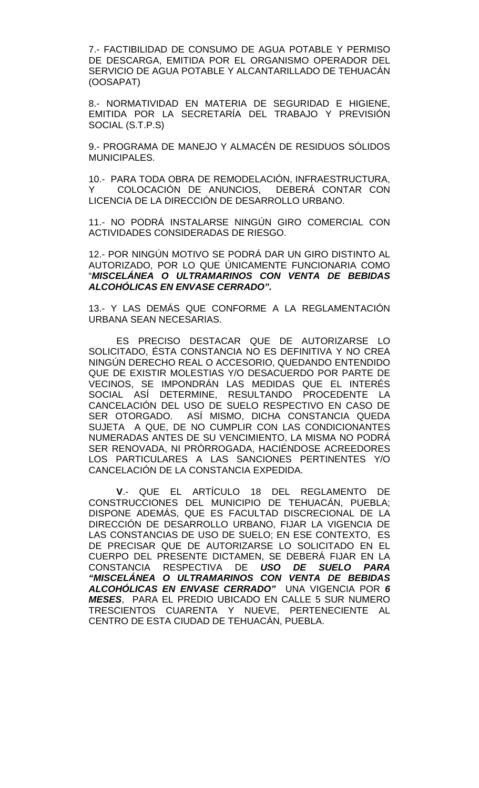7.- FACTIBILIDAD DE CONSUMO DE AGUA POTABLE Y PERMISO DE DESCARGA, EMITIDA POR EL ORGANISMO OPERADOR DEL SERVICIO DE AGUA POTABLE Y ALCANTARILLADO DE TEHUACÁN (OOSAPAT)

8.- NORMATIVIDAD EN MATERIA DE SEGURIDAD E HIGIENE, EMITIDA POR LA SECRETARÍA DEL TRABAJO Y PREVISIÓN SOCIAL (S.T.P.S)

9.- PROGRAMA DE MANEJO Y ALMACÉN DE RESIDUOS SÓLIDOS MUNICIPALES.

10.- PARA TODA OBRA DE REMODELACIÓN, INFRAESTRUCTURA, Y COLOCACIÓN DE ANUNCIOS, DEBERÁ CONTAR CON LICENCIA DE LA DIRECCIÓN DE DESARROLLO URBANO.

11.- NO PODRÁ INSTALARSE NINGÚN GIRO COMERCIAL CON ACTIVIDADES CONSIDERADAS DE RIESGO.

12.- POR NINGÚN MOTIVO SE PODRÁ DAR UN GIRO DISTINTO AL AUTORIZADO, POR LO QUE ÚNICAMENTE FUNCIONARIA COMO "*MISCELÁNEA O ULTRAMARINOS CON VENTA DE BEBIDAS ALCOHÓLICAS EN ENVASE CERRADO".*

13.- Y LAS DEMÁS QUE CONFORME A LA REGLAMENTACIÓN URBANA SEAN NECESARIAS.

ES PRECISO DESTACAR QUE DE AUTORIZARSE LO SOLICITADO, ÉSTA CONSTANCIA NO ES DEFINITIVA Y NO CREA NINGÚN DERECHO REAL O ACCESORIO, QUEDANDO ENTENDIDO QUE DE EXISTIR MOLESTIAS Y/O DESACUERDO POR PARTE DE VECINOS, SE IMPONDRÁN LAS MEDIDAS QUE EL INTERÉS SOCIAL ASÍ DETERMINE, RESULTANDO PROCEDENTE LA CANCELACIÓN DEL USO DE SUELO RESPECTIVO EN CASO DE SER OTORGADO. ASÍ MISMO, DICHA CONSTANCIA QUEDA SUJETA A QUE, DE NO CUMPLIR CON LAS CONDICIONANTES NUMERADAS ANTES DE SU VENCIMIENTO, LA MISMA NO PODRÁ SER RENOVADA, NI PRÓRROGADA, HACIÉNDOSE ACREEDORES LOS PARTICULARES A LAS SANCIONES PERTINENTES Y/O CANCELACIÓN DE LA CONSTANCIA EXPEDIDA.

**V**.- QUE EL ARTÍCULO 18 DEL REGLAMENTO DE CONSTRUCCIONES DEL MUNICIPIO DE TEHUACÁN, PUEBLA; DISPONE ADEMÁS, QUE ES FACULTAD DISCRECIONAL DE LA DIRECCIÓN DE DESARROLLO URBANO, FIJAR LA VIGENCIA DE LAS CONSTANCIAS DE USO DE SUELO; EN ESE CONTEXTO, ES DE PRECISAR QUE DE AUTORIZARSE LO SOLICITADO EN EL CUERPO DEL PRESENTE DICTAMEN, SE DEBERÁ FIJAR EN LA CONSTANCIA RESPECTIVA DE *USO DE SUELO PARA "MISCELÁNEA O ULTRAMARINOS CON VENTA DE BEBIDAS ALCOHÓLICAS EN ENVASE CERRADO"* UNA VIGENCIA POR *6 MESES*, PARA EL PREDIO UBICADO EN CALLE 5 SUR NUMERO TRESCIENTOS CUARENTA Y NUEVE, PERTENECIENTE AL CENTRO DE ESTA CIUDAD DE TEHUACÁN, PUEBLA.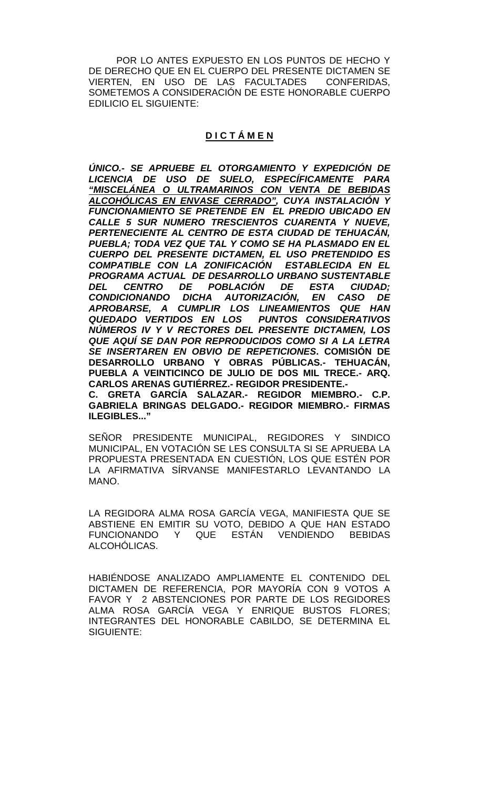POR LO ANTES EXPUESTO EN LOS PUNTOS DE HECHO Y DE DERECHO QUE EN EL CUERPO DEL PRESENTE DICTAMEN SE<br>VIERTEN. EN USO DE LAS FACULTADES CONFERIDAS. VIERTEN. EN USO DE LAS FACULTADES SOMETEMOS A CONSIDERACIÓN DE ESTE HONORABLE CUERPO EDILICIO EL SIGUIENTE:

# **D I C T Á M E N**

*ÚNICO.- SE APRUEBE EL OTORGAMIENTO Y EXPEDICIÓN DE LICENCIA DE USO DE SUELO, ESPECÍFICAMENTE PARA "MISCELÁNEA O ULTRAMARINOS CON VENTA DE BEBIDAS ALCOHÓLICAS EN ENVASE CERRADO", CUYA INSTALACIÓN Y FUNCIONAMIENTO SE PRETENDE EN EL PREDIO UBICADO EN CALLE 5 SUR NUMERO TRESCIENTOS CUARENTA Y NUEVE, PERTENECIENTE AL CENTRO DE ESTA CIUDAD DE TEHUACÁN, PUEBLA; TODA VEZ QUE TAL Y COMO SE HA PLASMADO EN EL CUERPO DEL PRESENTE DICTAMEN, EL USO PRETENDIDO ES COMPATIBLE CON LA ZONIFICACIÓN ESTABLECIDA EN EL PROGRAMA ACTUAL DE DESARROLLO URBANO SUSTENTABLE DEL CENTRO DE POBLACIÓN DE ESTA CIUDAD; CONDICIONANDO DICHA AUTORIZACIÓN, EN CASO DE APROBARSE, A CUMPLIR LOS LINEAMIENTOS QUE HAN QUEDADO VERTIDOS EN LOS PUNTOS CONSIDERATIVOS NÚMEROS IV Y V RECTORES DEL PRESENTE DICTAMEN, LOS QUE AQUÍ SE DAN POR REPRODUCIDOS COMO SI A LA LETRA SE INSERTAREN EN OBVIO DE REPETICIONES***. COMISIÓN DE DESARROLLO URBANO Y OBRAS PÚBLICAS.- TEHUACÁN, PUEBLA A VEINTICINCO DE JULIO DE DOS MIL TRECE.- ARQ. CARLOS ARENAS GUTIÉRREZ.- REGIDOR PRESIDENTE.- C. GRETA GARCÍA SALAZAR.- REGIDOR MIEMBRO.- C.P. GABRIELA BRINGAS DELGADO.- REGIDOR MIEMBRO.- FIRMAS ILEGIBLES..."**

SEÑOR PRESIDENTE MUNICIPAL, REGIDORES Y SINDICO MUNICIPAL, EN VOTACIÓN SE LES CONSULTA SI SE APRUEBA LA PROPUESTA PRESENTADA EN CUESTIÓN, LOS QUE ESTÉN POR LA AFIRMATIVA SÍRVANSE MANIFESTARLO LEVANTANDO LA MANO.

LA REGIDORA ALMA ROSA GARCÍA VEGA, MANIFIESTA QUE SE ABSTIENE EN EMITIR SU VOTO, DEBIDO A QUE HAN ESTADO FUNCIONANDO Y QUE ESTÁN VENDIENDO BEBIDAS ALCOHÓLICAS.

HABIÉNDOSE ANALIZADO AMPLIAMENTE EL CONTENIDO DEL DICTAMEN DE REFERENCIA, POR MAYORÍA CON 9 VOTOS A FAVOR Y 2 ABSTENCIONES POR PARTE DE LOS REGIDORES ALMA ROSA GARCÍA VEGA Y ENRIQUE BUSTOS FLORES; INTEGRANTES DEL HONORABLE CABILDO, SE DETERMINA EL SIGUIENTE: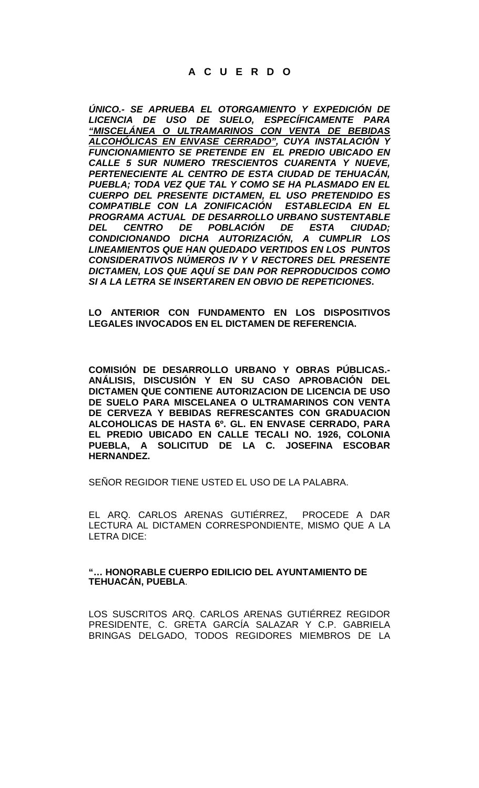# **A C U E R D O**

*ÚNICO.- SE APRUEBA EL OTORGAMIENTO Y EXPEDICIÓN DE LICENCIA DE USO DE SUELO, ESPECÍFICAMENTE PARA "MISCELÁNEA O ULTRAMARINOS CON VENTA DE BEBIDAS ALCOHÓLICAS EN ENVASE CERRADO", CUYA INSTALACIÓN Y FUNCIONAMIENTO SE PRETENDE EN EL PREDIO UBICADO EN CALLE 5 SUR NUMERO TRESCIENTOS CUARENTA Y NUEVE, PERTENECIENTE AL CENTRO DE ESTA CIUDAD DE TEHUACÁN, PUEBLA; TODA VEZ QUE TAL Y COMO SE HA PLASMADO EN EL CUERPO DEL PRESENTE DICTAMEN, EL USO PRETENDIDO ES COMPATIBLE CON LA ZONIFICACIÓN ESTABLECIDA EN EL PROGRAMA ACTUAL DE DESARROLLO URBANO SUSTENTABLE DEL CENTRO DE POBLACIÓN DE ESTA CIUDAD; CONDICIONANDO DICHA AUTORIZACIÓN, A CUMPLIR LOS LINEAMIENTOS QUE HAN QUEDADO VERTIDOS EN LOS PUNTOS CONSIDERATIVOS NÚMEROS IV Y V RECTORES DEL PRESENTE DICTAMEN, LOS QUE AQUÍ SE DAN POR REPRODUCIDOS COMO SI A LA LETRA SE INSERTAREN EN OBVIO DE REPETICIONES***.**

**LO ANTERIOR CON FUNDAMENTO EN LOS DISPOSITIVOS LEGALES INVOCADOS EN EL DICTAMEN DE REFERENCIA.**

**COMISIÓN DE DESARROLLO URBANO Y OBRAS PÚBLICAS.- ANÁLISIS, DISCUSIÓN Y EN SU CASO APROBACIÓN DEL DICTAMEN QUE CONTIENE AUTORIZACION DE LICENCIA DE USO DE SUELO PARA MISCELANEA O ULTRAMARINOS CON VENTA DE CERVEZA Y BEBIDAS REFRESCANTES CON GRADUACION ALCOHOLICAS DE HASTA 6º. GL. EN ENVASE CERRADO, PARA EL PREDIO UBICADO EN CALLE TECALI NO. 1926, COLONIA PUEBLA, A SOLICITUD DE LA C. JOSEFINA ESCOBAR HERNANDEZ.**

SEÑOR REGIDOR TIENE USTED EL USO DE LA PALABRA.

EL ARQ. CARLOS ARENAS GUTIÉRREZ, PROCEDE A DAR LECTURA AL DICTAMEN CORRESPONDIENTE, MISMO QUE A LA LETRA DICE:

### **"… HONORABLE CUERPO EDILICIO DEL AYUNTAMIENTO DE TEHUACÁN, PUEBLA**.

LOS SUSCRITOS ARQ. CARLOS ARENAS GUTIÉRREZ REGIDOR PRESIDENTE, C. GRETA GARCÍA SALAZAR Y C.P. GABRIELA BRINGAS DELGADO, TODOS REGIDORES MIEMBROS DE LA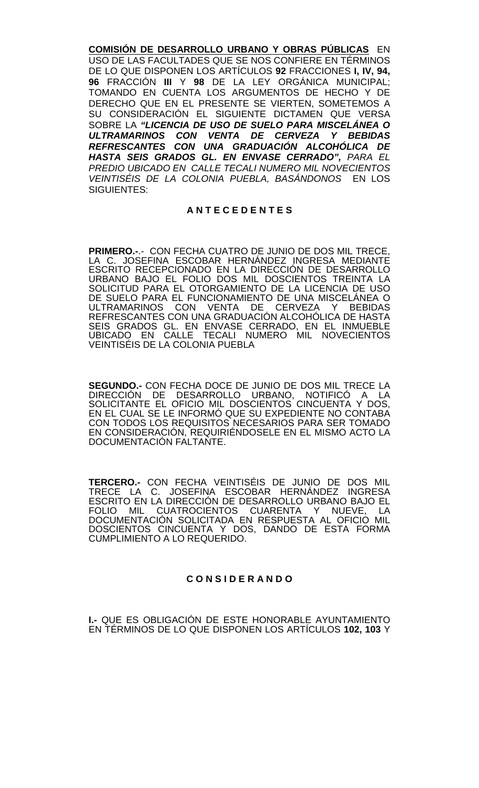**COMISIÓN DE DESARROLLO URBANO Y OBRAS PÚBLICAS** EN USO DE LAS FACULTADES QUE SE NOS CONFIERE EN TÉRMINOS DE LO QUE DISPONEN LOS ARTÍCULOS **92** FRACCIONES **I, IV, 94, 96** FRACCIÓN **III** Y **98** DE LA LEY ORGÁNICA MUNICIPAL; TOMANDO EN CUENTA LOS ARGUMENTOS DE HECHO Y DE DERECHO QUE EN EL PRESENTE SE VIERTEN, SOMETEMOS A SU CONSIDERACIÓN EL SIGUIENTE DICTAMEN QUE VERSA SOBRE LA *"LICENCIA DE USO DE SUELO PARA MISCELÁNEA O ULTRAMARINOS CON VENTA DE CERVEZA Y BEBIDAS REFRESCANTES CON UNA GRADUACIÓN ALCOHÓLICA DE HASTA SEIS GRADOS GL. EN ENVASE CERRADO", PARA EL PREDIO UBICADO EN CALLE TECALI NUMERO MIL NOVECIENTOS VEINTISÉIS DE LA COLONIA PUEBLA, BASÁNDONOS* EN LOS SIGUIENTES:

## **A N T E C E D E N T E S**

**PRIMERO.-**.- CON FECHA CUATRO DE JUNIO DE DOS MIL TRECE, LA C. JOSEFINA ESCOBAR HERNÁNDEZ INGRESA MEDIANTE ESCRITO RECEPCIONADO EN LA DIRECCIÓN DE DESARROLLO URBANO BAJO EL FOLIO DOS MIL DOSCIENTOS TREINTA LA SOLICITUD PARA EL OTORGAMIENTO DE LA LICENCIA DE USO DE SUELO PARA EL FUNCIONAMIENTO DE UNA MISCELÁNEA O ULTRAMARINOS CON VENTA DE CERVEZA Y BEBIDAS CON VENTA DE CERVEZA Y BEBIDAS REFRESCANTES CON UNA GRADUACIÓN ALCOHÓLICA DE HASTA SEIS GRADOS GL. EN ENVASE CERRADO, EN EL INMUEBLE UBICADO EN CALLE TECALI NUMERO MIL NOVECIENTOS VEINTISÉIS DE LA COLONIA PUEBLA

**SEGUNDO.-** CON FECHA DOCE DE JUNIO DE DOS MIL TRECE LA DIRECCIÓN DE DESARROLLO URBANO, NOTIFICO A LA SOLICITANTE EL OFICIO MIL DOSCIENTOS CINCUENTA Y DOS, EN EL CUAL SE LE INFORMÓ QUE SU EXPEDIENTE NO CONTABA CON TODOS LOS REQUISITOS NECESARIOS PARA SER TOMADO EN CONSIDERACIÓN, REQUIRIÉNDOSELE EN EL MISMO ACTO LA DOCUMENTACIÓN FALTANTE.

**TERCERO.-** CON FECHA VEINTISÉIS DE JUNIO DE DOS MIL TRECE LA C. JOSEFINA ESCOBAR HERNÁNDEZ INGRESA ESCRITO EN LA DIRECCIÓN DE DESARROLLO URBANO BAJO EL FOLIO MIL CUATROCIENTOS CUARENTA Y NUEVE, LA DOCUMENTACIÓN SOLICITADA EN RESPUESTA AL OFICIO MIL DOSCIENTOS CINCUENTA Y DOS, DANDO DE ESTA FORMA CUMPLIMIENTO A LO REQUERIDO.

# **C O N S I D E R A N D O**

**I.-** QUE ES OBLIGACIÓN DE ESTE HONORABLE AYUNTAMIENTO EN TÉRMINOS DE LO QUE DISPONEN LOS ARTÍCULOS **102, 103** Y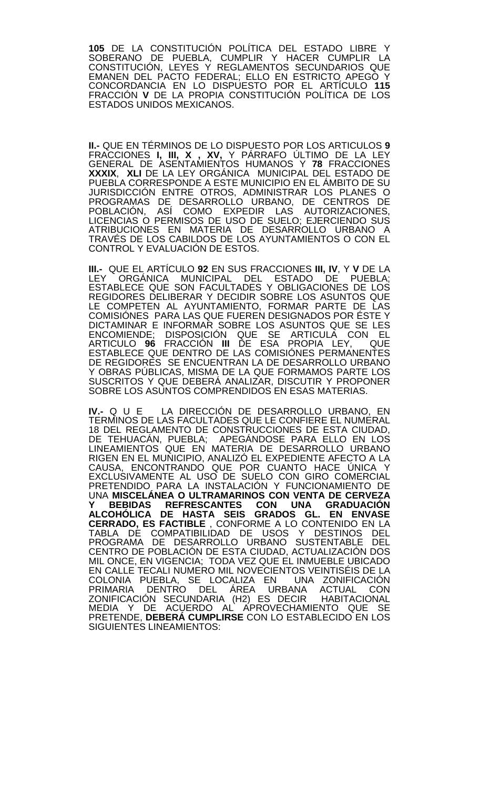**105** DE LA CONSTITUCIÓN POLÍTICA DEL ESTADO LIBRE Y SOBERANO DE PUEBLA, CUMPLIR Y HACER CUMPLIR LA CONSTITUCIÓN, LEYES Y REGLAMENTOS SECUNDARIOS QUE EMANEN DEL PACTO FEDERAL; ELLO EN ESTRICTO APEGO Y CONCORDANCIA EN LO DISPUESTO POR EL ARTÍCULO **115**  FRACCIÓN **V** DE LA PROPIA CONSTITUCIÓN POLÍTICA DE LOS ESTADOS UNIDOS MEXICANOS.

**II.-** QUE EN TÉRMINOS DE LO DISPUESTO POR LOS ARTICULOS **9**  FRACCIONES **I, III, X , XV,** Y PÁRRAFO ÚLTIMO DE LA LEY GENERAL DE ASENTAMIENTOS HUMANOS Y **78** FRACCIONES **XXXIX**, **XLI** DE LA LEY ORGÁNICA MUNICIPAL DEL ESTADO DE PUEBLA CORRESPONDE A ESTE MUNICIPIO EN EL ÁMBITO DE SU JURISDICCIÓN ENTRE OTROS, ADMINISTRAR LOS PLANES O PROGRAMAS DE DESARROLLO URBANO, DE CENTROS DE POBLACIÓN, ASÍ COMO EXPEDIR LAS AUTORIZACIONES, LICENCIAS O PERMISOS DE USO DE SUELO; EJERCIENDO SUS ATRIBUCIONES EN MATERIA DE DESARROLLO URBANO A TRAVÉS DE LOS CABILDOS DE LOS AYUNTAMIENTOS O CON EL CONTROL Y EVALUACIÓN DE ESTOS.

**III.-** QUE EL ARTÍCULO **92** EN SUS FRACCIONES **III, IV**, Y **V** DE LA LEY ORGÁNICA MUNICIPAL DEL ESTADO DE PUEBLA; ESTABLECE QUE SON FACULTADES Y OBLIGACIONES DE LOS REGIDORES DELIBERAR Y DECIDIR SOBRE LOS ASUNTOS QUE LE COMPETEN AL AYUNTAMIENTO, FORMAR PARTE DE LAS COMISIÓNES PARA LAS QUE FUEREN DESIGNADOS POR ÉSTE Y DICTAMINAR E INFORMAR SOBRE LOS ASUNTOS QUE SE LES ENCOMIENDE; DISPOSICIÓN QUE SE ARTICULA CON EL ARTICULO **96** FRACCIÓN **III** DE ESA PROPIA LEY, QUE ESTABLECE QUE DENTRO DE LAS COMISIÓNES PERMANENTES DE REGIDORES SE ENCUENTRAN LA DE DESARROLLO URBANO Y OBRAS PUBLICAS, MISMA DE LA QUE FORMAMOS PARTE LOS SUSCRITOS Y QUE DEBERÁ ANALIZAR, DISCUTIR Y PROPONER SOBRE LOS ASUNTOS COMPRENDIDOS EN ESAS MATERIAS.

**IV.-** Q U E LA DIRECCIÓN DE DESARROLLO URBANO, EN TERMINOS DE LAS FACULTADES QUE LE CONFIERE EL NUMERAL 18 DEL REGLAMENTO DE CONSTRUCCIONES DE ESTA CIUDAD,<br>DE TEHUACÁN, PUEBLA; APEGÁNDOSE PARA ELLO EN LOS LINEAMIENTOS QUE EN MATERIA DE DESARROLLO URBANO RIGEN EN EL MUNICIPIO, ANALIZÓ EL EXPEDIENTE AFECTO A LA CAUSA, ENCONTRANDO QUE POR CUANTO HACE ÚNICA Y EXCLUSIVAMENTE AL USO DE SUELO CON GIRO COMERCIAL PRETENDIDO PARA LA INSTALACION Y FUNCIONAMIENTO DE UNA **MISCELÁNEA O ULTRAMARINOS CON VENTA DE CERVEZA Y BEBIDAS REFRESCANTES CON UNA GRADUACIÓN ALCOHÓLICA DE HASTA SEIS GRADOS GL. EN ENVASE CERRADO, ES FACTIBLE** , CONFORME A LO CONTENIDO EN LA TABLA DE COMPATIBILIDAD DE USOS Y DESTINOS DEL PROGRAMA DE DESARROLLO URBANO SUSTENTABLE DEL CENTRO DE POBLACIÓN DE ESTA CIUDAD, ACTUALIZACIÓN DOS MIL ONCE, EN VIGENCIA; TODA VEZ QUE EL INMUEBLE UBICADO EN CALLE TECALI NUMERO MIL NOVECIENTOS VEINTISÉIS DE LA COLONIA PUEBLA, SE LOCALIZA EN UNA ZONIFICACIÓN PRIMARIA DENTRO DEL ÁREA URBANA ACTUAL CON ZONIFICACIÓN SECUNDARIA (H2) ES DECIR HABITACIONAL MEDIA Y DE ACUERDO AL APROVECHAMIENTO QUE SE PRETENDE, **DEBERÁ CUMPLIRSE** CON LO ESTABLECIDO EN LOS SIGUIENTES LINEAMIENTOS: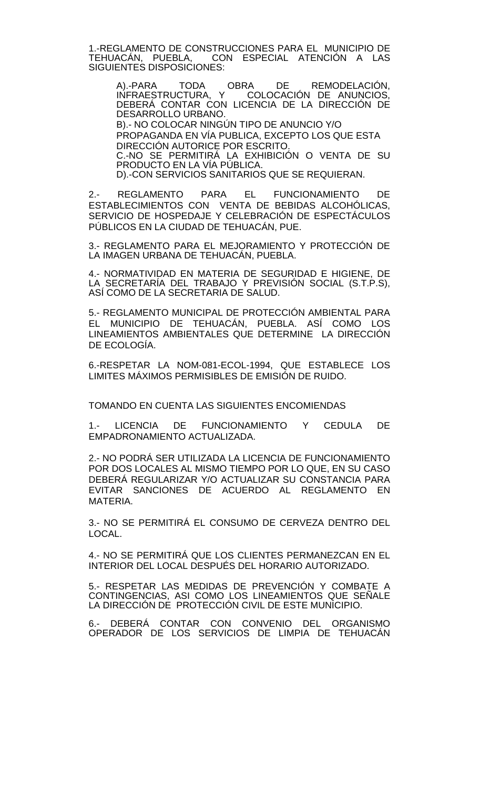1.-REGLAMENTO DE CONSTRUCCIONES PARA EL MUNICIPIO DE<br>TEHUACÁN. PUEBLA. CON ESPECIAL ATENCIÓN A LAS CON ESPECIAL ATENCIÓN A LAS SIGUIENTES DISPOSICIONES:

A).-PARA TODA OBRA DE REMODELACIÓN, INFRAESTRUCTURA, Y COLOCACIÓN DE ANUNCIOS, DEBERÁ CONTAR CON LICENCIA DE LA DIRECCIÓN DE DESARROLLO URBANO.

B).- NO COLOCAR NINGÚN TIPO DE ANUNCIO Y/O PROPAGANDA EN VÍA PUBLICA, EXCEPTO LOS QUE ESTA DIRECCIÓN AUTORICE POR ESCRITO. C.-NO SE PERMITIRÁ LA EXHIBICIÓN O VENTA DE SU PRODUCTO EN LA VÍA PÚBLICA.

D).-CON SERVICIOS SANITARIOS QUE SE REQUIERAN.

2.- REGLAMENTO PARA EL FUNCIONAMIENTO DE ESTABLECIMIENTOS CON VENTA DE BEBIDAS ALCOHÓLICAS, SERVICIO DE HOSPEDAJE Y CELEBRACION DE ESPECTACULOS PÚBLICOS EN LA CIUDAD DE TEHUACÁN, PUE.

3.- REGLAMENTO PARA EL MEJORAMIENTO Y PROTECCIÓN DE LA IMAGEN URBANA DE TEHUACÁN, PUEBLA.

4.- NORMATIVIDAD EN MATERIA DE SEGURIDAD E HIGIENE, DE LA SECRETARIA DEL TRABAJO Y PREVISION SOCIAL (S.T.P.S), ASÍ COMO DE LA SECRETARIA DE SALUD.

5.- REGLAMENTO MUNICIPAL DE PROTECCIÓN AMBIENTAL PARA EL MUNICIPIO DE TEHUACÁN, PUEBLA. ASÍ COMO LOS LINEAMIENTOS AMBIENTALES QUE DETERMINE LA DIRECCIÓN DE ECOLOGÍA.

6.-RESPETAR LA NOM-081-ECOL-1994, QUE ESTABLECE LOS LIMITES MÁXIMOS PERMISIBLES DE EMISIÓN DE RUIDO.

TOMANDO EN CUENTA LAS SIGUIENTES ENCOMIENDAS

1.- LICENCIA DE FUNCIONAMIENTO Y CEDULA DE EMPADRONAMIENTO ACTUALIZADA.

2.- NO PODRÁ SER UTILIZADA LA LICENCIA DE FUNCIONAMIENTO POR DOS LOCALES AL MISMO TIEMPO POR LO QUE, EN SU CASO DEBERÁ REGULARIZAR Y/O ACTUALIZAR SU CONSTANCIA PARA EVITAR SANCIONES DE ACUERDO AL REGLAMENTO EN MATERIA.

3.- NO SE PERMITIRÁ EL CONSUMO DE CERVEZA DENTRO DEL LOCAL.

4.- NO SE PERMITIRÁ QUE LOS CLIENTES PERMANEZCAN EN EL INTERIOR DEL LOCAL DESPUÉS DEL HORARIO AUTORIZADO.

5.- RESPETAR LAS MEDIDAS DE PREVENCIÓN Y COMBATE A CONTINGENCIAS, ASI COMO LOS LINEAMIENTOS QUE SENALE LA DIRECCIÓN DE PROTECCIÓN CIVIL DE ESTE MUNICIPIO.

6.- DEBERÁ CONTAR CON CONVENIO DEL ORGANISMO OPERADOR DE LOS SERVICIOS DE LIMPIA DE TEHUACÁN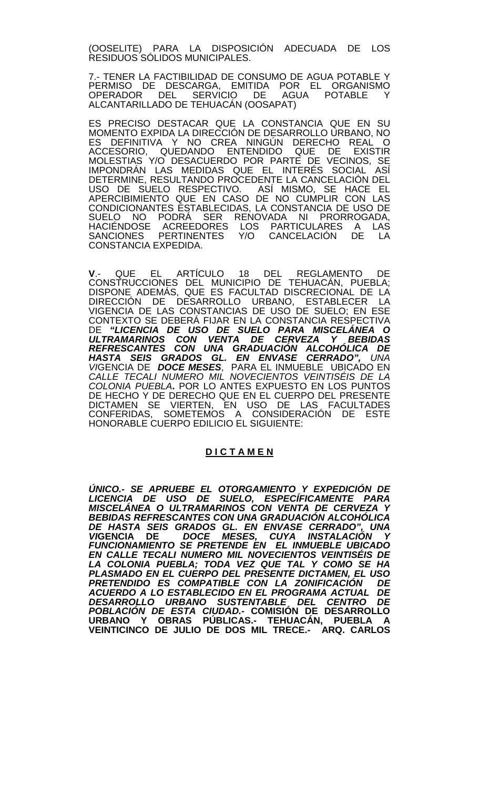(OOSELITE) PARA LA DISPOSICIÓN ADECUADA DE LOS RESIDUOS SÓLIDOS MUNICIPALES.

7.- TENER LA FACTIBILIDAD DE CONSUMO DE AGUA POTABLE Y PERMISO DE DESCARGA, EMITIDA POR EL ORGANISMO OPERADOR DEL SERVICIO DE AGUA POTABLE Y ALCANTARILLADO DE TEHUACÁN (OOSAPAT)

ES PRECISO DESTACAR QUE LA CONSTANCIA QUE EN SU MOMENTO EXPIDA LA DIRECCIÓN DE DESARROLLO URBANO, NO ES DEFINITIVA Y NO CREA NINGÚN DERECHO REAL O ACCESORIO, QUEDANDO ENTENDIDO QUE DE EXISTIR MOLESTIAS Y/O DESACUERDO POR PARTE DE VECINOS, SE IMPONDRÁN LAS MEDIDAS QUE EL INTERÉS SOCIAL ASÍ DETERMINE, RESULTANDO PROCEDENTE LA CANCELACIÓN DEL USO DE SUELO RESPECTIVO. ASÍ MISMO, SE HACE EL APERCIBIMIENTO QUE EN CASO DE NO CUMPLIR CON LAS CONDICIONANTES ESTABLECIDAS, LA CONSTANCIA DE USO DE SUELO NO PODRÁ SER RENOVADA NI PRORROGADA, HACIÉNDOSE ACREEDORES LOS PARTICULARES A LAS SANCIONES PERTINENTES Y/O CANCELACIÓN DE LA CONSTANCIA EXPEDIDA.

**V**.- QUE EL ARTÍCULO 18 DEL REGLAMENTO DE CONSTRUCCIONES DEL MUNICIPIO DE TEHUACÁN, PUEBLA; DISPONE ADEMÁS, QUE ES FACULTAD DISCRECIONAL DE LA DIRECCIÓN DE DESARROLLO URBANO, ESTABLECER LA VIGENCIA DE LAS CONSTANCIAS DE USO DE SUELO; EN ESE CONTEXTO SE DEBERÁ FIJAR EN LA CONSTANCIA RESPECTIVA DE *"LICENCIA DE USO DE SUELO PARA MISCELÁNEA O ULTRAMARINOS CON VENTA DE CERVEZA Y BEBIDAS REFRESCANTES CON UNA GRADUACIÓN ALCOHÓLICA DE HASTA SEIS GRADOS GL. EN ENVASE CERRADO", UNA VI*GENCIA DE *DOCE MESES*, PARA EL INMUEBLE UBICADO EN *CALLE TECALI NUMERO MIL NOVECIENTOS VEINTISÉIS DE LA COLONIA PUEBLA***.** POR LO ANTES EXPUESTO EN LOS PUNTOS DE HECHO Y DE DERECHO QUE EN EL CUERPO DEL PRESENTE DICTAMEN SE VIERTEN, EN USO DE LAS FACULTADES CONFERIDAS, SOMETEMOS A CONSIDERACIÓN DE ESTE HONORABLE CUERPO EDILICIO EL SIGUIENTE:

## **D I C T A M E N**

*ÚNICO.- SE APRUEBE EL OTORGAMIENTO Y EXPEDICIÓN DE LICENCIA DE USO DE SUELO, ESPECÍFICAMENTE PARA MISCELÁNEA O ULTRAMARINOS CON VENTA DE CERVEZA Y BEBIDAS REFRESCANTES CON UNA GRADUACIÓN ALCOHÓLICA DE HASTA SEIS GRADOS GL. EN ENVASE CERRADO", UNA VI***GENCIA DE** *DOCE MESES, CUYA INSTALACIÓN Y FUNCIONAMIENTO SE PRETENDE EN EL INMUEBLE UBICADO EN CALLE TECALI NUMERO MIL NOVECIENTOS VEINTISÉIS DE LA COLONIA PUEBLA; TODA VEZ QUE TAL Y COMO SE HA PLASMADO EN EL CUERPO DEL PRESENTE DICTAMEN, EL USO PRETENDIDO ES COMPATIBLE CON LA ZONIFICACIÓN DE ACUERDO A LO ESTABLECIDO EN EL PROGRAMA ACTUAL DE DESARROLLO URBANO SUSTENTABLE DEL CENTRO DE POBLACIÓN DE ESTA CIUDAD.-* **COMISIÓN DE DESARROLLO URBANO Y OBRAS PÚBLICAS.- TEHUACÁN, PUEBLA A VEINTICINCO DE JULIO DE DOS MIL TRECE.- ARQ. CARLOS**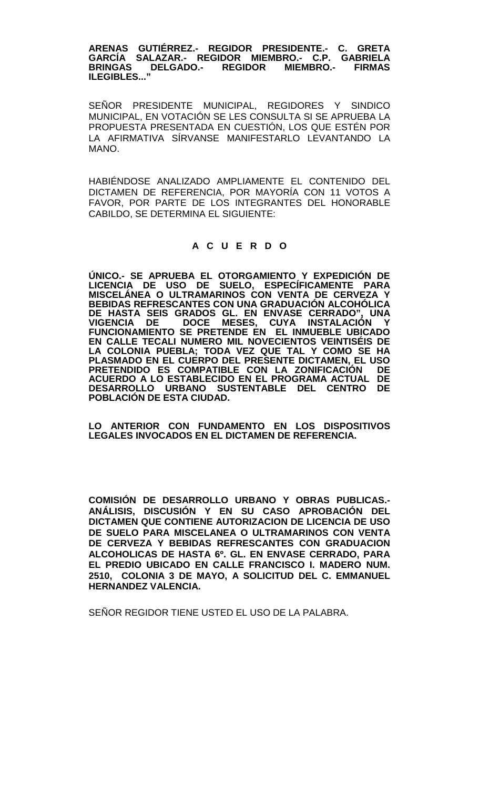**ARENAS GUTIÉRREZ.- REGIDOR PRESIDENTE.- C. GRETA GARCÍA SALAZAR.- REGIDOR MIEMBRO.- C.P. GABRIELA BRINGAS DELGADO.- REGIDOR MIEMBRO.- FIRMAS ILEGIBLES..."**

SEÑOR PRESIDENTE MUNICIPAL, REGIDORES Y SINDICO MUNICIPAL, EN VOTACIÓN SE LES CONSULTA SI SE APRUEBA LA PROPUESTA PRESENTADA EN CUESTIÓN, LOS QUE ESTÉN POR LA AFIRMATIVA SÍRVANSE MANIFESTARLO LEVANTANDO LA MANO.

HABIÉNDOSE ANALIZADO AMPLIAMENTE EL CONTENIDO DEL DICTAMEN DE REFERENCIA, POR MAYORÍA CON 11 VOTOS A FAVOR, POR PARTE DE LOS INTEGRANTES DEL HONORABLE CABILDO, SE DETERMINA EL SIGUIENTE:

# **A C U E R D O**

**ÚNICO.- SE APRUEBA EL OTORGAMIENTO Y EXPEDICIÓN DE LICENCIA DE USO DE SUELO, ESPECÍFICAMENTE PARA MISCELÁNEA O ULTRAMARINOS CON VENTA DE CERVEZA Y BEBIDAS REFRESCANTES CON UNA GRADUACIÓN ALCOHÓLICA DE HASTA SEIS GRADOS GL. EN ENVASE CERRADO", UNA VIGENCIA DE DOCE MESES, CUYA INSTALACIÓN Y FUNCIONAMIENTO SE PRETENDE EN EL INMUEBLE UBICADO EN CALLE TECALI NUMERO MIL NOVECIENTOS VEINTISÉIS DE LA COLONIA PUEBLA; TODA VEZ QUE TAL Y COMO SE HA PLASMADO EN EL CUERPO DEL PRESENTE DICTAMEN, EL USO PRETENDIDO ES COMPATIBLE CON LA ZONIFICACIÓN DE ACUERDO A LO ESTABLECIDO EN EL PROGRAMA ACTUAL DE DESARROLLO URBANO SUSTENTABLE DEL CENTRO DE POBLACIÓN DE ESTA CIUDAD.**

**LO ANTERIOR CON FUNDAMENTO EN LOS DISPOSITIVOS LEGALES INVOCADOS EN EL DICTAMEN DE REFERENCIA.**

**COMISIÓN DE DESARROLLO URBANO Y OBRAS PUBLICAS.- ANÁLISIS, DISCUSIÓN Y EN SU CASO APROBACIÓN DEL DICTAMEN QUE CONTIENE AUTORIZACION DE LICENCIA DE USO DE SUELO PARA MISCELANEA O ULTRAMARINOS CON VENTA DE CERVEZA Y BEBIDAS REFRESCANTES CON GRADUACION ALCOHOLICAS DE HASTA 6º. GL. EN ENVASE CERRADO, PARA EL PREDIO UBICADO EN CALLE FRANCISCO I. MADERO NUM. 2510, COLONIA 3 DE MAYO, A SOLICITUD DEL C. EMMANUEL HERNANDEZ VALENCIA.**

SEÑOR REGIDOR TIENE USTED EL USO DE LA PALABRA.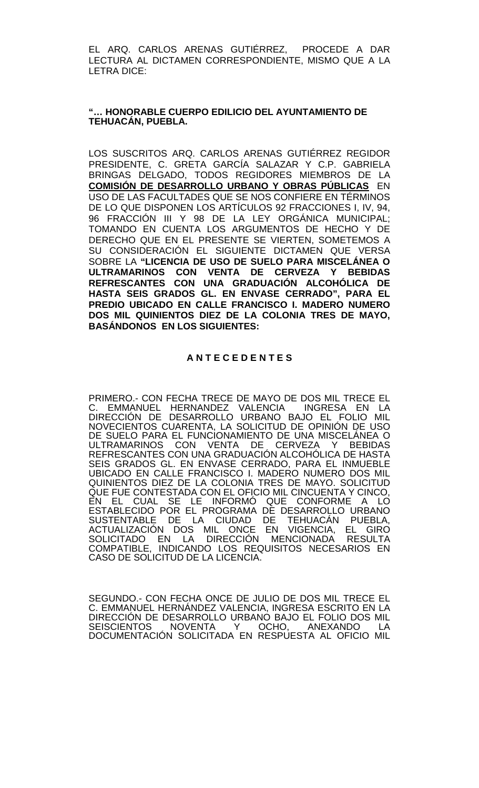EL ARQ. CARLOS ARENAS GUTIÉRREZ, PROCEDE A DAR LECTURA AL DICTAMEN CORRESPONDIENTE, MISMO QUE A LA LETRA DICE:

## **"… HONORABLE CUERPO EDILICIO DEL AYUNTAMIENTO DE TEHUACÁN, PUEBLA.**

LOS SUSCRITOS ARQ. CARLOS ARENAS GUTIÉRREZ REGIDOR PRESIDENTE, C. GRETA GARCÍA SALAZAR Y C.P. GABRIELA BRINGAS DELGADO, TODOS REGIDORES MIEMBROS DE LA **COMISIÓN DE DESARROLLO URBANO Y OBRAS PÚBLICAS** EN USO DE LAS FACULTADES QUE SE NOS CONFIERE EN TÉRMINOS DE LO QUE DISPONEN LOS ARTÍCULOS 92 FRACCIONES I, IV, 94, 96 FRACCIÓN III Y 98 DE LA LEY ORGÁNICA MUNICIPAL; TOMANDO EN CUENTA LOS ARGUMENTOS DE HECHO Y DE DERECHO QUE EN EL PRESENTE SE VIERTEN, SOMETEMOS A SU CONSIDERACIÓN EL SIGUIENTE DICTAMEN QUE VERSA SOBRE LA **"LICENCIA DE USO DE SUELO PARA MISCELÁNEA O ULTRAMARINOS CON VENTA DE CERVEZA Y BEBIDAS REFRESCANTES CON UNA GRADUACIÓN ALCOHÓLICA DE HASTA SEIS GRADOS GL. EN ENVASE CERRADO", PARA EL PREDIO UBICADO EN CALLE FRANCISCO I. MADERO NUMERO DOS MIL QUINIENTOS DIEZ DE LA COLONIA TRES DE MAYO, BASÁNDONOS EN LOS SIGUIENTES:** 

# **A N T E C E D E N T E S**

PRIMERO.- CON FECHA TRECE DE MAYO DE DOS MIL TRECE EL C. EMMANUEL HERNANDEZ VALENCIA INGRESA EN LA DIRECCIÓN DE DESARROLLO URBANO BAJO EL FOLIO MIL NOVECIENTOS CUARENTA, LA SOLICITUD DE OPINIÓN DE USO DE SUELO PARA EL FUNCIONAMIENTO DE UNA MISCELÁNEA O ULTRAMARINOS CON VENTA DE CERVEZA Y BEBIDAS REFRESCANTES CON UNA GRADUACIÓN ALCOHÓLICA DE HASTA SEIS GRADOS GL. EN ENVASE CERRADO, PARA EL INMUEBLE UBICADO EN CALLE FRANCISCO I. MADERO NUMERO DOS MIL QUINIENTOS DIEZ DE LA COLONIA TRES DE MAYO. SOLICITUD QUE FUE CONTESTADA CON EL OFICIO MIL CINCUENTA Y CINCO, EN EL CUAL SE LE INFORMÓ QUE CONFORME A LO ESTABLECIDO POR EL PROGRAMA DE DESARROLLO URBANO SUSTENTABLE DE LA CIUDAD DE TEHUACAN PUEBLA,<br>ACTUALIZACIÓN DOS MIL ONCE EN VIGENCIA, EL GIRO SOLICITADO EN LA DIRECCIÓN MENCIONADA RESULTA COMPATIBLE, INDICANDO LOS REQUISITOS NECESARIOS EN CASO DE SOLICITUD DE LA LICENCIA.

SEGUNDO.- CON FECHA ONCE DE JULIO DE DOS MIL TRECE EL C. EMMANUEL HERNÁNDEZ VALENCIA, INGRESA ESCRITO EN LA DIRECCIÓN DE DESARROLLO URBANÓ BAJO EL FOLIO DOS MIL<br>SEISCIENTOS DIOVENTA POCHO, ANEXANDO LA **SEISCIENTOS** DOCUMENTACIÓN SOLICITADA EN RESPUESTA AL OFICIO MIL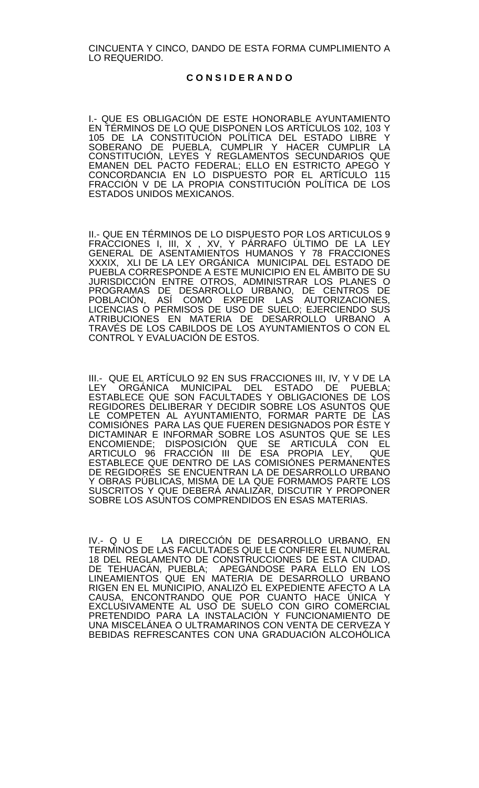CINCUENTA Y CINCO, DANDO DE ESTA FORMA CUMPLIMIENTO A LO REQUERIDO.

### **C O N S I D E R A N D O**

I.- QUE ES OBLIGACIÓN DE ESTE HONORABLE AYUNTAMIENTO EN TÉRMINOS DE LO QUE DISPONEN LOS ARTÍCULOS 102, 103 Y 105 DE LA CONSTITUCIÓN POLÍTICA DEL ESTADO LIBRE Y SOBERANO DE PUEBLA, CUMPLIR Y HACER CUMPLIR LA CONSTITUCIÓN, LEYES Y REGLAMENTOS SECUNDARIOS QUE EMANEN DEL PACTO FEDERAL; ELLO EN ESTRICTO APEGO Y CONCORDANCIA EN LO DISPUESTO POR EL ARTÍCULO 115 FRACCIÓN V DE LA PROPIA CONSTITUCIÓN POLÍTICA DE LOS ESTADOS UNIDOS MEXICANOS.

II.- QUE EN TÉRMINOS DE LO DISPUESTO POR LOS ARTICULOS 9 FRACCIONES I, III, X , XV, Y PÁRRAFO ÚLTIMO DE LA LEY GENERAL DE ASENTAMIENTOS HUMANOS Y 78 FRACCIONES XXXIX, XLI DE LA LEY ORGÁNICA MUNICIPAL DEL ESTADO DE PUEBLA CORRESPONDE A ESTE MUNICIPIO EN EL ÁMBITO DE SU JURISDICCIÓN ENTRE OTROS, ADMINISTRAR LOS PLANES O PROGRAMAS DE DESARROLLO URBANO, DE CENTROS DE POBLACIÓN, ASÍ COMO EXPEDIR LAS AUTORIZACIONES, LICENCIAS O PERMISOS DE USO DE SUELO; EJERCIENDO SUS ATRIBUCIONES EN MATERIA DE DESARROLLO URBANO A TRAVÉS DE LOS CABILDOS DE LOS AYUNTAMIENTOS O CON EL CONTROL Y EVALUACIÓN DE ESTOS.

III.- QUE EL ARTÍCULO 92 EN SUS FRACCIONES III, IV, Y V DE LA LEY ORGÁNICA MUNICIPAL DEL ESTADO DE PUEBLA; ESTABLECE QUE SON FACULTADES Y OBLIGACIONES DE LOS REGIDORES DELIBERAR Y DECIDIR SOBRE LOS ASUNTOS QUE<br>LE COMPETEN AL AYUNTAMIENTO, FORMAR PARTE DE LAS COMISIÓNES PARA LAS QUE FUEREN DESIGNADOS POR ÉSTE Y DICTAMINAR E INFORMAR SOBRE LOS ASUNTOS QUE SE LES ENCOMIENDE; DISPOSICIÓN QUE SE ARTICULA CON EL ARTICULO 96 FRACCIÓN III DE ESA PROPIA LEY, QUE ESTABLECE QUE DENTRO DE LAS COMISIÓNES PERMANENTES DE REGIDORES SE ENCUENTRAN LA DE DESARROLLO URBANO Y OBRAS PUBLICAS, MISMA DE LA QUE FORMAMOS PARTE LOS SUSCRITOS Y QUE DEBERÁ ANALIZAR, DISCUTIR Y PROPONER SOBRE LOS ASUNTOS COMPRENDIDOS EN ESAS MATERIAS.

IV.- Q U E LA DIRECCIÓN DE DESARROLLO URBANO, EN TERMINOS DE LAS FACULTADES QUE LE CONFIERE EL NUMERAL 18 DEL REGLAMENTO DE CONSTRUCCIONES DE ESTA CIUDAD, DE TEHUACÁN, PUEBLA; APEGÁNDOSE PARA ELLO EN LOS LINEAMIENTOS QUE EN MATERIA DE DESARROLLO URBANO RIGEN EN EL MUNICIPIO, ANALIZÓ EL EXPEDIENTE AFECTO A LA CAUSA, ENCONTRANDO QUE POR CUANTO HACE ÚNICA Y EXCLUSIVAMENTE AL USO DE SUELO CON GIRO COMERCIAL PRETENDIDO PARA LA INSTALACIÓN Y FUNCIONAMIENTO DE UNA MISCELÁNEA O ULTRAMARINOS CON VENTA DE CERVEZA Y BEBIDAS REFRESCANTES CON UNA GRADUACIÓN ALCOHÓLICA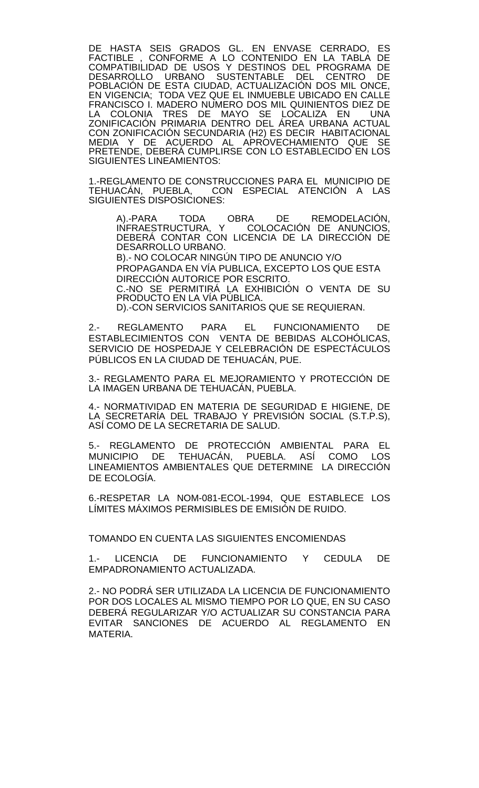DE HASTA SEIS GRADOS GL. EN ENVASE CERRADO, ES FACTIBLE , CONFORME A LO CONTENIDO EN LA TABLA DE COMPATIBILIDAD DE USOS Y DESTINOS DEL PROGRAMA DE DESARROLLO URBANO SUSTENTABLE DEL CENTRO DE POBLACIÓN DE ESTA CIUDAD, ACTUALIZACIÓN DOS MIL ONCE, EN VIGENCIA; TODA VEZ QUE EL INMUEBLE UBICADO EN CALLE FRANCISCO I. MADERO NUMERO DOS MIL QUINIENTOS DIEZ DE LA COLONIA TRES DE MAYO SE LOCALIZA EN UNA ZONIFICACIÓN PRIMARIA DENTRO DEL ÁREA URBANA ACTUAL CON ZONIFICACIÓN SECUNDARIA (H2) ES DECIR HABITACIONAL MEDIA Y DE ACUERDO AL APROVECHAMIENTO QUE SE PRETENDE, DEBERÁ CUMPLIRSE CON LO ESTABLECIDO EN LOS SIGUIENTES LINEAMIENTOS:

1.-REGLAMENTO DE CONSTRUCCIONES PARA EL MUNICIPIO DE<br>TEHUACÁN, PUEBLA, CON ESPECIAL ATENCIÓN A LAS CON ESPECIAL ATENCIÓN A LAS SIGUIENTES DISPOSICIONES:

A).-PARA TODA OBRA DE REMODELACIÓN, INFRAESTRUCTURA, Y COLOCACIÓN DE ANUNCIOS, DEBERÁ CONTAR CON LICENCIA DE LA DIRECCIÓN DE DESARROLLO URBANO.

B).- NO COLOCAR NINGÚN TIPO DE ANUNCIO Y/O PROPAGANDA EN VÍA PUBLICA, EXCEPTO LOS QUE ESTA DIRECCIÓN AUTORICE POR ESCRITO.

C.-NO SE PERMITIRÁ LA EXHIBICIÓN O VENTA DE SU PRODUCTO EN LA VÍA PÚBLICA.

D).-CON SERVICIOS SANITARIOS QUE SE REQUIERAN.

2.- REGLAMENTO PARA EL FUNCIONAMIENTO DE ESTABLECIMIENTOS CON VENTA DE BEBIDAS ALCOHÓLICAS, SERVICIO DE HOSPEDAJE Y CELEBRACIÓN DE ESPECTÁCULOS PÚBLICOS EN LA CIUDAD DE TEHUACÁN, PUE.

3.- REGLAMENTO PARA EL MEJORAMIENTO Y PROTECCIÓN DE LA IMAGEN URBANA DE TEHUACÁN, PUEBLA.

4.- NORMATIVIDAD EN MATERIA DE SEGURIDAD E HIGIENE, DE LA SECRETARIA DEL TRABAJO Y PREVISION SOCIAL (S.T.P.S), ASÍ COMO DE LA SECRETARIA DE SALUD.

5.- REGLAMENTO DE PROTECCIÓN AMBIENTAL PARA EL MUNICIPIO DE TEHUACÁN, PUEBLA. ASÍ COMO LOS LINEAMIENTOS AMBIENTALES QUE DETERMINE LA DIRECCIÓN DE ECOLOGÍA.

6.-RESPETAR LA NOM-081-ECOL-1994, QUE ESTABLECE LOS LÍMITES MÁXIMOS PERMISIBLES DE EMISIÓN DE RUIDO.

TOMANDO EN CUENTA LAS SIGUIENTES ENCOMIENDAS

1.- LICENCIA DE FUNCIONAMIENTO Y CEDULA DE EMPADRONAMIENTO ACTUALIZADA.

2.- NO PODRÁ SER UTILIZADA LA LICENCIA DE FUNCIONAMIENTO POR DOS LOCALES AL MISMO TIEMPO POR LO QUE, EN SU CASO DEBERÁ REGULARIZAR Y/O ACTUALIZAR SU CONSTANCIA PARA EVITAR SANCIONES DE ACUERDO AL REGLAMENTO EN MATERIA.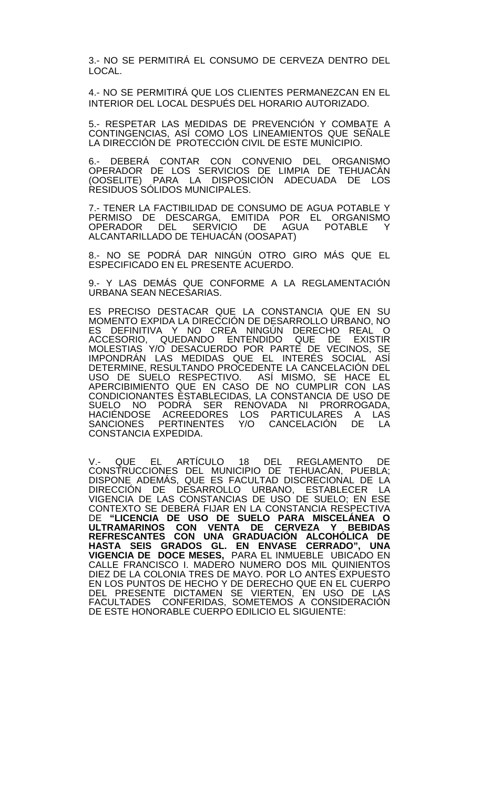3.- NO SE PERMITIRÁ EL CONSUMO DE CERVEZA DENTRO DEL LOCAL.

4.- NO SE PERMITIRÁ QUE LOS CLIENTES PERMANEZCAN EN EL INTERIOR DEL LOCAL DESPUÉS DEL HORARIO AUTORIZADO.

5.- RESPETAR LAS MEDIDAS DE PREVENCIÓN Y COMBATE A CONTINGENCIAS, ASÍ COMO LOS LINEAMIENTOS QUE SENALE LA DIRECCIÓN DE PROTECCIÓN CIVIL DE ESTE MUNICIPIO.

6.- DEBERÁ CONTAR CON CONVENIO DEL ORGANISMO OPERADOR DE LOS SERVICIOS DE LIMPIA DE TEHUACÁN (OOSELITE) PARA LA DISPOSICIÓN ADECUADA DE LOS RESIDUOS SÓLIDOS MUNICIPALES.

7.- TENER LA FACTIBILIDAD DE CONSUMO DE AGUA POTABLE Y PERMISO DE DESCARGA, EMITIDA POR EL ORGANISMO OPERADOR DEL SERVICIO DE AGUA POTABLE Y ALCANTARILLADO DE TEHUACÁN (OOSAPAT)

8.- NO SE PODRÁ DAR NINGÚN OTRO GIRO MÁS QUE EL ESPECIFICADO EN EL PRESENTE ACUERDO.

9.- Y LAS DEMÁS QUE CONFORME A LA REGLAMENTACIÓN URBANA SEAN NECESARIAS.

ES PRECISO DESTACAR QUE LA CONSTANCIA QUE EN SU MOMENTO EXPIDA LA DIRECCIÓN DE DESARROLLO URBANO, NO ES DEFINITIVA Y NO CREA NINGÚN DERECHO REAL O ACCESORIO, QUEDANDO ENTENDIDO QUE DE EXISTIR MOLESTIAS Y/O DESACUERDO POR PARTE DE VECINOS, SE IMPONDRÁN LAS MEDIDAS QUE EL INTERÉS SOCIAL ASÍ DETERMINE, RESULTANDO PROCEDENTE LA CANCELACIÓN DEL USO DE SUELO RESPECTIVO. ASÍ MISMO, SE HACE EL APERCIBIMIENTO QUE EN CASO DE NO CUMPLIR CON LAS CONDICIONANTES ESTABLECIDAS, LA CONSTANCIA DE USO DE SUELO NO PODRA SER RENOVADA NI PRORROGADA,<br>HACIÉNDOSE ACREEDORES LOS PARTICULAŖES A LAS SANCIONES PERTINENTES Y/O CANCELACIÓN DE LA CONSTANCIA EXPEDIDA.

V.- QUE EL ARTÍCULO 18 DEL REGLAMENTO DE CONSTRUCCIONES DEL MUNICIPIO DE TEHUACÁN, PUEBLA; DISPONE ADEMÁS, QUE ES FACULTAD DISCRECIONAL DE LA DIRECCIÓN DE DESARROLLO URBANO, ESTABLECER LA VIGENCIA DE LAS CONSTANCIAS DE USO DE SUELO; EN ESE CONTEXTO SE DEBERÁ FIJAR EN LA CONSTANCIA RESPECTIVA DE **"LICENCIA DE USO DE SUELO PARA MISCELÁNEA O ULTRAMARINOS CON VENTA DE CERVEZA Y BEBIDAS REFRESCANTES CON UNA GRADUACIÓN ALCOHÓLICA DE HASTA SEIS GRADOS GL. EN ENVASE CERRADO", UNA VIGENCIA DE DOCE MESES,** PARA EL INMUEBLE UBICADO EN CALLE FRANCISCO I. MADERO NUMERO DOS MIL QUINIENTOS DIEZ DE LA COLONIA TRES DE MAYO. POR LO ANTES EXPUESTO EN LOS PUNTOS DE HECHO Y DE DERECHO QUE EN EL CUERPO DEL PRESENTE DICTAMEN SE VIERTEN, EN USO DE LAS FACULTADES CONFERIDAS, SOMETEMOS A CONSIDERACIÓN DE ESTE HONORABLE CUERPO EDILICIO EL SIGUIENTE: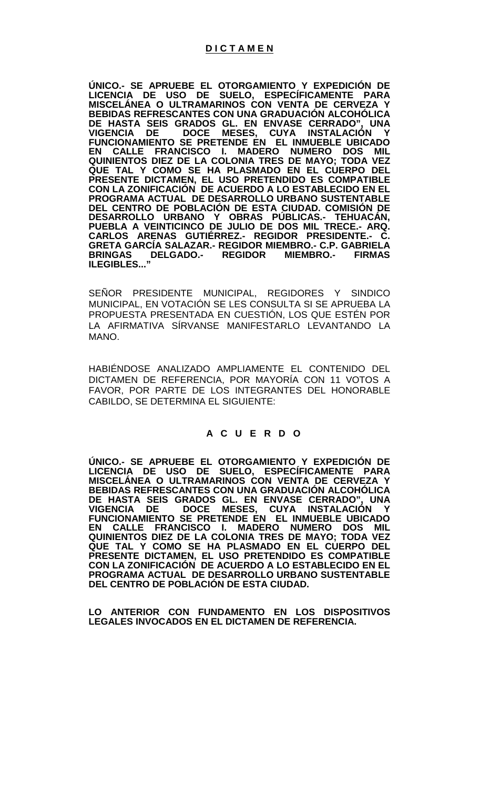**ÚNICO.- SE APRUEBE EL OTORGAMIENTO Y EXPEDICIÓN DE LICENCIA DE USO DE SUELO, ESPECÍFICAMENTE PARA MISCELÁNEA O ULTRAMARINOS CON VENTA DE CERVEZA Y BEBIDAS REFRESCANTES CON UNA GRADUACIÓN ALCOHÓLICA DE HASTA SEIS GRADOS GL. EN ENVASE CERRADO", UNA VIGENCIA DE DOCE MESES, CUYA INSTALACIÓN Y FUNCIONAMIENTO SE PRETENDE EN EL INMUEBLE UBICADO EN CALLE FRANCISCO I. MADERO NUMERO DOS MIL QUINIENTOS DIEZ DE LA COLONIA TRES DE MAYO; TODA VEZ QUE TAL Y COMO SE HA PLASMADO EN EL CUERPO DEL PRESENTE DICTAMEN, EL USO PRETENDIDO ES COMPATIBLE CON LA ZONIFICACIÓN DE ACUERDO A LO ESTABLECIDO EN EL PROGRAMA ACTUAL DE DESARROLLO URBANO SUSTENTABLE DEL CENTRO DE POBLACIÓN DE ESTA CIUDAD. COMISIÓN DE DESARROLLO URBANO Y OBRAS PÚBLICAS.- TEHUACÁN, PUEBLA A VEINTICINCO DE JULIO DE DOS MIL TRECE.- ARQ. CARLOS ARENAS GUTIÉRREZ.- REGIDOR PRESIDENTE.- C. GRETA GARCÍA SALAZAR.- REGIDOR MIEMBRO.- C.P. GABRIELA BRINGAS DELGADO.- REGIDOR MIEMBRO.-ILEGIBLES..."**

SEÑOR PRESIDENTE MUNICIPAL, REGIDORES Y SINDICO MUNICIPAL, EN VOTACIÓN SE LES CONSULTA SI SE APRUEBA LA PROPUESTA PRESENTADA EN CUESTIÓN, LOS QUE ESTÉN POR LA AFIRMATIVA SÍRVANSE MANIFESTARLO LEVANTANDO LA MANO.

HABIÉNDOSE ANALIZADO AMPLIAMENTE EL CONTENIDO DEL DICTAMEN DE REFERENCIA, POR MAYORÍA CON 11 VOTOS A FAVOR, POR PARTE DE LOS INTEGRANTES DEL HONORABLE CABILDO, SE DETERMINA EL SIGUIENTE:

# **A C U E R D O**

**ÚNICO.- SE APRUEBE EL OTORGAMIENTO Y EXPEDICIÓN DE LICENCIA DE USO DE SUELO, ESPECÍFICAMENTE PARA MISCELÁNEA O ULTRAMARINOS CON VENTA DE CERVEZA Y BEBIDAS REFRESCANTES CON UNA GRADUACIÓN ALCOHÓLICA DE HASTA SEIS GRADOS GL. EN ENVASE CERRADO", UNA VIGENCIA DE DOCE MESES, CUYA INSTALACIÓN Y FUNCIONAMIENTO SE PRETENDE EN EL INMUEBLE UBICADO EN CALLE FRANCISCO I. MADERO NUMERO DOS MIL QUINIENTOS DIEZ DE LA COLONIA TRES DE MAYO; TODA VEZ QUE TAL Y COMO SE HA PLASMADO EN EL CUERPO DEL PRESENTE DICTAMEN, EL USO PRETENDIDO ES COMPATIBLE CON LA ZONIFICACIÓN DE ACUERDO A LO ESTABLECIDO EN EL PROGRAMA ACTUAL DE DESARROLLO URBANO SUSTENTABLE DEL CENTRO DE POBLACIÓN DE ESTA CIUDAD.**

**LO ANTERIOR CON FUNDAMENTO EN LOS DISPOSITIVOS LEGALES INVOCADOS EN EL DICTAMEN DE REFERENCIA.**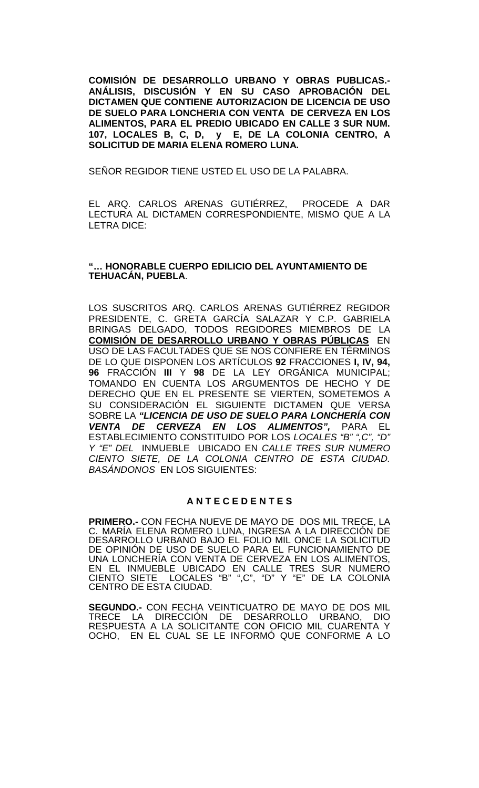**COMISIÓN DE DESARROLLO URBANO Y OBRAS PUBLICAS.- ANÁLISIS, DISCUSIÓN Y EN SU CASO APROBACIÓN DEL DICTAMEN QUE CONTIENE AUTORIZACION DE LICENCIA DE USO DE SUELO PARA LONCHERIA CON VENTA DE CERVEZA EN LOS ALIMENTOS, PARA EL PREDIO UBICADO EN CALLE 3 SUR NUM. 107, LOCALES B, C, D, y E, DE LA COLONIA CENTRO, A SOLICITUD DE MARIA ELENA ROMERO LUNA.** 

SEÑOR REGIDOR TIENE USTED EL USO DE LA PALABRA.

EL ARQ. CARLOS ARENAS GUTIÉRREZ, PROCEDE A DAR LECTURA AL DICTAMEN CORRESPONDIENTE, MISMO QUE A LA LETRA DICE:

## **"… HONORABLE CUERPO EDILICIO DEL AYUNTAMIENTO DE TEHUACÁN, PUEBLA**.

LOS SUSCRITOS ARQ. CARLOS ARENAS GUTIÉRREZ REGIDOR PRESIDENTE, C. GRETA GARCÍA SALAZAR Y C.P. GABRIELA BRINGAS DELGADO, TODOS REGIDORES MIEMBROS DE LA **COMISIÓN DE DESARROLLO URBANO Y OBRAS PÚBLICAS** EN USO DE LAS FACULTADES QUE SE NOS CONFIERE EN TÉRMINOS DE LO QUE DISPONEN LOS ARTÍCULOS **92** FRACCIONES **I, IV, 94, 96** FRACCIÓN **III** Y **98** DE LA LEY ORGÁNICA MUNICIPAL; TOMANDO EN CUENTA LOS ARGUMENTOS DE HECHO Y DE DERECHO QUE EN EL PRESENTE SE VIERTEN, SOMETEMOS A SU CONSIDERACIÓN EL SIGUIENTE DICTAMEN QUE VERSA SOBRE LA *"LICENCIA DE USO DE SUELO PARA LONCHERÍA CON VENTA DE CERVEZA EN LOS ALIMENTOS",* PARA EL ESTABLECIMIENTO CONSTITUIDO POR LOS *LOCALES "B" ",C", "D" Y "E" DEL* INMUEBLE UBICADO EN *CALLE TRES SUR NUMERO CIENTO SIETE, DE LA COLONIA CENTRO DE ESTA CIUDAD. BASÁNDONOS* EN LOS SIGUIENTES:

## **A N T E C E D E N T E S**

**PRIMERO.-** CON FECHA NUEVE DE MAYO DE DOS MIL TRECE, LA C. MARÍA ELENA ROMERO LUNA, INGRESA A LA DIRECCIÓN DE DESARROLLO URBANO BAJO EL FOLIO MIL ONCE LA SOLICITUD DE OPINIÓN DE USO DE SUELO PARA EL FUNCIONAMIENTO DE UNA LONCHERÍA CON VENTA DE CERVEZA EN LOS ALIMENTOS, EN EL INMUEBLE UBICADO EN CALLE TRES SUR NUMERO CIENTO SIETE LOCALES "B" ",C", "D" Y "E" DE LA COLONIA CENTRO DE ESTA CIUDAD.

**SEGUNDO.-** CON FECHA VEINTICUATRO DE MAYO DE DOS MIL TRECE LA DIRECCIÓN DE DESARROLLO URBANO, DIO RESPUESTA A LA SOLICITANTE CON OFICIO MIL CUARENTA Y OCHO, EN EL CUAL SE LE INFORMÓ QUE CONFORME A LO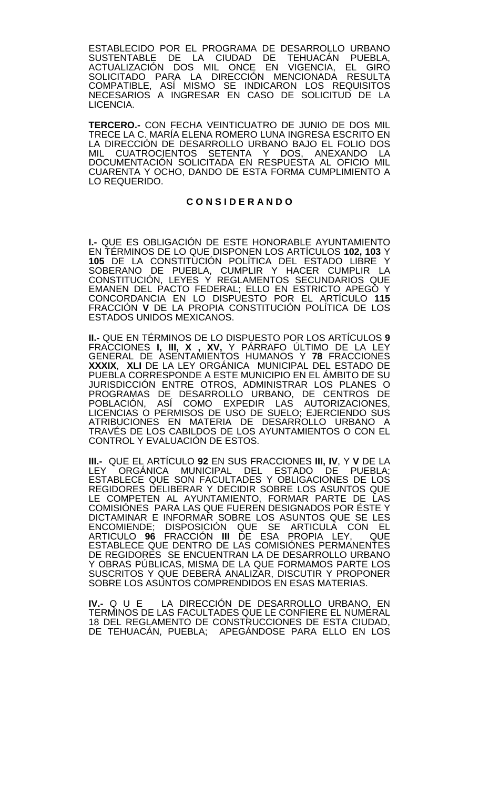ESTABLECIDO POR EL PROGRAMA DE DESARROLLO URBANO SUSTENTABLE DE LA CIUDAD DE TEHUACAN PUEBLA, ACTUALIZACIÓN DOS MIL ONCE EN VIGENCIA, EL GIRO SOLICITADO PARA LA DIRECCIÓN MENCIONADA RESULTA COMPATIBLE, ASÍ MISMO SE INDICARON LOS REQUISITOS NECESARIOS A INGRESAR EN CASO DE SOLICITUD DE LA LICENCIA.

**TERCERO.-** CON FECHA VEINTICUATRO DE JUNIO DE DOS MIL TRECE LA C. MARÍA ELENA ROMERO LUNA INGRESA ESCRITO EN LA DIRECCIÓN DE DESARROLLO URBANO BAJO EL FOLIO DOS MIL CUATROCIENTOS SETENTA Y DOS, ANEXANDO LA DOCUMENTACIÓN SOLICITADA EN RESPUESTA AL OFICIO MIL CUARENTA Y OCHO, DANDO DE ESTA FORMA CUMPLIMIENTO A LO REQUERIDO.

## **C O N S I D E R A N D O**

**I.-** QUE ES OBLIGACIÓN DE ESTE HONORABLE AYUNTAMIENTO EN TÉRMINOS DE LO QUE DISPONEN LOS ARTÍCULOS **102, 103** Y **105** DE LA CONSTITUCIÓN POLÍTICA DEL ESTADO LIBRE Y SOBERANO DE PUEBLA, CUMPLIR Y HACER CUMPLIR LA CONSTITUCIÓN, LEYES Y REGLAMENTOS SECUNDARIOS QUE EMANEN DEL PACTO FEDERAL; ELLO EN ESTRICTO APEGO Y CONCORDANCIA EN LO DISPUESTO POR EL ARTÍCULO **<sup>115</sup>** FRACCIÓN **V** DE LA PROPIA CONSTITUCIÓN POLÍTICA DE LOS ESTADOS UNIDOS MEXICANOS.

**II.-** QUE EN TÉRMINOS DE LO DISPUESTO POR LOS ARTÍCULOS **9**  FRACCIONES **I, III, X , XV,** Y PÁRRAFO ÚLTIMO DE LA LEY GENERAL DE ASENTAMIENTOS HUMANOS Y **78** FRACCIONES **XXXIX**, **XLI** DE LA LEY ORGÁNICA MUNICIPAL DEL ESTADO DE PUEBLA CORRESPONDE A ESTE MUNICIPIO EN EL ÁMBITO DE SU JURISDICCIÓN ENTRE OTROS, ADMINISTRAR LOS PLANES O PROGRAMAS DE DESARROLLO URBANO, DE CENTROS DE POBLACIÓN, ASÍ COMO EXPEDIR LAS AUTORIZACIONES, LICENCIAS O PERMISOS DE USO DE SUELO; EJERCIENDO SUS ATRIBUCIONES EN MATERIA DE DESARROLLO URBANO A TRAVÉS DE LOS CABILDOS DE LOS AYUNTAMIENTOS O CON EL CONTROL Y EVALUACIÓN DE ESTOS.

**III.-** QUE EL ARTÍCULO **92** EN SUS FRACCIONES **III, IV**, Y **V** DE LA LEY ORGÁNICA MUNICIPAL DEL ESTADO DE PUEBLA; ESTABLECE QUE SON FACULTADES Y OBLIGACIONES DE LOS REGIDORES DELIBERAR Y DECIDIR SOBRE LOS ASUNTOS QUE LE COMPETEN AL AYUNTAMIENTO, FORMAR PARTE DE LAS COMISIÓNES PARA LAS QUE FUEREN DESIGNADOS POR ÉSTE Y DICTAMINAR E INFORMAR SOBRE LOS ASUNTOS QUE SE LES ENCOMIENDE; DISPOSICIÓN QUE SE ARTICULA CON EL ARTICULO **96** FRACCIÓN **III** DE ESA PROPIA LEY, QUE ESTABLECE QUE DENTRO DE LAS COMISIÓNES PERMANENTES DE REGIDORES SE ENCUENTRAN LA DE DESARROLLO URBANO Y OBRAS PÚBLICAS, MISMA DE LA QUE FORMAMOS PARTE LOS SUSCRITOS Y QUE DEBERÁ ANALIZAR, DISCUTIR Y PROPONER SOBRE LOS ASUNTOS COMPRENDIDOS EN ESAS MATERIAS.

**IV.-** Q U E LA DIRECCIÓN DE DESARROLLO URBANO, EN TERMINOS DE LAS FACULTADES QUE LE CONFIERE EL NUMERAL 18 DEL REGLAMENTO DE CONSTRUCCIONES DE ESTA CIUDAD, DE TEHUACÁN, PUEBLA; APEGÁNDOSE PARA ELLO EN LOS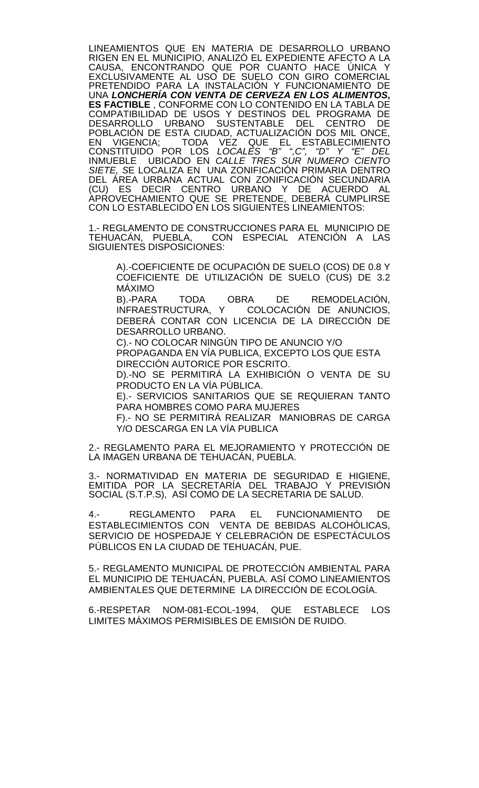LINEAMIENTOS QUE EN MATERIA DE DESARROLLO URBANO RIGEN EN EL MUNICIPIO, ANALIZÓ EL EXPEDIENTE AFECTO A LA CAUSA, ENCONTRANDO QUE POR CUANTO HACE ÚNICA Y EXCLUSIVAMENTE AL USO DE SUELO CON GIRO COMERCIAL PRETENDIDO PARA LA INSTALACIÓN Y FUNCIONAMIENTO DE UNA *LONCHERÍA CON VENTA DE CERVEZA EN LOS ALIMENTOS***, ES FACTIBLE** , CONFORME CON LO CONTENIDO EN LA TABLA DE COMPATIBILIDAD DE USOS Y DESTINOS DEL PROGRAMA DE DESARROLLO URBANO SUSTENTABLE DEL CENTRO DE POBLACIÓN DE ESTA CIUDAD, ACTUALIZACIÓN DOS MIL ONCE, EN VIGENCIA; TODA VEZ QUE EL ESTABLECIMIENTO CONSTITUIDO POR LOS *LOCALES "B" ",C", "D" Y "E" DEL*  INMUEBLE UBICADO EN *CALLE TRES SUR NUMERO CIENTO SIETE, S*E LOCALIZA EN UNA ZONIFICACIÓN PRIMARIA DENTRO DEL ÁREA URBANA ACTUAL CON ZONIFICACIÓN SECUNDARIA (CU) ES DECIR CENTRO URBANO Y DE ACUERDO AL APROVECHAMIENTO QUE SE PRETENDE, DEBERÁ CUMPLIRSE CON LO ESTABLECIDO EN LOS SIGUIENTES LINEAMIENTOS:

1.- REGLAMENTO DE CONSTRUCCIONES PARA EL MUNICIPIO DE<br>TEHUACÁN, PUEBLA, CON ESPECIAL ATENCIÓN A LAS TEHUACÁN, PUEBLA, CON ESPECIAL ATENCIÓN A LAS SIGUIENTES DISPOSICIONES:

A).-COEFICIENTE DE OCUPACIÓN DE SUELO (COS) DE 0.8 Y COEFICIENTE DE UTILIZACIÓN DE SUELO (CUS) DE 3.2 MÁXIMO

B).-PARA TODA OBRA DE REMODELACIÓN,<br>INFRAESTRUCTURA, Y COLOCACIÓN DE ANUNCIOS, COLOCACIÓN DE ANUNCIOS. DEBERÁ CONTAR CON LICENCIA DE LA DIRECCIÓN DE DESARROLLO URBANO.

C).- NO COLOCAR NINGÚN TIPO DE ANUNCIO Y/O

PROPAGANDA EN VÍA PUBLICA, EXCEPTO LOS QUE ESTA DIRECCIÓN AUTORICE POR ESCRITO.

D).-NO SE PERMITIRÁ LA EXHIBICIÓN O VENTA DE SU PRODUCTO EN LA VÍA PÚBLICA.

E).- SERVICIOS SANITARIOS QUE SE REQUIERAN TANTO PARA HOMBRES COMO PARA MUJERES

F).- NO SE PERMITIRÁ REALIZAR MANIOBRAS DE CARGA Y/O DESCARGA EN LA VÍA PUBLICA

2.- REGLAMENTO PARA EL MEJORAMIENTO Y PROTECCIÓN DE LA IMAGEN URBANA DE TEHUACÁN, PUEBLA.

3.- NORMATIVIDAD EN MATERIA DE SEGURIDAD E HIGIENE, EMITIDA POR LA SECRETARÍA DEL TRABAJO Y PREVISIÓN SOCIAL (S.T.P.S), ASÍ COMO DE LA SECRETARIA DE SALUD.

4.- REGLAMENTO PARA EL FUNCIONAMIENTO DE ESTABLECIMIENTOS CON VENTA DE BEBIDAS ALCOHÓLICAS, SERVICIO DE HOSPEDAJE Y CELEBRACIÓN DE ESPECTÁCULOS PÚBLICOS EN LA CIUDAD DE TEHUACÁN, PUE.

5.- REGLAMENTO MUNICIPAL DE PROTECCIÓN AMBIENTAL PARA EL MUNICIPIO DE TEHUACÁN, PUEBLA. ASÍ COMO LINEAMIENTOS AMBIENTALES QUE DETERMINE LA DIRECCIÓN DE ECOLOGÍA.

6.-RESPETAR NOM-081-ECOL-1994, QUE ESTABLECE LOS LIMITES MÁXIMOS PERMISIBLES DE EMISIÓN DE RUIDO.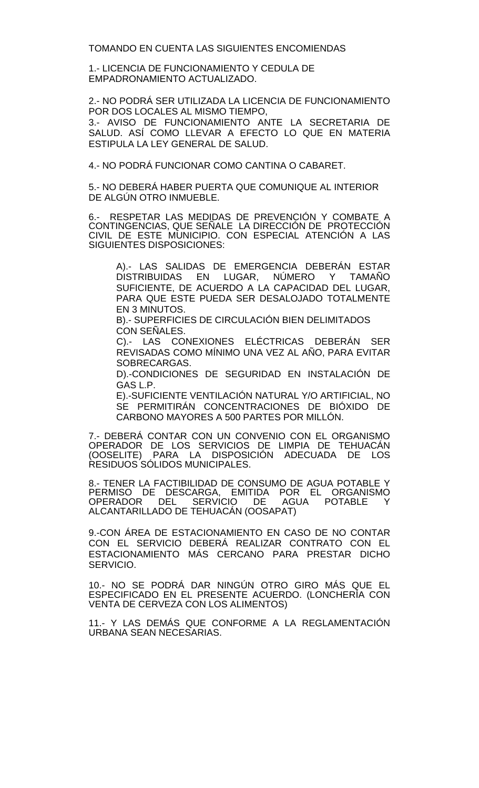TOMANDO EN CUENTA LAS SIGUIENTES ENCOMIENDAS

1.- LICENCIA DE FUNCIONAMIENTO Y CEDULA DE EMPADRONAMIENTO ACTUALIZADO.

2.- NO PODRÁ SER UTILIZADA LA LICENCIA DE FUNCIONAMIENTO POR DOS LOCALES AL MISMO TIEMPO, 3.- AVISO DE FUNCIONAMIENTO ANTE LA SECRETARIA DE SALUD. ASÍ COMO LLEVAR A EFECTO LO QUE EN MATERIA ESTIPULA LA LEY GENERAL DE SALUD.

4.- NO PODRÁ FUNCIONAR COMO CANTINA O CABARET.

5.- NO DEBERÁ HABER PUERTA QUE COMUNIQUE AL INTERIOR DE ALGÚN OTRO INMUEBLE.

6.- RESPETAR LAS MEDIDAS DE PREVENÇION Y COMBATE A CONTINGENCIAS, QUE SENALE\_LA DIRECCIÓN DE PROTECCIÓN CIVIL DE ESTE MUNICIPIO. CON ESPECIAL ATENCIÓN A LAS SIGUIENTES DISPOSICIONES:

A).- LAS SALIDAS DE EMERGENCIA DEBERÁN ESTAR DISTRIBUIDAS EN LUGAR, NÚMERO Y TAMAÑO SUFICIENTE, DE ACUERDO A LA CAPACIDAD DEL LUGAR, PARA QUE ESTE PUEDA SER DESALOJADO TOTALMENTE EN 3 MINUTOS.

B).- SUPERFICIES DE CIRCULACIÓN BIEN DELIMITADOS CON SEÑALES.

C).- LAS CONEXIONES ELÉCTRICAS DEBERÁN SER REVISADAS COMO MÍNIMO UNA VEZ AL AÑO, PARA EVITAR SOBRECARGAS.

D).-CONDICIONES DE SEGURIDAD EN INSTALACIÓN DE GAS L.P.

E).-SUFICIENTE VENTILACIÓN NATURAL Y/O ARTIFICIAL, NO SE PERMITIRÁN CONCENTRACIONES DE BIÓXIDO DE CARBONO MAYORES A 500 PARTES POR MILLÓN.

7.- DEBERÁ CONTAR CON UN CONVENIO CON EL ORGANISMO OPERADOR DE LOS SERVICIOS DE LIMPIA DE TEHUACÁN (OOSELITE) PARA LA DISPOSICIÓN ADECUADA DE LOS RESIDUOS SÓLIDOS MUNICIPALES.

8.- TENER LA FACTIBILIDAD DE CONSUMO DE AGUA POTABLE Y PERMISO DE DESCARGA, EMITIDA POR EL ORGANISMO OPERADOR DEL SERVICIO DE AGUA POTABLE Y ALCANTARILLADO DE TEHUACÁN (OOSAPAT)

9.-CON ÁREA DE ESTACIONAMIENTO EN CASO DE NO CONTAR CON EL SERVICIO DEBERÁ REALIZAR CONTRATO CON EL ESTACIONAMIENTO MÁS CERCANO PARA PRESTAR DICHO SERVICIO.

10.- NO SE PODRÁ DAR NINGÚN OTRO GIRO MÁS QUE EL ESPECIFICADO EN EL PRESENTE ACUERDO. (LONCHERÍA CON VENTA DE CERVEZA CON LOS ALIMENTOS)

11.- Y LAS DEMÁS QUE CONFORME A LA REGLAMENTACIÓN URBANA SEAN NECESARIAS.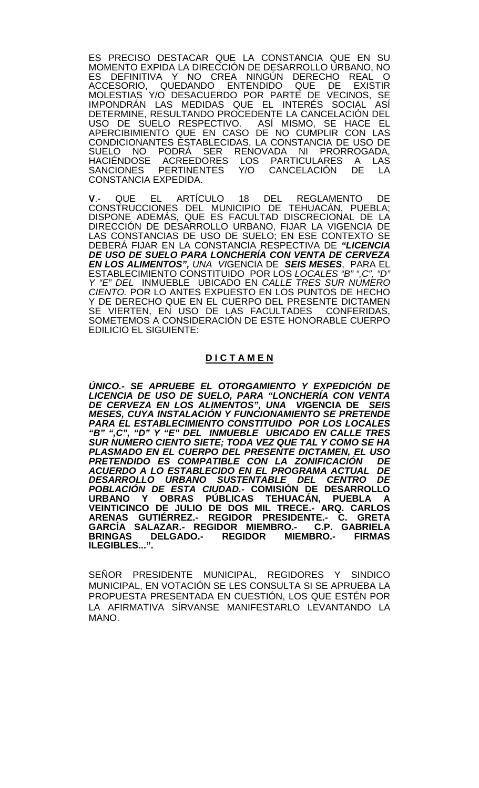ES PRECISO DESTACAR QUE LA CONSTANCIA QUE EN SU MOMENTO EXPIDA LA DIRECCIÓN DE DESARROLLO URBANO, NO ES DEFINITIVA Y NO CREA NINGÚN DERECHO REAL O<br>ACCESORIO. QUEDANDO ENTENDIDO QUE DE EXISTIR ACCESORIO, QUEDANDO ENTENDIDO QUE DE EXISTIR MOLESTIAS Y/O DESACUERDO POR PARTE DE VECINOS, SE IMPONDRÁN LAS MEDIDAS QUE EL INTERES SOCIÁL ASÍ DETERMINE, RESULTANDO PROCEDENTE LA CANCELACIÓN DEL USO DE SUELO RESPECTIVO. ASÍ MISMO, SE HACE EL APERCIBIMIENTO QUE EN CASO DE NO CUMPLIR CON LAS CONDICIONANTES ESTABLECIDAS, LA CONSTANCIA DE USO DE SUELO NO PODRÁ SER RENOVADA NI PRORROGADA, HACIÉNDOSE ACREEDORES LOS PARTICULARES A LAS SANCIONES PERTINENTES Y/O CANCELACIÓN DE LA CONSTANCIA EXPEDIDA.

**V**.- QUE EL ARTÍCULO 18 DEL REGLAMENTO DE CONSTRUCCIONES DEL MUNICIPIO DE TEHUACÁN, PUEBLA; DISPONE ADEMÁS, QUE ES FACULTAD DISCRECIONAL DE LA DIRECCIÓN DE DESARROLLO URBANO, FIJAR LA VIGENCIA DE LAS CONSTANCIAS DE USO DE SUELO; EN ESE CONTEXTO SE DEBERÁ FIJAR EN LA CONSTANCIA RESPECTIVA DE *"LICENCIA DE USO DE SUELO PARA LONCHERÍA CON VENTA DE CERVEZA EN LOS ALIMENTOS", UNA VI*GENCIA DE *SEIS MESES*, PARA EL ESTABLECIMIENTO CONSTITUIDO POR LOS *LOCALES "B" ",C", "D" Y "E" DEL* INMUEBLE UBICADO EN *CALLE TRES SUR NUMERO CIENTO.* POR LO ANTES EXPUESTO EN LOS PUNTOS DE HECHO Y DE DERECHO QUE EN EL CUERPO DEL PRESENTE DICTAMEN<br>SE VIERTEN, EN USO DE LAS FACULTADES CONFERIDAS, SE VIERTEN, EN USO DE LAS FACULTADES SOMETEMOS A CONSIDERACIÓN DE ESTE HONORABLE CUERPO EDILICIO EL SIGUIENTE:

## **D I C T A M E N**

*ÚNICO.- SE APRUEBE EL OTORGAMIENTO Y EXPEDICIÓN DE LICENCIA DE USO DE SUELO, PARA "LONCHERÍA CON VENTA DE CERVEZA EN LOS ALIMENTOS", UNA VI***GENCIA DE** *SEIS MESES, CUYA INSTALACIÓN Y FUNCIONAMIENTO SE PRETENDE PARA EL ESTABLECIMIENTO CONSTITUIDO POR LOS LOCALES "B" ",C", "D" Y "E" DEL INMUEBLE UBICADO EN CALLE TRES SUR NUMERO CIENTO SIETE; TODA VEZ QUE TAL Y COMO SE HA PLASMADO EN EL CUERPO DEL PRESENTE DICTAMEN, EL USO PRETENDIDO ES COMPATIBLE CON LA ZONIFICACIÓN DE ACUERDO A LO ESTABLECIDO EN EL PROGRAMA ACTUAL DE DESARROLLO URBANO SUSTENTABLE DEL CENTRO DE POBLACIÓN DE ESTA CIUDAD.-* **COMISIÓN DE DESARROLLO**  URBANO Y OBRAS PUBLICAS TEHUACAN, PUEBLA A **VEINTICINCO DE JULIO DE DOS MIL TRECE.- ARQ. CARLOS ARENAS GUTIÉRREZ.- REGIDOR PRESIDENTE.- C. GRETA GARCÍA SALAZAR.- REGIDOR MIEMBRO.- C.P. GABRIELA BRINGAS DELGADO.- REGIDOR MIEMBRO.- FIRMAS ILEGIBLES...".**

SENOR PRESIDENTE MUNICIPAL, REGIDORES Y SINDICO MUNICIPAL, EN VOTACIÓN SE LES CONSULTA SI SE APRUEBA LA PROPUESTA PRESENTADA EN CUESTIÓN, LOS QUE ESTÉN POR LA AFIRMATIVA SÍRVANSE MANIFESTARLO LEVANTANDO LA MANO.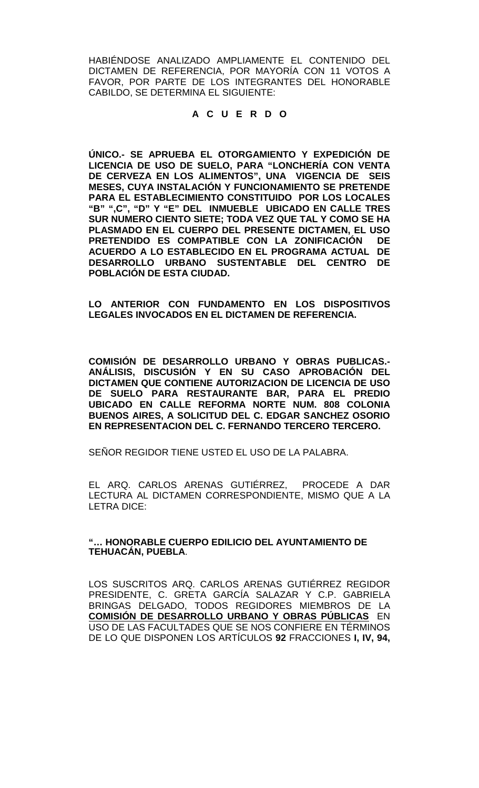HABIÉNDOSE ANALIZADO AMPLIAMENTE EL CONTENIDO DEL DICTAMEN DE REFERENCIA, POR MAYORÍA CON 11 VOTOS A FAVOR, POR PARTE DE LOS INTEGRANTES DEL HONORABLE CABILDO, SE DETERMINA EL SIGUIENTE:

# **A C U E R D O**

**ÚNICO.- SE APRUEBA EL OTORGAMIENTO Y EXPEDICIÓN DE LICENCIA DE USO DE SUELO, PARA "LONCHERÍA CON VENTA DE CERVEZA EN LOS ALIMENTOS", UNA VIGENCIA DE SEIS MESES, CUYA INSTALACIÓN Y FUNCIONAMIENTO SE PRETENDE PARA EL ESTABLECIMIENTO CONSTITUIDO POR LOS LOCALES "B" ",C", "D" Y "E" DEL INMUEBLE UBICADO EN CALLE TRES SUR NUMERO CIENTO SIETE; TODA VEZ QUE TAL Y COMO SE HA PLASMADO EN EL CUERPO DEL PRESENTE DICTAMEN, EL USO PRETENDIDO ES COMPATIBLE CON LA ZONIFICACIÓN DE ACUERDO A LO ESTABLECIDO EN EL PROGRAMA ACTUAL DE DESARROLLO URBANO SUSTENTABLE DEL CENTRO DE POBLACIÓN DE ESTA CIUDAD.**

**LO ANTERIOR CON FUNDAMENTO EN LOS DISPOSITIVOS LEGALES INVOCADOS EN EL DICTAMEN DE REFERENCIA.**

**COMISIÓN DE DESARROLLO URBANO Y OBRAS PUBLICAS.- ANÁLISIS, DISCUSIÓN Y EN SU CASO APROBACIÓN DEL DICTAMEN QUE CONTIENE AUTORIZACION DE LICENCIA DE USO DE SUELO PARA RESTAURANTE BAR, PARA EL PREDIO UBICADO EN CALLE REFORMA NORTE NUM. 808 COLONIA BUENOS AIRES, A SOLICITUD DEL C. EDGAR SANCHEZ OSORIO EN REPRESENTACION DEL C. FERNANDO TERCERO TERCERO.**

SEÑOR REGIDOR TIENE USTED EL USO DE LA PALABRA.

EL ARQ. CARLOS ARENAS GUTIÉRREZ, PROCEDE A DAR LECTURA AL DICTAMEN CORRESPONDIENTE, MISMO QUE A LA LETRA DICE:

**"… HONORABLE CUERPO EDILICIO DEL AYUNTAMIENTO DE TEHUACÁN, PUEBLA**.

LOS SUSCRITOS ARQ. CARLOS ARENAS GUTIÉRREZ REGIDOR PRESIDENTE, C. GRETA GARCÍA SALAZAR Y C.P. GABRIELA BRINGAS DELGADO, TODOS REGIDORES MIEMBROS DE LA **COMISIÓN DE DESARROLLO URBANO Y OBRAS PÚBLICAS** EN USO DE LAS FACULTADES QUE SE NOS CONFIERE EN TÉRMINOS DE LO QUE DISPONEN LOS ARTÍCULOS **92** FRACCIONES **I, IV, 94,**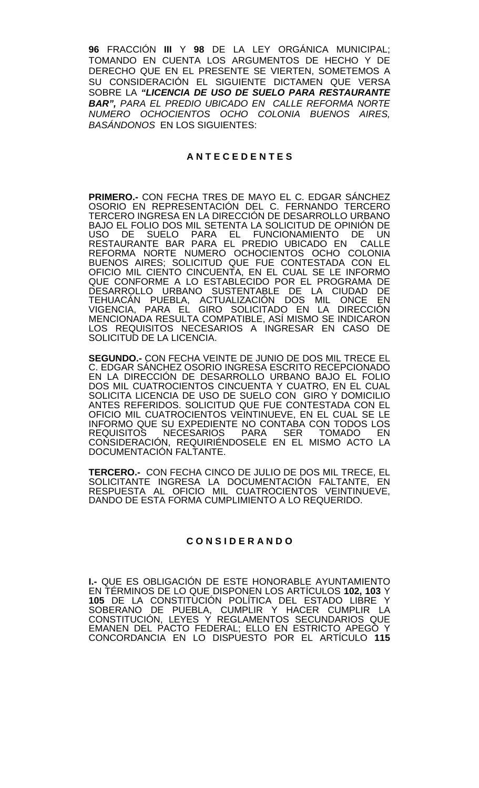**96** FRACCIÓN **III** Y **98** DE LA LEY ORGÁNICA MUNICIPAL; TOMANDO EN CUENTA LOS ARGUMENTOS DE HECHO Y DE DERECHO QUE EN EL PRESENTE SE VIERTEN, SOMETEMOS A SU CONSIDERACIÓN EL SIGUIENTE DICTAMEN QUE VERSA SOBRE LA *"LICENCIA DE USO DE SUELO PARA RESTAURANTE BAR", PARA EL PREDIO UBICADO EN CALLE REFORMA NORTE NUMERO OCHOCIENTOS OCHO COLONIA BUENOS AIRES, BASÁNDONOS* EN LOS SIGUIENTES:

## **A N T E C E D E N T E S**

**PRIMERO.-** CON FECHA TRES DE MAYO EL C. EDGAR SÁNCHEZ OSORIO EN REPRESENTACIÓN DEL C. FERNANDO TERCERO TERCERO INGRESA EN LA DIRECCIÓN DE DESARROLLO URBANO BAJO EL FOLIO DOS MIL SETENTA LA SOLICITUD DE OPINIÓN DE USO DE SUELO PARA EL FUNCIONAMIENTO DE UN RESTAURANTE BAR PARA EL PREDIO UBICADO EN CALLE REFORMA NORTE NUMERO OCHOCIENTOS OCHO COLONIA BUENOS AIRES; SOLICITUD QUE FUE CONTESTADA CON EL OFICIO MIL CIENTO CINCUENTA, EN EL CUAL SE LE INFORMO QUE CONFORME A LO ESTABLECIDO POR EL PROGRAMA DE DESARROLLO URBANO SUSTENTABLE DE LA CIUDAD DE TEHUACAN PUEBLA, ACTUALIZACIÓN DOS MIL ONCE EN VIGENCIA, PARA EL GIRO SOLICITADO EN LA DIRECCIÓN MENCIONADA RESULTA COMPATIBLE, ASÍ MISMO SE INDICARON LOS REQUISITOS NECESARIOS A INGRESAR EN CASO DE SOLICITUD DE LA LICENCIA.

**SEGUNDO.-** CON FECHA VEINTE DE JUNIO DE DOS MIL TRECE EL C. EDGAR SÁNCHEZ OSORIO INGRESA ESCRITO RECEPCIONADO EN LA DIRECCIÓN DE DESARROLLO URBANO BAJO EL FOLIO DOS MIL CUATROCIENTOS CINCUENTA Y CUATRO, EN EL CUAL SOLICITA LICENCIA DE USO DE SUELO CON GIRO Y DOMICILIO ANTES REFERIDOS. SOLICITUD QUE FUE CONTESTADA CON EL OFICIO MIL CUATROCIENTOS VEINTINUEVE, EN EL CUAL SE LE INFORMO QUE SU EXPEDIENTE NO CONTABA CON TODOS LOS REQUISITOS NECESARIOS PARA SER TOMADO EN CONSIDERACIÓN, REQUIRIÉNDOSELE EN EL MISMO ACTO LA DOCUMENTACIÓN FALTANTE.

**TERCERO.-** CON FECHA CINCO DE JULIO DE DOS MIL TRECE, EL SOLICITANTE INGRESA LA DOCUMENTACIÓN FALTANTE, EN RESPUESTA AL OFICIO MIL CUATROCIENTOS VEINTINUEVE, DANDO DE ESTA FORMA CUMPLIMIENTO A LO REQUERIDO.

## **C O N S I D E R A N D O**

**I.-** QUE ES OBLIGACIÓN DE ESTE HONORABLE AYUNTAMIENTO EN TÉRMINOS DE LO QUE DISPONEN LOS ARTÍCULOS **102, 103** Y **105** DE LA CONSTITUCIÓN POLÍTICA DEL ESTADO LIBRE Y SOBERANO DE PUEBLA, CUMPLIR Y HACER CUMPLIR LA CONSTITUCIÓN, LEYES Y REGLAMENTOS SECUNDARIOS QUE EMANEN DEL PACTO FEDERAL; ELLO EN ESTRICTO APEGO Y CONCORDANCIA EN LO DISPUESTO POR EL ARTÍCULO **115**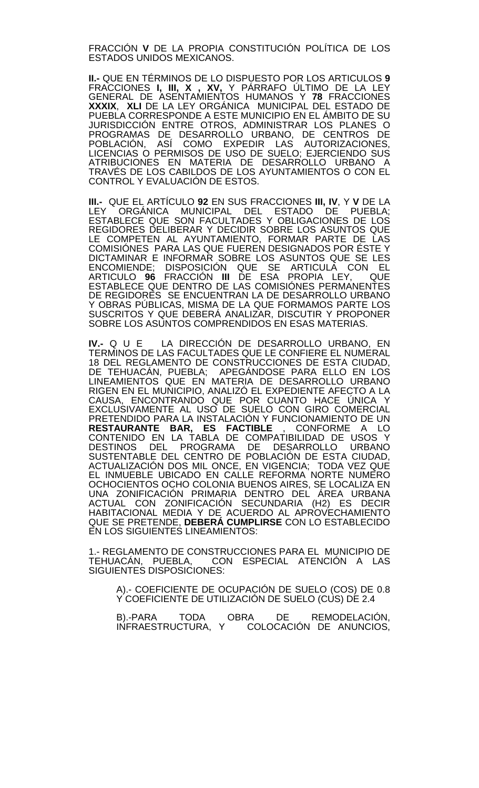FRACCIÓN **V** DE LA PROPIA CONSTITUCIÓN POLÍTICA DE LOS ESTADOS UNIDOS MEXICANOS.

**II.-** QUE EN TÉRMINOS DE LO DISPUESTO POR LOS ARTICULOS **9**  FRACCIONES **I, III, X , XV,** Y PÁRRAFO ÚLTIMO DE LA LEY GENERAL DE ASENTAMIENTOS HUMANOS Y **78** FRACCIONES **XXXIX**, **XLI** DE LA LEY ORGÁNICA MUNICIPAL DEL ESTADO DE PUEBLA CORRESPONDE A ESTE MUNICIPIO EN EL ÁMBITO DE SU JURISDICCIÓN ENTRE OTROS, ADMINISTRAR LOS PLANES O PROGRAMAS DE DESARROLLO URBANO, DE CENTROS DE POBLACIÓN, ASÍ COMO EXPEDIR LAS AUTORIZACIONES, LICENCIAS O PERMISOS DE USO DE SUELO; EJERCIENDO SUS ATRIBUCIONES EN MATERIA DE DESARROLLO URBANO A TRAVÉS DE LOS CABILDOS DE LOS AYUNTAMIENTOS O CON EL CONTROL Y EVALUACIÓN DE ESTOS.

**III.-** QUE EL ARTÍCULO **92** EN SUS FRACCIONES **III, IV**, Y **V** DE LA LEY ORGÁNICA MUNICIPAL DEL ESTADO DE PUEBLA; ESTABLECE QUE SON FACULTADES Y OBLIGACIONES DE LOS REGIDORES DELIBERAR Y DECIDIR SOBRE LOS ASUNTOS QUE LE COMPETEN AL AYUNTAMIENTO, FORMAR PARTE DE LAS COMISIÓNES PARA LAS QUE FUEREN DESIGNADOS POR ÉSTE Y DICTAMINAR E INFORMAR SOBRE LOS ASUNTOS QUE SE LES ENCOMIENDE; DISPOSICIÓN QUE SE ARTICULA CON EL ARTICULO **96** FRACCIÓN **III** DE ESA PROPIA LEY, QUE ESTABLECE QUE DENTRO DE LAS COMISIÓNES PERMANENTES DE REGIDORES SE ENCUENTRAN LA DE DESARROLLO URBANO Y OBRAS PUBLICAS, MISMA DE LA QUE FORMAMOS PARTE LOS SUSCRITOS Y QUE DEBERÁ ANALIZAR, DISCUTIR Y PROPONER SOBRE LOS ASUNTOS COMPRENDIDOS EN ESAS MATERIAS.

**IV.-** Q U E LA DIRECCIÓN DE DESARROLLO URBANO, EN TERMINOS DE LAS FACULTADES QUE LE CONFIERE EL NUMERAL 18 DEL REGLAMENTO DE CONSTRUCCIONES DE ESTA CIUDAD, DE TEHUACÁN, PUEBLA; APEGÁNDOSE PARA ELLO EN LOS LINEAMIENTOS QUE EN MATERIA DE DESARROLLO URBANO RIGEN EN EL MUNICIPIO, ANALIZÓ EL EXPEDIENTE AFECTO A LA CAUSA, ENCONTRANDO QUE POR CUANTO HACE ÚNICA Y EXCLUSIVAMENTE AL USO DE SUELO CON GIRO COMERCIAL PRETENDIDO PARA LA INSTALACIÓN Y FUNCIONAMIENTO DE UN **RESTAURANTE BAR, ES FACTIBLE** , CONFORME A LO CONTENIDO EN LA TABLA DE COMPATIBILIDAD DE USOS Y DESTINOS DEL PROGRAMA DE DESARROLLO URBANO SUSTENTABLE DEL CENTRO DE POBLACIÓN DE ESTA CIUDAD, ACTUALIZACIÓN DOS MIL ONCE, EN VIGENCIA; TODA VEZ QUE EL INMUEBLE UBICADO EN CALLE REFORMA NORTE NUMERO OCHOCIENTOS OCHO COLONIA BUENOS AIRES, SE LOCALIZA EN UNA ZONIFICACIÓN PRIMARIA DENTRO DEL ÁREA URBANA ACTUAL CON ZONIFICACIÓN SECUNDARIA (H2) ES DECIR HABITACIONAL MEDIA Y DE ACUERDO AL APROVECHAMIENTO QUE SE PRETENDE, **DEBERÁ CUMPLIRSE** CON LO ESTABLECIDO EN LOS SIGUIENTES LINEAMIENTOS:

1.- REGLAMENTO DE CONSTRUCCIONES PARA EL MUNICIPIO DE CON ESPECIAL ATENCIÓN A LAS TEHUACÁN, PUEBLA, CO<br>SIGUIENTES DISPOSICIONES:

A).- COEFICIENTE DE OCUPACIÓN DE SUELO (COS) DE 0.8 Y COEFICIENTE DE UTILIZACIÓN DE SUELO (CUS) DE 2.4

B).-PARA TODA OBRA DE REMODELACIÓN, INFRAESTRUCTURA, Y COLOCACIÓN DE ANUNCIOS,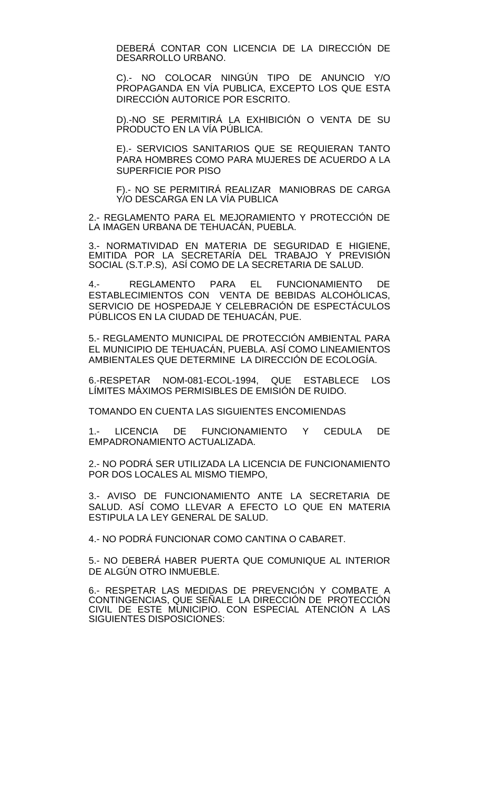DEBERÁ CONTAR CON LICENCIA DE LA DIRECCIÓN DE DESARROLLO URBANO.

C).- NO COLOCAR NINGÚN TIPO DE ANUNCIO Y/O PROPAGANDA EN VÍA PUBLICA, EXCEPTO LOS QUE ESTA DIRECCIÓN AUTORICE POR ESCRITO.

D).-NO SE PERMITIRÁ LA EXHIBICIÓN O VENTA DE SU PRODUCTO EN LA VÍA PÚBLICA.

E).- SERVICIOS SANITARIOS QUE SE REQUIERAN TANTO PARA HOMBRES COMO PARA MUJERES DE ACUERDO A LA SUPERFICIE POR PISO

F).- NO SE PERMITIRÁ REALIZAR MANIOBRAS DE CARGA Y/O DESCARGA EN LA VÍA PUBLICA

2.- REGLAMENTO PARA EL MEJORAMIENTO Y PROTECCIÓN DE LA IMAGEN URBANA DE TEHUACÁN, PUEBLA.

3.- NORMATIVIDAD EN MATERIA DE SEGURIDAD E HIGIENE, EMITIDA POR LA SECRETARÍA DEL TRABAJO Y PREVISIÓN SOCIAL (S.T.P.S), ASÍ COMO DE LA SECRETARIA DE SALUD.

4.- REGLAMENTO PARA EL FUNCIONAMIENTO DE ESTABLECIMIENTOS CON VENTA DE BEBIDAS ALCOHÓLICAS, SERVICIO DE HOSPEDAJE Y CELEBRACIÓN DE ESPECTÁCULOS PÚBLICOS EN LA CIUDAD DE TEHUACÁN, PUE.

5.- REGLAMENTO MUNICIPAL DE PROTECCIÓN AMBIENTAL PARA EL MUNICIPIO DE TEHUACÁN, PUEBLA. ASÍ COMO LINEAMIENTOS AMBIENTALES QUE DETERMINE LA DIRECCIÓN DE ECOLOGÍA.

6.-RESPETAR NOM-081-ECOL-1994, QUE ESTABLECE LOS LÍMITES MÁXIMOS PERMISIBLES DE EMISIÓN DE RUIDO.

TOMANDO EN CUENTA LAS SIGUIENTES ENCOMIENDAS

1.- LICENCIA DE FUNCIONAMIENTO Y CEDULA DE EMPADRONAMIENTO ACTUALIZADA.

2.- NO PODRÁ SER UTILIZADA LA LICENCIA DE FUNCIONAMIENTO POR DOS LOCALES AL MISMO TIEMPO,

3.- AVISO DE FUNCIONAMIENTO ANTE LA SECRETARIA DE SALUD. ASÍ COMO LLEVAR A EFECTO LO QUE EN MATERIA ESTIPULA LA LEY GENERAL DE SALUD.

4.- NO PODRÁ FUNCIONAR COMO CANTINA O CABARET.

5.- NO DEBERÁ HABER PUERTA QUE COMUNIQUE AL INTERIOR DE ALGÚN OTRO INMUEBLE.

6.- RESPETAR LAS MEDIDAS DE PREVENCIÓN Y COMBATE A CONTINGENCIAS, QUE SEÑALE LA DIRECCIÓN DE PROTECCIÓN CIVIL DE ESTE MUNICIPIO. CON ESPECIAL ATENCIÓN A LAS SIGUIENTES DISPOSICIONES: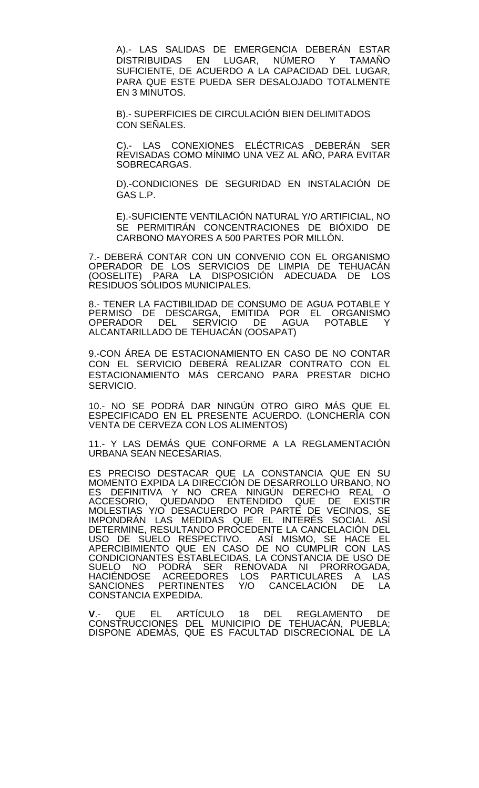A).- LAS SALIDAS DE EMERGENCIA DEBERÁN ESTAR DISTRIBUIDAS EN LUGAR, NÚMERO Y TAMAÑO SUFICIENTE, DE ACUERDO A LA CAPACIDAD DEL LUGAR, PARA QUE ESTE PUEDA SER DESALOJADO TOTALMENTE EN 3 MINUTOS.

B).- SUPERFICIES DE CIRCULACIÓN BIEN DELIMITADOS CON SEÑALES.

C).- LAS CONEXIONES ELÉCTRICAS DEBERÁN SER REVISADAS COMO MÍNIMO UNA VEZ AL AÑO, PARA EVITAR SOBRECARGAS.

D).-CONDICIONES DE SEGURIDAD EN INSTALACIÓN DE GAS L.P.

E).-SUFICIENTE VENTILACIÓN NATURAL Y/O ARTIFICIAL, NO SE PERMITIRÁN CONCENTRACIONES DE BIÓXIDO DE CARBONO MAYORES A 500 PARTES POR MILLÓN.

7.- DEBERÁ CONTAR CON UN CONVENIO CON EL ORGANISMO OPERADOR DE LOS SERVICIOS DE LIMPIA DE TEHUACÁN (OOSELITE) PARA LA DISPOSICIÓN ADECUADA DE LOS RESIDUOS SÓLIDOS MUNICIPALES.

8.- TENER LA FACTIBILIDAD DE CONSUMO DE AGUA POTABLE Y PERMISO DE DESCARGA, EMITIDA POR EL ORGANISMO OPERADOR DEL SERVICIO DE AGUA POTABLE Y ALCANTARILLADO DE TEHUACÁN (OOSAPAT)

9.-CON ÁREA DE ESTACIONAMIENTO EN CASO DE NO CONTAR CON EL SERVICIO DEBERÁ REALIZAR CONTRATO CON EL ESTACIONAMIENTO MÁS CERCANO PARA PRESTAR DICHO SERVICIO.

10.- NO SE PODRÁ DAR NINGÚN OTRO GIRO MÁS QUE EL ESPECIFICADO EN EL PRESENTE ACUERDO. (LONCHERÍA CON VENTA DE CERVEZA CON LOS ALIMENTOS)

11.- Y LAS DEMÁS QUE CONFORME A LA REGLAMENTACIÓN URBANA SEAN NECESARIAS.

ES PRECISO DESTACAR QUE LA CONSTANCIA QUE EN SU MOMENTO EXPIDA LA DIRECCIÓN DE DESARROLLO URBANO, NO ES DEFINITIVA Y NO CREA NINGÚN DERECHO REAL O ACCESORIO, QUEDANDO ENTENDIDO QUE DE EXISTIR MOLESTIAS Y/O DESACUERDO POR PARTE DE VECINOS, SE IMPONDRÁN LAS MEDIDAS QUE EL INTERÉS SOCIAL ASÍ DETERMINE, RESULTANDO PROCEDENTE LA CANCELACIÓN DEL USO DE SUELO RESPECTIVO. ASÍ MISMO, SE HACE EL APERCIBIMIENTO QUE EN CASO DE NO CUMPLIR CON LAS CONDICIONANTES ESTABLECIDAS, LA CONSTANCIA DE USO DE SUELO NO PODRÁ SER RENOVADA NI PRORROGADA, HACIÉNDOSE ACREEDORES LOS PARTICULARES A LAS SANCIONES PERTINENTES Y/O CANCELACIÓN DE LA CONSTANCIA EXPEDIDA.

**V**.- QUE EL ARTÍCULO 18 DEL REGLAMENTO DE CONSTRUCCIONES DEL MUNICIPIO DE TEHUACAN, PUEBLA;<br>DISPONE ADEMÁS, QUE ES FACULTAD DISCRECIONAL DE LA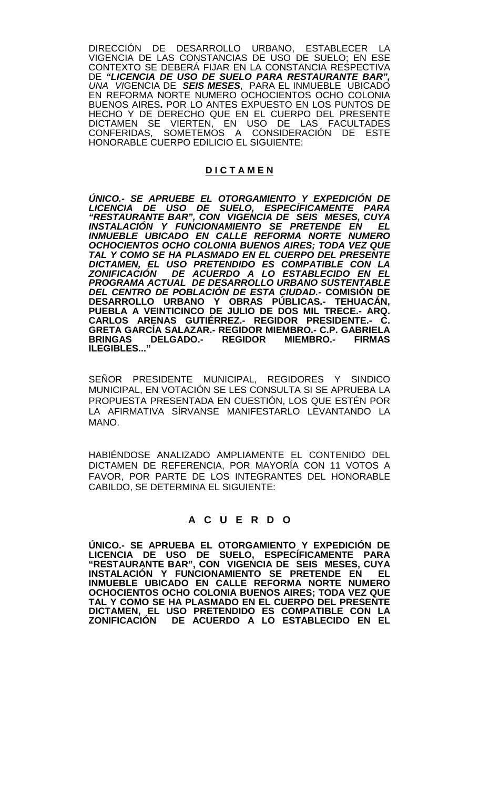DIRECCIÓN DE DESARROLLO URBANO, ESTABLECER LA VIGENCIA DE LAS CONSTANCIAS DE USO DE SUELO; EN ESE CONTEXTO SE DEBERÁ FIJAR EN LA CONSTANCIA RESPECTIVA DE *"LICENCIA DE USO DE SUELO PARA RESTAURANTE BAR", UNA VI*GENCIA DE *SEIS MESES*, PARA EL INMUEBLE UBICADO EN REFORMA NORTE NUMERO OCHOCIENTOS OCHO COLONIA BUENOS AIRES**.** POR LO ANTES EXPUESTO EN LOS PUNTOS DE HECHO Y DE DERECHO QUE EN EL CUERPO DEL PRESENTE DICTAMEN SE VIERTEN, EN USO DE LAS FACULTADES CONFERIDAS, SOMETEMOS A CONSIDERACIÓN DE ESTE HONORABLE CUERPO EDILICIO EL SIGUIENTE:

## **D I C T A M E N**

*ÚNICO.- SE APRUEBE EL OTORGAMIENTO Y EXPEDICIÓN DE LICENCIA DE USO DE SUELO, ESPECÍFICAMENTE PARA "RESTAURANTE BAR", CON VIGENCIA DE SEIS MESES, CUYA INSTALACIÓN Y FUNCIONAMIENTO SE PRETENDE EN EL INMUEBLE UBICADO EN CALLE REFORMA NORTE NUMERO OCHOCIENTOS OCHO COLONIA BUENOS AIRES; TODA VEZ QUE TAL Y COMO SE HA PLASMADO EN EL CUERPO DEL PRESENTE DICTAMEN, EL USO PRETENDIDO ES COMPATIBLE CON LA ZONIFICACIÓN DE ACUERDO A LO ESTABLECIDO EN EL PROGRAMA ACTUAL DE DESARROLLO URBANO SUSTENTABLE DEL CENTRO DE POBLACIÓN DE ESTA CIUDAD.-* **COMISIÓN DE DESARROLLO URBANO Y OBRAS PÚBLICAS.- TEHUACÁN, PUEBLA A VEINTICINCO DE JULIO DE DOS MIL TRECE.- ARQ. CARLOS ARENAS GUTIÉRREZ.- REGIDOR PRESIDENTE.- C. GRETA GARCÍA SALAZAR.- REGIDOR MIEMBRO.- C.P. GABRIELA BRINGAS DELGADO.- REGIDOR MIEMBRO.- FIRMAS ILEGIBLES..."**

SEÑOR PRESIDENTE MUNICIPAL, REGIDORES Y SINDICO MUNICIPAL, EN VOTACIÓN SE LES CONSULTA SI SE APRUEBA LA PROPUESTA PRESENTADA EN CUESTIÓN, LOS QUE ESTÉN POR LA AFIRMATIVA SÍRVANSE MANIFESTARLO LEVANTANDO LA MANO.

HABIÉNDOSE ANALIZADO AMPLIAMENTE EL CONTENIDO DEL DICTAMEN DE REFERENCIA, POR MAYORÍA CON 11 VOTOS A FAVOR, POR PARTE DE LOS INTEGRANTES DEL HONORABLE CABILDO, SE DETERMINA EL SIGUIENTE:

# **A C U E R D O**

**ÚNICO.- SE APRUEBA EL OTORGAMIENTO Y EXPEDICIÓN DE LICENCIA DE USO DE SUELO, ESPECÍFICAMENTE PARA "RESTAURANTE BAR", CON VIGENCIA DE SEIS MESES, CUYA INSTALACIÓN Y FUNCIONAMIENTO SE PRETENDE EN EL INMUEBLE UBICADO EN CALLE REFORMA NORTE NUMERO OCHOCIENTOS OCHO COLONIA BUENOS AIRES; TODA VEZ QUE TAL Y COMO SE HA PLASMADO EN EL CUERPO DEL PRESENTE DICTAMEN, EL USO PRETENDIDO ES COMPATIBLE CON LA ZONIFICACIÓN DE ACUERDO A LO ESTABLECIDO EN EL**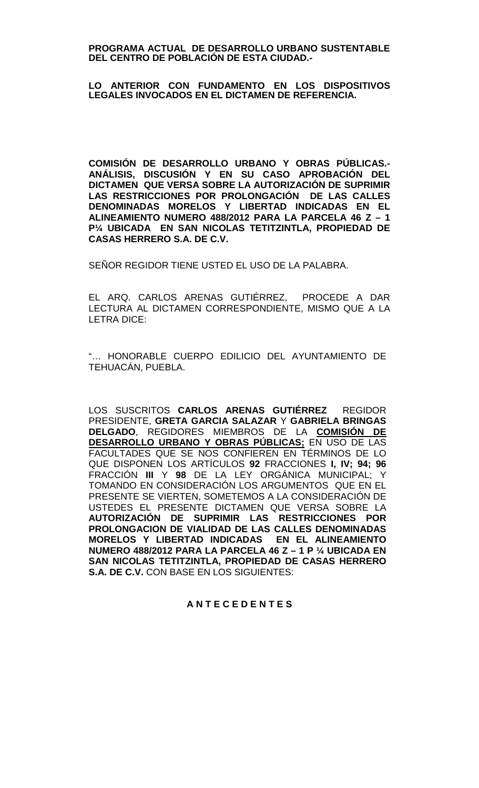#### **PROGRAMA ACTUAL DE DESARROLLO URBANO SUSTENTABLE DEL CENTRO DE POBLACIÓN DE ESTA CIUDAD.-**

#### **LO ANTERIOR CON FUNDAMENTO EN LOS DISPOSITIVOS LEGALES INVOCADOS EN EL DICTAMEN DE REFERENCIA.**

**COMISIÓN DE DESARROLLO URBANO Y OBRAS PÚBLICAS.- ANÁLISIS, DISCUSIÓN Y EN SU CASO APROBACIÓN DEL DICTAMEN QUE VERSA SOBRE LA AUTORIZACIÓN DE SUPRIMIR LAS RESTRICCIONES POR PROLONGACIÓN DE LAS CALLES DENOMINADAS MORELOS Y LIBERTAD INDICADAS EN EL ALINEAMIENTO NUMERO 488/2012 PARA LA PARCELA 46 Z – 1 P¼ UBICADA EN SAN NICOLAS TETITZINTLA, PROPIEDAD DE CASAS HERRERO S.A. DE C.V.**

SEÑOR REGIDOR TIENE USTED EL USO DE LA PALABRA.

EL ARQ. CARLOS ARENAS GUTIÉRREZ, PROCEDE A DAR LECTURA AL DICTAMEN CORRESPONDIENTE, MISMO QUE A LA LETRA DICE:

"… HONORABLE CUERPO EDILICIO DEL AYUNTAMIENTO DE TEHUACÁN, PUEBLA.

LOS SUSCRITOS **CARLOS ARENAS GUTIÉRREZ** REGIDOR PRESIDENTE, **GRETA GARCIA SALAZAR** Y **GABRIELA BRINGAS DELGADO**, REGIDORES MIEMBROS DE LA **COMISIÓN DE DESARROLLO URBANO Y OBRAS PÚBLICAS;** EN USO DE LAS FACULTADES QUE SE NOS CONFIEREN EN TÉRMINOS DE LO QUE DISPONEN LOS ARTÍCULOS **92** FRACCIONES **I, IV; 94; 96** FRACCIÓN **III** Y **98** DE LA LEY ORGÁNICA MUNICIPAL; Y TOMANDO EN CONSIDERACIÓN LOS ARGUMENTOS QUE EN EL PRESENTE SE VIERTEN, SOMETEMOS A LA CONSIDERACIÓN DE USTEDES EL PRESENTE DICTAMEN QUE VERSA SOBRE LA **AUTORIZACIÓN DE SUPRIMIR LAS RESTRICCIONES POR PROLONGACION DE VIALIDAD DE LAS CALLES DENOMINADAS MORELOS Y LIBERTAD INDICADAS EN EL ALINEAMIENTO NUMERO 488/2012 PARA LA PARCELA 46 Z – 1 P ¼ UBICADA EN SAN NICOLAS TETITZINTLA, PROPIEDAD DE CASAS HERRERO S.A. DE C.V.** CON BASE EN LOS SIGUIENTES:

## **A N T E C E D E N T E S**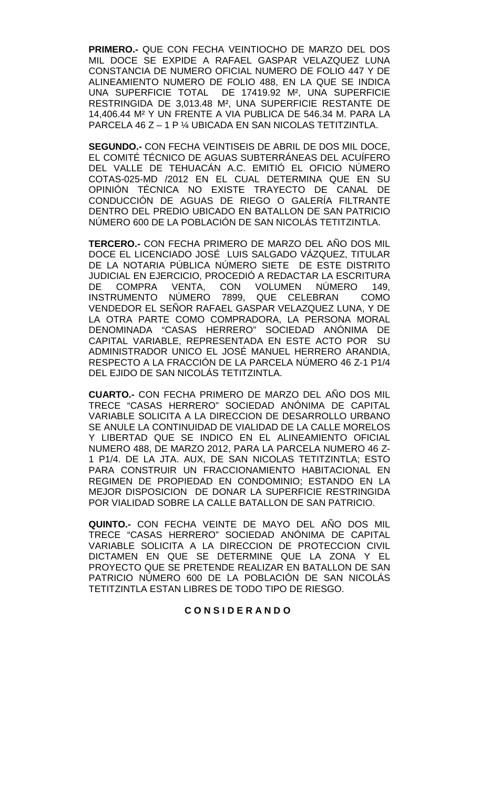**PRIMERO.-** QUE CON FECHA VEINTIOCHO DE MARZO DEL DOS MIL DOCE SE EXPIDE A RAFAEL GASPAR VELAZQUEZ LUNA CONSTANCIA DE NUMERO OFICIAL NUMERO DE FOLIO 447 Y DE ALINEAMIENTO NUMERO DE FOLIO 488, EN LA QUE SE INDICA UNA SUPERFICIE TOTAL DE 17419.92 M², UNA SUPERFICIE RESTRINGIDA DE 3,013.48 M², UNA SUPERFICIE RESTANTE DE 14,406.44 M² Y UN FRENTE A VIA PUBLICA DE 546.34 M. PARA LA PARCELA 46 Z – 1 P ¼ UBICADA EN SAN NICOLAS TETITZINTLA.

**SEGUNDO.-** CON FECHA VEINTISEIS DE ABRIL DE DOS MIL DOCE, EL COMITÉ TÉCNICO DE AGUAS SUBTERRÁNEAS DEL ACUÍFERO DEL VALLE DE TEHUACÁN A.C. EMITIÓ EL OFICIO NÚMERO COTAS-025-MD /2012 EN EL CUAL DETERMINA QUE EN SU OPINIÓN TÉCNICA NO EXISTE TRAYECTO DE CANAL DE CONDUCCIÓN DE AGUAS DE RIEGO O GALERÍA FILTRANTE DENTRO DEL PREDIO UBICADO EN BATALLON DE SAN PATRICIO NÚMERO 600 DE LA POBLACIÓN DE SAN NICOLÁS TETITZINTLA.

**TERCERO.-** CON FECHA PRIMERO DE MARZO DEL AÑO DOS MIL DOCE EL LICENCIADO JOSÉ LUIS SALGADO VÁZQUEZ, TITULAR DE LA NOTARIA PÚBLICA NÚMERO SIETE DE ESTE DISTRITO JUDICIAL EN EJERCICIO, PROCEDIÓ A REDACTAR LA ESCRITURA<br>DE COMPRA VENTA. CON VOLUMEN NÚMERO 149. DE COMPRA VENTA, CON VOLUMEN NÚMERO 149, INSTRUMENTO NÚMERO 7899, QUE CELEBRAN COMO VENDEDOR EL SEÑOR RAFAEL GASPAR VELAZQUEZ LUNA, Y DE LA OTRA PARTE COMO COMPRADORA, LA PERSONA MORAL DENOMINADA "CASAS HERRERO" SOCIEDAD ANÓNIMA DE CAPITAL VARIABLE, REPRESENTADA EN ESTE ACTO POR SU ADMINISTRADOR UNICO EL JOSÉ MANUEL HERRERO ARANDIA, RESPECTO A LA FRACCIÓN DE LA PARCELA NÚMERO 46 Z-1 P1/4 DEL EJIDO DE SAN NICOLÁS TETITZINTLA.

**CUARTO.-** CON FECHA PRIMERO DE MARZO DEL AÑO DOS MIL TRECE "CASAS HERRERO" SOCIEDAD ANÓNIMA DE CAPITAL VARIABLE SOLICITA A LA DIRECCION DE DESARROLLO URBANO SE ANULE LA CONTINUIDAD DE VIALIDAD DE LA CALLE MORELOS Y LIBERTAD QUE SE INDICO EN EL ALINEAMIENTO OFICIAL NUMERO 488, DE MARZO 2012, PARA LA PARCELA NUMERO 46 Z-1 P1/4. DE LA JTA. AUX, DE SAN NICOLAS TETITZINTLA; ESTO PARA CONSTRUIR UN FRACCIONAMIENTO HABITACIONAL EN REGIMEN DE PROPIEDAD EN CONDOMINIO; ESTANDO EN LA MEJOR DISPOSICION DE DONAR LA SUPERFICIE RESTRINGIDA POR VIALIDAD SOBRE LA CALLE BATALLON DE SAN PATRICIO.

**QUINTO.-** CON FECHA VEINTE DE MAYO DEL AÑO DOS MIL TRECE "CASAS HERRERO" SOCIEDAD ANÓNIMA DE CAPITAL VARIABLE SOLICITA A LA DIRECCION DE PROTECCION CIVIL DICTAMEN EN QUE SE DETERMINE QUE LA ZONA Y EL PROYECTO QUE SE PRETENDE REALIZAR EN BATALLON DE SAN PATRICIO NÚMERO 600 DE LA POBLACIÓN DE SAN NICOLÁS TETITZINTLA ESTAN LIBRES DE TODO TIPO DE RIESGO.

# **C O N S I D E R A N D O**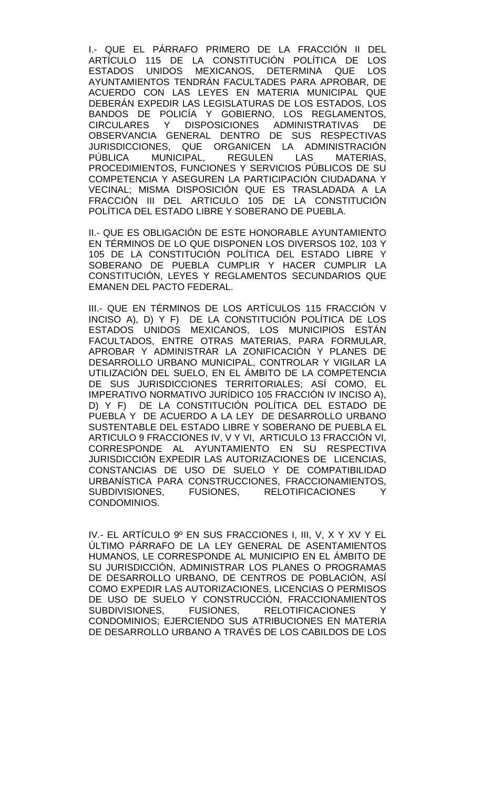I.- QUE EL PÁRRAFO PRIMERO DE LA FRACCIÓN II DEL ARTÍCULO 115 DE LA CONSTITUCIÓN POLÍTICA DE LOS ESTADOS UNIDOS MEXICANOS, DETERMINA QUE LOS AYUNTAMIENTOS TENDRÁN FACULTADES PARA APROBAR, DE ACUERDO CON LAS LEYES EN MATERIA MUNICIPAL QUE DEBERÁN EXPEDIR LAS LEGISLATURAS DE LOS ESTADOS, LOS BANDOS DE POLICÍA Y GOBIERNO, LOS REGLAMENTOS, CIRCULARES Y DISPOSICIONES ADMINISTRATIVAS DE OBSERVANCIA GENERAL DENTRO DE SUS RESPECTIVAS JURISDICCIONES, QUE ORGANICEN LA ADMINISTRACIÓN PÚBLICA MUNICIPAL, REGULEN LAS MATERIAS, PROCEDIMIENTOS, FUNCIONES Y SERVICIOS PÚBLICOS DE SU COMPETENCIA Y ASEGUREN LA PARTICIPACIÓN CIUDADANA Y VECINAL; MISMA DISPOSICIÓN QUE ES TRASLADADA A LA FRACCIÓN III DEL ARTICULO 105 DE LA CONSTITUCIÓN POLÍTICA DEL ESTADO LIBRE Y SOBERANO DE PUEBLA.

II.- QUE ES OBLIGACIÓN DE ESTE HONORABLE AYUNTAMIENTO EN TÉRMINOS DE LO QUE DISPONEN LOS DIVERSOS 102, 103 Y 105 DE LA CONSTITUCIÓN POLÍTICA DEL ESTADO LIBRE Y SOBERANO DE PUEBLA CUMPLIR Y HACER CUMPLIR LA CONSTITUCIÓN, LEYES Y REGLAMENTOS SECUNDARIOS QUE EMANEN DEL PACTO FEDERAL.

III.- QUE EN TÉRMINOS DE LOS ARTÍCULOS 115 FRACCIÓN V INCISO A), D) Y F) DE LA CONSTITUCIÓN POLÍTICA DE LOS ESTADOS UNIDOS MEXICANOS, LOS MUNICIPIOS ESTÁN FACULTADOS, ENTRE OTRAS MATERIAS, PARA FORMULAR, APROBAR Y ADMINISTRAR LA ZONIFICACIÓN Y PLANES DE DESARROLLO URBANO MUNICIPAL, CONTROLAR Y VIGILAR LA UTILIZACIÓN DEL SUELO, EN EL ÁMBITO DE LA COMPETENCIA DE SUS JURISDICCIONES TERRITORIALES; ASÍ COMO, EL IMPERATIVO NORMATIVO JURÍDICO 105 FRACCIÓN IV INCISO A), D) Y F) DE LA CONSTITUCIÓN POLÍTICA DEL ESTADO DE PUEBLA Y DE ACUERDO A LA LEY DE DESARROLLO URBANO SUSTENTABLE DEL ESTADO LIBRE Y SOBERANO DE PUEBLA EL ARTICULO 9 FRACCIONES IV, V Y VI, ARTICULO 13 FRACCIÓN VI, CORRESPONDE AL AYUNTAMIENTO EN SU RESPECTIVA JURISDICCIÓN EXPEDIR LAS AUTORIZACIONES DE LICENCIAS, CONSTANCIAS DE USO DE SUELO Y DE COMPATIBILIDAD URBANÍSTICA PARA CONSTRUCCIONES, FRACCIONAMIENTOS,<br>SUBDIVISIONES, FUSIONES, RELOTIFICACIONES Y SUBDIVISIONES, FUSIONES, CONDOMINIOS.

IV.- EL ARTÍCULO 9º EN SUS FRACCIONES I, III, V, X Y XV Y EL ÚLTIMO PÁRRAFO DE LA LEY GENERAL DE ASENTAMIENTOS HUMANOS, LE CORRESPONDE AL MUNICIPIO EN EL ÁMBITO DE SU JURISDICCIÓN, ADMINISTRAR LOS PLANES O PROGRAMAS DE DESARROLLO URBANO, DE CENTROS DE POBLACIÓN, ASÍ COMO EXPEDIR LAS AUTORIZACIONES, LICENCIAS O PERMISOS DE USO DE SUELO Y CONSTRUCCIÓN, FRACCIONAMIENTOS SUBDIVISIONES, FUSIONES, RELOTIFICACIONES Y CONDOMINIOS; EJERCIENDO SUS ATRIBUCIONES EN MATERIA DE DESARROLLO URBANO A TRAVÉS DE LOS CABILDOS DE LOS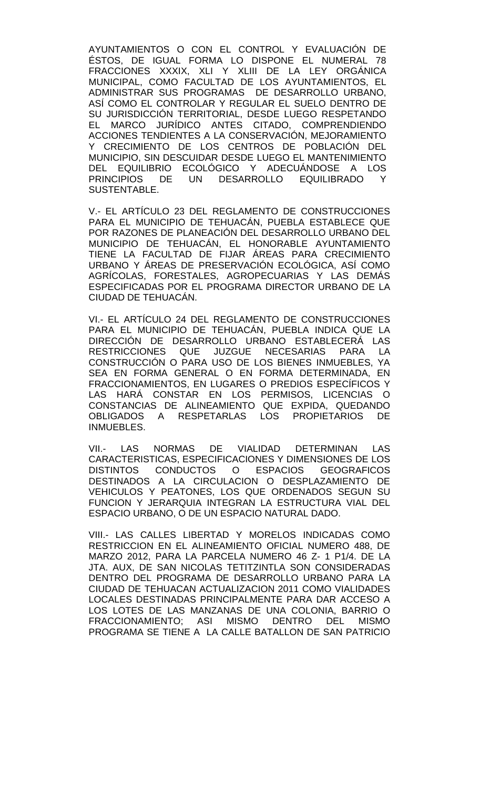AYUNTAMIENTOS O CON EL CONTROL Y EVALUACIÓN DE ÉSTOS, DE IGUAL FORMA LO DISPONE EL NUMERAL 78 FRACCIONES XXXIX, XLI Y XLIII DE LA LEY ORGÁNICA MUNICIPAL, COMO FACULTAD DE LOS AYUNTAMIENTOS, EL ADMINISTRAR SUS PROGRAMAS DE DESARROLLO URBANO, ASÍ COMO EL CONTROLAR Y REGULAR EL SUELO DENTRO DE SU JURISDICCIÓN TERRITORIAL, DESDE LUEGO RESPETANDO EL MARCO JURÍDICO ANTES CITADO, COMPRENDIENDO ACCIONES TENDIENTES A LA CONSERVACIÓN, MEJORAMIENTO Y CRECIMIENTO DE LOS CENTROS DE POBLACIÓN DEL MUNICIPIO, SIN DESCUIDAR DESDE LUEGO EL MANTENIMIENTO DEL EQUILIBRIO ECOLÓGICO Y ADECUÁNDOSE A LOS PRINCIPIOS DE UN DESARROLLO EQUILIBRADO Y SUSTENTABLE.

V.- EL ARTÍCULO 23 DEL REGLAMENTO DE CONSTRUCCIONES PARA EL MUNICIPIO DE TEHUACÁN, PUEBLA ESTABLECE QUE POR RAZONES DE PLANEACIÓN DEL DESARROLLO URBANO DEL MUNICIPIO DE TEHUACÁN, EL HONORABLE AYUNTAMIENTO TIENE LA FACULTAD DE FIJAR ÁREAS PARA CRECIMIENTO URBANO Y ÁREAS DE PRESERVACIÓN ECOLÓGICA, ASÍ COMO AGRÍCOLAS, FORESTALES, AGROPECUARIAS Y LAS DEMÁS ESPECIFICADAS POR EL PROGRAMA DIRECTOR URBANO DE LA CIUDAD DE TEHUACÁN.

VI.- EL ARTÍCULO 24 DEL REGLAMENTO DE CONSTRUCCIONES PARA EL MUNICIPIO DE TEHUACÁN, PUEBLA INDICA QUE LA DIRECCIÓN DE DESARROLLO URBANO ESTABLECERÁ LAS RESTRICCIONES QUE JUZGUE NECESARIAS PARA LA CONSTRUCCIÓN O PARA USO DE LOS BIENES INMUEBLES, YA SEA EN FORMA GENERAL O EN FORMA DETERMINADA, EN FRACCIONAMIENTOS, EN LUGARES O PREDIOS ESPECÍFICOS Y LAS HARÁ CONSTAR EN LOS PERMISOS, LICENCIAS O CONSTANCIAS DE ALINEAMIENTO QUE EXPIDA, QUEDANDO OBLIGADOS A RESPETARLAS LOS PROPIETARIOS DE INMUEBLES.

VII.- LAS NORMAS DE VIALIDAD DETERMINAN LAS CARACTERISTICAS, ESPECIFICACIONES Y DIMENSIONES DE LOS DISTINTOS CONDUCTOS O ESPACIOS GEOGRAFICOS DESTINADOS A LA CIRCULACION O DESPLAZAMIENTO DE VEHICULOS Y PEATONES, LOS QUE ORDENADOS SEGUN SU FUNCION Y JERARQUIA INTEGRAN LA ESTRUCTURA VIAL DEL ESPACIO URBANO, O DE UN ESPACIO NATURAL DADO.

VIII.- LAS CALLES LIBERTAD Y MORELOS INDICADAS COMO RESTRICCION EN EL ALINEAMIENTO OFICIAL NUMERO 488, DE MARZO 2012, PARA LA PARCELA NUMERO 46 Z- 1 P1/4. DE LA JTA. AUX, DE SAN NICOLAS TETITZINTLA SON CONSIDERADAS DENTRO DEL PROGRAMA DE DESARROLLO URBANO PARA LA CIUDAD DE TEHUACAN ACTUALIZACION 2011 COMO VIALIDADES LOCALES DESTINADAS PRINCIPALMENTE PARA DAR ACCESO A LOS LOTES DE LAS MANZANAS DE UNA COLONIA, BARRIO O FRACCIONAMIENTO; ASI MISMO DENTRO DEL MISMO PROGRAMA SE TIENE A LA CALLE BATALLON DE SAN PATRICIO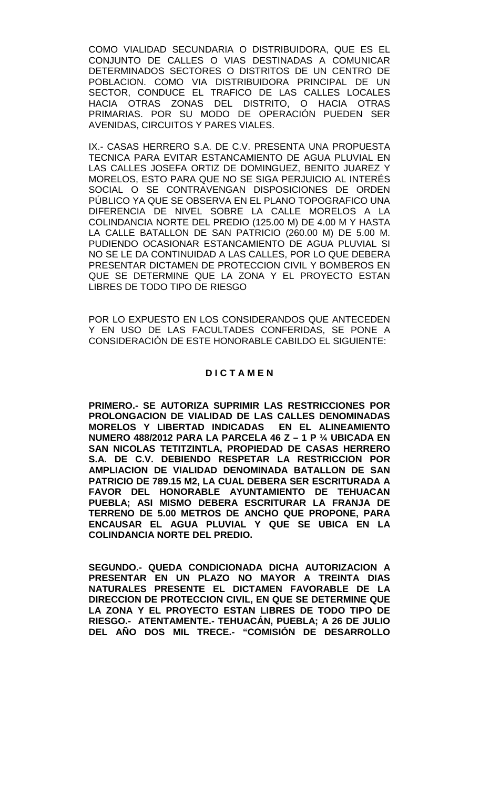COMO VIALIDAD SECUNDARIA O DISTRIBUIDORA, QUE ES EL CONJUNTO DE CALLES O VIAS DESTINADAS A COMUNICAR DETERMINADOS SECTORES O DISTRITOS DE UN CENTRO DE POBLACION. COMO VIA DISTRIBUIDORA PRINCIPAL DE UN SECTOR, CONDUCE EL TRAFICO DE LAS CALLES LOCALES HACIA OTRAS ZONAS DEL DISTRITO, O HACIA OTRAS PRIMARIAS. POR SU MODO DE OPERACIÓN PUEDEN SER AVENIDAS, CIRCUITOS Y PARES VIALES.

IX.- CASAS HERRERO S.A. DE C.V. PRESENTA UNA PROPUESTA TECNICA PARA EVITAR ESTANCAMIENTO DE AGUA PLUVIAL EN LAS CALLES JOSEFA ORTIZ DE DOMINGUEZ, BENITO JUAREZ Y MORELOS, ESTO PARA QUE NO SE SIGA PERJUICIO AL INTERÉS SOCIAL O SE CONTRAVENGAN DISPOSICIONES DE ORDEN PÚBLICO YA QUE SE OBSERVA EN EL PLANO TOPOGRAFICO UNA DIFERENCIA DE NIVEL SOBRE LA CALLE MORELOS A LA COLINDANCIA NORTE DEL PREDIO (125.00 M) DE 4.00 M Y HASTA LA CALLE BATALLON DE SAN PATRICIO (260.00 M) DE 5.00 M. PUDIENDO OCASIONAR ESTANCAMIENTO DE AGUA PLUVIAL SI NO SE LE DA CONTINUIDAD A LAS CALLES, POR LO QUE DEBERA PRESENTAR DICTAMEN DE PROTECCION CIVIL Y BOMBEROS EN QUE SE DETERMINE QUE LA ZONA Y EL PROYECTO ESTAN LIBRES DE TODO TIPO DE RIESGO

POR LO EXPUESTO EN LOS CONSIDERANDOS QUE ANTECEDEN Y EN USO DE LAS FACULTADES CONFERIDAS, SE PONE A CONSIDERACIÓN DE ESTE HONORABLE CABILDO EL SIGUIENTE:

## **D I C T A M E N**

**PRIMERO.- SE AUTORIZA SUPRIMIR LAS RESTRICCIONES POR PROLONGACION DE VIALIDAD DE LAS CALLES DENOMINADAS MORELOS Y LIBERTAD INDICADAS EN EL ALINEAMIENTO NUMERO 488/2012 PARA LA PARCELA 46 Z – 1 P ¼ UBICADA EN SAN NICOLAS TETITZINTLA, PROPIEDAD DE CASAS HERRERO S.A. DE C.V. DEBIENDO RESPETAR LA RESTRICCION POR AMPLIACION DE VIALIDAD DENOMINADA BATALLON DE SAN PATRICIO DE 789.15 M2, LA CUAL DEBERA SER ESCRITURADA A FAVOR DEL HONORABLE AYUNTAMIENTO DE TEHUACAN PUEBLA; ASI MISMO DEBERA ESCRITURAR LA FRANJA DE TERRENO DE 5.00 METROS DE ANCHO QUE PROPONE, PARA ENCAUSAR EL AGUA PLUVIAL Y QUE SE UBICA EN LA COLINDANCIA NORTE DEL PREDIO.** 

**SEGUNDO.- QUEDA CONDICIONADA DICHA AUTORIZACION A PRESENTAR EN UN PLAZO NO MAYOR A TREINTA DIAS NATURALES PRESENTE EL DICTAMEN FAVORABLE DE LA DIRECCION DE PROTECCION CIVIL, EN QUE SE DETERMINE QUE LA ZONA Y EL PROYECTO ESTAN LIBRES DE TODO TIPO DE RIESGO.- ATENTAMENTE.- TEHUACÁN, PUEBLA; A 26 DE JULIO DEL AÑO DOS MIL TRECE.- "COMISIÓN DE DESARROLLO**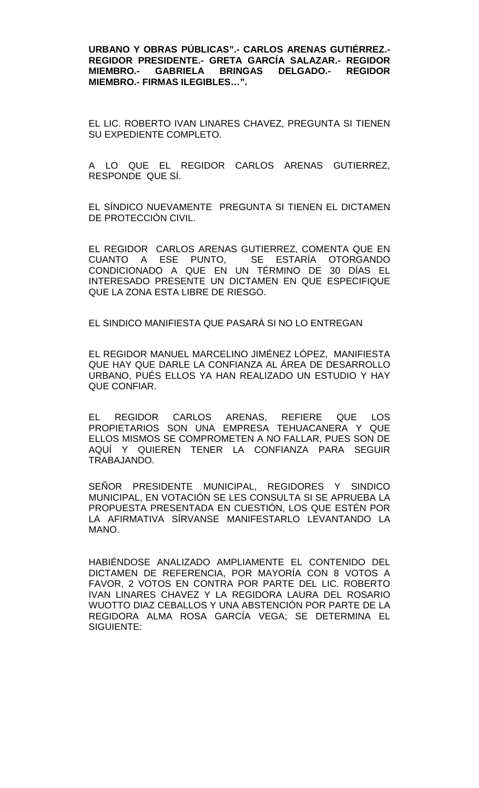**URBANO Y OBRAS PÚBLICAS".- CARLOS ARENAS GUTIÉRREZ.- REGIDOR PRESIDENTE.- GRETA GARCÍA SALAZAR.- REGIDOR MIEMBRO.- GABRIELA BRINGAS DELGADO.-MIEMBRO.- FIRMAS ILEGIBLES…".**

EL LIC. ROBERTO IVAN LINARES CHAVEZ, PREGUNTA SI TIENEN SU EXPEDIENTE COMPLETO.

A LO QUE EL REGIDOR CARLOS ARENAS GUTIERREZ, RESPONDE QUE SÍ.

EL SÍNDICO NUEVAMENTE PREGUNTA SI TIENEN EL DICTAMEN DE PROTECCIÓN CIVIL.

EL REGIDOR CARLOS ARENAS GUTIERREZ, COMENTA QUE EN CUANTO A ESE PUNTO, SE ESTARÍA OTORGANDO CONDICIONADO A QUE EN UN TÉRMINO DE 30 DÍAS EL INTERESADO PRESENTE UN DICTAMEN EN QUE ESPECIFIQUE QUE LA ZONA ESTA LIBRE DE RIESGO.

EL SINDICO MANIFIESTA QUE PASARÁ SI NO LO ENTREGAN

EL REGIDOR MANUEL MARCELINO JIMÉNEZ LÓPEZ, MANIFIESTA QUE HAY QUE DARLE LA CONFIANZA AL ÁREA DE DESARROLLO URBANO, PUÉS ELLOS YA HAN REALIZADO UN ESTUDIO Y HAY QUE CONFIAR.

EL REGIDOR CARLOS ARENAS, REFIERE QUE LOS PROPIETARIOS SON UNA EMPRESA TEHUACANERA Y QUE ELLOS MISMOS SE COMPROMETEN A NO FALLAR, PUES SON DE AQUÍ Y QUIEREN TENER LA CONFIANZA PARA SEGUIR TRABAJANDO.

SEÑOR PRESIDENTE MUNICIPAL, REGIDORES Y SINDICO MUNICIPAL, EN VOTACIÓN SE LES CONSULTA SI SE APRUEBA LA PROPUESTA PRESENTADA EN CUESTIÓN, LOS QUE ESTÉN POR LA AFIRMATIVA SÍRVANSE MANIFESTARLO LEVANTANDO LA MANO.

HABIÉNDOSE ANALIZADO AMPLIAMENTE EL CONTENIDO DEL DICTAMEN DE REFERENCIA, POR MAYORÍA CON 8 VOTOS A FAVOR, 2 VOTOS EN CONTRA POR PARTE DEL LIC. ROBERTO IVAN LINARES CHAVEZ Y LA REGIDORA LAURA DEL ROSARIO WUOTTO DIAZ CEBALLOS Y UNA ABSTENCIÓN POR PARTE DE LA REGIDORA ALMA ROSA GARCÍA VEGA; SE DETERMINA EL SIGUIENTE: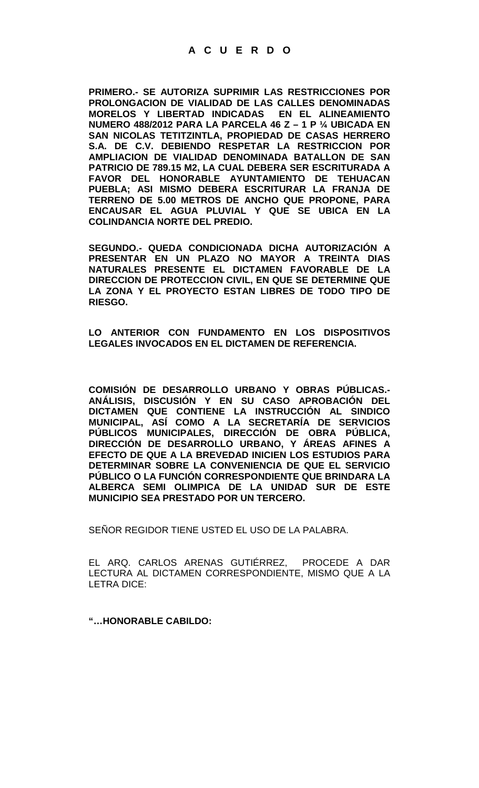# **A C U E R D O**

**PRIMERO.- SE AUTORIZA SUPRIMIR LAS RESTRICCIONES POR PROLONGACION DE VIALIDAD DE LAS CALLES DENOMINADAS MORELOS Y LIBERTAD INDICADAS EN EL ALINEAMIENTO NUMERO 488/2012 PARA LA PARCELA 46 Z – 1 P ¼ UBICADA EN SAN NICOLAS TETITZINTLA, PROPIEDAD DE CASAS HERRERO S.A. DE C.V. DEBIENDO RESPETAR LA RESTRICCION POR AMPLIACION DE VIALIDAD DENOMINADA BATALLON DE SAN PATRICIO DE 789.15 M2, LA CUAL DEBERA SER ESCRITURADA A FAVOR DEL HONORABLE AYUNTAMIENTO DE TEHUACAN PUEBLA; ASI MISMO DEBERA ESCRITURAR LA FRANJA DE TERRENO DE 5.00 METROS DE ANCHO QUE PROPONE, PARA ENCAUSAR EL AGUA PLUVIAL Y QUE SE UBICA EN LA COLINDANCIA NORTE DEL PREDIO.** 

**SEGUNDO.- QUEDA CONDICIONADA DICHA AUTORIZACIÓN A PRESENTAR EN UN PLAZO NO MAYOR A TREINTA DIAS NATURALES PRESENTE EL DICTAMEN FAVORABLE DE LA DIRECCION DE PROTECCION CIVIL, EN QUE SE DETERMINE QUE LA ZONA Y EL PROYECTO ESTAN LIBRES DE TODO TIPO DE RIESGO.**

**LO ANTERIOR CON FUNDAMENTO EN LOS DISPOSITIVOS LEGALES INVOCADOS EN EL DICTAMEN DE REFERENCIA.**

**COMISIÓN DE DESARROLLO URBANO Y OBRAS PÚBLICAS.- ANÁLISIS, DISCUSIÓN Y EN SU CASO APROBACIÓN DEL DICTAMEN QUE CONTIENE LA INSTRUCCIÓN AL SINDICO MUNICIPAL, ASÍ COMO A LA SECRETARÍA DE SERVICIOS PÚBLICOS MUNICIPALES, DIRECCIÓN DE OBRA PÚBLICA, DIRECCIÓN DE DESARROLLO URBANO, Y ÁREAS AFINES A EFECTO DE QUE A LA BREVEDAD INICIEN LOS ESTUDIOS PARA DETERMINAR SOBRE LA CONVENIENCIA DE QUE EL SERVICIO PÚBLICO O LA FUNCIÓN CORRESPONDIENTE QUE BRINDARA LA ALBERCA SEMI OLIMPICA DE LA UNIDAD SUR DE ESTE MUNICIPIO SEA PRESTADO POR UN TERCERO.**

SEÑOR REGIDOR TIENE USTED EL USO DE LA PALABRA.

EL ARQ. CARLOS ARENAS GUTIÉRREZ, PROCEDE A DAR LECTURA AL DICTAMEN CORRESPONDIENTE, MISMO QUE A LA LETRA DICE:

**"…HONORABLE CABILDO:**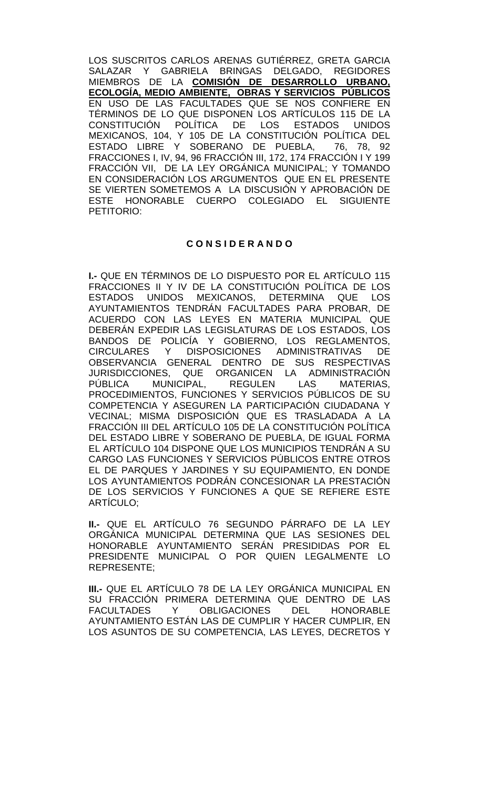LOS SUSCRITOS CARLOS ARENAS GUTIÉRREZ, GRETA GARCIA SALAZAR Y GABRIELA BRINGAS DELGADO, REGIDORES MIEMBROS DE LA **COMISIÓN DE DESARROLLO URBANO, ECOLOGÍA, MEDIO AMBIENTE, OBRAS Y SERVICIOS PÚBLICOS** EN USO DE LAS FACULTADES QUE SE NOS CONFIERE EN TÉRMINOS DE LO QUE DISPONEN LOS ARTÍCULOS 115 DE LA CONSTITUCIÓN POLÍTICA DE LOS ESTADOS UNIDOS MEXICANOS, 104, Y 105 DE LA CONSTITUCION POLITICA DEL ESTADO LIBRE Y SOBERANO DE PUEBLA, 76, 78, 92 FRACCIONES I, IV, 94, 96 FRACCIÓN III, 172, 174 FRACCIÓN I Y 199 FRACCIÓN VII, DE LA LEY ORGÁNICA MUNICIPAL; Y TOMANDO EN CONSIDERACIÓN LOS ARGUMENTOS QUE EN EL PRESENTE SE VIERTEN SOMETEMOS A LA DISCUSIÓN Y APROBACIÓN DE ESTE HONORABLE CUERPO COLEGIADO EL SIGUIENTE PETITORIO:

# **C O N S I D E R A N D O**

**I.-** QUE EN TÉRMINOS DE LO DISPUESTO POR EL ARTÍCULO 115 FRACCIONES II Y IV DE LA CONSTITUCIÓN POLÍTICA DE LOS<br>ESTADOS UNIDOS MEXICANOS, DETERMINA QUE LOS UNIDOS MEXICANOS, DETERMINA QUE LOS AYUNTAMIENTOS TENDRÁN FACULTADES PARA PROBAR, DE ACUERDO CON LAS LEYES EN MATERIA MUNICIPAL QUE DEBERÁN EXPEDIR LAS LEGISLATURAS DE LOS ESTADOS, LOS BANDOS DE POLICÍA Y GOBIERNO, LOS REGLAMENTOS, CIRCULARES Y DISPOSICIONES ADMINISTRATIVAS DE OBSERVANCIA GENERAL DENTRO DE SUS RESPECTIVAS JURISDICCIONES, QUE ORGANICEN LA ADMINISTRACIÓN<br>PÚBLICA MUNICIPAL. REGULEN LAS MATERIAS. MUNICIPAL, PROCEDIMIENTOS, FUNCIONES Y SERVICIOS PÚBLICOS DE SU COMPETENCIA Y ASEGUREN LA PARTICIPACIÓN CIUDADANA Y VECINAL; MISMA DISPOSICIÓN QUE ES TRASLADADA A LA FRACCIÓN III DEL ARTÍCULO 105 DE LA CONSTITUCIÓN POLÍTICA DEL ESTADO LIBRE Y SOBERANO DE PUEBLA, DE IGUAL FORMA EL ARTÍCULO 104 DISPONE QUE LOS MUNICIPIOS TENDRÁN A SU CARGO LAS FUNCIONES Y SERVICIOS PÚBLICOS ENTRE OTROS EL DE PARQUES Y JARDINES Y SU EQUIPAMIENTO, EN DONDE LOS AYUNTAMIENTOS PODRÁN CONCESIONAR LA PRESTACIÓN DE LOS SERVICIOS Y FUNCIONES A QUE SE REFIERE ESTE ARTÍCULO;

**II.-** QUE EL ARTÍCULO 76 SEGUNDO PÁRRAFO DE LA LEY ORGÁNICA MUNICIPAL DETERMINA QUE LAS SESIONES DEL HONORABLE AYUNTAMIENTO SERÁN PRESIDIDAS POR EL PRESIDENTE MUNICIPAL O POR QUIEN LEGALMENTE LO REPRESENTE;

**III.-** QUE EL ARTÍCULO 78 DE LA LEY ORGÁNICA MUNICIPAL EN SU FRACCIÓN PRIMERA DETERMINA QUE DENTRO DE LAS<br>FACULTADES Y OBLIGACIONES DEL HONORABLE FACULTADES Y OBLIGACIONES DEL AYUNTAMIENTO ESTÁN LAS DE CUMPLIR Y HACER CUMPLIR, EN LOS ASUNTOS DE SU COMPETENCIA, LAS LEYES, DECRETOS Y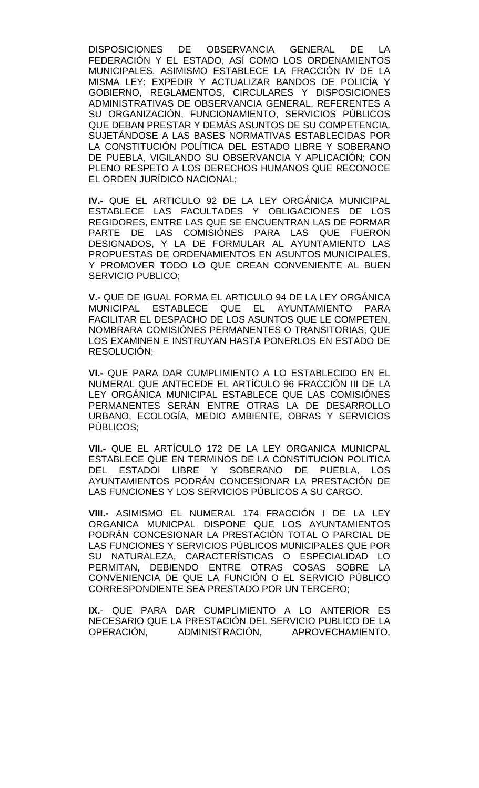DISPOSICIONES DE OBSERVANCIA GENERAL DE LA FEDERACIÓN Y EL ESTADO, ASÍ COMO LOS ORDENAMIENTOS MUNICIPALES, ASIMISMO ESTABLECE LA FRACCIÓN IV DE LA MISMA LEY: EXPEDIR Y ACTUALIZAR BANDOS DE POLICÍA Y GOBIERNO, REGLAMENTOS, CIRCULARES Y DISPOSICIONES ADMINISTRATIVAS DE OBSERVANCIA GENERAL, REFERENTES A SU ORGANIZACIÓN, FUNCIONAMIENTO, SERVICIOS PÚBLICOS QUE DEBAN PRESTAR Y DEMÁS ASUNTOS DE SU COMPETENCIA, SUJETÁNDOSE A LAS BASES NORMATIVAS ESTABLECIDAS POR LA CONSTITUCIÓN POLÍTICA DEL ESTADO LIBRE Y SOBERANO DE PUEBLA, VIGILANDO SU OBSERVANCIA Y APLICACIÓN; CON PLENO RESPETO A LOS DERECHOS HUMANOS QUE RECONOCE EL ORDEN JURÍDICO NACIONAL;

**IV.-** QUE EL ARTICULO 92 DE LA LEY ORGÁNICA MUNICIPAL ESTABLECE LAS FACULTADES Y OBLIGACIONES DE LOS REGIDORES, ENTRE LAS QUE SE ENCUENTRAN LAS DE FORMAR PARTE DE LAS COMISIÓNES PARA LAS QUE FUERON DESIGNADOS, Y LA DE FORMULAR AL AYUNTAMIENTO LAS PROPUESTAS DE ORDENAMIENTOS EN ASUNTOS MUNICIPALES, Y PROMOVER TODO LO QUE CREAN CONVENIENTE AL BUEN SERVICIO PUBLICO;

**V.-** QUE DE IGUAL FORMA EL ARTICULO 94 DE LA LEY ORGÁNICA MUNICIPAL ESTABLECE QUE EL AYUNTAMIENTO PARA FACILITAR EL DESPACHO DE LOS ASUNTOS QUE LE COMPETEN, NOMBRARA COMISIÓNES PERMANENTES O TRANSITORIAS, QUE LOS EXAMINEN E INSTRUYAN HASTA PONERLOS EN ESTADO DE RESOLUCIÓN;

**VI.-** QUE PARA DAR CUMPLIMIENTO A LO ESTABLECIDO EN EL NUMERAL QUE ANTECEDE EL ARTÍCULO 96 FRACCIÓN III DE LA LEY ORGÁNICA MUNICIPAL ESTABLECE QUE LAS COMISIÓNES PERMANENTES SERÁN ENTRE OTRAS LA DE DESARROLLO URBANO, ECOLOGÍA, MEDIO AMBIENTE, OBRAS Y SERVICIOS PÚBLICOS;

**VII.-** QUE EL ARTÍCULO 172 DE LA LEY ORGANICA MUNICPAL ESTABLECE QUE EN TERMINOS DE LA CONSTITUCION POLITICA<br>DEL ESTADOI LIBRE Y SOBERANO DE PUEBLA, LOS DEL ESTADOI LIBRE Y SOBERANO DE PUEBLA, LOS AYUNTAMIENTOS PODRÁN CONCESIONAR LA PRESTACIÓN DE LAS FUNCIONES Y LOS SERVICIOS PÚBLICOS A SU CARGO.

**VIII.-** ASIMISMO EL NUMERAL 174 FRACCIÓN I DE LA LEY ORGANICA MUNICPAL DISPONE QUE LOS AYUNTAMIENTOS PODRÁN CONCESIONAR LA PRESTACIÓN TOTAL O PARCIAL DE LAS FUNCIONES Y SERVICIOS PÚBLICOS MUNICIPALES QUE POR SU NATURALEZA, CARACTERÍSTICAS O ESPECIALIDAD LO PERMITAN, DEBIENDO ENTRE OTRAS COSAS SOBRE LA CONVENIENCIA DE QUE LA FUNCIÓN O EL SERVICIO PÚBLICO CORRESPONDIENTE SEA PRESTADO POR UN TERCERO;

**IX.**- QUE PARA DAR CUMPLIMIENTO A LO ANTERIOR ES NECESARIO QUE LA PRESTACIÓN DEL SERVICIO PUBLICO DE LA OPERACIÓN, ADMINISTRACIÓN, APROVECHAMIENTO,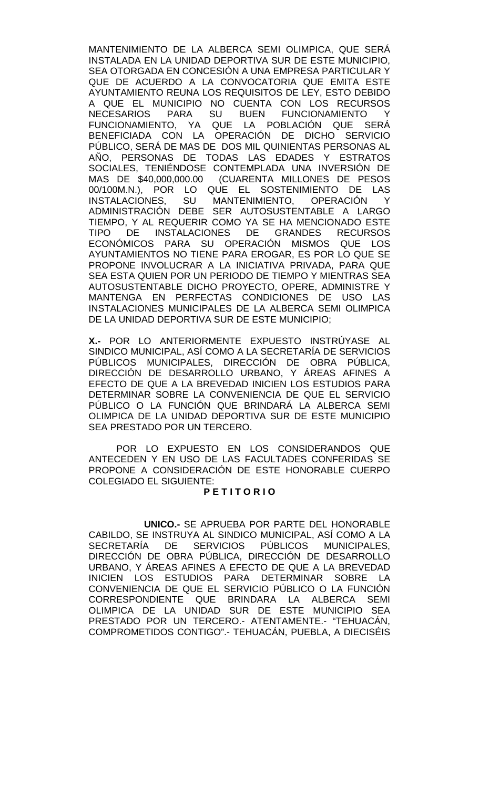MANTENIMIENTO DE LA ALBERCA SEMI OLIMPICA, QUE SERÁ INSTALADA EN LA UNIDAD DEPORTIVA SUR DE ESTE MUNICIPIO, SEA OTORGADA EN CONCESIÓN A UNA EMPRESA PARTICULAR Y QUE DE ACUERDO A LA CONVOCATORIA QUE EMITA ESTE AYUNTAMIENTO REUNA LOS REQUISITOS DE LEY, ESTO DEBIDO A QUE EL MUNICIPIO NO CUENTA CON LOS RECURSOS NECESARIOS PARA SU BUEN FUNCIONAMIENTO Y FUNCIONAMIENTO, YA QUE LA POBLACIÓN QUE SERA BENEFICIADA CON LA OPERACIÓN DE DICHO SERVICIO PÚBLICO, SERÁ DE MAS DE DOS MIL QUINIENTAS PERSONAS AL AÑO, PERSONAS DE TODAS LAS EDADES Y ESTRATOS SOCIALES, TENIÉNDOSE CONTEMPLADA UNA INVERSIÓN DE MAS DE \$40,000,000.00 (CUARENTA MILLONES DE PESOS 00/100M.N.), POR LO QUE EL SOSTENIMIENTO DE LAS INSTALACIONES, SU MANTENIMIENTO, OPERACIÓN Y ADMINISTRACIÓN DEBE SER AUTOSUSTENTABLE A LARGO TIEMPO, Y AL REQUERIR COMO YA SE HA MENCIONADO ESTE TIPO DE INSTALACIONES DE GRANDES RECURSOS ECONÓMICOS PARA SU OPERACIÓN MISMOS QUE LOS AYUNTAMIENTOS NO TIENE PARA EROGAR, ES POR LO QUE SE PROPONE INVOLUCRAR A LA INICIATIVA PRIVADA, PARA QUE SEA ESTA QUIEN POR UN PERIODO DE TIEMPO Y MIENTRAS SEA AUTOSUSTENTABLE DICHO PROYECTO, OPERE, ADMINISTRE Y MANTENGA EN PERFECTAS CONDICIONES DE USO LAS INSTALACIONES MUNICIPALES DE LA ALBERCA SEMI OLIMPICA DE LA UNIDAD DEPORTIVA SUR DE ESTE MUNICIPIO;

**X.-** POR LO ANTERIORMENTE EXPUESTO INSTRÚYASE AL SINDICO MUNICIPAL, ASÍ COMO A LA SECRETARÍA DE SERVICIOS PÚBLICOS MUNICIPALES, DIRECCIÓN DE OBRA PÚBLICA, DIRECCIÓN DE DESARROLLO URBANO, Y ÁREAS AFINES A EFECTO DE QUE A LA BREVEDAD INICIEN LOS ESTUDIOS PARA DETERMINAR SOBRE LA CONVENIENCIA DE QUE EL SERVICIO PÚBLICO O LA FUNCIÓN QUE BRINDARÁ LA ALBERCA SEMI OLIMPICA DE LA UNIDAD DEPORTIVA SUR DE ESTE MUNICIPIO SEA PRESTADO POR UN TERCERO.

POR LO EXPUESTO EN LOS CONSIDERANDOS QUE ANTECEDEN Y EN USO DE LAS FACULTADES CONFERIDAS SE PROPONE A CONSIDERACIÓN DE ESTE HONORABLE CUERPO COLEGIADO EL SIGUIENTE:

## **P E T I T O R I O**

**UNICO.-** SE APRUEBA POR PARTE DEL HONORABLE CABILDO, SE INSTRUYA AL SINDICO MUNICIPAL, ASÍ COMO A LA SECRETARÍA DE SERVICIOS PÚBLICOS MUNICIPALES, DIRECCIÓN DE OBRA PÚBLICA, DIRECCIÓN DE DESARROLLO URBANO, Y ÁREAS AFINES A EFECTO DE QUE A LA BREVEDAD INICIEN LOS ESTUDIOS PARA DETERMINAR SOBRE LA CONVENIENCIA DE QUE EL SERVICIO PÚBLICO O LA FUNCIÓN CORRESPONDIENTE QUE BRINDARA LA ALBERCA SEMI OLIMPICA DE LA UNIDAD SUR DE ESTE MUNICIPIO SEA PRESTADO POR UN TERCERO.- ATENTAMENTE.- "TEHUACÁN, COMPROMETIDOS CONTIGO".- TEHUACÁN, PUEBLA, A DIECISÉIS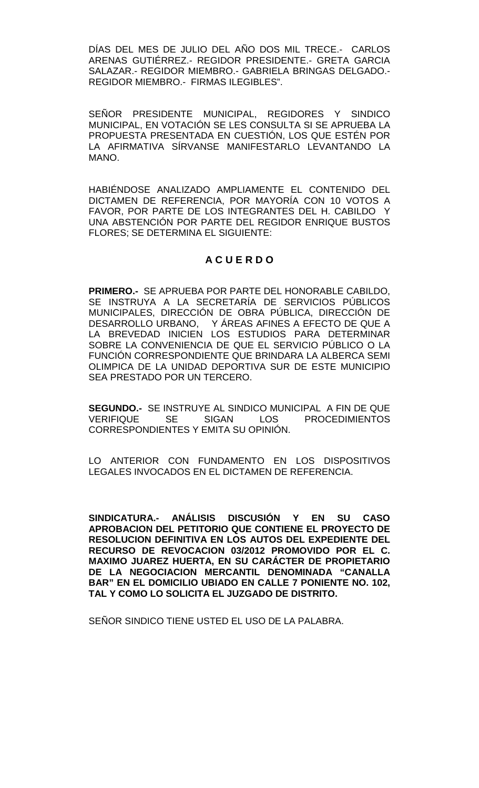DÍAS DEL MES DE JULIO DEL AÑO DOS MIL TRECE.- CARLOS ARENAS GUTIÉRREZ.- REGIDOR PRESIDENTE.- GRETA GARCIA SALAZAR.- REGIDOR MIEMBRO.- GABRIELA BRINGAS DELGADO.- REGIDOR MIEMBRO.- FIRMAS ILEGIBLES".

SEÑOR PRESIDENTE MUNICIPAL, REGIDORES Y SINDICO MUNICIPAL, EN VOTACIÓN SE LES CONSULTA SI SE APRUEBA LA PROPUESTA PRESENTADA EN CUESTIÓN, LOS QUE ESTÉN POR LA AFIRMATIVA SÍRVANSE MANIFESTARLO LEVANTANDO LA MANO.

HABIÉNDOSE ANALIZADO AMPLIAMENTE EL CONTENIDO DEL DICTAMEN DE REFERENCIA, POR MAYORÍA CON 10 VOTOS A FAVOR, POR PARTE DE LOS INTEGRANTES DEL H. CABILDO Y UNA ABSTENCIÓN POR PARTE DEL REGIDOR ENRIQUE BUSTOS FLORES; SE DETERMINA EL SIGUIENTE:

# **A C U E R D O**

**PRIMERO.-** SE APRUEBA POR PARTE DEL HONORABLE CABILDO, SE INSTRUYA A LA SECRETARÍA DE SERVICIOS PÚBLICOS MUNICIPALES, DIRECCIÓN DE OBRA PÚBLICA, DIRECCIÓN DE DESARROLLO URBANO, Y ÁREAS AFINES A EFECTO DE QUE A LA BREVEDAD INICIEN LOS ESTUDIOS PARA DETERMINAR SOBRE LA CONVENIENCIA DE QUE EL SERVICIO PÚBLICO O LA FUNCIÓN CORRESPONDIENTE QUE BRINDARA LA ALBERCA SEMI OLIMPICA DE LA UNIDAD DEPORTIVA SUR DE ESTE MUNICIPIO SEA PRESTADO POR UN TERCERO.

**SEGUNDO.-** SE INSTRUYE AL SINDICO MUNICIPAL A FIN DE QUE<br>VERIFIQUE SE SIGAN LOS PROCEDIMIENTOS SE SIGAN LOS PROCEDIMIENTOS CORRESPONDIENTES Y EMITA SU OPINIÓN.

LO ANTERIOR CON FUNDAMENTO EN LOS DISPOSITIVOS LEGALES INVOCADOS EN EL DICTAMEN DE REFERENCIA.

**SINDICATURA.- ANÁLISIS DISCUSIÓN Y EN SU CASO APROBACION DEL PETITORIO QUE CONTIENE EL PROYECTO DE RESOLUCION DEFINITIVA EN LOS AUTOS DEL EXPEDIENTE DEL RECURSO DE REVOCACION 03/2012 PROMOVIDO POR EL C. MAXIMO JUAREZ HUERTA, EN SU CARÁCTER DE PROPIETARIO DE LA NEGOCIACION MERCANTIL DENOMINADA "CANALLA BAR" EN EL DOMICILIO UBIADO EN CALLE 7 PONIENTE NO. 102, TAL Y COMO LO SOLICITA EL JUZGADO DE DISTRITO.**

SEÑOR SINDICO TIENE USTED EL USO DE LA PALABRA.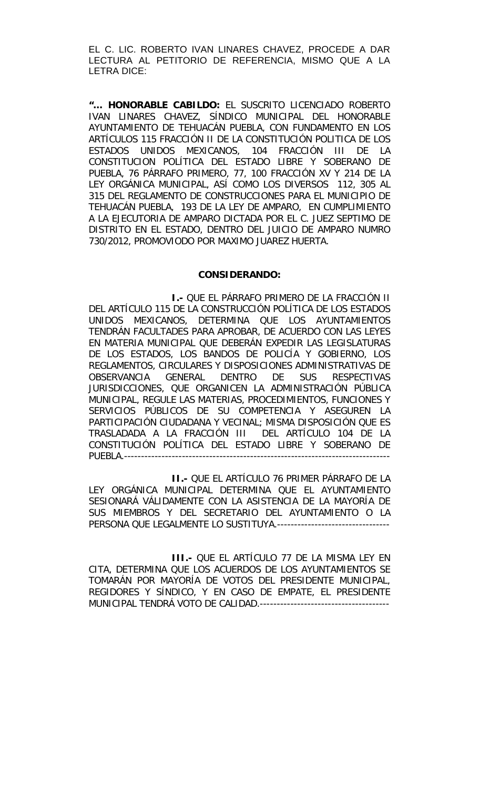EL C. LIC. ROBERTO IVAN LINARES CHAVEZ, PROCEDE A DAR LECTURA AL PETITORIO DE REFERENCIA, MISMO QUE A LA LETRA DICE:

**"… HONORABLE CABILDO:** EL SUSCRITO LICENCIADO ROBERTO IVAN LINARES CHAVEZ, SÍNDICO MUNICIPAL DEL HONORABLE AYUNTAMIENTO DE TEHUACÁN PUEBLA, CON FUNDAMENTO EN LOS ARTÍCULOS 115 FRACCIÓN II DE LA CONSTITUCIÓN POLITICA DE LOS ESTADOS UNIDOS MEXICANOS, 104 FRACCIÓN III DE LA CONSTITUCION POLÍTICA DEL ESTADO LIBRE Y SOBERANO DE PUEBLA, 76 PÁRRAFO PRIMERO, 77, 100 FRACCIÓN XV Y 214 DE LA LEY ORGÁNICA MUNICIPAL, ASÍ COMO LOS DIVERSOS 112, 305 AL 315 DEL REGLAMENTO DE CONSTRUCCIONES PARA EL MUNICIPIO DE TEHUACÁN PUEBLA, 193 DE LA LEY DE AMPARO, EN CUMPLIMIENTO A LA EJECUTORIA DE AMPARO DICTADA POR EL C. JUEZ SEPTIMO DE DISTRITO EN EL ESTADO, DENTRO DEL JUICIO DE AMPARO NUMRO 730/2012, PROMOVIODO POR MAXIMO JUAREZ HUERTA.

#### **CONSIDERANDO:**

**I.-** QUE EL PÁRRAFO PRIMERO DE LA FRACCIÓN II DEL ARTÍCULO 115 DE LA CONSTRUCCIÓN POLÍTICA DE LOS ESTADOS UNIDOS MEXICANOS, DETERMINA QUE LOS AYUNTAMIENTOS TENDRÁN FACULTADES PARA APROBAR, DE ACUERDO CON LAS LEYES EN MATERIA MUNICIPAL QUE DEBERÁN EXPEDIR LAS LEGISLATURAS DE LOS ESTADOS, LOS BANDOS DE POLICÍA Y GOBIERNO, LOS REGLAMENTOS, CIRCULARES Y DISPOSICIONES ADMINISTRATIVAS DE OBSERVANCIA GENERAL DENTRO DE SUS RESPECTIVAS JURISDICCIONES, QUE ORGANICEN LA ADMINISTRACIÓN PÚBLICA MUNICIPAL, REGULE LAS MATERIAS, PROCEDIMIENTOS, FUNCIONES Y SERVICIOS PÚBLICOS DE SU COMPETENCIA Y ASEGUREN LA PARTICIPACIÓN CIUDADANA Y VECINAL; MISMA DISPOSICIÓN QUE ES TRASLADADA A LA FRACCIÓN III DEL ARTÍCULO 104 DE LA CONSTITUCIÓN POLÍTICA DEL ESTADO LIBRE Y SOBERANO DE PUEBLA.------------------------------------------------------------------------------

**II.-** QUE EL ARTÍCULO 76 PRIMER PÁRRAFO DE LA LEY ORGÁNICA MUNICIPAL DETERMINA QUE EL AYUNTAMIENTO SESIONARÁ VÁLIDAMENTE CON LA ASISTENCIA DE LA MAYORÍA DE SUS MIEMBROS Y DEL SECRETARIO DEL AYUNTAMIENTO O LA PERSONA QUE LEGALMENTE LO SUSTITUYA.---------------------------------

**III.-** QUE EL ARTÍCULO 77 DE LA MISMA LEY EN CITA, DETERMINA QUE LOS ACUERDOS DE LOS AYUNTAMIENTOS SE TOMARÁN POR MAYORÍA DE VOTOS DEL PRESIDENTE MUNICIPAL, REGIDORES Y SÍNDICO, Y EN CASO DE EMPATE, EL PRESIDENTE MUNICIPAL TENDRÁ VOTO DE CALIDAD.--------------------------------------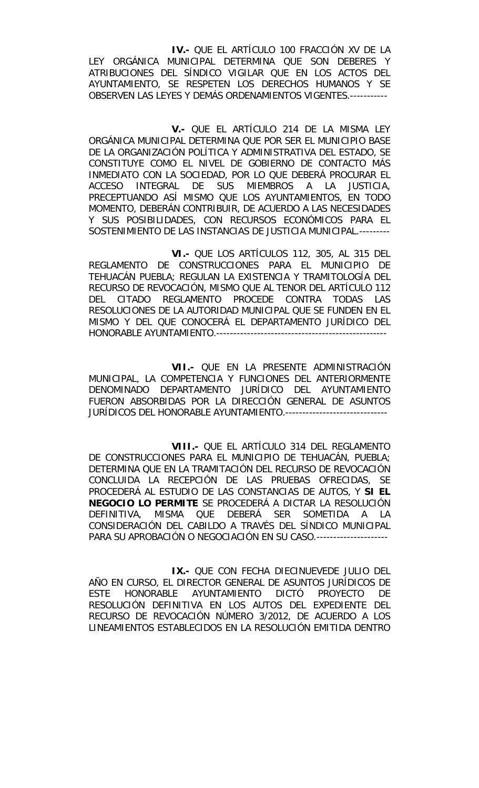**IV.-** QUE EL ARTÍCULO 100 FRACCIÓN XV DE LA LEY ORGÁNICA MUNICIPAL DETERMINA QUE SON DEBERES Y ATRIBUCIONES DEL SÍNDICO VIGILAR QUE EN LOS ACTOS DEL AYUNTAMIENTO, SE RESPETEN LOS DERECHOS HUMANOS Y SE OBSERVEN LAS LEYES Y DEMÁS ORDENAMIENTOS VIGENTES.-----------

**V.-** QUE EL ARTÍCULO 214 DE LA MISMA LEY ORGÁNICA MUNICIPAL DETERMINA QUE POR SER EL MUNICIPIO BASE DE LA ORGANIZACIÓN POLÍTICA Y ADMINISTRATIVA DEL ESTADO, SE CONSTITUYE COMO EL NIVEL DE GOBIERNO DE CONTACTO MÁS INMEDIATO CON LA SOCIEDAD, POR LO QUE DEBERÁ PROCURAR EL ACCESO INTEGRAL DE SUS MIEMBROS A LA JUSTICIA, PRECEPTUANDO ASÍ MISMO QUE LOS AYUNTAMIENTOS, EN TODO MOMENTO, DEBERÁN CONTRIBUIR, DE ACUERDO A LAS NECESIDADES Y SUS POSIBILIDADES, CON RECURSOS ECONÓMICOS PARA EL SOSTENIMIENTO DE LAS INSTANCIAS DE JUSTICIA MUNICIPAL.---------

**VI.-** QUE LOS ARTÍCULOS 112, 305, AL 315 DEL REGLAMENTO DE CONSTRUCCIONES PARA EL MUNICIPIO DE TEHUACÁN PUEBLA; REGULAN LA EXISTENCIA Y TRAMITOLOGÍA DEL RECURSO DE REVOCACIÓN, MISMO QUE AL TENOR DEL ARTÍCULO 112 DEL CITADO REGLAMENTO PROCEDE CONTRA TODAS LAS RESOLUCIONES DE LA AUTORIDAD MUNICIPAL QUE SE FUNDEN EN EL MISMO Y DEL QUE CONOCERÁ EL DEPARTAMENTO JURÍDICO DEL HONORABLE AYUNTAMIENTO.--------------------------------------------------

**VII.-** QUE EN LA PRESENTE ADMINISTRACIÓN MUNICIPAL, LA COMPETENCIA Y FUNCIONES DEL ANTERIORMENTE DENOMINADO DEPARTAMENTO JURÍDICO DEL AYUNTAMIENTO FUERON ABSORBIDAS POR LA DIRECCIÓN GENERAL DE ASUNTOS JURÍDICOS DEL HONORABLE AYUNTAMIENTO.------------------------------

**VIII.-** QUE EL ARTÍCULO 314 DEL REGLAMENTO DE CONSTRUCCIONES PARA EL MUNICIPIO DE TEHUACÁN, PUEBLA; DETERMINA QUE EN LA TRAMITACIÓN DEL RECURSO DE REVOCACIÓN CONCLUIDA LA RECEPCIÓN DE LAS PRUEBAS OFRECIDAS, SE PROCEDERÁ AL ESTUDIO DE LAS CONSTANCIAS DE AUTOS, Y **SI EL NEGOCIO LO PERMITE** SE PROCEDERÁ A DICTAR LA RESOLUCIÓN DEFINITIVA, MISMA QUE DEBERÁ SER SOMETIDA A LA CONSIDERACIÓN DEL CABILDO A TRAVÉS DEL SÍNDICO MUNICIPAL PARA SU APROBACIÓN O NEGOCIACIÓN EN SU CASO.---------------------

**IX.-** QUE CON FECHA DIECINUEVEDE JULIO DEL AÑO EN CURSO, EL DIRECTOR GENERAL DE ASUNTOS JURÍDICOS DE ESTE HONORABLE AYUNTAMIENTO DICTÓ PROYECTO DE RESOLUCIÓN DEFINITIVA EN LOS AUTOS DEL EXPEDIENTE DEL RECURSO DE REVOCACIÓN NÚMERO 3/2012, DE ACUERDO A LOS LINEAMIENTOS ESTABLECIDOS EN LA RESOLUCIÓN EMITIDA DENTRO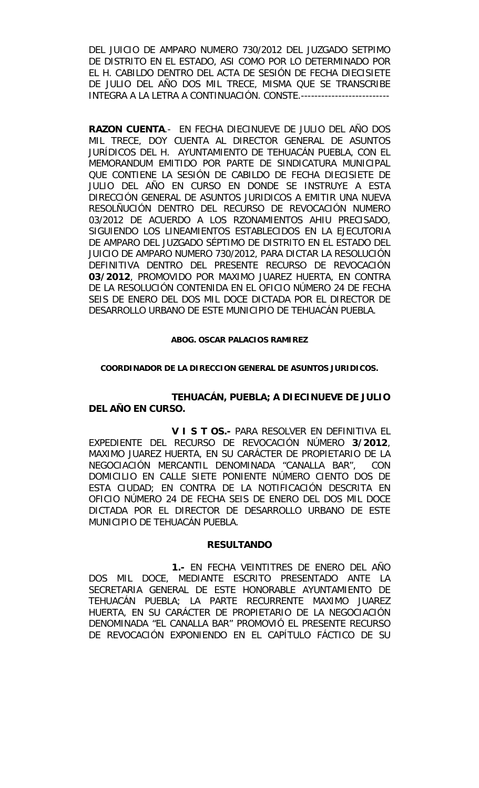DEL JUICIO DE AMPARO NUMERO 730/2012 DEL JUZGADO SETPIMO DE DISTRITO EN EL ESTADO, ASI COMO POR LO DETERMINADO POR EL H. CABILDO DENTRO DEL ACTA DE SESIÓN DE FECHA DIECISIETE DE JULIO DEL AÑO DOS MIL TRECE, MISMA QUE SE TRANSCRIBE INTEGRA A LA LETRA A CONTINUACIÓN. CONSTE.--------------------------

**RAZON CUENTA**.- EN FECHA DIECINUEVE DE JULIO DEL AÑO DOS MIL TRECE, DOY CUENTA AL DIRECTOR GENERAL DE ASUNTOS JURÍDICOS DEL H. AYUNTAMIENTO DE TEHUACÁN PUEBLA, CON EL MEMORANDUM EMITIDO POR PARTE DE SINDICATURA MUNICIPAL QUE CONTIENE LA SESIÓN DE CABILDO DE FECHA DIECISIETE DE JULIO DEL AÑO EN CURSO EN DONDE SE INSTRUYE A ESTA DIRECCIÓN GENERAL DE ASUNTOS JURIDICOS A EMITIR UNA NUEVA RESOLÑUCIÓN DENTRO DEL RECURSO DE REVOCACIÓN NUMERO 03/2012 DE ACUERDO A LOS RZONAMIENTOS AHIU PRECISADO, SIGUIENDO LOS LINEAMIENTOS ESTABLECIDOS EN LA EJECUTORIA DE AMPARO DEL JUZGADO SÉPTIMO DE DISTRITO EN EL ESTADO DEL JUICIO DE AMPARO NUMERO 730/2012, PARA DICTAR LA RESOLUCIÓN DEFINITIVA DENTRO DEL PRESENTE RECURSO DE REVOCACIÓN **03/2012**, PROMOVIDO POR MAXIMO JUAREZ HUERTA, EN CONTRA DE LA RESOLUCIÓN CONTENIDA EN EL OFICIO NÚMERO 24 DE FECHA SEIS DE ENERO DEL DOS MIL DOCE DICTADA POR EL DIRECTOR DE DESARROLLO URBANO DE ESTE MUNICIPIO DE TEHUACÁN PUEBLA.

#### **ABOG. OSCAR PALACIOS RAMIREZ**

## **COORDINADOR DE LA DIRECCION GENERAL DE ASUNTOS JURIDICOS.**

## **TEHUACÁN, PUEBLA; A DIECINUEVE DE JULIO DEL AÑO EN CURSO.**

**V I S T OS.-** PARA RESOLVER EN DEFINITIVA EL EXPEDIENTE DEL RECURSO DE REVOCACIÓN NÚMERO **3/2012**, MAXIMO JUAREZ HUERTA, EN SU CARÁCTER DE PROPIETARIO DE LA NEGOCIACIÓN MERCANTIL DENOMINADA "CANALLA BAR", CON DOMICILIO EN CALLE SIETE PONIENTE NÚMERO CIENTO DOS DE ESTA CIUDAD; EN CONTRA DE LA NOTIFICACIÓN DESCRITA EN OFICIO NÚMERO 24 DE FECHA SEIS DE ENERO DEL DOS MIL DOCE DICTADA POR EL DIRECTOR DE DESARROLLO URBANO DE ESTE MUNICIPIO DE TEHUACÁN PUEBLA.

## **RESULTANDO**

**1.-** EN FECHA VEINTITRES DE ENERO DEL AÑO DOS MIL DOCE, MEDIANTE ESCRITO PRESENTADO ANTE LA SECRETARIA GENERAL DE ESTE HONORABLE AYUNTAMIENTO DE TEHUACÁN PUEBLA; LA PARTE RECURRENTE MAXIMO JUAREZ HUERTA, EN SU CARÁCTER DE PROPIETARIO DE LA NEGOCIACIÓN DENOMINADA "EL CANALLA BAR" PROMOVIÓ EL PRESENTE RECURSO DE REVOCACIÓN EXPONIENDO EN EL CAPÍTULO FÁCTICO DE SU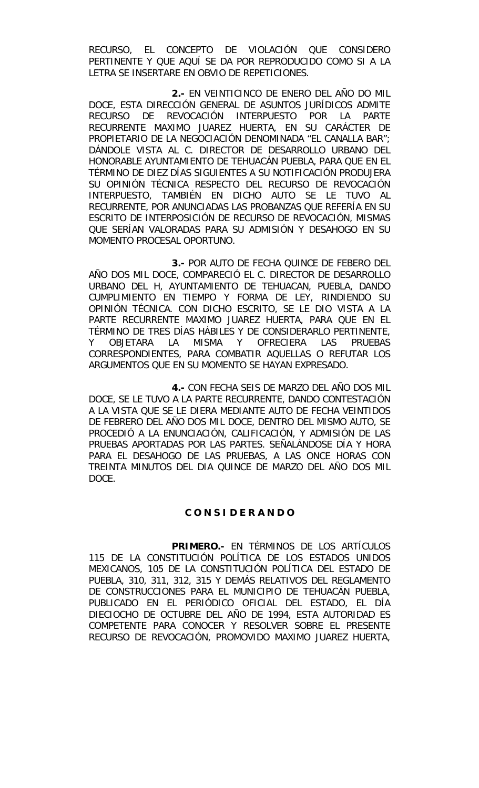RECURSO, EL CONCEPTO DE VIOLACIÓN QUE CONSIDERO PERTINENTE Y QUE AQUÍ SE DA POR REPRODUCIDO COMO SI A LA LETRA SE INSERTARE EN OBVIO DE REPETICIONES.

**2.-** EN VEINTICINCO DE ENERO DEL AÑO DO MIL DOCE, ESTA DIRECCIÓN GENERAL DE ASUNTOS JURÍDICOS ADMITE RECURSO DE REVOCACIÓN INTERPUESTO POR LA PARTE RECURRENTE MAXIMO JUAREZ HUERTA, EN SU CARÁCTER DE PROPIETARIO DE LA NEGOCIACIÓN DENOMINADA "EL CANALLA BAR"; DÁNDOLE VISTA AL C. DIRECTOR DE DESARROLLO URBANO DEL HONORABLE AYUNTAMIENTO DE TEHUACÁN PUEBLA, PARA QUE EN EL TÉRMINO DE DIEZ DÍAS SIGUIENTES A SU NOTIFICACIÓN PRODUJERA SU OPINIÓN TÉCNICA RESPECTO DEL RECURSO DE REVOCACIÓN INTERPUESTO, TAMBIÉN EN DICHO AUTO SE LE TUVO AL RECURRENTE, POR ANUNCIADAS LAS PROBANZAS QUE REFERÍA EN SU ESCRITO DE INTERPOSICIÓN DE RECURSO DE REVOCACIÓN, MISMAS QUE SERÍAN VALORADAS PARA SU ADMISIÓN Y DESAHOGO EN SU MOMENTO PROCESAL OPORTUNO.

**3.-** POR AUTO DE FECHA QUINCE DE FEBERO DEL AÑO DOS MIL DOCE, COMPARECIÓ EL C. DIRECTOR DE DESARROLLO URBANO DEL H, AYUNTAMIENTO DE TEHUACAN, PUEBLA, DANDO CUMPLIMIENTO EN TIEMPO Y FORMA DE LEY, RINDIENDO SU OPINIÓN TÉCNICA. CON DICHO ESCRITO, SE LE DIO VISTA A LA PARTE RECURRENTE MAXIMO JUAREZ HUERTA, PARA QUE EN EL TÉRMINO DE TRES DÍAS HÁBILES Y DE CONSIDERARLO PERTINENTE, Y OBJETARA LA MISMA Y OFRECIERA LAS PRUEBAS CORRESPONDIENTES, PARA COMBATIR AQUELLAS O REFUTAR LOS ARGUMENTOS QUE EN SU MOMENTO SE HAYAN EXPRESADO.

**4.-** CON FECHA SEIS DE MARZO DEL AÑO DOS MIL DOCE, SE LE TUVO A LA PARTE RECURRENTE, DANDO CONTESTACIÓN A LA VISTA QUE SE LE DIERA MEDIANTE AUTO DE FECHA VEINTIDOS DE FEBRERO DEL AÑO DOS MIL DOCE, DENTRO DEL MISMO AUTO, SE PROCEDIÓ A LA ENUNCIACIÓN, CALIFICACIÓN, Y ADMISIÓN DE LAS PRUEBAS APORTADAS POR LAS PARTES. SEÑALÁNDOSE DÍA Y HORA PARA EL DESAHOGO DE LAS PRUEBAS, A LAS ONCE HORAS CON TREINTA MINUTOS DEL DIA QUINCE DE MARZO DEL AÑO DOS MIL DOCE.

## **C O N S I D E R A N D O**

**PRIMERO.-** EN TÉRMINOS DE LOS ARTÍCULOS 115 DE LA CONSTITUCIÓN POLÍTICA DE LOS ESTADOS UNIDOS MEXICANOS, 105 DE LA CONSTITUCIÓN POLÍTICA DEL ESTADO DE PUEBLA, 310, 311, 312, 315 Y DEMÁS RELATIVOS DEL REGLAMENTO DE CONSTRUCCIONES PARA EL MUNICIPIO DE TEHUACÁN PUEBLA, PUBLICADO EN EL PERIÓDICO OFICIAL DEL ESTADO, EL DÍA DIECIOCHO DE OCTUBRE DEL AÑO DE 1994, ESTA AUTORIDAD ES COMPETENTE PARA CONOCER Y RESOLVER SOBRE EL PRESENTE RECURSO DE REVOCACIÓN, PROMOVIDO MAXIMO JUAREZ HUERTA,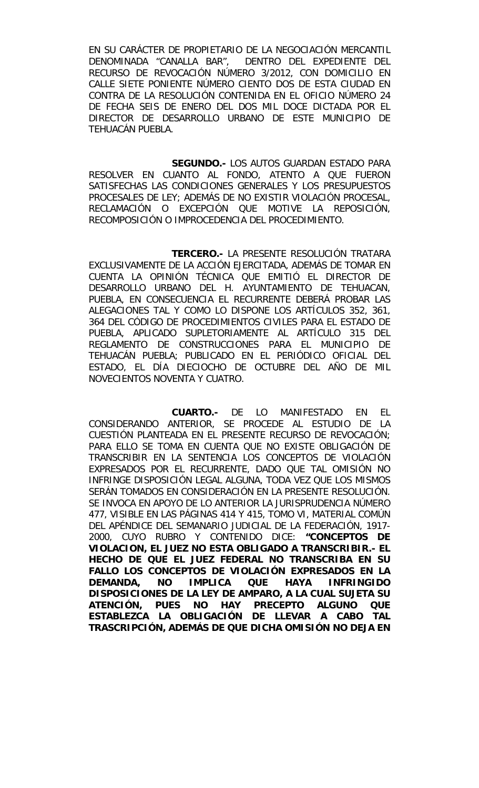EN SU CARÁCTER DE PROPIETARIO DE LA NEGOCIACIÓN MERCANTIL DENOMINADA "CANALLA BAR", DENTRO DEL EXPEDIENTE DEL RECURSO DE REVOCACIÓN NÚMERO 3/2012, CON DOMICILIO EN CALLE SIETE PONIENTE NÚMERO CIENTO DOS DE ESTA CIUDAD EN CONTRA DE LA RESOLUCIÓN CONTENIDA EN EL OFICIO NÚMERO 24 DE FECHA SEIS DE ENERO DEL DOS MIL DOCE DICTADA POR EL DIRECTOR DE DESARROLLO URBANO DE ESTE MUNICIPIO DE TEHUACÁN PUEBLA.

**SEGUNDO.-** LOS AUTOS GUARDAN ESTADO PARA RESOLVER EN CUANTO AL FONDO, ATENTO A QUE FUERON SATISFECHAS LAS CONDICIONES GENERALES Y LOS PRESUPUESTOS PROCESALES DE LEY; ADEMÁS DE NO EXISTIR VIOLACIÓN PROCESAL, RECLAMACIÓN O EXCEPCIÓN QUE MOTIVE LA REPOSICIÓN, RECOMPOSICIÓN O IMPROCEDENCIA DEL PROCEDIMIENTO.

**TERCERO.-** LA PRESENTE RESOLUCIÓN TRATARA EXCLUSIVAMENTE DE LA ACCIÓN EJERCITADA, ADEMÁS DE TOMAR EN CUENTA LA OPINIÓN TÉCNICA QUE EMITIÓ EL DIRECTOR DE DESARROLLO URBANO DEL H. AYUNTAMIENTO DE TEHUACAN, PUEBLA, EN CONSECUENCIA EL RECURRENTE DEBERÁ PROBAR LAS ALEGACIONES TAL Y COMO LO DISPONE LOS ARTÍCULOS 352, 361, 364 DEL CÓDIGO DE PROCEDIMIENTOS CIVILES PARA EL ESTADO DE PUEBLA, APLICADO SUPLETORIAMENTE AL ARTÍCULO 315 DEL REGLAMENTO DE CONSTRUCCIONES PARA EL MUNICIPIO DE TEHUACÁN PUEBLA; PUBLICADO EN EL PERIÓDICO OFICIAL DEL ESTADO, EL DÍA DIECIOCHO DE OCTUBRE DEL AÑO DE MIL NOVECIENTOS NOVENTA Y CUATRO.

**CUARTO.-** DE LO MANIFESTADO EN EL CONSIDERANDO ANTERIOR, SE PROCEDE AL ESTUDIO DE LA CUESTIÓN PLANTEADA EN EL PRESENTE RECURSO DE REVOCACIÓN; PARA ELLO SE TOMA EN CUENTA QUE NO EXISTE OBLIGACIÓN DE TRANSCRIBIR EN LA SENTENCIA LOS CONCEPTOS DE VIOLACIÓN EXPRESADOS POR EL RECURRENTE, DADO QUE TAL OMISIÓN NO INFRINGE DISPOSICIÓN LEGAL ALGUNA, TODA VEZ QUE LOS MISMOS SERÁN TOMADOS EN CONSIDERACIÓN EN LA PRESENTE RESOLUCIÓN. SE INVOCA EN APOYO DE LO ANTERIOR LA JURISPRUDENCIA NÚMERO 477, VISIBLE EN LAS PÁGINAS 414 Y 415, TOMO VI, MATERIAL COMÚN DEL APÉNDICE DEL SEMANARIO JUDICIAL DE LA FEDERACIÓN, 1917- 2000, CUYO RUBRO Y CONTENIDO DICE: **"CONCEPTOS DE VIOLACION, EL JUEZ NO ESTA OBLIGADO A TRANSCRIBIR.- EL HECHO DE QUE EL JUEZ FEDERAL NO TRANSCRIBA EN SU FALLO LOS CONCEPTOS DE VIOLACIÓN EXPRESADOS EN LA DEMANDA, NO IMPLICA QUE HAYA INFRINGIDO DISPOSICIONES DE LA LEY DE AMPARO, A LA CUAL SUJETA SU ATENCIÓN, PUES NO HAY PRECEPTO ALGUNO QUE ESTABLEZCA LA OBLIGACIÓN DE LLEVAR A CABO TAL TRASCRIPCIÓN, ADEMÁS DE QUE DICHA OMISIÓN NO DEJA EN**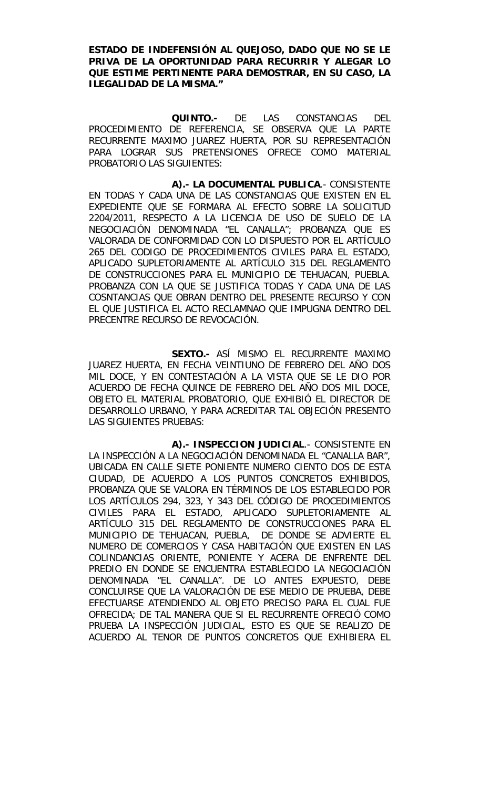**ESTADO DE INDEFENSIÓN AL QUEJOSO, DADO QUE NO SE LE PRIVA DE LA OPORTUNIDAD PARA RECURRIR Y ALEGAR LO QUE ESTIME PERTINENTE PARA DEMOSTRAR, EN SU CASO, LA ILEGALIDAD DE LA MISMA."** 

**QUINTO.-** DE LAS CONSTANCIAS DEL PROCEDIMIENTO DE REFERENCIA, SE OBSERVA QUE LA PARTE RECURRENTE MAXIMO JUAREZ HUERTA, POR SU REPRESENTACIÓN PARA LOGRAR SUS PRETENSIONES OFRECE COMO MATERIAL PROBATORIO LAS SIGUIENTES:

 **A).- LA DOCUMENTAL PUBLICA**.- CONSISTENTE EN TODAS Y CADA UNA DE LAS CONSTANCIAS QUE EXISTEN EN EL EXPEDIENTE QUE SE FORMARA AL EFECTO SOBRE LA SOLICITUD 2204/2011, RESPECTO A LA LICENCIA DE USO DE SUELO DE LA NEGOCIACIÓN DENOMINADA "EL CANALLA"; PROBANZA QUE ES VALORADA DE CONFORMIDAD CON LO DISPUESTO POR EL ARTÍCULO 265 DEL CODIGO DE PROCEDIMIENTOS CIVILES PARA EL ESTADO, APLICADO SUPLETORIAMENTE AL ARTÍCULO 315 DEL REGLAMENTO DE CONSTRUCCIONES PARA EL MUNICIPIO DE TEHUACAN, PUEBLA. PROBANZA CON LA QUE SE JUSTIFICA TODAS Y CADA UNA DE LAS COSNTANCIAS QUE OBRAN DENTRO DEL PRESENTE RECURSO Y CON EL QUE JUSTIFICA EL ACTO RECLAMNAO QUE IMPUGNA DENTRO DEL PRECENTRE RECURSO DE REVOCACIÓN.

**SEXTO.-** ASÍ MISMO EL RECURRENTE MAXIMO JUAREZ HUERTA, EN FECHA VEINTIUNO DE FEBRERO DEL AÑO DOS MIL DOCE, Y EN CONTESTACIÓN A LA VISTA QUE SE LE DIO POR ACUERDO DE FECHA QUINCE DE FEBRERO DEL AÑO DOS MIL DOCE, OBJETO EL MATERIAL PROBATORIO, QUE EXHIBIÓ EL DIRECTOR DE DESARROLLO URBANO, Y PARA ACREDITAR TAL OBJECIÓN PRESENTO LAS SIGUIENTES PRUEBAS:

**A).- INSPECCION JUDICIAL**.- CONSISTENTE EN LA INSPECCIÓN A LA NEGOCIACIÓN DENOMINADA EL "CANALLA BAR", UBICADA EN CALLE SIETE PONIENTE NUMERO CIENTO DOS DE ESTA CIUDAD, DE ACUERDO A LOS PUNTOS CONCRETOS EXHIBIDOS, PROBANZA QUE SE VALORA EN TÉRMINOS DE LOS ESTABLECIDO POR LOS ARTÍCULOS 294, 323, Y 343 DEL CÓDIGO DE PROCEDIMIENTOS CIVILES PARA EL ESTADO, APLICADO SUPLETORIAMENTE AL ARTÍCULO 315 DEL REGLAMENTO DE CONSTRUCCIONES PARA EL MUNICIPIO DE TEHUACAN, PUEBLA, DE DONDE SE ADVIERTE EL NUMERO DE COMERCIOS Y CASA HABITACIÓN QUE EXISTEN EN LAS COLINDANCIAS ORIENTE, PONIENTE Y ACERA DE ENFRENTE DEL PREDIO EN DONDE SE ENCUENTRA ESTABLECIDO LA NEGOCIACIÓN DENOMINADA "EL CANALLA". DE LO ANTES EXPUESTO, DEBE CONCLUIRSE QUE LA VALORACIÓN DE ESE MEDIO DE PRUEBA, DEBE EFECTUARSE ATENDIENDO AL OBJETO PRECISO PARA EL CUAL FUE OFRECIDA; DE TAL MANERA QUE SI EL RECURRENTE OFRECIÓ COMO PRUEBA LA INSPECCIÓN JUDICIAL, ESTO ES QUE SE REALIZO DE ACUERDO AL TENOR DE PUNTOS CONCRETOS QUE EXHIBIERA EL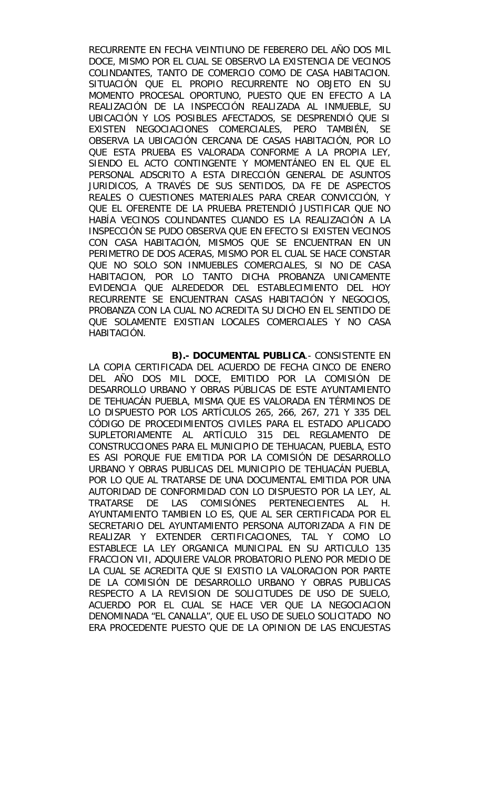RECURRENTE EN FECHA VEINTIUNO DE FEBERERO DEL AÑO DOS MIL DOCE, MISMO POR EL CUAL SE OBSERVO LA EXISTENCIA DE VECINOS COLINDANTES, TANTO DE COMERCIO COMO DE CASA HABITACION. SITUACIÓN QUE EL PROPIO RECURRENTE NO OBJETO EN SU MOMENTO PROCESAL OPORTUNO, PUESTO QUE EN EFECTO A LA REALIZACIÓN DE LA INSPECCIÓN REALIZADA AL INMUEBLE, SU UBICACIÓN Y LOS POSIBLES AFECTADOS, SE DESPRENDIÓ QUE SI EXISTEN NEGOCIACIONES COMERCIALES, PERO TAMBIÉN, SE OBSERVA LA UBICACIÓN CERCANA DE CASAS HABITACIÓN, POR LO QUE ESTA PRUEBA ES VALORADA CONFORME A LA PROPIA LEY, SIENDO EL ACTO CONTINGENTE Y MOMENTÁNEO EN EL QUE EL PERSONAL ADSCRITO A ESTA DIRECCIÓN GENERAL DE ASUNTOS JURIDICOS, A TRAVÉS DE SUS SENTIDOS, DA FE DE ASPECTOS REALES O CUESTIONES MATERIALES PARA CREAR CONVICCIÓN, Y QUE EL OFERENTE DE LA PRUEBA PRETENDIÓ JUSTIFICAR QUE NO HABÍA VECINOS COLINDANTES CUANDO ES LA REALIZACIÓN A LA INSPECCIÓN SE PUDO OBSERVA QUE EN EFECTO SI EXISTEN VECINOS CON CASA HABITACIÓN, MISMOS QUE SE ENCUENTRAN EN UN PERIMETRO DE DOS ACERAS, MISMO POR EL CUAL SE HACE CONSTAR QUE NO SOLO SON INMUEBLES COMERCIALES, SI NO DE CASA HABITACION, POR LO TANTO DICHA PROBANZA UNICAMENTE EVIDENCIA QUE ALREDEDOR DEL ESTABLECIMIENTO DEL HOY RECURRENTE SE ENCUENTRAN CASAS HABITACIÓN Y NEGOCIOS, PROBANZA CON LA CUAL NO ACREDITA SU DICHO EN EL SENTIDO DE QUE SOLAMENTE EXISTIAN LOCALES COMERCIALES Y NO CASA HABITACIÓN.

**B).- DOCUMENTAL PUBLICA**.- CONSISTENTE EN LA COPIA CERTIFICADA DEL ACUERDO DE FECHA CINCO DE ENERO DEL AÑO DOS MIL DOCE, EMITIDO POR LA COMISIÓN DE DESARROLLO URBANO Y OBRAS PÚBLICAS DE ESTE AYUNTAMIENTO DE TEHUACÁN PUEBLA, MISMA QUE ES VALORADA EN TÉRMINOS DE LO DISPUESTO POR LOS ARTÍCULOS 265, 266, 267, 271 Y 335 DEL CÓDIGO DE PROCEDIMIENTOS CIVILES PARA EL ESTADO APLICADO SUPLETORIAMENTE AL ARTÍCULO 315 DEL REGLAMENTO DE CONSTRUCCIONES PARA EL MUNICIPIO DE TEHUACAN, PUEBLA, ESTO ES ASI PORQUE FUE EMITIDA POR LA COMISIÓN DE DESARROLLO URBANO Y OBRAS PUBLICAS DEL MUNICIPIO DE TEHUACÁN PUEBLA, POR LO QUE AL TRATARSE DE UNA DOCUMENTAL EMITIDA POR UNA AUTORIDAD DE CONFORMIDAD CON LO DISPUESTO POR LA LEY, AL TRATARSE DE LAS COMISIÓNES PERTENECIENTES AL H. AYUNTAMIENTO TAMBIEN LO ES, QUE AL SER CERTIFICADA POR EL SECRETARIO DEL AYUNTAMIENTO PERSONA AUTORIZADA A FIN DE REALIZAR Y EXTENDER CERTIFICACIONES, TAL Y COMO LO ESTABLECE LA LEY ORGANICA MUNICIPAL EN SU ARTICULO 135 FRACCION VII, ADQUIERE VALOR PROBATORIO PLENO POR MEDIO DE LA CUAL SE ACREDITA QUE SI EXISTIO LA VALORACION POR PARTE DE LA COMISIÓN DE DESARROLLO URBANO Y OBRAS PUBLICAS RESPECTO A LA REVISION DE SOLICITUDES DE USO DE SUELO, ACUERDO POR EL CUAL SE HACE VER QUE LA NEGOCIACION DENOMINADA "EL CANALLA", QUE EL USO DE SUELO SOLICITADO NO ERA PROCEDENTE PUESTO QUE DE LA OPINION DE LAS ENCUESTAS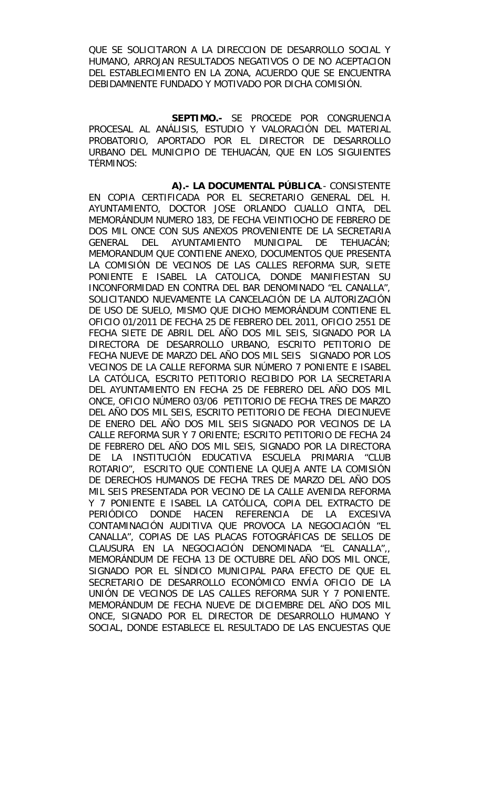QUE SE SOLICITARON A LA DIRECCION DE DESARROLLO SOCIAL Y HUMANO, ARROJAN RESULTADOS NEGATIVOS O DE NO ACEPTACION DEL ESTABLECIMIENTO EN LA ZONA, ACUERDO QUE SE ENCUENTRA DEBIDAMNENTE FUNDADO Y MOTIVADO POR DICHA COMISIÓN.

**SEPTIMO.-** SE PROCEDE POR CONGRUENCIA PROCESAL AL ANÁLISIS, ESTUDIO Y VALORACIÓN DEL MATERIAL PROBATORIO, APORTADO POR EL DIRECTOR DE DESARROLLO URBANO DEL MUNICIPIO DE TEHUACÁN, QUE EN LOS SIGUIENTES TÉRMINOS:

**A).- LA DOCUMENTAL PÚBLICA**.- CONSISTENTE EN COPIA CERTIFICADA POR EL SECRETARIO GENERAL DEL H. AYUNTAMIENTO, DOCTOR JOSE ORLANDO CUALLO CINTA, DEL MEMORÁNDUM NUMERO 183, DE FECHA VEINTIOCHO DE FEBRERO DE DOS MIL ONCE CON SUS ANEXOS PROVENIENTE DE LA SECRETARIA GENERAL DEL AYUNTAMIENTO MUNICIPAL DE TEHUACÁN; MEMORANDUM QUE CONTIENE ANEXO, DOCUMENTOS QUE PRESENTA LA COMISIÓN DE VECINOS DE LAS CALLES REFORMA SUR, SIETE PONIENTE E ISABEL LA CATOLICA, DONDE MANIFIESTAN SU INCONFORMIDAD EN CONTRA DEL BAR DENOMINADO "EL CANALLA", SOLICITANDO NUEVAMENTE LA CANCELACIÓN DE LA AUTORIZACIÓN DE USO DE SUELO, MISMO QUE DICHO MEMORÁNDUM CONTIENE EL OFICIO 01/2011 DE FECHA 25 DE FEBRERO DEL 2011, OFICIO 2551 DE FECHA SIETE DE ABRIL DEL AÑO DOS MIL SEIS, SIGNADO POR LA DIRECTORA DE DESARROLLO URBANO, ESCRITO PETITORIO DE FECHA NUEVE DE MARZO DEL AÑO DOS MIL SEIS SIGNADO POR LOS VECINOS DE LA CALLE REFORMA SUR NÚMERO 7 PONIENTE E ISABEL LA CATÓLICA, ESCRITO PETITORIO RECIBIDO POR LA SECRETARIA DEL AYUNTAMIENTO EN FECHA 25 DE FEBRERO DEL AÑO DOS MIL ONCE, OFICIO NÚMERO 03/06 PETITORIO DE FECHA TRES DE MARZO DEL AÑO DOS MIL SEIS, ESCRITO PETITORIO DE FECHA DIECINUEVE DE ENERO DEL AÑO DOS MIL SEIS SIGNADO POR VECINOS DE LA CALLE REFORMA SUR Y 7 ORIENTE; ESCRITO PETITORIO DE FECHA 24 DE FEBRERO DEL AÑO DOS MIL SEIS, SIGNADO POR LA DIRECTORA DE LA INSTITUCIÓN EDUCATIVA ESCUELA PRIMARIA "CLUB ROTARIO", ESCRITO QUE CONTIENE LA QUEJA ANTE LA COMISIÓN DE DERECHOS HUMANOS DE FECHA TRES DE MARZO DEL AÑO DOS MIL SEIS PRESENTADA POR VECINO DE LA CALLE AVENIDA REFORMA Y 7 PONIENTE E ISABEL LA CATÓLICA, COPIA DEL EXTRACTO DE PERIÓDICO DONDE HACEN REFERENCIA DE LA EXCESIVA CONTAMINACIÓN AUDITIVA QUE PROVOCA LA NEGOCIACIÓN "EL CANALLA", COPIAS DE LAS PLACAS FOTOGRÁFICAS DE SELLOS DE CLAUSURA EN LA NEGOCIACIÓN DENOMINADA "EL CANALLA",, MEMORÁNDUM DE FECHA 13 DE OCTUBRE DEL AÑO DOS MIL ONCE, SIGNADO POR EL SÍNDICO MUNICIPAL PARA EFECTO DE QUE EL SECRETARIO DE DESARROLLO ECONÓMICO ENVÍA OFICIO DE LA UNIÓN DE VECINOS DE LAS CALLES REFORMA SUR Y 7 PONIENTE. MEMORÁNDUM DE FECHA NUEVE DE DICIEMBRE DEL AÑO DOS MIL ONCE, SIGNADO POR EL DIRECTOR DE DESARROLLO HUMANO Y SOCIAL, DONDE ESTABLECE EL RESULTADO DE LAS ENCUESTAS QUE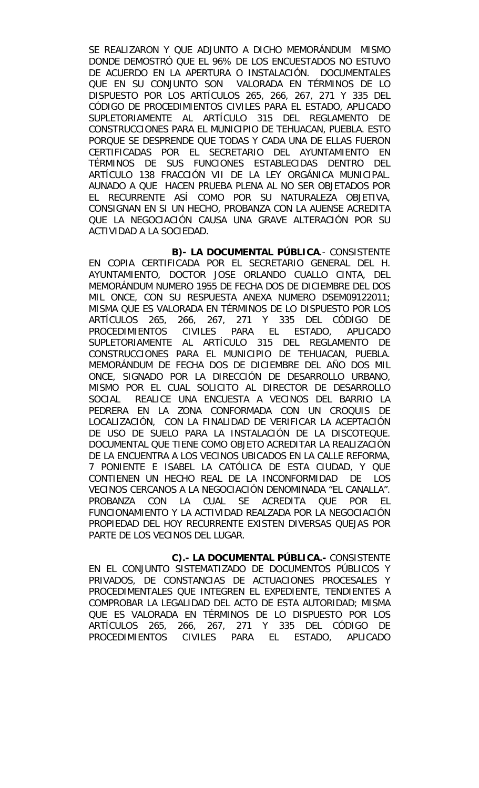SE REALIZARON Y QUE ADJUNTO A DICHO MEMORÁNDUM MISMO DONDE DEMOSTRÓ QUE EL 96% DE LOS ENCUESTADOS NO ESTUVO DE ACUERDO EN LA APERTURA O INSTALACIÓN. DOCUMENTALES QUE EN SU CONJUNTO SON VALORADA EN TÉRMINOS DE LO DISPUESTO POR LOS ARTÍCULOS 265, 266, 267, 271 Y 335 DEL CÓDIGO DE PROCEDIMIENTOS CIVILES PARA EL ESTADO, APLICADO SUPLETORIAMENTE AL ARTÍCULO 315 DEL REGLAMENTO DE CONSTRUCCIONES PARA EL MUNICIPIO DE TEHUACAN, PUEBLA. ESTO PORQUE SE DESPRENDE QUE TODAS Y CADA UNA DE ELLAS FUERON CERTIFICADAS POR EL SECRETARIO DEL AYUNTAMIENTO EN TÉRMINOS DE SUS FUNCIONES ESTABLECIDAS DENTRO DEL ARTÍCULO 138 FRACCIÓN VII DE LA LEY ORGÁNICA MUNICIPAL. AUNADO A QUE HACEN PRUEBA PLENA AL NO SER OBJETADOS POR EL RECURRENTE ASÍ COMO POR SU NATURALEZA OBJETIVA, CONSIGNAN EN SI UN HECHO, PROBANZA CON LA AUENSE ACREDITA QUE LA NEGOCIACIÓN CAUSA UNA GRAVE ALTERACIÓN POR SU ACTIVIDAD A LA SOCIEDAD.

**B)- LA DOCUMENTAL PÚBLICA**.- CONSISTENTE EN COPIA CERTIFICADA POR EL SECRETARIO GENERAL DEL H. AYUNTAMIENTO, DOCTOR JOSE ORLANDO CUALLO CINTA, DEL MEMORÁNDUM NUMERO 1955 DE FECHA DOS DE DICIEMBRE DEL DOS MIL ONCE, CON SU RESPUESTA ANEXA NUMERO DSEM09122011; MISMA QUE ES VALORADA EN TÉRMINOS DE LO DISPUESTO POR LOS ARTÍCULOS 265, 266, 267, 271 Y 335 DEL CÓDIGO DE PROCEDIMIENTOS CIVILES PARA EL ESTADO, APLICADO SUPLETORIAMENTE AL ARTÍCULO 315 DEL REGLAMENTO DE CONSTRUCCIONES PARA EL MUNICIPIO DE TEHUACAN, PUEBLA. MEMORÁNDUM DE FECHA DOS DE DICIEMBRE DEL AÑO DOS MIL ONCE, SIGNADO POR LA DIRECCIÓN DE DESARROLLO URBANO, MISMO POR EL CUAL SOLICITO AL DIRECTOR DE DESARROLLO SOCIAL REALICE UNA ENCUESTA A VECINOS DEL BARRIO LA PEDRERA EN LA ZONA CONFORMADA CON UN CROQUIS DE LOCALIZACIÓN, CON LA FINALIDAD DE VERIFICAR LA ACEPTACIÓN DE USO DE SUELO PARA LA INSTALACIÓN DE LA DISCOTEQUE. DOCUMENTAL QUE TIENE COMO OBJETO ACREDITAR LA REALIZACIÓN DE LA ENCUENTRA A LOS VECINOS UBICADOS EN LA CALLE REFORMA, 7 PONIENTE E ISABEL LA CATÓLICA DE ESTA CIUDAD, Y QUE CONTIENEN UN HECHO REAL DE LA INCONFORMIDAD DE LOS VECINOS CERCANOS A LA NEGOCIACIÓN DENOMINADA "EL CANALLA". PROBANZA CON LA CUAL SE ACREDITA QUE POR EL FUNCIONAMIENTO Y LA ACTIVIDAD REALZADA POR LA NEGOCIACIÓN PROPIEDAD DEL HOY RECURRENTE EXISTEN DIVERSAS QUEJAS POR PARTE DE LOS VECINOS DEL LUGAR.

**C).- LA DOCUMENTAL PÚBLICA.-** CONSISTENTE EN EL CONJUNTO SISTEMATIZADO DE DOCUMENTOS PÚBLICOS Y PRIVADOS, DE CONSTANCIAS DE ACTUACIONES PROCESALES Y PROCEDIMENTALES QUE INTEGREN EL EXPEDIENTE, TENDIENTES A COMPROBAR LA LEGALIDAD DEL ACTO DE ESTA AUTORIDAD; MISMA QUE ES VALORADA EN TÉRMINOS DE LO DISPUESTO POR LOS ARTÍCULOS 265, 266, 267, 271 Y 335 DEL CÓDIGO DE PROCEDIMIENTOS CIVILES PARA EL ESTADO, APLICADO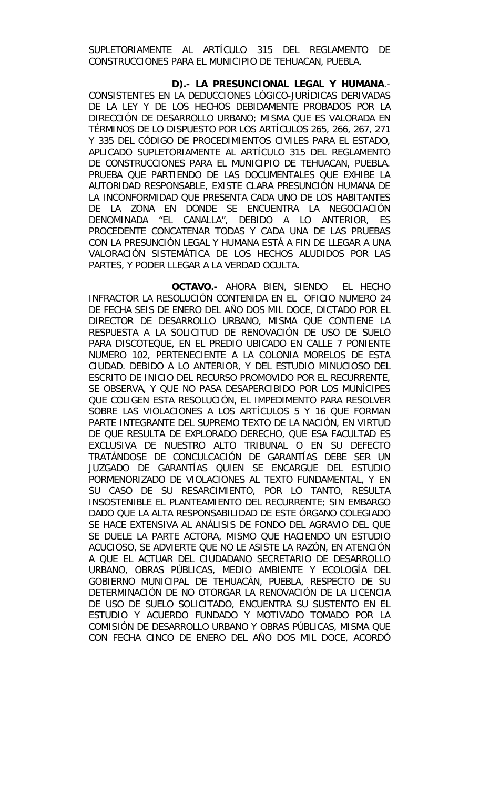SUPLETORIAMENTE AL ARTÍCULO 315 DEL REGLAMENTO DE CONSTRUCCIONES PARA EL MUNICIPIO DE TEHUACAN, PUEBLA.

**D).- LA PRESUNCIONAL LEGAL Y HUMANA**.- CONSISTENTES EN LA DEDUCCIONES LÓGICO-JURÍDICAS DERIVADAS DE LA LEY Y DE LOS HECHOS DEBIDAMENTE PROBADOS POR LA DIRECCIÓN DE DESARROLLO URBANO; MISMA QUE ES VALORADA EN TÉRMINOS DE LO DISPUESTO POR LOS ARTÍCULOS 265, 266, 267, 271 Y 335 DEL CÓDIGO DE PROCEDIMIENTOS CIVILES PARA EL ESTADO, APLICADO SUPLETORIAMENTE AL ARTÍCULO 315 DEL REGLAMENTO DE CONSTRUCCIONES PARA EL MUNICIPIO DE TEHUACAN, PUEBLA. PRUEBA QUE PARTIENDO DE LAS DOCUMENTALES QUE EXHIBE LA AUTORIDAD RESPONSABLE, EXISTE CLARA PRESUNCIÓN HUMANA DE LA INCONFORMIDAD QUE PRESENTA CADA UNO DE LOS HABITANTES DE LA ZONA EN DONDE SE ENCUENTRA LA NEGOCIACIÓN DENOMINADA "EL CANALLA", DEBIDO A LO ANTERIOR, ES PROCEDENTE CONCATENAR TODAS Y CADA UNA DE LAS PRUEBAS CON LA PRESUNCIÓN LEGAL Y HUMANA ESTÁ A FIN DE LLEGAR A UNA VALORACIÓN SISTEMÁTICA DE LOS HECHOS ALUDIDOS POR LAS PARTES, Y PODER LLEGAR A LA VERDAD OCULTA.

**OCTAVO.-** AHORA BIEN, SIENDO EL HECHO INFRACTOR LA RESOLUCIÓN CONTENIDA EN EL OFICIO NUMERO 24 DE FECHA SEIS DE ENERO DEL AÑO DOS MIL DOCE, DICTADO POR EL DIRECTOR DE DESARROLLO URBANO, MISMA QUE CONTIENE LA RESPUESTA A LA SOLICITUD DE RENOVACIÓN DE USO DE SUELO PARA DISCOTEQUE, EN EL PREDIO UBICADO EN CALLE 7 PONIENTE NUMERO 102, PERTENECIENTE A LA COLONIA MORELOS DE ESTA CIUDAD. DEBIDO A LO ANTERIOR, Y DEL ESTUDIO MINUCIOSO DEL ESCRITO DE INICIO DEL RECURSO PROMOVIDO POR EL RECURRENTE, SE OBSERVA, Y QUE NO PASA DESAPERCIBIDO POR LOS MUNÍCIPES QUE COLIGEN ESTA RESOLUCIÓN, EL IMPEDIMENTO PARA RESOLVER SOBRE LAS VIOLACIONES A LOS ARTÍCULOS 5 Y 16 QUE FORMAN PARTE INTEGRANTE DEL SUPREMO TEXTO DE LA NACIÓN, EN VIRTUD DE QUE RESULTA DE EXPLORADO DERECHO, QUE ESA FACULTAD ES EXCLUSIVA DE NUESTRO ALTO TRIBUNAL O EN SU DEFECTO TRATÁNDOSE DE CONCULCACIÓN DE GARANTÍAS DEBE SER UN JUZGADO DE GARANTÍAS QUIEN SE ENCARGUE DEL ESTUDIO PORMENORIZADO DE VIOLACIONES AL TEXTO FUNDAMENTAL, Y EN SU CASO DE SU RESARCIMIENTO, POR LO TANTO, RESULTA INSOSTENIBLE EL PLANTEAMIENTO DEL RECURRENTE; SIN EMBARGO DADO QUE LA ALTA RESPONSABILIDAD DE ESTE ÓRGANO COLEGIADO SE HACE EXTENSIVA AL ANÁLISIS DE FONDO DEL AGRAVIO DEL QUE SE DUELE LA PARTE ACTORA, MISMO QUE HACIENDO UN ESTUDIO ACUCIOSO, SE ADVIERTE QUE NO LE ASISTE LA RAZÓN, EN ATENCIÓN A QUE EL ACTUAR DEL CIUDADANO SECRETARIO DE DESARROLLO URBANO, OBRAS PÚBLICAS, MEDIO AMBIENTE Y ECOLOGÍA DEL GOBIERNO MUNICIPAL DE TEHUACÁN, PUEBLA, RESPECTO DE SU DETERMINACIÓN DE NO OTORGAR LA RENOVACIÓN DE LA LICENCIA DE USO DE SUELO SOLICITADO, ENCUENTRA SU SUSTENTO EN EL ESTUDIO Y ACUERDO FUNDADO Y MOTIVADO TOMADO POR LA COMISIÓN DE DESARROLLO URBANO Y OBRAS PÚBLICAS, MISMA QUE CON FECHA CINCO DE ENERO DEL AÑO DOS MIL DOCE, ACORDÓ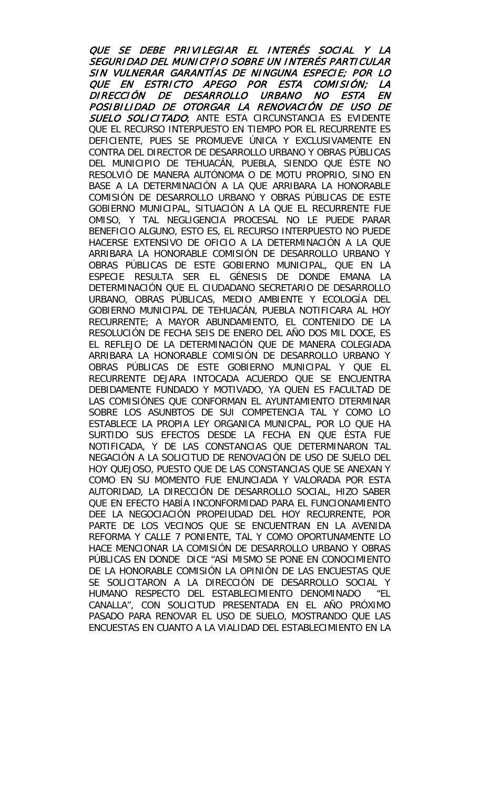QUE SE DEBE PRIVILEGIAR EL INTERÉS SOCIAL Y LA SEGURIDAD DEL MUNICIPIO SOBRE UN INTERÉS PARTICULAR SIN VULNERAR GARANTÍAS DE NINGUNA ESPECIE; POR LO QUE EN ESTRICTO APEGO POR ESTA COMISIÓN; LA DIRECCIÓN DE DESARROLLO URBANO NO ESTA EN POSIBILIDAD DE OTORGAR LA RENOVACIÓN DE USO DE SUELO SOLICITADO: ANTE ESTA CIRCUNSTANCIA ES EVIDENTE QUE EL RECURSO INTERPUESTO EN TIEMPO POR EL RECURRENTE ES DEFICIENTE, PUES SE PROMUEVE ÚNICA Y EXCLUSIVAMENTE EN CONTRA DEL DIRECTOR DE DESARROLLO URBANO Y OBRAS PÚBLICAS DEL MUNICIPIO DE TEHUACÁN, PUEBLA, SIENDO QUE ÉSTE NO RESOLVIÓ DE MANERA AUTÓNOMA O DE MOTU PROPRIO, SINO EN BASE A LA DETERMINACIÓN A LA QUE ARRIBARA LA HONORABLE COMISIÓN DE DESARROLLO URBANO Y OBRAS PÚBLICAS DE ESTE GOBIERNO MUNICIPAL, SITUACIÓN A LA QUE EL RECURRENTE FUE OMISO, Y TAL NEGLIGENCIA PROCESAL NO LE PUEDE PARAR BENEFICIO ALGUNO, ESTO ES, EL RECURSO INTERPUESTO NO PUEDE HACERSE EXTENSIVO DE OFICIO A LA DETERMINACIÓN A LA QUE ARRIBARA LA HONORABLE COMISIÓN DE DESARROLLO URBANO Y OBRAS PÚBLICAS DE ESTE GOBIERNO MUNICIPAL, QUE EN LA ESPECIE RESULTA SER EL GÉNESIS DE DONDE EMANA LA DETERMINACIÓN QUE EL CIUDADANO SECRETARIO DE DESARROLLO URBANO, OBRAS PÚBLICAS, MEDIO AMBIENTE Y ECOLOGÍA DEL GOBIERNO MUNICIPAL DE TEHUACÁN, PUEBLA NOTIFICARA AL HOY RECURRENTE; A MAYOR ABUNDAMIENTO, EL CONTENIDO DE LA RESOLUCIÓN DE FECHA SEIS DE ENERO DEL AÑO DOS MIL DOCE, ES EL REFLEJO DE LA DETERMINACIÓN QUE DE MANERA COLEGIADA ARRIBARA LA HONORABLE COMISIÓN DE DESARROLLO URBANO Y OBRAS PÚBLICAS DE ESTE GOBIERNO MUNICIPAL Y QUE EL RECURRENTE DEJARA INTOCADA ACUERDO QUE SE ENCUENTRA DEBIDAMENTE FUNDADO Y MOTIVADO, YA QUEN ES FACULTAD DE LAS COMISIÓNES QUE CONFORMAN EL AYUNTAMIENTO DTERMINAR SOBRE LOS ASUNBTOS DE SUI COMPETENCIA TAL Y COMO LO ESTABLECE LA PROPIA LEY ORGANICA MUNICPAL, POR LO QUE HA SURTIDO SUS EFECTOS DESDE LA FECHA EN QUE ÉSTA FUE NOTIFICADA, Y DE LAS CONSTANCIAS QUE DETERMINARON TAL NEGACIÓN A LA SOLICITUD DE RENOVACIÓN DE USO DE SUELO DEL HOY QUEJOSO, PUESTO QUE DE LAS CONSTANCIAS QUE SE ANEXAN Y COMO EN SU MOMENTO FUE ENUNCIADA Y VALORADA POR ESTA AUTORIDAD, LA DIRECCIÓN DE DESARROLLO SOCIAL, HIZO SABER QUE EN EFECTO HABÍA INCONFORMIDAD PARA EL FUNCIONAMIENTO DEE LA NEGOCIACIÓN PROPEIUDAD DEL HOY RECURRENTE, POR PARTE DE LOS VECINOS QUE SE ENCUENTRAN EN LA AVENIDA REFORMA Y CALLE 7 PONIENTE, TAL Y COMO OPORTUNAMENTE LO HACE MENCIONAR LA COMISIÓN DE DESARROLLO URBANO Y OBRAS PÚBLICAS EN DONDE DICE "ASÍ MISMO SE PONE EN CONOCIMIENTO DE LA HONORABLE COMISIÓN LA OPINIÓN DE LAS ENCUESTAS QUE SE SOLICITARON A LA DIRECCIÓN DE DESARROLLO SOCIAL Y HUMANO RESPECTO DEL ESTABLECIMIENTO DENOMINADO "EL CANALLA", CON SOLICITUD PRESENTADA EN EL AÑO PRÓXIMO PASADO PARA RENOVAR EL USO DE SUELO, MOSTRANDO QUE LAS ENCUESTAS EN CUANTO A LA VIALIDAD DEL ESTABLECIMIENTO EN LA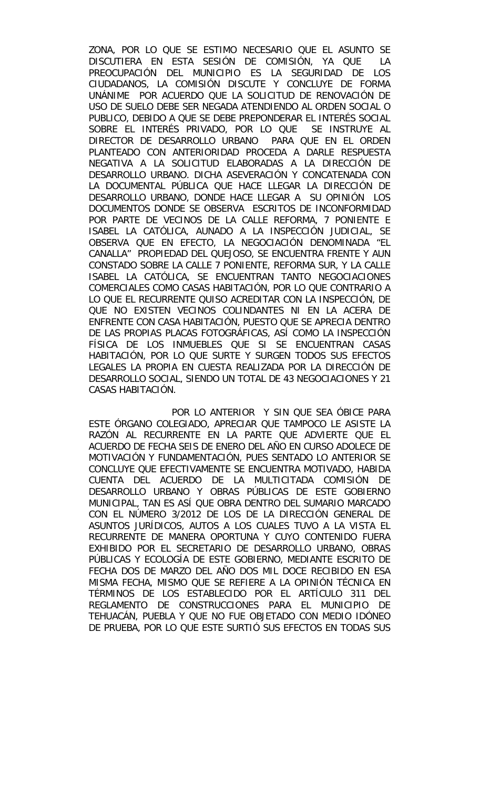ZONA, POR LO QUE SE ESTIMO NECESARIO QUE EL ASUNTO SE DISCUTIERA EN ESTA SESIÓN DE COMISIÓN, YA QUE LA PREOCUPACIÓN DEL MUNICIPIO ES LA SEGURIDAD DE LOS CIUDADANOS, LA COMISIÓN DISCUTE Y CONCLUYE DE FORMA UNÁNIME POR ACUERDO QUE LA SOLICITUD DE RENOVACIÓN DE USO DE SUELO DEBE SER NEGADA ATENDIENDO AL ORDEN SOCIAL O PUBLICO, DEBIDO A QUE SE DEBE PREPONDERAR EL INTERÉS SOCIAL SOBRE EL INTERÉS PRIVADO, POR LO QUE SE INSTRUYE AL DIRECTOR DE DESARROLLO URBANO PARA QUE EN EL ORDEN PLANTEADO CON ANTERIORIDAD PROCEDA A DARLE RESPUESTA NEGATIVA A LA SOLICITUD ELABORADAS A LA DIRECCIÓN DE DESARROLLO URBANO. DICHA ASEVERACIÓN Y CONCATENADA CON LA DOCUMENTAL PÚBLICA QUE HACE LLEGAR LA DIRECCIÓN DE DESARROLLO URBANO, DONDE HACE LLEGAR A SU OPINIÓN LOS DOCUMENTOS DONDE SE OBSERVA ESCRITOS DE INCONFORMIDAD POR PARTE DE VECINOS DE LA CALLE REFORMA, 7 PONIENTE E ISABEL LA CATÓLICA, AUNADO A LA INSPECCIÓN JUDICIAL, SE OBSERVA QUE EN EFECTO, LA NEGOCIACIÓN DENOMINADA "EL CANALLA" PROPIEDAD DEL QUEJOSO, SE ENCUENTRA FRENTE Y AUN CONSTADO SOBRE LA CALLE 7 PONIENTE, REFORMA SUR, Y LA CALLE ISABEL LA CATÓLICA, SE ENCUENTRAN TANTO NEGOCIACIONES COMERCIALES COMO CASAS HABITACIÓN, POR LO QUE CONTRARIO A LO QUE EL RECURRENTE QUISO ACREDITAR CON LA INSPECCIÓN, DE QUE NO EXISTEN VECINOS COLINDANTES NI EN LA ACERA DE ENFRENTE CON CASA HABITACIÓN, PUESTO QUE SE APRECIA DENTRO DE LAS PROPIAS PLACAS FOTOGRÁFICAS, ASÍ COMO LA INSPECCIÓN FÍSICA DE LOS INMUEBLES QUE SI SE ENCUENTRAN CASAS HABITACIÓN, POR LO QUE SURTE Y SURGEN TODOS SUS EFECTOS LEGALES LA PROPIA EN CUESTA REALIZADA POR LA DIRECCIÓN DE DESARROLLO SOCIAL, SIENDO UN TOTAL DE 43 NEGOCIACIONES Y 21 CASAS HABITACIÓN.

POR LO ANTERIOR Y SIN QUE SEA ÓBICE PARA ESTE ÓRGANO COLEGIADO, APRECIAR QUE TAMPOCO LE ASISTE LA RAZÓN AL RECURRENTE EN LA PARTE QUE ADVIERTE QUE EL ACUERDO DE FECHA SEIS DE ENERO DEL AÑO EN CURSO ADOLECE DE MOTIVACIÓN Y FUNDAMENTACIÓN, PUES SENTADO LO ANTERIOR SE CONCLUYE QUE EFECTIVAMENTE SE ENCUENTRA MOTIVADO, HABIDA CUENTA DEL ACUERDO DE LA MULTICITADA COMISIÓN DE DESARROLLO URBANO Y OBRAS PÚBLICAS DE ESTE GOBIERNO MUNICIPAL, TAN ES ASÍ QUE OBRA DENTRO DEL SUMARIO MARCADO CON EL NÚMERO 3/2012 DE LOS DE LA DIRECCIÓN GENERAL DE ASUNTOS JURÍDICOS, AUTOS A LOS CUALES TUVO A LA VISTA EL RECURRENTE DE MANERA OPORTUNA Y CUYO CONTENIDO FUERA EXHIBIDO POR EL SECRETARIO DE DESARROLLO URBANO, OBRAS PÚBLICAS Y ECOLOGÍA DE ESTE GOBIERNO, MEDIANTE ESCRITO DE FECHA DOS DE MARZO DEL AÑO DOS MIL DOCE RECIBIDO EN ESA MISMA FECHA, MISMO QUE SE REFIERE A LA OPINIÓN TÉCNICA EN TÉRMINOS DE LOS ESTABLECIDO POR EL ARTÍCULO 311 DEL REGLAMENTO DE CONSTRUCCIONES PARA EL MUNICIPIO DE TEHUACÁN, PUEBLA Y QUE NO FUE OBJETADO CON MEDIO IDÓNEO DE PRUEBA, POR LO QUE ESTE SURTIÓ SUS EFECTOS EN TODAS SUS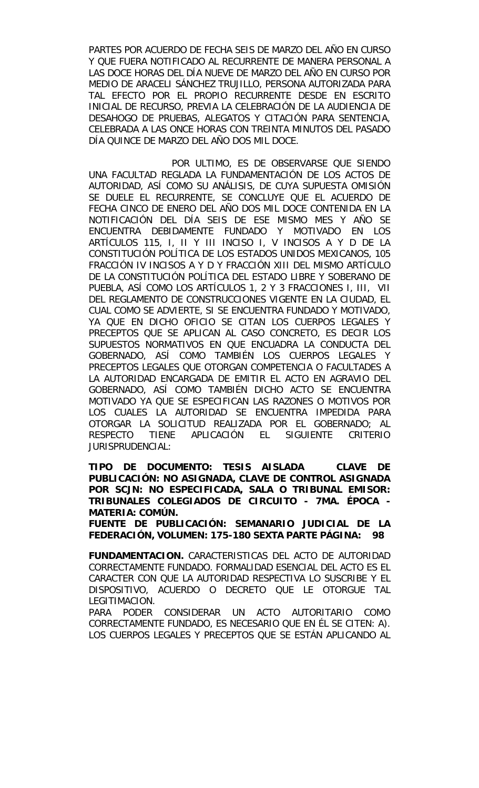PARTES POR ACUERDO DE FECHA SEIS DE MARZO DEL AÑO EN CURSO Y QUE FUERA NOTIFICADO AL RECURRENTE DE MANERA PERSONAL A LAS DOCE HORAS DEL DÍA NUEVE DE MARZO DEL AÑO EN CURSO POR MEDIO DE ARACELI SÁNCHEZ TRUJILLO, PERSONA AUTORIZADA PARA TAL EFECTO POR EL PROPIO RECURRENTE DESDE EN ESCRITO INICIAL DE RECURSO, PREVIA LA CELEBRACIÓN DE LA AUDIENCIA DE DESAHOGO DE PRUEBAS, ALEGATOS Y CITACIÓN PARA SENTENCIA, CELEBRADA A LAS ONCE HORAS CON TREINTA MINUTOS DEL PASADO DÍA QUINCE DE MARZO DEL AÑO DOS MIL DOCE.

POR ULTIMO, ES DE OBSERVARSE QUE SIENDO UNA FACULTAD REGLADA LA FUNDAMENTACIÓN DE LOS ACTOS DE AUTORIDAD, ASÍ COMO SU ANÁLISIS, DE CUYA SUPUESTA OMISIÓN SE DUELE EL RECURRENTE, SE CONCLUYE QUE EL ACUERDO DE FECHA CINCO DE ENERO DEL AÑO DOS MIL DOCE CONTENIDA EN LA NOTIFICACIÓN DEL DÍA SEIS DE ESE MISMO MES Y AÑO SE ENCUENTRA DEBIDAMENTE FUNDADO Y MOTIVADO EN LOS ARTÍCULOS 115, I, II Y III INCISO I, V INCISOS A Y D DE LA CONSTITUCIÓN POLÍTICA DE LOS ESTADOS UNIDOS MEXICANOS, 105 FRACCIÓN IV INCISOS A Y D Y FRACCIÓN XIII DEL MISMO ARTÍCULO DE LA CONSTITUCIÓN POLÍTICA DEL ESTADO LIBRE Y SOBERANO DE PUEBLA, ASÍ COMO LOS ARTÍCULOS 1, 2 Y 3 FRACCIONES I, III, VII DEL REGLAMENTO DE CONSTRUCCIONES VIGENTE EN LA CIUDAD, EL CUAL COMO SE ADVIERTE, SI SE ENCUENTRA FUNDADO Y MOTIVADO, YA QUE EN DICHO OFICIO SE CITAN LOS CUERPOS LEGALES Y PRECEPTOS QUE SE APLICAN AL CASO CONCRETO, ES DECIR LOS SUPUESTOS NORMATIVOS EN QUE ENCUADRA LA CONDUCTA DEL GOBERNADO, ASÍ COMO TAMBIÉN LOS CUERPOS LEGALES Y PRECEPTOS LEGALES QUE OTORGAN COMPETENCIA O FACULTADES A LA AUTORIDAD ENCARGADA DE EMITIR EL ACTO EN AGRAVIO DEL GOBERNADO, ASÍ COMO TAMBIÉN DICHO ACTO SE ENCUENTRA MOTIVADO YA QUE SE ESPECIFICAN LAS RAZONES O MOTIVOS POR LOS CUALES LA AUTORIDAD SE ENCUENTRA IMPEDIDA PARA OTORGAR LA SOLICITUD REALIZADA POR EL GOBERNADO; AL RESPECTO TIENE APLICACIÓN EL SIGUIENTE CRITERIO JURISPRUDENCIAL:

**TIPO DE DOCUMENTO: TESIS AISLADA CLAVE DE PUBLICACIÓN: NO ASIGNADA, CLAVE DE CONTROL ASIGNADA POR SCJN: NO ESPECIFICADA, SALA O TRIBUNAL EMISOR: TRIBUNALES COLEGIADOS DE CIRCUITO - 7MA. ÉPOCA - MATERIA: COMÚN.**

**FUENTE DE PUBLICACIÓN: SEMANARIO JUDICIAL DE LA FEDERACIÓN, VOLUMEN: 175-180 SEXTA PARTE PÁGINA: 98**

**FUNDAMENTACION.** CARACTERISTICAS DEL ACTO DE AUTORIDAD CORRECTAMENTE FUNDADO. FORMALIDAD ESENCIAL DEL ACTO ES EL CARACTER CON QUE LA AUTORIDAD RESPECTIVA LO SUSCRIBE Y EL DISPOSITIVO, ACUERDO O DECRETO QUE LE OTORGUE TAL LEGITIMACION.

PARA PODER CONSIDERAR UN ACTO AUTORITARIO COMO CORRECTAMENTE FUNDADO, ES NECESARIO QUE EN ÉL SE CITEN: A). LOS CUERPOS LEGALES Y PRECEPTOS QUE SE ESTÁN APLICANDO AL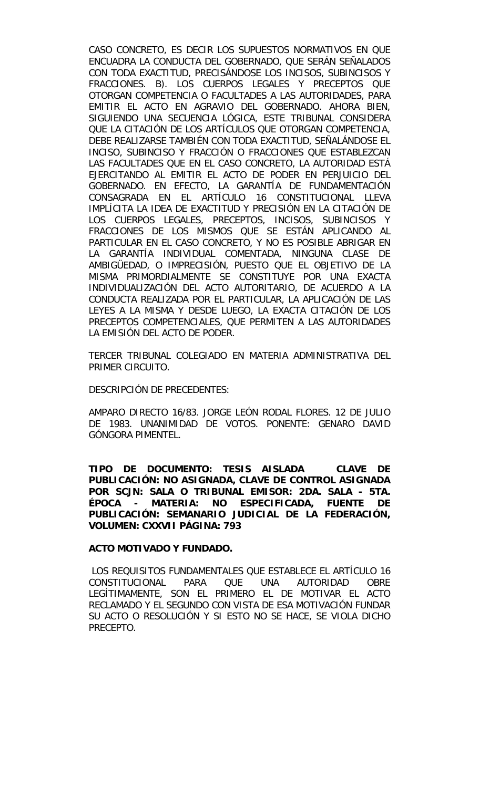CASO CONCRETO, ES DECIR LOS SUPUESTOS NORMATIVOS EN QUE ENCUADRA LA CONDUCTA DEL GOBERNADO, QUE SERÁN SEÑALADOS CON TODA EXACTITUD, PRECISÁNDOSE LOS INCISOS, SUBINCISOS Y FRACCIONES. B). LOS CUERPOS LEGALES Y PRECEPTOS QUE OTORGAN COMPETENCIA O FACULTADES A LAS AUTORIDADES, PARA EMITIR EL ACTO EN AGRAVIO DEL GOBERNADO. AHORA BIEN, SIGUIENDO UNA SECUENCIA LÓGICA, ESTE TRIBUNAL CONSIDERA QUE LA CITACIÓN DE LOS ARTÍCULOS QUE OTORGAN COMPETENCIA, DEBE REALIZARSE TAMBIÉN CON TODA EXACTITUD, SEÑALÁNDOSE EL INCISO, SUBINCISO Y FRACCIÓN O FRACCIONES QUE ESTABLEZCAN LAS FACULTADES QUE EN EL CASO CONCRETO, LA AUTORIDAD ESTÁ EJERCITANDO AL EMITIR EL ACTO DE PODER EN PERJUICIO DEL GOBERNADO. EN EFECTO, LA GARANTÍA DE FUNDAMENTACIÓN CONSAGRADA EN EL ARTÍCULO 16 CONSTITUCIONAL LLEVA IMPLÍCITA LA IDEA DE EXACTITUD Y PRECISIÓN EN LA CITACIÓN DE LOS CUERPOS LEGALES, PRECEPTOS, INCISOS, SUBINCISOS Y FRACCIONES DE LOS MISMOS QUE SE ESTÁN APLICANDO AL PARTICULAR EN EL CASO CONCRETO, Y NO ES POSIBLE ABRIGAR EN LA GARANTÍA INDIVIDUAL COMENTADA, NINGUNA CLASE DE AMBIGÜEDAD, O IMPRECISIÓN, PUESTO QUE EL OBJETIVO DE LA MISMA PRIMORDIALMENTE SE CONSTITUYE POR UNA EXACTA INDIVIDUALIZACIÓN DEL ACTO AUTORITARIO, DE ACUERDO A LA CONDUCTA REALIZADA POR EL PARTICULAR, LA APLICACIÓN DE LAS LEYES A LA MISMA Y DESDE LUEGO, LA EXACTA CITACIÓN DE LOS PRECEPTOS COMPETENCIALES, QUE PERMITEN A LAS AUTORIDADES LA EMISIÓN DEL ACTO DE PODER.

TERCER TRIBUNAL COLEGIADO EN MATERIA ADMINISTRATIVA DEL PRIMER CIRCUITO.

DESCRIPCIÓN DE PRECEDENTES:

AMPARO DIRECTO 16/83. JORGE LEÓN RODAL FLORES. 12 DE JULIO DE 1983. UNANIMIDAD DE VOTOS. PONENTE: GENARO DAVID GÓNGORA PIMENTEL.

**TIPO DE DOCUMENTO: TESIS AISLADA CLAVE DE PUBLICACIÓN: NO ASIGNADA, CLAVE DE CONTROL ASIGNADA POR SCJN: SALA O TRIBUNAL EMISOR: 2DA. SALA - 5TA. ÉPOCA - MATERIA: NO ESPECIFICADA, FUENTE DE PUBLICACIÓN: SEMANARIO JUDICIAL DE LA FEDERACIÓN, VOLUMEN: CXXVII PÁGINA: 793**

#### **ACTO MOTIVADO Y FUNDADO.**

LOS REQUISITOS FUNDAMENTALES QUE ESTABLECE EL ARTÍCULO 16 CONSTITUCIONAL PARA QUE UNA AUTORIDAD OBRE LEGÍTIMAMENTE, SON EL PRIMERO EL DE MOTIVAR EL ACTO RECLAMADO Y EL SEGUNDO CON VISTA DE ESA MOTIVACIÓN FUNDAR SU ACTO O RESOLUCIÓN Y SI ESTO NO SE HACE, SE VIOLA DICHO PRECEPTO.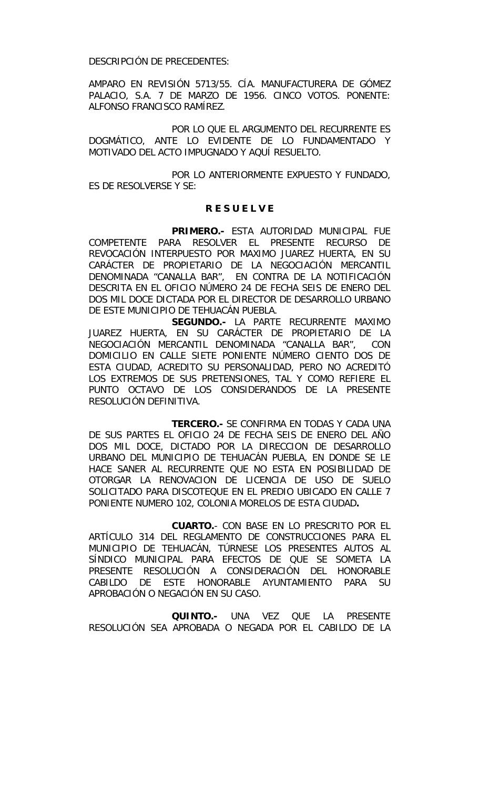DESCRIPCIÓN DE PRECEDENTES:

AMPARO EN REVISIÓN 5713/55. CÍA. MANUFACTURERA DE GÓMEZ PALACIO, S.A. 7 DE MARZO DE 1956. CINCO VOTOS. PONENTE: ALFONSO FRANCISCO RAMÍREZ.

POR LO QUE EL ARGUMENTO DEL RECURRENTE ES DOGMÁTICO, ANTE LO EVIDENTE DE LO FUNDAMENTADO Y MOTIVADO DEL ACTO IMPUGNADO Y AQUÍ RESUELTO.

 POR LO ANTERIORMENTE EXPUESTO Y FUNDADO, ES DE RESOLVERSE Y SE:

# **R E S U E L V E**

 **PRIMERO.-** ESTA AUTORIDAD MUNICIPAL FUE COMPETENTE PARA RESOLVER EL PRESENTE RECURSO DE REVOCACIÓN INTERPUESTO POR MAXIMO JUAREZ HUERTA, EN SU CARÁCTER DE PROPIETARIO DE LA NEGOCIACIÓN MERCANTIL DENOMINADA "CANALLA BAR", EN CONTRA DE LA NOTIFICACIÓN DESCRITA EN EL OFICIO NÚMERO 24 DE FECHA SEIS DE ENERO DEL DOS MIL DOCE DICTADA POR EL DIRECTOR DE DESARROLLO URBANO DE ESTE MUNICIPIO DE TEHUACÁN PUEBLA.

**SEGUNDO.-** LA PARTE RECURRENTE MAXIMO JUAREZ HUERTA, EN SU CARÁCTER DE PROPIETARIO DE LA NEGOCIACIÓN MERCANTIL DENOMINADA "CANALLA BAR", CON DOMICILIO EN CALLE SIETE PONIENTE NÚMERO CIENTO DOS DE ESTA CIUDAD, ACREDITO SU PERSONALIDAD, PERO NO ACREDITÓ LOS EXTREMOS DE SUS PRETENSIONES, TAL Y COMO REFIERE EL PUNTO OCTAVO DE LOS CONSIDERANDOS DE LA PRESENTE RESOLUCIÓN DEFINITIVA.

**TERCERO.-** SE CONFIRMA EN TODAS Y CADA UNA DE SUS PARTES EL OFICIO 24 DE FECHA SEIS DE ENERO DEL AÑO DOS MIL DOCE, DICTADO POR LA DIRECCION DE DESARROLLO URBANO DEL MUNICIPIO DE TEHUACÁN PUEBLA, EN DONDE SE LE HACE SANER AL RECURRENTE QUE NO ESTA EN POSIBILIDAD DE OTORGAR LA RENOVACION DE LICENCIA DE USO DE SUELO SOLICITADO PARA DISCOTEQUE EN EL PREDIO UBICADO EN CALLE 7 PONIENTE NUMERO 102, COLONIA MORELOS DE ESTA CIUDAD**.**

**CUARTO.**- CON BASE EN LO PRESCRITO POR EL ARTÍCULO 314 DEL REGLAMENTO DE CONSTRUCCIONES PARA EL MUNICIPIO DE TEHUACÁN, TÚRNESE LOS PRESENTES AUTOS AL SÍNDICO MUNICIPAL PARA EFECTOS DE QUE SE SOMETA LA PRESENTE RESOLUCIÓN A CONSIDERACIÓN DEL HONORABLE CABILDO DE ESTE HONORABLE AYUNTAMIENTO PARA SU APROBACIÓN O NEGACIÓN EN SU CASO.

**QUINTO.-** UNA VEZ QUE LA PRESENTE RESOLUCIÓN SEA APROBADA O NEGADA POR EL CABILDO DE LA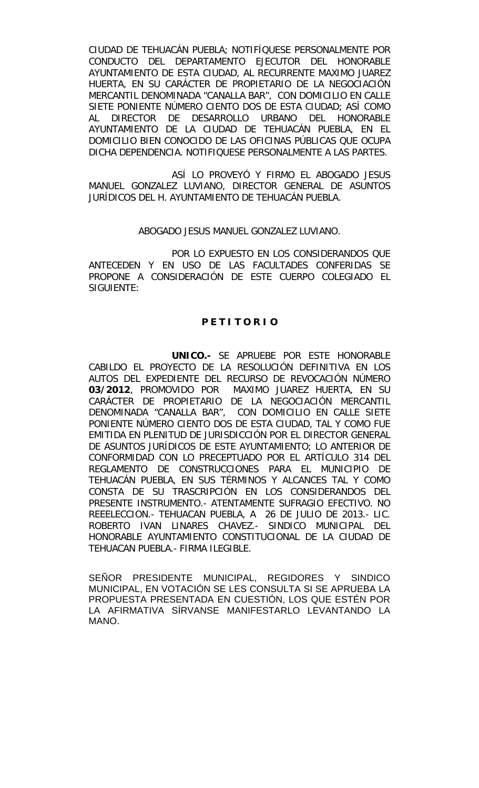CIUDAD DE TEHUACÁN PUEBLA; NOTIFÍQUESE PERSONALMENTE POR CONDUCTO DEL DEPARTAMENTO EJECUTOR DEL HONORABLE AYUNTAMIENTO DE ESTA CIUDAD, AL RECURRENTE MAXIMO JUAREZ HUERTA, EN SU CARÁCTER DE PROPIETARIO DE LA NEGOCIACIÓN MERCANTIL DENOMINADA "CANALLA BAR", CON DOMICILIO EN CALLE SIETE PONIENTE NÚMERO CIENTO DOS DE ESTA CIUDAD; ASÍ COMO AL DIRECTOR DE DESARROLLO URBANO DEL HONORABLE AYUNTAMIENTO DE LA CIUDAD DE TEHUACÁN PUEBLA, EN EL DOMICILIO BIEN CONOCIDO DE LAS OFICINAS PÚBLICAS QUE OCUPA DICHA DEPENDENCIA. NOTIFIQUESE PERSONALMENTE A LAS PARTES.

ASÍ LO PROVEYÓ Y FIRMO EL ABOGADO JESUS MANUEL GONZALEZ LUVIANO, DIRECTOR GENERAL DE ASUNTOS JURÍDICOS DEL H. AYUNTAMIENTO DE TEHUACÁN PUEBLA.

## ABOGADO JESUS MANUEL GONZALEZ LUVIANO.

POR LO EXPUESTO EN LOS CONSIDERANDOS QUE ANTECEDEN Y EN USO DE LAS FACULTADES CONFERIDAS SE PROPONE A CONSIDERACIÓN DE ESTE CUERPO COLEGIADO EL SIGUIENTE:

#### **P E T I T O R I O**

**UNICO.-** SE APRUEBE POR ESTE HONORABLE CABILDO EL PROYECTO DE LA RESOLUCIÓN DEFINITIVA EN LOS AUTOS DEL EXPEDIENTE DEL RECURSO DE REVOCACIÓN NÚMERO **03/2012**, PROMOVIDO POR MAXIMO JUAREZ HUERTA, EN SU CARÁCTER DE PROPIETARIO DE LA NEGOCIACIÓN MERCANTIL DENOMINADA "CANALLA BAR", CON DOMICILIO EN CALLE SIETE PONIENTE NÚMERO CIENTO DOS DE ESTA CIUDAD, TAL Y COMO FUE EMITIDA EN PLENITUD DE JURISDICCIÓN POR EL DIRECTOR GENERAL DE ASUNTOS JURÍDICOS DE ESTE AYUNTAMIENTO; LO ANTERIOR DE CONFORMIDAD CON LO PRECEPTUADO POR EL ARTÍCULO 314 DEL REGLAMENTO DE CONSTRUCCIONES PARA EL MUNICIPIO DE TEHUACÁN PUEBLA, EN SUS TÉRMINOS Y ALCANCES TAL Y COMO CONSTA DE SU TRASCRIPCIÓN EN LOS CONSIDERANDOS DEL PRESENTE INSTRUMENTO.- ATENTAMENTE SUFRAGIO EFECTIVO. NO REEELECCION.- TEHUACAN PUEBLA, A 26 DE JULIO DE 2013.- LIC. ROBERTO IVAN LINARES CHAVEZ.- SINDICO MUNICIPAL DEL HONORABLE AYUNTAMIENTO CONSTITUCIONAL DE LA CIUDAD DE TEHUACAN PUEBLA.- FIRMA ILEGIBLE.

SEÑOR PRESIDENTE MUNICIPAL, REGIDORES Y SINDICO MUNICIPAL, EN VOTACIÓN SE LES CONSULTA SI SE APRUEBA LA PROPUESTA PRESENTADA EN CUESTIÓN, LOS QUE ESTÉN POR LA AFIRMATIVA SÍRVANSE MANIFESTARLO LEVANTANDO LA MANO.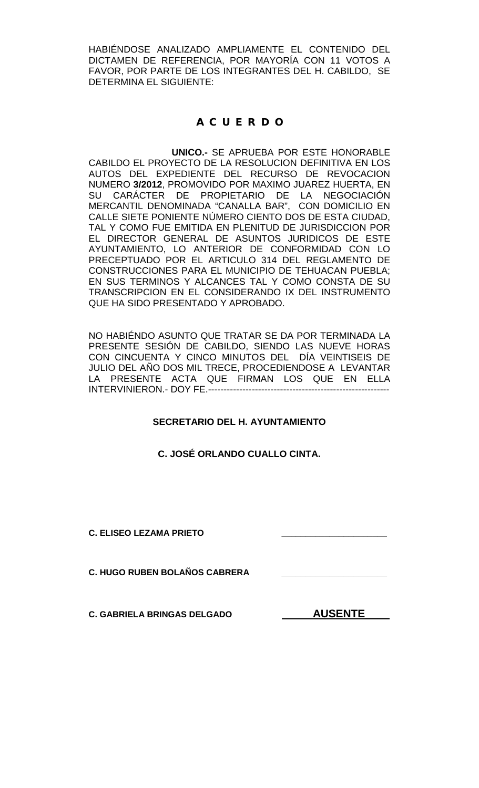HABIÉNDOSE ANALIZADO AMPLIAMENTE EL CONTENIDO DEL DICTAMEN DE REFERENCIA, POR MAYORÍA CON 11 VOTOS A FAVOR, POR PARTE DE LOS INTEGRANTES DEL H. CABILDO, SE DETERMINA EL SIGUIENTE:

# **A C U E R D O**

**UNICO.-** SE APRUEBA POR ESTE HONORABLE CABILDO EL PROYECTO DE LA RESOLUCION DEFINITIVA EN LOS AUTOS DEL EXPEDIENTE DEL RECURSO DE REVOCACION NUMERO **3/2012**, PROMOVIDO POR MAXIMO JUAREZ HUERTA, EN SU CARACTER DE PROPIETARIO DE LA NEGOCIACIÓN MERCANTIL DENOMINADA "CANALLA BAR", CON DOMICILIO EN CALLE SIETE PONIENTE NÚMERO CIENTO DOS DE ESTA CIUDAD, TAL Y COMO FUE EMITIDA EN PLENITUD DE JURISDICCION POR EL DIRECTOR GENERAL DE ASUNTOS JURIDICOS DE ESTE AYUNTAMIENTO, LO ANTERIOR DE CONFORMIDAD CON LO PRECEPTUADO POR EL ARTICULO 314 DEL REGLAMENTO DE CONSTRUCCIONES PARA EL MUNICIPIO DE TEHUACAN PUEBLA; EN SUS TERMINOS Y ALCANCES TAL Y COMO CONSTA DE SU TRANSCRIPCION EN EL CONSIDERANDO IX DEL INSTRUMENTO QUE HA SIDO PRESENTADO Y APROBADO.

NO HABIÉNDO ASUNTO QUE TRATAR SE DA POR TERMINADA LA PRESENTE SESIÓN DE CABILDO, SIENDO LAS NUEVE HORAS CON CINCUENTA Y CINCO MINUTOS DEL DÍA VEINTISEIS DE JULIO DEL AÑO DOS MIL TRECE, PROCEDIENDOSE A LEVANTAR LA PRESENTE ACTA QUE FIRMAN LOS QUE EN ELLA INTERVINIERON.- DOY FE.----------------------------------------------------------

# **SECRETARIO DEL H. AYUNTAMIENTO**

# **C. JOSÉ ORLANDO CUALLO CINTA.**

**C. ELISEO LEZAMA PRIETO \_\_\_\_\_\_\_\_\_\_\_\_\_\_\_\_\_\_\_\_\_\_**

**C. HUGO RUBEN BOLAÑOS CABRERA \_\_\_\_\_\_\_\_\_\_\_\_\_\_\_\_\_\_\_\_\_\_**

C. GABRIELA BRINGAS DELGADO **AUSENTE**